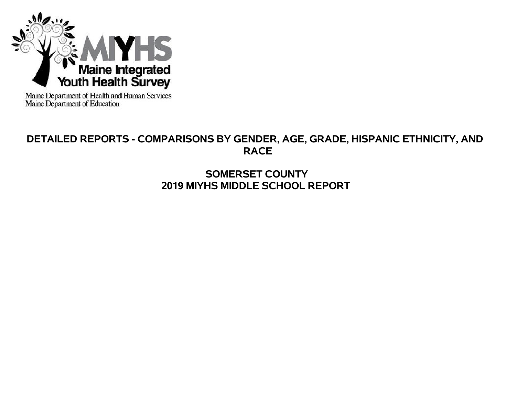

Maine Department of Health and Human Services<br>Maine Department of Education

# **DETAILED REPORTS - COMPARISONS BY GENDER, AGE, GRADE, HISPANIC ETHNICITY, AND RACE**

# **SOMERSET COUNTY 2019 MIYHS MIDDLE SCHOOL REPORT**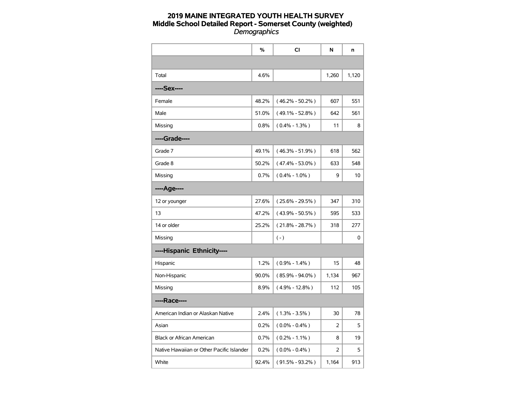|                                           | $\%$  | <b>CI</b>           | N     | n     |
|-------------------------------------------|-------|---------------------|-------|-------|
|                                           |       |                     |       |       |
| Total                                     | 4.6%  |                     | 1,260 | 1,120 |
| ----Sex----                               |       |                     |       |       |
| Female                                    | 48.2% | $(46.2\% - 50.2\%)$ | 607   | 551   |
| Male                                      | 51.0% | $(49.1\% - 52.8\%)$ | 642   | 561   |
| Missing                                   | 0.8%  | $(0.4\% - 1.3\%)$   | 11    | 8     |
| ----Grade----                             |       |                     |       |       |
| Grade 7                                   | 49.1% | $(46.3\% - 51.9\%)$ | 618   | 562   |
| Grade 8                                   | 50.2% | $(47.4\% - 53.0\%)$ | 633   | 548   |
| Missing                                   | 0.7%  | $(0.4\% - 1.0\%)$   | 9     | 10    |
| ----Age----                               |       |                     |       |       |
| 12 or younger                             | 27.6% | $(25.6\% - 29.5\%)$ | 347   | 310   |
| 13                                        | 47.2% | $(43.9\% - 50.5\%)$ | 595   | 533   |
| 14 or older                               | 25.2% | $(21.8\% - 28.7\%)$ | 318   | 277   |
| Missing                                   |       | $(-)$               |       | 0     |
| ----Hispanic Ethnicity----                |       |                     |       |       |
| Hispanic                                  | 1.2%  | $(0.9\% - 1.4\%)$   | 15    | 48    |
| Non-Hispanic                              | 90.0% | $(85.9\% - 94.0\%)$ | 1,134 | 967   |
| Missing                                   | 8.9%  | $(4.9\% - 12.8\%)$  | 112   | 105   |
| ----Race----                              |       |                     |       |       |
| American Indian or Alaskan Native         | 2.4%  | $(1.3\% - 3.5\%)$   | 30    | 78    |
| Asian                                     | 0.2%  | $(0.0\% - 0.4\%)$   | 2     | 5     |
| Black or African American                 | 0.7%  | $(0.2\% - 1.1\%)$   | 8     | 19    |
| Native Hawaiian or Other Pacific Islander | 0.2%  | $(0.0\% - 0.4\%)$   | 2     | 5     |
| White                                     | 92.4% | $(91.5\% - 93.2\%)$ | 1,164 | 913   |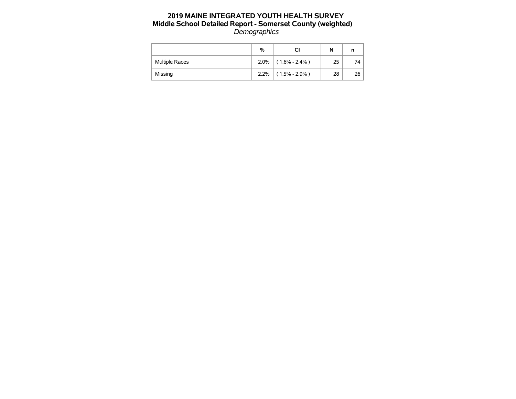|                       | %    | CI                | N  | n  |
|-----------------------|------|-------------------|----|----|
| <b>Multiple Races</b> | 2.0% | $(1.6\% - 2.4\%)$ | 25 | 74 |
| Missing               | 2.2% | $(1.5\% - 2.9\%)$ | 28 | 26 |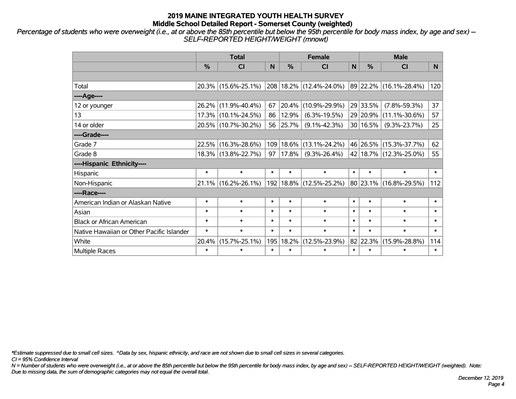*Percentage of students who were overweight (i.e., at or above the 85th percentile but below the 95th percentile for body mass index, by age and sex) -- SELF-REPORTED HEIGHT/WEIGHT (mnowt)*

|                                           |               | <b>Total</b>        |        |        | <b>Female</b>               |        | <b>Male</b> |                        |        |  |
|-------------------------------------------|---------------|---------------------|--------|--------|-----------------------------|--------|-------------|------------------------|--------|--|
|                                           | $\frac{0}{0}$ | <b>CI</b>           | N      | %      | <b>CI</b>                   | N      | %           | <b>CI</b>              | N.     |  |
|                                           |               |                     |        |        |                             |        |             |                        |        |  |
| Total                                     |               | 20.3% (15.6%-25.1%) |        |        | 208 18.2% (12.4%-24.0%)     |        |             | 89 22.2% (16.1%-28.4%) | 120    |  |
| ----Age----                               |               |                     |        |        |                             |        |             |                        |        |  |
| 12 or younger                             | 26.2%         | $(11.9\% - 40.4\%)$ | 67     | 20.4%  | $(10.9\% - 29.9\%)$         |        | 29 33.5%    | $(7.8\% - 59.3\%)$     | 37     |  |
| 13                                        | 17.3%         | $(10.1\% - 24.5\%)$ | 86     | 12.9%  | $(6.3\% - 19.5\%)$          |        | 29 20.9%    | $(11.1\% - 30.6\%)$    | 57     |  |
| 14 or older                               |               | 20.5% (10.7%-30.2%) | 56     | 25.7%  | $(9.1\% - 42.3\%)$          |        | 30 16.5%    | $(9.3\% - 23.7\%)$     | 25     |  |
| ----Grade----                             |               |                     |        |        |                             |        |             |                        |        |  |
| Grade 7                                   | 22.5%         | $(16.3\% - 28.6\%)$ | 109    | 18.6%  | $(13.1\% - 24.2\%)$         |        | 46 26.5%    | $(15.3\% - 37.7\%)$    | 62     |  |
| Grade 8                                   |               | 18.3% (13.8%-22.7%) | 97     | 17.8%  | $(9.3\% - 26.4\%)$          |        |             | 42 18.7% (12.3%-25.0%) | 55     |  |
| ----Hispanic Ethnicity----                |               |                     |        |        |                             |        |             |                        |        |  |
| Hispanic                                  | $\ast$        | $\ast$              | $\ast$ | $\ast$ | $\ast$                      | $\ast$ | $\ast$      | $\ast$                 | $\ast$ |  |
| Non-Hispanic                              | 21.1%         | $(16.2\% - 26.1\%)$ |        |        | 192   18.8%   (12.5%-25.2%) |        | 80 23.1%    | $(16.8\% - 29.5\%)$    | 112    |  |
| ----Race----                              |               |                     |        |        |                             |        |             |                        |        |  |
| American Indian or Alaskan Native         | $\ast$        | $\ast$              | $\ast$ | $\ast$ | $\ast$                      | $\ast$ | $\ast$      | $\ast$                 | $\ast$ |  |
| Asian                                     | $\ast$        | $\ast$              | $\ast$ | $\ast$ | $\ast$                      | $\ast$ | $\ast$      | $\ast$                 | $\ast$ |  |
| <b>Black or African American</b>          | $\ast$        | $\ast$              | $\ast$ | $\ast$ | $\ast$                      | $\ast$ | $\ast$      | $\ast$                 | $\ast$ |  |
| Native Hawaiian or Other Pacific Islander | $\ast$        | $\ast$              | $\ast$ | $\ast$ | $\ast$                      | $\ast$ | $\ast$      | $\ast$                 | $\ast$ |  |
| White                                     | 20.4%         | $(15.7\% - 25.1\%)$ | 195    | 18.2%  | $(12.5\% - 23.9\%)$         |        | 82 22.3%    | $(15.9\% - 28.8\%)$    | 114    |  |
| <b>Multiple Races</b>                     | $\ast$        | *                   | $\ast$ | $\ast$ | $\ast$                      | $\ast$ | $\ast$      | $\ast$                 | $\ast$ |  |

*\*Estimate suppressed due to small cell sizes. ^Data by sex, hispanic ethnicity, and race are not shown due to small cell sizes in several categories.*

*CI = 95% Confidence Interval*

*N = Number of students who were overweight (i.e., at or above the 85th percentile but below the 95th percentile for body mass index, by age and sex) -- SELF-REPORTED HEIGHT/WEIGHT (weighted). Note: Due to missing data, the sum of demographic categories may not equal the overall total.*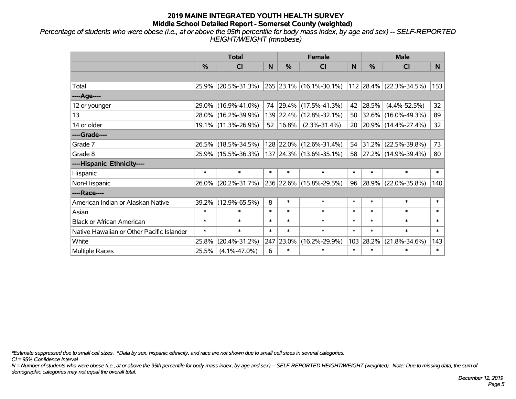*Percentage of students who were obese (i.e., at or above the 95th percentile for body mass index, by age and sex) -- SELF-REPORTED HEIGHT/WEIGHT (mnobese)*

|                                           | <b>Total</b>  |                                             |        |                       | <b>Female</b>           |        | <b>Male</b> |                         |              |  |
|-------------------------------------------|---------------|---------------------------------------------|--------|-----------------------|-------------------------|--------|-------------|-------------------------|--------------|--|
|                                           | $\frac{0}{0}$ | <b>CI</b>                                   | N      | $\frac{9}{6}$         | <b>CI</b>               | N      | %           | <b>CI</b>               | N.           |  |
|                                           |               |                                             |        |                       |                         |        |             |                         |              |  |
| Total                                     |               | 25.9% (20.5%-31.3%)                         |        |                       | 265 23.1% (16.1%-30.1%) |        |             | 112 28.4% (22.3%-34.5%) | 153          |  |
| ----Age----                               |               |                                             |        |                       |                         |        |             |                         |              |  |
| 12 or younger                             |               | 29.0% (16.9%-41.0%)                         |        |                       | 74 29.4% (17.5%-41.3%)  | 42     | 28.5%       | $(4.4\% - 52.5\%)$      | 32           |  |
| 13                                        |               | 28.0% (16.2%-39.9%)                         |        |                       | 139 22.4% (12.8%-32.1%) | 50     |             | 32.6% (16.0%-49.3%)     | 89           |  |
| 14 or older                               |               | 19.1% (11.3%-26.9%)                         |        | $52 \mid 16.8\% \mid$ | $(2.3\% - 31.4\%)$      |        |             | 20 20.9% (14.4%-27.4%)  | 32           |  |
| ----Grade----                             |               |                                             |        |                       |                         |        |             |                         |              |  |
| Grade 7                                   |               | 26.5% (18.5%-34.5%)                         |        |                       | 128 22.0% (12.6%-31.4%) | 54     | 31.2%       | $(22.5\% - 39.8\%)$     | 73           |  |
| Grade 8                                   |               | 25.9% (15.5%-36.3%) 137 24.3% (13.6%-35.1%) |        |                       |                         |        |             | 58 27.2% (14.9%-39.4%)  | 80           |  |
| ----Hispanic Ethnicity----                |               |                                             |        |                       |                         |        |             |                         |              |  |
| Hispanic                                  | $\ast$        | $\ast$                                      | $\ast$ | $\ast$                | $\ast$                  | $\ast$ | $\ast$      | $\ast$                  | $\ast$       |  |
| Non-Hispanic                              | 26.0%         | $(20.2\% - 31.7\%)$                         |        |                       | 236 22.6% (15.8%-29.5%) | 96     | 28.9%       | $(22.0\% - 35.8\%)$     | 140          |  |
| ----Race----                              |               |                                             |        |                       |                         |        |             |                         |              |  |
| American Indian or Alaskan Native         | 39.2%         | $(12.9\% - 65.5\%)$                         | 8      | $\ast$                | $\ast$                  | $\ast$ | $\ast$      | $\ast$                  | $\ast$       |  |
| Asian                                     | $\ast$        | $\ast$                                      | $\ast$ | $\ast$                | $\ast$                  | $\ast$ | $\ast$      | $\ast$                  | $\ast$       |  |
| <b>Black or African American</b>          | $\ast$        | $\ast$                                      | $\ast$ | $\ast$                | $\ast$                  | $\ast$ | $\ast$      | $\ast$                  | $\ast$       |  |
| Native Hawaiian or Other Pacific Islander | $\ast$        | $\ast$                                      | $\ast$ | $\ast$                | $\ast$                  | $\ast$ | $\ast$      | $\ast$                  | $\pmb{\ast}$ |  |
| White                                     | 25.8%         | $(20.4\% - 31.2\%)$                         | 247    | 23.0%                 | $(16.2\% - 29.9\%)$     | 103    | 28.2%       | $(21.8\% - 34.6\%)$     | 143          |  |
| Multiple Races                            | 25.5%         | $(4.1\% - 47.0\%)$                          | 6      | $\ast$                | $\ast$                  | $\ast$ | $\ast$      | *                       | $\ast$       |  |

*\*Estimate suppressed due to small cell sizes. ^Data by sex, hispanic ethnicity, and race are not shown due to small cell sizes in several categories.*

*CI = 95% Confidence Interval*

*N = Number of students who were obese (i.e., at or above the 95th percentile for body mass index, by age and sex) -- SELF-REPORTED HEIGHT/WEIGHT (weighted). Note: Due to missing data, the sum of demographic categories may not equal the overall total.*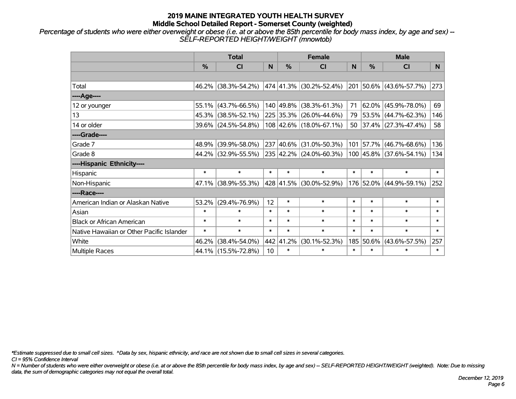*Percentage of students who were either overweight or obese (i.e. at or above the 85th percentile for body mass index, by age and sex) -- SELF-REPORTED HEIGHT/WEIGHT (mnowtob)*

|                                           | <b>Total</b>  |                     |        |               | <b>Female</b>                |        | <b>Male</b>   |                              |        |  |
|-------------------------------------------|---------------|---------------------|--------|---------------|------------------------------|--------|---------------|------------------------------|--------|--|
|                                           | $\frac{0}{0}$ | <b>CI</b>           | N      | $\frac{0}{0}$ | <b>CI</b>                    | N      | $\frac{0}{0}$ | <b>CI</b>                    | N      |  |
|                                           |               |                     |        |               |                              |        |               |                              |        |  |
| Total                                     |               | 46.2% (38.3%-54.2%) |        |               | $ 474 41.3\% $ (30.2%-52.4%) |        |               | 201 50.6% (43.6%-57.7%)      | 273    |  |
| ----Age----                               |               |                     |        |               |                              |        |               |                              |        |  |
| 12 or younger                             | 55.1%         | $(43.7\% - 66.5\%)$ |        | 140 49.8%     | $(38.3\% - 61.3\%)$          | 71     | $62.0\%$      | $(45.9\% - 78.0\%)$          | 69     |  |
| 13                                        |               | 45.3% (38.5%-52.1%) |        |               | 225 35.3% (26.0%-44.6%)      |        |               | 79 53.5% (44.7%-62.3%)       | 146    |  |
| 14 or older                               |               | 39.6% (24.5%-54.8%) |        |               | 108 42.6% (18.0%-67.1%)      |        |               | 50 37.4% $(27.3\% - 47.4\%)$ | 58     |  |
| ----Grade----                             |               |                     |        |               |                              |        |               |                              |        |  |
| Grade 7                                   | 48.9%         | $(39.9\% - 58.0\%)$ |        | 237 40.6%     | $(31.0\% - 50.3\%)$          |        | 101 57.7%     | $(46.7\% - 68.6\%)$          | 136    |  |
| Grade 8                                   |               | 44.2% (32.9%-55.5%) |        |               | 235 42.2% (24.0%-60.3%)      |        |               | 100 45.8% (37.6%-54.1%)      | 134    |  |
| ----Hispanic Ethnicity----                |               |                     |        |               |                              |        |               |                              |        |  |
| Hispanic                                  | $\ast$        | $\ast$              | $\ast$ | $\ast$        | $\ast$                       | $\ast$ | $\ast$        | $\ast$                       | $\ast$ |  |
| Non-Hispanic                              | 47.1%         | $(38.9\% - 55.3\%)$ |        |               | 428 41.5% (30.0%-52.9%)      |        | 176 52.0%     | $(44.9\% - 59.1\%)$          | 252    |  |
| ----Race----                              |               |                     |        |               |                              |        |               |                              |        |  |
| American Indian or Alaskan Native         | 53.2%         | $(29.4\% - 76.9\%)$ | 12     | $\ast$        | $\ast$                       | $\ast$ | $\ast$        | $\ast$                       | $\ast$ |  |
| Asian                                     | $\ast$        | $\ast$              | $\ast$ | $\ast$        | $\ast$                       | $\ast$ | $\ast$        | $\ast$                       | $\ast$ |  |
| <b>Black or African American</b>          | $\ast$        | $\ast$              | $\ast$ | $\ast$        | $\ast$                       | $\ast$ | $\ast$        | $\ast$                       | $\ast$ |  |
| Native Hawaiian or Other Pacific Islander | $\ast$        | $\ast$              | $\ast$ | $\ast$        | $\ast$                       | $\ast$ | $\ast$        | $\ast$                       | $\ast$ |  |
| White                                     | 46.2%         | $(38.4\% - 54.0\%)$ | 442    | 41.2%         | $(30.1\% - 52.3\%)$          | 185    | 50.6%         | $(43.6\% - 57.5\%)$          | 257    |  |
| Multiple Races                            |               | 44.1% (15.5%-72.8%) | 10     | $\ast$        | $\ast$                       | $\ast$ | $\ast$        | $\ast$                       | $\ast$ |  |

*\*Estimate suppressed due to small cell sizes. ^Data by sex, hispanic ethnicity, and race are not shown due to small cell sizes in several categories.*

*CI = 95% Confidence Interval*

*N = Number of students who were either overweight or obese (i.e. at or above the 85th percentile for body mass index, by age and sex) -- SELF-REPORTED HEIGHT/WEIGHT (weighted). Note: Due to missing data, the sum of demographic categories may not equal the overall total.*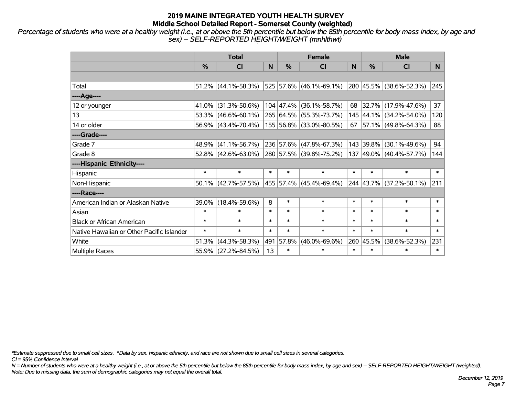*Percentage of students who were at a healthy weight (i.e., at or above the 5th percentile but below the 85th percentile for body mass index, by age and sex) -- SELF-REPORTED HEIGHT/WEIGHT (mnhlthwt)*

|                                           |        | <b>Total</b>           |        |               | <b>Female</b>             |        | <b>Male</b>    |                            |        |  |
|-------------------------------------------|--------|------------------------|--------|---------------|---------------------------|--------|----------------|----------------------------|--------|--|
|                                           | %      | <b>CI</b>              | N      | $\frac{9}{6}$ | <b>CI</b>                 | N      | $\frac{0}{0}$  | <b>CI</b>                  | N.     |  |
|                                           |        |                        |        |               |                           |        |                |                            |        |  |
| Total                                     |        | $51.2\%$ (44.1%-58.3%) |        |               | $525$ 57.6% (46.1%-69.1%) |        |                | 280 45.5% (38.6%-52.3%)    | 245    |  |
| ----Age----                               |        |                        |        |               |                           |        |                |                            |        |  |
| 12 or younger                             |        | 41.0% (31.3%-50.6%)    |        | 104 47.4%     | $(36.1\% - 58.7\%)$       | 68     | 32.7%          | $(17.9\% - 47.6\%)$        | 37     |  |
| 13                                        |        | $53.3\%$ (46.6%-60.1%) |        |               | 265 64.5% (55.3%-73.7%)   |        |                | 145 44.1% (34.2%-54.0%)    | 120    |  |
| 14 or older                               |        | 56.9% (43.4%-70.4%)    |        |               | 155 56.8% (33.0%-80.5%)   |        |                | 67   57.1%   (49.8%-64.3%) | 88     |  |
| ----Grade----                             |        |                        |        |               |                           |        |                |                            |        |  |
| Grade 7                                   |        | 48.9% (41.1%-56.7%)    |        |               | 236 57.6% (47.8%-67.3%)   |        | 143 39.8%      | $(30.1\% - 49.6\%)$        | 94     |  |
| Grade 8                                   |        | $52.8\%$ (42.6%-63.0%) |        |               | 280 57.5% (39.8%-75.2%)   |        |                | 137 49.0% (40.4%-57.7%)    | 144    |  |
| ----Hispanic Ethnicity----                |        |                        |        |               |                           |        |                |                            |        |  |
| Hispanic                                  | $\ast$ | $\ast$                 | $\ast$ | $\ast$        | $\ast$                    | $\ast$ | $\ast$         | $\ast$                     | $\ast$ |  |
| Non-Hispanic                              |        | $50.1\%$ (42.7%-57.5%) |        |               | 455 57.4% (45.4%-69.4%)   |        | $ 244 43.7\% $ | $(37.2\% - 50.1\%)$        | 211    |  |
| ----Race----                              |        |                        |        |               |                           |        |                |                            |        |  |
| American Indian or Alaskan Native         |        | 39.0% (18.4%-59.6%)    | 8      | $\ast$        | $\ast$                    | $\ast$ | $\ast$         | $\ast$                     | $\ast$ |  |
| Asian                                     | $\ast$ | $\ast$                 | $\ast$ | $\ast$        | $\ast$                    | $\ast$ | $\ast$         | $\ast$                     | $\ast$ |  |
| <b>Black or African American</b>          | $\ast$ | $\ast$                 | $\ast$ | $\ast$        | $\ast$                    | $\ast$ | $\ast$         | $\ast$                     | $\ast$ |  |
| Native Hawaiian or Other Pacific Islander | $\ast$ | $\ast$                 | $\ast$ | $\ast$        | $\ast$                    | $\ast$ | $\ast$         | $\ast$                     | $\ast$ |  |
| White                                     | 51.3%  | $(44.3\% - 58.3\%)$    | 491    | 57.8%         | $(46.0\% - 69.6\%)$       |        | 260 45.5%      | $(38.6\% - 52.3\%)$        | 231    |  |
| Multiple Races                            |        | 55.9% (27.2%-84.5%)    | 13     | $\ast$        | $\ast$                    | $\ast$ | $\ast$         | $\ast$                     | $\ast$ |  |

*\*Estimate suppressed due to small cell sizes. ^Data by sex, hispanic ethnicity, and race are not shown due to small cell sizes in several categories.*

*CI = 95% Confidence Interval*

*N = Number of students who were at a healthy weight (i.e., at or above the 5th percentile but below the 85th percentile for body mass index, by age and sex) -- SELF-REPORTED HEIGHT/WEIGHT (weighted). Note: Due to missing data, the sum of demographic categories may not equal the overall total.*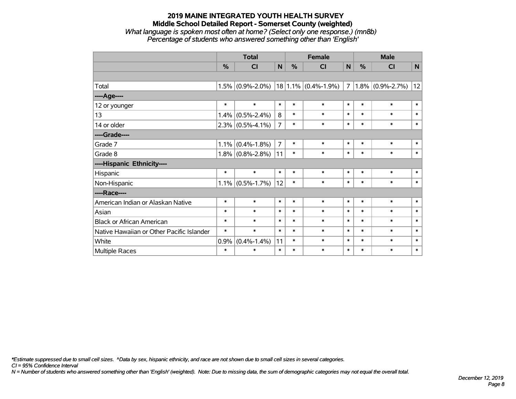#### **2019 MAINE INTEGRATED YOUTH HEALTH SURVEY Middle School Detailed Report - Somerset County (weighted)** *What language is spoken most often at home? (Select only one response.) (mn8b) Percentage of students who answered something other than 'English'*

|                                           |        | <b>Total</b>        |                |               | <b>Female</b>           |        |        | <b>Male</b>         |              |  |
|-------------------------------------------|--------|---------------------|----------------|---------------|-------------------------|--------|--------|---------------------|--------------|--|
|                                           | $\%$   | <b>CI</b>           | $\mathsf{N}$   | $\frac{0}{0}$ | CI                      | N      | %      | <b>CI</b>           | ${\sf N}$    |  |
|                                           |        |                     |                |               |                         |        |        |                     |              |  |
| Total                                     |        | $1.5\%$ (0.9%-2.0%) |                |               | $18 1.1\% $ (0.4%-1.9%) | 7      |        | $1.8\%$ (0.9%-2.7%) | 12           |  |
| ---- Age----                              |        |                     |                |               |                         |        |        |                     |              |  |
| 12 or younger                             | $\ast$ | $\ast$              | $\ast$         | $\ast$        | $\ast$                  | $\ast$ | $\ast$ | $\ast$              | $\ast$       |  |
| 13                                        | 1.4%   | $(0.5\% - 2.4\%)$   | 8              | $\ast$        | $\ast$                  | $\ast$ | $\ast$ | $\ast$              | $\ast$       |  |
| 14 or older                               |        | $2.3\%$ (0.5%-4.1%) | $\overline{7}$ | $\ast$        | $\ast$                  | $\ast$ | $\ast$ | $\ast$              | $\ast$       |  |
| ----Grade----                             |        |                     |                |               |                         |        |        |                     |              |  |
| Grade 7                                   | 1.1%   | $(0.4\% - 1.8\%)$   | $\overline{7}$ | $\ast$        | $\ast$                  | $\ast$ | $\ast$ | $\ast$              | $\pmb{\ast}$ |  |
| Grade 8                                   |        | $1.8\%$ (0.8%-2.8%) | 11             | $\ast$        | $\ast$                  | $\ast$ | $\ast$ | $\ast$              | $\ast$       |  |
| ----Hispanic Ethnicity----                |        |                     |                |               |                         |        |        |                     |              |  |
| Hispanic                                  | $\ast$ | $\ast$              | $\ast$         | $\ast$        | $\ast$                  | $\ast$ | $\ast$ | $\ast$              | $\ast$       |  |
| Non-Hispanic                              |        | $1.1\%$ (0.5%-1.7%) | 12             | $\ast$        | $\ast$                  | $\ast$ | $\ast$ | $\ast$              | $\ast$       |  |
| ----Race----                              |        |                     |                |               |                         |        |        |                     |              |  |
| American Indian or Alaskan Native         | $\ast$ | $\ast$              | $\ast$         | $\ast$        | $\ast$                  | $\ast$ | $\ast$ | $\ast$              | $\ast$       |  |
| Asian                                     | $\ast$ | $\ast$              | $\ast$         | $\ast$        | $\ast$                  | $\ast$ | $\ast$ | $\ast$              | $\ast$       |  |
| <b>Black or African American</b>          | $\ast$ | $\ast$              | $\ast$         | $\ast$        | $\ast$                  | $\ast$ | $\ast$ | $\ast$              | $\ast$       |  |
| Native Hawaiian or Other Pacific Islander | $\ast$ | $\ast$              | $\ast$         | $\ast$        | $\ast$                  | $\ast$ | $\ast$ | $\ast$              | $\ast$       |  |
| White                                     | 0.9%   | $(0.4\% - 1.4\%)$   | 11             | $\ast$        | $\ast$                  | $\ast$ | $\ast$ | $\ast$              | $\ast$       |  |
| Multiple Races                            | $\ast$ | $\ast$              | $\ast$         | $\ast$        | $\ast$                  | $\ast$ | $\ast$ | $\ast$              | $\ast$       |  |

*\*Estimate suppressed due to small cell sizes. ^Data by sex, hispanic ethnicity, and race are not shown due to small cell sizes in several categories.*

*CI = 95% Confidence Interval*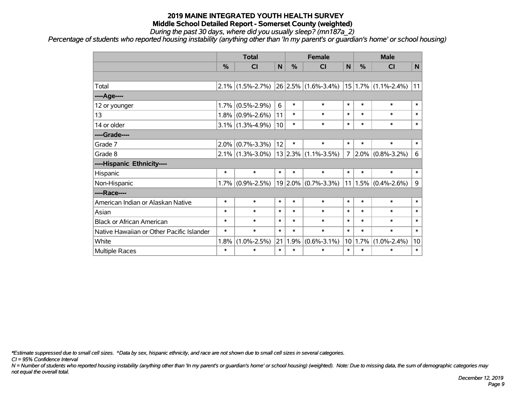*During the past 30 days, where did you usually sleep? (mn187a\_2)*

*Percentage of students who reported housing instability (anything other than 'In my parent's or guardian's home' or school housing)*

|                                           |         | <b>Total</b>        |        | <b>Female</b> |                          |                | <b>Male</b> |                          |        |
|-------------------------------------------|---------|---------------------|--------|---------------|--------------------------|----------------|-------------|--------------------------|--------|
|                                           | %       | <b>CI</b>           | N      | %             | <b>CI</b>                | N <sub>1</sub> | %           | <b>CI</b>                | N      |
|                                           |         |                     |        |               |                          |                |             |                          |        |
| Total                                     | $2.1\%$ | $(1.5\% - 2.7\%)$   |        |               | $26$ 2.5% (1.6%-3.4%)    |                |             | $ 15 1.7\% $ (1.1%-2.4%) | 11     |
| ----Age----                               |         |                     |        |               |                          |                |             |                          |        |
| 12 or younger                             | 1.7%    | $(0.5\% - 2.9\%)$   | 6      | $\ast$        | $\ast$                   | $\ast$         | $\ast$      | $\ast$                   | $\ast$ |
| 13                                        | 1.8%    | $(0.9\% - 2.6\%)$   | 11     | $\ast$        | $\ast$                   | $\ast$         | $\ast$      | $\ast$                   | $\ast$ |
| 14 or older                               |         | $3.1\%$ (1.3%-4.9%) | 10     | $\ast$        | $\ast$                   | $\ast$         | $\ast$      | $\ast$                   | $\ast$ |
| ----Grade----                             |         |                     |        |               |                          |                |             |                          |        |
| Grade 7                                   | 2.0%    | $(0.7\% - 3.3\%)$   | 12     | $\ast$        | $\ast$                   | $\ast$         | $\ast$      | $\ast$                   | $\ast$ |
| Grade 8                                   |         | $2.1\%$ (1.3%-3.0%) |        |               | $ 13 2.3\% $ (1.1%-3.5%) | $\overline{7}$ |             | $2.0\%$ (0.8%-3.2%)      | 6      |
| ----Hispanic Ethnicity----                |         |                     |        |               |                          |                |             |                          |        |
| Hispanic                                  | $\ast$  | $\ast$              | $\ast$ | $\ast$        | $\ast$                   | $\ast$         | $\ast$      | $\ast$                   | $\ast$ |
| Non-Hispanic                              | 1.7%    | $(0.9\% - 2.5\%)$   |        |               | $19 2.0\% $ (0.7%-3.3%)  |                | 11 1.5%     | $(0.4\% - 2.6\%)$        | 9      |
| ----Race----                              |         |                     |        |               |                          |                |             |                          |        |
| American Indian or Alaskan Native         | $\ast$  | $\ast$              | $\ast$ | $\ast$        | $\ast$                   | $\ast$         | $\ast$      | $\ast$                   | $\ast$ |
| Asian                                     | $\ast$  | $\ast$              | $\ast$ | $\ast$        | $\ast$                   | $\ast$         | $\ast$      | $\ast$                   | $\ast$ |
| <b>Black or African American</b>          | $\ast$  | $\ast$              | $\ast$ | $\ast$        | $\ast$                   | $\ast$         | $\ast$      | $\ast$                   | $\ast$ |
| Native Hawaiian or Other Pacific Islander | $\ast$  | $\ast$              | $\ast$ | $\ast$        | $\ast$                   | $\ast$         | $\ast$      | $\ast$                   | $\ast$ |
| White                                     | 1.8%    | $(1.0\% - 2.5\%)$   | 21     | 1.9%          | $(0.6\% - 3.1\%)$        | 10             | 1.7%        | $(1.0\% - 2.4\%)$        | 10     |
| <b>Multiple Races</b>                     | $\ast$  | $\ast$              | $\ast$ | $\ast$        | $\ast$                   | $\ast$         | $\ast$      | $\ast$                   | $\ast$ |

*\*Estimate suppressed due to small cell sizes. ^Data by sex, hispanic ethnicity, and race are not shown due to small cell sizes in several categories.*

*CI = 95% Confidence Interval*

*N = Number of students who reported housing instability (anything other than 'In my parent's or guardian's home' or school housing) (weighted). Note: Due to missing data, the sum of demographic categories may not equal the overall total.*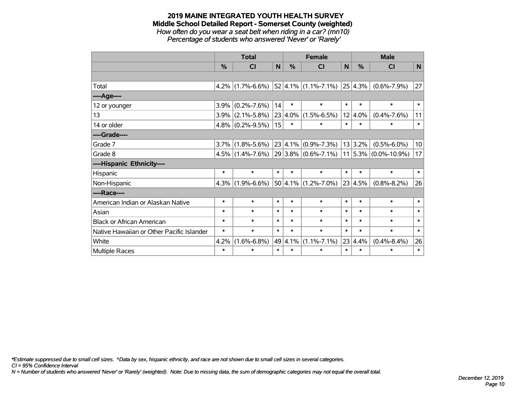#### **2019 MAINE INTEGRATED YOUTH HEALTH SURVEY Middle School Detailed Report - Somerset County (weighted)** *How often do you wear a seat belt when riding in a car? (mn10)*

*Percentage of students who answered 'Never' or 'Rarely'*

|                                           |               | <b>Total</b>        |        | <b>Female</b> |                                  |        | <b>Male</b>     |                                                    |        |
|-------------------------------------------|---------------|---------------------|--------|---------------|----------------------------------|--------|-----------------|----------------------------------------------------|--------|
|                                           | $\frac{0}{0}$ | <b>CI</b>           | N      | $\frac{0}{0}$ | <b>CI</b>                        | N      | %               | <b>CI</b>                                          | N      |
|                                           |               |                     |        |               |                                  |        |                 |                                                    |        |
| Total                                     |               | $4.2\%$ (1.7%-6.6%) |        |               | $ 52 4.1\% $ (1.1%-7.1%) 25 4.3% |        |                 | $(0.6\% - 7.9\%)$                                  | 27     |
| ---- Age----                              |               |                     |        |               |                                  |        |                 |                                                    |        |
| 12 or younger                             | 3.9%          | $(0.2\% - 7.6\%)$   | 14     | $\ast$        | $\ast$                           | $\ast$ | $\ast$          | $\ast$                                             | $\ast$ |
| 13                                        | $3.9\%$       | $(2.1\% - 5.8\%)$   |        | $23 4.0\% $   | $(1.5\% - 6.5\%)$                | 12     | 4.0%            | $(0.4\% - 7.6\%)$                                  | 11     |
| 14 or older                               |               | $4.8\%$ (0.2%-9.5%) | 15     | $\ast$        | $\ast$                           | $\ast$ | $\ast$          | $\ast$                                             | $\ast$ |
| ----Grade----                             |               |                     |        |               |                                  |        |                 |                                                    |        |
| Grade 7                                   | $3.7\%$       | $(1.8\% - 5.6\%)$   |        |               | $ 23 4.1\% $ (0.9%-7.3%)         |        | 13 3.2%         | $(0.5\% - 6.0\%)$                                  | 10     |
| Grade 8                                   |               | $4.5\%$ (1.4%-7.6%) |        |               |                                  |        |                 | $ 29 3.8\% $ (0.6%-7.1%) $ 11 5.3\% $ (0.0%-10.9%) | 17     |
| ----Hispanic Ethnicity----                |               |                     |        |               |                                  |        |                 |                                                    |        |
| Hispanic                                  | $\ast$        | $\ast$              | $\ast$ | $\ast$        | $\ast$                           | $\ast$ | $\ast$          | $\ast$                                             | $\ast$ |
| Non-Hispanic                              | 4.3%          | $(1.9\% - 6.6\%)$   |        |               | $50 4.1\% $ (1.2%-7.0%)          |        | $23 \mid 4.5\%$ | $(0.8\% - 8.2\%)$                                  | 26     |
| ----Race----                              |               |                     |        |               |                                  |        |                 |                                                    |        |
| American Indian or Alaskan Native         | $\ast$        | $\ast$              | $\ast$ | $\ast$        | $\ast$                           | $\ast$ | $\ast$          | $\ast$                                             | $\ast$ |
| Asian                                     | $\ast$        | $\ast$              | $\ast$ | $\ast$        | $\ast$                           | $\ast$ | $\ast$          | $\ast$                                             | $\ast$ |
| <b>Black or African American</b>          | $\ast$        | $\ast$              | $\ast$ | $\ast$        | $\ast$                           | $\ast$ | $\ast$          | $\ast$                                             | $\ast$ |
| Native Hawaiian or Other Pacific Islander | $\ast$        | $\ast$              | $\ast$ | $\ast$        | $\ast$                           | $\ast$ | $\ast$          | $\ast$                                             | $\ast$ |
| White                                     | 4.2%          | $(1.6\% - 6.8\%)$   |        | 49 4.1%       | $(1.1\% - 7.1\%)$                | 23     | 4.4%            | $(0.4\% - 8.4\%)$                                  | 26     |
| Multiple Races                            | $\ast$        | $\ast$              | $\ast$ | $\ast$        | $\ast$                           | $\ast$ | $\ast$          | $\ast$                                             | $\ast$ |

*\*Estimate suppressed due to small cell sizes. ^Data by sex, hispanic ethnicity, and race are not shown due to small cell sizes in several categories.*

*CI = 95% Confidence Interval*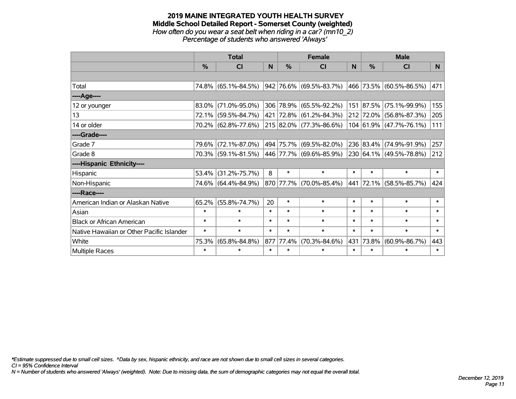#### **2019 MAINE INTEGRATED YOUTH HEALTH SURVEY Middle School Detailed Report - Somerset County (weighted)** *How often do you wear a seat belt when riding in a car? (mn10\_2) Percentage of students who answered 'Always'*

|                                           |               | <b>Total</b>        |        |               | <b>Female</b>           |          | <b>Male</b> |                                 |                |  |
|-------------------------------------------|---------------|---------------------|--------|---------------|-------------------------|----------|-------------|---------------------------------|----------------|--|
|                                           | $\frac{0}{0}$ | <b>CI</b>           | N.     | $\frac{0}{0}$ | <b>CI</b>               | <b>N</b> | %           | <b>CI</b>                       | N <sub>1</sub> |  |
|                                           |               |                     |        |               |                         |          |             |                                 |                |  |
| Total                                     |               | 74.8% (65.1%-84.5%) |        |               | 942 76.6% (69.5%-83.7%) |          |             | 466 73.5% (60.5%-86.5%)         | 471            |  |
| ----Age----                               |               |                     |        |               |                         |          |             |                                 |                |  |
| 12 or younger                             | 83.0%         | $(71.0\% - 95.0\%)$ |        |               | 306 78.9% (65.5%-92.2%) |          | 151 87.5%   | $(75.1\% - 99.9\%)$             | 155            |  |
| 13                                        |               | 72.1% (59.5%-84.7%) |        |               | 421 72.8% (61.2%-84.3%) |          |             | 212 72.0% (56.8%-87.3%)         | 205            |  |
| 14 or older                               |               | 70.2% (62.8%-77.6%) |        |               | 215 82.0% (77.3%-86.6%) |          |             | $104 61.9\%  (47.7\% - 76.1\%)$ | 111            |  |
| ----Grade----                             |               |                     |        |               |                         |          |             |                                 |                |  |
| Grade 7                                   | 79.6%         | $(72.1\% - 87.0\%)$ |        |               | 494 75.7% (69.5%-82.0%) |          |             | 236 83.4% (74.9%-91.9%)         | 257            |  |
| Grade 8                                   |               | 70.3% (59.1%-81.5%) |        |               | 446 77.7% (69.6%-85.9%) |          |             | 230 64.1% (49.5%-78.8%)         | 212            |  |
| ----Hispanic Ethnicity----                |               |                     |        |               |                         |          |             |                                 |                |  |
| Hispanic                                  | 53.4%         | $(31.2\% - 75.7\%)$ | 8      | $\ast$        | $\ast$                  | $\ast$   | $\ast$      | $\ast$                          | $\ast$         |  |
| Non-Hispanic                              |               | 74.6% (64.4%-84.9%) |        |               | 870 77.7% (70.0%-85.4%) | 441      |             | 72.1% (58.5%-85.7%)             | 424            |  |
| ----Race----                              |               |                     |        |               |                         |          |             |                                 |                |  |
| American Indian or Alaskan Native         | 65.2%         | $(55.8\% - 74.7\%)$ | 20     | $\ast$        | $\ast$                  | $\ast$   | $\ast$      | $\ast$                          | $\ast$         |  |
| Asian                                     | $\ast$        | $\ast$              | $\ast$ | $\ast$        | $\ast$                  | $\ast$   | $\ast$      | $\ast$                          | $\ast$         |  |
| <b>Black or African American</b>          | $\ast$        | $\ast$              | $\ast$ | $\ast$        | $\ast$                  | $\ast$   | $\ast$      | $\ast$                          | $\ast$         |  |
| Native Hawaiian or Other Pacific Islander | $\ast$        | $\ast$              | $\ast$ | $\ast$        | $\ast$                  | $\ast$   | $\ast$      | $\ast$                          | $\ast$         |  |
| White                                     | 75.3%         | $(65.8\% - 84.8\%)$ | 877    | 77.4%         | $(70.3\% - 84.6\%)$     | 431      | 73.8%       | $(60.9\% - 86.7\%)$             | 443            |  |
| <b>Multiple Races</b>                     | $\ast$        | $\ast$              | $\ast$ | $\ast$        | $\ast$                  | $\ast$   | $\ast$      | $\ast$                          | $\ast$         |  |

*\*Estimate suppressed due to small cell sizes. ^Data by sex, hispanic ethnicity, and race are not shown due to small cell sizes in several categories.*

*CI = 95% Confidence Interval*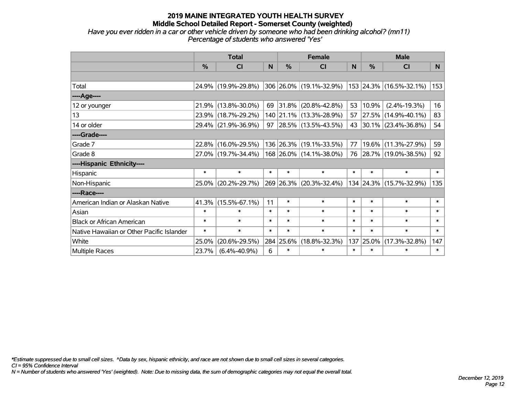## *Have you ever ridden in a car or other vehicle driven by someone who had been drinking alcohol? (mn11) Percentage of students who answered 'Yes'*

|                                           | <b>Total</b>  |                     |        |               | <b>Female</b>            |        | <b>Male</b> |                         |        |  |
|-------------------------------------------|---------------|---------------------|--------|---------------|--------------------------|--------|-------------|-------------------------|--------|--|
|                                           | $\frac{0}{0}$ | CI                  | N      | $\frac{9}{6}$ | CI                       | N      | %           | <b>CI</b>               | N      |  |
|                                           |               |                     |        |               |                          |        |             |                         |        |  |
| Total                                     |               | 24.9% (19.9%-29.8%) |        |               | 306 26.0% (19.1%-32.9%)  |        |             | 153 24.3% (16.5%-32.1%) | 153    |  |
| ----Age----                               |               |                     |        |               |                          |        |             |                         |        |  |
| 12 or younger                             | 21.9%         | $(13.8\% - 30.0\%)$ | 69     |               | $ 31.8\% $ (20.8%-42.8%) | 53     | 10.9%       | $(2.4\% - 19.3\%)$      | 16     |  |
| 13                                        | 23.9%         | $(18.7\% - 29.2\%)$ |        |               | 140 21.1% (13.3%-28.9%)  |        | 57 27.5%    | $(14.9\% - 40.1\%)$     | 83     |  |
| 14 or older                               |               | 29.4% (21.9%-36.9%) | 97     |               | $ 28.5\% $ (13.5%-43.5%) |        |             | 43 30.1% (23.4%-36.8%)  | 54     |  |
| ----Grade----                             |               |                     |        |               |                          |        |             |                         |        |  |
| Grade 7                                   | 22.8%         | $(16.0\% - 29.5\%)$ |        |               | 136 26.3% (19.1%-33.5%)  | 77     | 19.6%       | $(11.3\% - 27.9\%)$     | 59     |  |
| Grade 8                                   |               | 27.0% (19.7%-34.4%) |        |               | 168 26.0% (14.1%-38.0%)  |        |             | 76 28.7% (19.0%-38.5%)  | 92     |  |
| ----Hispanic Ethnicity----                |               |                     |        |               |                          |        |             |                         |        |  |
| Hispanic                                  | $\ast$        | $\ast$              | $\ast$ | $\ast$        | $\ast$                   | $\ast$ | $\ast$      | $\ast$                  | $\ast$ |  |
| Non-Hispanic                              | 25.0%         | $(20.2\% - 29.7\%)$ |        |               | 269 26.3% (20.3%-32.4%)  |        |             | 134 24.3% (15.7%-32.9%) | 135    |  |
| ----Race----                              |               |                     |        |               |                          |        |             |                         |        |  |
| American Indian or Alaskan Native         | 41.3%         | $(15.5\% - 67.1\%)$ | 11     | $\ast$        | $\ast$                   | $\ast$ | $\ast$      | $\ast$                  | $\ast$ |  |
| Asian                                     | $\ast$        | $\ast$              | $\ast$ | $\ast$        | $\ast$                   | $\ast$ | $\ast$      | $\ast$                  | $\ast$ |  |
| <b>Black or African American</b>          | $\ast$        | $\ast$              | $\ast$ | $\ast$        | $\ast$                   | $\ast$ | $\ast$      | $\ast$                  | $\ast$ |  |
| Native Hawaiian or Other Pacific Islander | $\ast$        | $\ast$              | $\ast$ | $\ast$        | $\ast$                   | $\ast$ | $\ast$      | $\ast$                  | $\ast$ |  |
| White                                     | 25.0%         | $(20.6\% - 29.5\%)$ |        | 284 25.6%     | $(18.8\% - 32.3\%)$      | 137    | 25.0%       | $(17.3\% - 32.8\%)$     | 147    |  |
| <b>Multiple Races</b>                     | 23.7%         | $(6.4\% - 40.9\%)$  | 6      | $\ast$        | $\ast$                   | $\ast$ | $\ast$      | $\ast$                  | $\ast$ |  |

*\*Estimate suppressed due to small cell sizes. ^Data by sex, hispanic ethnicity, and race are not shown due to small cell sizes in several categories.*

*CI = 95% Confidence Interval*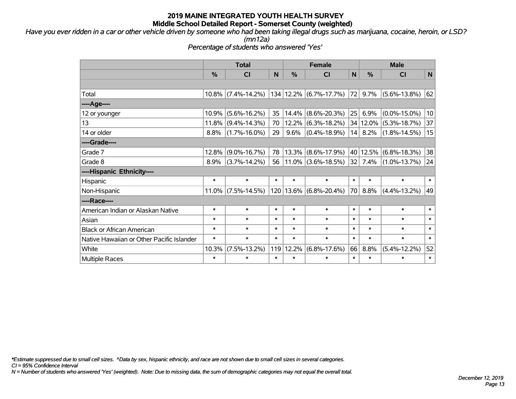*Have you ever ridden in a car or other vehicle driven by someone who had been taking illegal drugs such as marijuana, cocaine, heroin, or LSD? (mn12a)*

*Percentage of students who answered 'Yes'*

|                                           | <b>Total</b> |                       |        | <b>Female</b> |                            |        | <b>Male</b>   |                    |        |  |
|-------------------------------------------|--------------|-----------------------|--------|---------------|----------------------------|--------|---------------|--------------------|--------|--|
|                                           | %            | <b>CI</b>             | N      | %             | <b>CI</b>                  | N      | $\frac{0}{0}$ | <b>CI</b>          | N      |  |
|                                           |              |                       |        |               |                            |        |               |                    |        |  |
| Total                                     | $10.8\%$     | $(7.4\% - 14.2\%)$    |        |               | $134 12.2\% $ (6.7%-17.7%) | 72     | $9.7\%$       | $(5.6\% - 13.8\%)$ | 62     |  |
| ---- Age----                              |              |                       |        |               |                            |        |               |                    |        |  |
| 12 or younger                             | 10.9%        | $(5.6\% - 16.2\%)$    | 35     | 14.4%         | $(8.6\% - 20.3\%)$         | 25     | 6.9%          | $(0.0\% - 15.0\%)$ | 10     |  |
| 13                                        | 11.8%        | $(9.4\% - 14.3\%)$    | 70     | 12.2%         | $(6.3\% - 18.2\%)$         |        | 34 12.0%      | $(5.3\% - 18.7\%)$ | 37     |  |
| 14 or older                               | 8.8%         | $(1.7\% - 16.0\%)$    | 29     | 9.6%          | $(0.4\% - 18.9\%)$         |        | 14 8.2%       | $(1.8\% - 14.5\%)$ | 15     |  |
| ----Grade----                             |              |                       |        |               |                            |        |               |                    |        |  |
| Grade 7                                   | 12.8%        | $(9.0\% - 16.7\%)$    | 78     | 13.3%         | $(8.6\% - 17.9\%)$         |        | 40 12.5%      | $(6.8\% - 18.3\%)$ | 38     |  |
| Grade 8                                   | 8.9%         | $(3.7\% - 14.2\%)$    | 56     | $11.0\%$      | $(3.6\% - 18.5\%)$         |        | $32$ 7.4%     | $(1.0\% - 13.7\%)$ | 24     |  |
| ----Hispanic Ethnicity----                |              |                       |        |               |                            |        |               |                    |        |  |
| Hispanic                                  | $\ast$       | $\ast$                | $\ast$ | $\ast$        | $\ast$                     | $\ast$ | $\ast$        | $\ast$             | $\ast$ |  |
| Non-Hispanic                              |              | $11.0\%$ (7.5%-14.5%) |        |               | 120   13.6%   (6.8%-20.4%) | 70     | 8.8%          | $(4.4\% - 13.2\%)$ | 49     |  |
| ----Race----                              |              |                       |        |               |                            |        |               |                    |        |  |
| American Indian or Alaskan Native         | $\ast$       | $\ast$                | $\ast$ | $\ast$        | $\ast$                     | $\ast$ | $\ast$        | $\ast$             | $\ast$ |  |
| Asian                                     | $\ast$       | $\ast$                | $\ast$ | $\ast$        | $\ast$                     | $\ast$ | $\ast$        | $\ast$             | $\ast$ |  |
| <b>Black or African American</b>          | $\ast$       | $\ast$                | $\ast$ | $\ast$        | $\ast$                     | $\ast$ | $\ast$        | $\ast$             | $\ast$ |  |
| Native Hawaiian or Other Pacific Islander | $\ast$       | $\ast$                | $\ast$ | $\ast$        | $\ast$                     | $\ast$ | $\ast$        | $\ast$             | $\ast$ |  |
| White                                     | 10.3%        | $(7.5\% - 13.2\%)$    |        | 119 12.2%     | $(6.8\% - 17.6\%)$         | 66     | 8.8%          | $(5.4\% - 12.2\%)$ | 52     |  |
| <b>Multiple Races</b>                     | $\ast$       | $\ast$                | $\ast$ | $\ast$        | $\ast$                     | $\ast$ | $\ast$        | $\ast$             | $\ast$ |  |

*\*Estimate suppressed due to small cell sizes. ^Data by sex, hispanic ethnicity, and race are not shown due to small cell sizes in several categories.*

*CI = 95% Confidence Interval*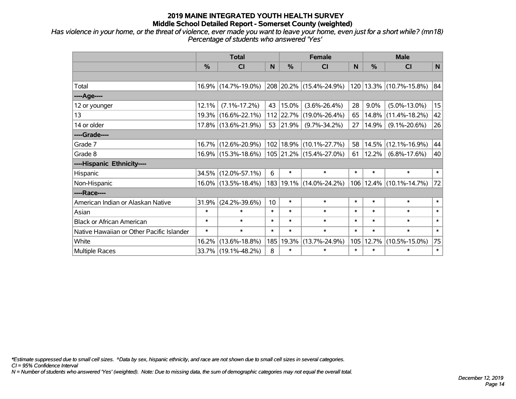*Has violence in your home, or the threat of violence, ever made you want to leave your home, even just for a short while? (mn18) Percentage of students who answered 'Yes'*

|                                           |        | <b>Total</b>           |        |           | <b>Female</b>               |        |            | <b>Male</b>                 |        |
|-------------------------------------------|--------|------------------------|--------|-----------|-----------------------------|--------|------------|-----------------------------|--------|
|                                           | %      | <b>CI</b>              | N      | %         | <b>CI</b>                   | N      | %          | <b>CI</b>                   | N      |
|                                           |        |                        |        |           |                             |        |            |                             |        |
| Total                                     |        | 16.9% (14.7%-19.0%)    |        |           | 208 20.2% (15.4%-24.9%)     |        |            | 120 13.3% (10.7%-15.8%)     | 84     |
| ----Age----                               |        |                        |        |           |                             |        |            |                             |        |
| 12 or younger                             | 12.1%  | $(7.1\% - 17.2\%)$     | 43     | 15.0%     | $(3.6\% - 26.4\%)$          | 28     | $9.0\%$    | $(5.0\% - 13.0\%)$          | 15     |
| 13                                        | 19.3%  | $(16.6\% - 22.1\%)$    |        | 112 22.7% | $(19.0\% - 26.4\%)$         | 65     | 14.8%      | $(11.4\% - 18.2\%)$         | 42     |
| 14 or older                               |        | 17.8% (13.6%-21.9%)    | 53     | 21.9%     | $(9.7\% - 34.2\%)$          | 27     | 14.9%      | $(9.1\% - 20.6\%)$          | 26     |
| ----Grade----                             |        |                        |        |           |                             |        |            |                             |        |
| Grade 7                                   | 16.7%  | $(12.6\% - 20.9\%)$    |        | 102 18.9% | $(10.1\% - 27.7\%)$         | 58     | $ 14.5\% $ | $(12.1\% - 16.9\%)$         | 44     |
| Grade 8                                   |        | 16.9% (15.3%-18.6%)    |        |           | 105 21.2% (15.4%-27.0%)     | 61     | 12.2%      | $(6.8\% - 17.6\%)$          | 40     |
| ----Hispanic Ethnicity----                |        |                        |        |           |                             |        |            |                             |        |
| Hispanic                                  | 34.5%  | $(12.0\% - 57.1\%)$    | 6      | $\ast$    | $\ast$                      | $\ast$ | $\ast$     | $\ast$                      | $\ast$ |
| Non-Hispanic                              |        | $16.0\%$ (13.5%-18.4%) |        |           | 183   19.1%   (14.0%-24.2%) |        |            | 106   12.4%   (10.1%-14.7%) | 72     |
| ----Race----                              |        |                        |        |           |                             |        |            |                             |        |
| American Indian or Alaskan Native         | 31.9%  | $(24.2\% - 39.6\%)$    | 10     | $\ast$    | $\ast$                      | $\ast$ | $\ast$     | $\ast$                      | $\ast$ |
| Asian                                     | $\ast$ | $\ast$                 | $\ast$ | $\ast$    | $\ast$                      | $\ast$ | $\ast$     | $\ast$                      | $\ast$ |
| <b>Black or African American</b>          | $\ast$ | $\ast$                 | $\ast$ | $\ast$    | $\ast$                      | $\ast$ | $\ast$     | $\ast$                      | $\ast$ |
| Native Hawaiian or Other Pacific Islander | $\ast$ | $\ast$                 | $\ast$ | $\ast$    | $\ast$                      | $\ast$ | $\ast$     | $\ast$                      | $\ast$ |
| White                                     | 16.2%  | $(13.6\% - 18.8\%)$    | 185    | 19.3%     | $(13.7\% - 24.9\%)$         | 105    | 12.7%      | $(10.5\% - 15.0\%)$         | 75     |
| Multiple Races                            |        | 33.7% (19.1%-48.2%)    | 8      | $\ast$    | $\ast$                      | $\ast$ | $\ast$     | $\ast$                      | $\ast$ |

*\*Estimate suppressed due to small cell sizes. ^Data by sex, hispanic ethnicity, and race are not shown due to small cell sizes in several categories.*

*CI = 95% Confidence Interval*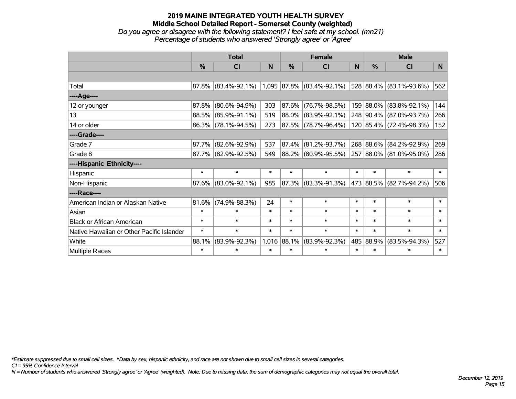## **2019 MAINE INTEGRATED YOUTH HEALTH SURVEY Middle School Detailed Report - Somerset County (weighted)** *Do you agree or disagree with the following statement? I feel safe at my school. (mn21) Percentage of students who answered 'Strongly agree' or 'Agree'*

|                                           |                              | <b>Total</b>                                     |        |               | <b>Female</b>            |        | <b>Male</b>   |                         |        |  |
|-------------------------------------------|------------------------------|--------------------------------------------------|--------|---------------|--------------------------|--------|---------------|-------------------------|--------|--|
|                                           | %                            | <b>CI</b>                                        | N      | $\frac{0}{0}$ | <b>CI</b>                | N      | $\frac{0}{0}$ | <b>CI</b>               | N.     |  |
|                                           |                              |                                                  |        |               |                          |        |               |                         |        |  |
| Total                                     |                              | $87.8\%$ (83.4%-92.1%) 1,095 87.8% (83.4%-92.1%) |        |               |                          |        |               | 528 88.4% (83.1%-93.6%) | 562    |  |
| ----Age----                               |                              |                                                  |        |               |                          |        |               |                         |        |  |
| 12 or younger                             | 87.8%                        | $(80.6\% - 94.9\%)$                              | 303    | $ 87.6\% $    | $(76.7\% - 98.5\%)$      |        |               | 159 88.0% (83.8%-92.1%) | 144    |  |
| 13                                        |                              | 88.5% (85.9%-91.1%)                              | 519    |               | 88.0% (83.9%-92.1%)      |        |               | 248 90.4% (87.0%-93.7%) | 266    |  |
| 14 or older                               |                              | 86.3% (78.1%-94.5%)                              | 273    |               | $ 87.5\% $ (78.7%-96.4%) |        |               | 120 85.4% (72.4%-98.3%) | 152    |  |
| ----Grade----                             |                              |                                                  |        |               |                          |        |               |                         |        |  |
| Grade 7                                   | 87.7%                        | $(82.6\% - 92.9\%)$                              | 537    | $ 87.4\% $    | $(81.2\% - 93.7\%)$      |        |               | 268 88.6% (84.2%-92.9%) | 269    |  |
| Grade 8                                   |                              | 87.7% (82.9%-92.5%)                              | 549    |               | 88.2% (80.9%-95.5%)      |        |               | 257 88.0% (81.0%-95.0%) | 286    |  |
| ----Hispanic Ethnicity----                |                              |                                                  |        |               |                          |        |               |                         |        |  |
| Hispanic                                  | $\ast$                       | $\ast$                                           | $\ast$ | $\ast$        | $\ast$                   | $\ast$ | $\ast$        | $\ast$                  | $\ast$ |  |
| Non-Hispanic                              |                              | $87.6\%$ (83.0%-92.1%)                           | 985    |               | 87.3% (83.3%-91.3%)      |        |               | 473 88.5% (82.7%-94.2%) | 506    |  |
| ----Race----                              |                              |                                                  |        |               |                          |        |               |                         |        |  |
| American Indian or Alaskan Native         | 81.6%                        | $(74.9\% - 88.3\%)$                              | 24     | $\ast$        | $\ast$                   | $\ast$ | $\ast$        | $\ast$                  | $\ast$ |  |
| Asian                                     | $\ast$                       | $\ast$                                           | $\ast$ | $\ast$        | $\ast$                   | $\ast$ | $\ast$        | $\ast$                  | $\ast$ |  |
| <b>Black or African American</b>          | $\ast$                       | $\ast$                                           | $\ast$ | $\ast$        | $\ast$                   | $\ast$ | $\ast$        | $\ast$                  | $\ast$ |  |
| Native Hawaiian or Other Pacific Islander | $\ast$                       | $\ast$                                           | $\ast$ | $\ast$        | $\ast$                   | $\ast$ | $\ast$        | $\ast$                  | $\ast$ |  |
| White                                     | $(83.9\% - 92.3\%)$<br>88.1% |                                                  |        | 1,016 88.1%   | $(83.9\% - 92.3\%)$      |        | 485 88.9%     | $(83.5\% - 94.3\%)$     | 527    |  |
| Multiple Races                            | $\ast$                       | *                                                | $\ast$ | $\ast$        | $\ast$                   | $\ast$ | $\ast$        | $\ast$                  | $\ast$ |  |

*\*Estimate suppressed due to small cell sizes. ^Data by sex, hispanic ethnicity, and race are not shown due to small cell sizes in several categories.*

*CI = 95% Confidence Interval*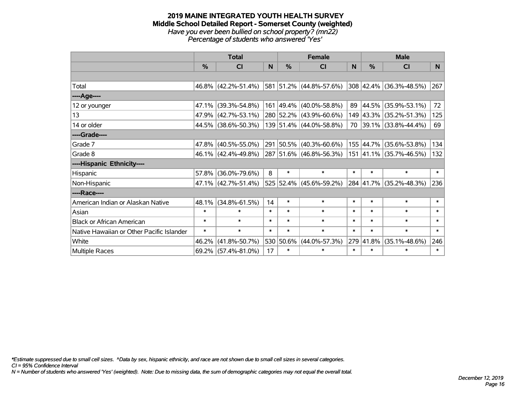#### **2019 MAINE INTEGRATED YOUTH HEALTH SURVEY Middle School Detailed Report - Somerset County (weighted)** *Have you ever been bullied on school property? (mn22) Percentage of students who answered 'Yes'*

|                                           |                        | <b>Total</b>           |        | <b>Female</b> |                         |                  |           | <b>Male</b>             |        |
|-------------------------------------------|------------------------|------------------------|--------|---------------|-------------------------|------------------|-----------|-------------------------|--------|
|                                           | $\frac{0}{0}$          | CI                     | N      | $\frac{0}{0}$ | <b>CI</b>               | N                | %         | <b>CI</b>               | N      |
|                                           |                        |                        |        |               |                         |                  |           |                         |        |
| Total                                     |                        | $46.8\%$ (42.2%-51.4%) |        |               | 581 51.2% (44.8%-57.6%) |                  |           | 308 42.4% (36.3%-48.5%) | 267    |
| ----Age----                               |                        |                        |        |               |                         |                  |           |                         |        |
| 12 or younger                             | $47.1\%$               | $(39.3\% - 54.8\%)$    |        |               | 161 49.4% (40.0%-58.8%) | 89               | 44.5%     | $(35.9\% - 53.1\%)$     | 72     |
| 13                                        |                        | 47.9% (42.7%-53.1%)    |        |               | 280 52.2% (43.9%-60.6%) |                  |           | 149 43.3% (35.2%-51.3%) | 125    |
| 14 or older                               |                        | 44.5% (38.6%-50.3%)    |        |               | 139 51.4% (44.0%-58.8%) |                  |           | 70 39.1% (33.8%-44.4%)  | 69     |
| ----Grade----                             |                        |                        |        |               |                         |                  |           |                         |        |
| Grade 7                                   | 47.8%                  | $(40.5\% - 55.0\%)$    |        |               | 291 50.5% (40.3%-60.6%) |                  | 155 44.7% | $(35.6\% - 53.8\%)$     | 134    |
| Grade 8                                   |                        | $46.1\%$ (42.4%-49.8%) |        |               | 287 51.6% (46.8%-56.3%) |                  |           | 151 41.1% (35.7%-46.5%) | 132    |
| ----Hispanic Ethnicity----                |                        |                        |        |               |                         |                  |           |                         |        |
| Hispanic                                  | 57.8%                  | $(36.0\% - 79.6\%)$    | 8      | $\ast$        | $\ast$                  | $\ast$           | $\ast$    | $\ast$                  | $\ast$ |
| Non-Hispanic                              |                        | $47.1\%$ (42.7%-51.4%) |        |               | 525 52.4% (45.6%-59.2%) |                  |           | 284 41.7% (35.2%-48.3%) | 236    |
| ----Race----                              |                        |                        |        |               |                         |                  |           |                         |        |
| American Indian or Alaskan Native         | 48.1%                  | $(34.8\% - 61.5\%)$    | 14     | $\ast$        | $\ast$                  | $\ast$           | $\ast$    | $\ast$                  | $\ast$ |
| Asian                                     | $\ast$                 | $\ast$                 | $\ast$ | $\ast$        | $\ast$                  | $\ast$           | $\ast$    | $\ast$                  | $\ast$ |
| <b>Black or African American</b>          | $\ast$                 | $\ast$                 | $\ast$ | $\ast$        | $\ast$                  | $\ast$           | $\ast$    | $\ast$                  | $\ast$ |
| Native Hawaiian or Other Pacific Islander | $\ast$<br>$\ast$       |                        | $\ast$ | $\ast$        | $\ast$                  | $\ast$           | $\ast$    | $\ast$                  | $\ast$ |
| White                                     | 46.2%                  | $(41.8\% - 50.7\%)$    |        | 530 50.6%     | $(44.0\% - 57.3\%)$     | 279              | 41.8%     | $(35.1\% - 48.6\%)$     | 246    |
| <b>Multiple Races</b>                     | $69.2\%$ (57.4%-81.0%) |                        | 17     | $\ast$        | $\ast$                  | $\ast$<br>$\ast$ |           | $\ast$                  | $\ast$ |

*\*Estimate suppressed due to small cell sizes. ^Data by sex, hispanic ethnicity, and race are not shown due to small cell sizes in several categories.*

*CI = 95% Confidence Interval*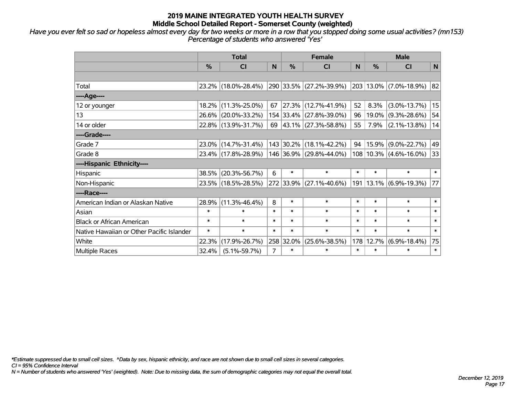*Have you ever felt so sad or hopeless almost every day for two weeks or more in a row that you stopped doing some usual activities? (mn153) Percentage of students who answered 'Yes'*

|                                           |               | <b>Total</b>        |        |           | <b>Female</b>               | <b>Male</b> |        |                        |        |
|-------------------------------------------|---------------|---------------------|--------|-----------|-----------------------------|-------------|--------|------------------------|--------|
|                                           | $\frac{0}{0}$ | CI                  | N      | %         | <b>CI</b>                   | N           | %      | <b>CI</b>              | N      |
|                                           |               |                     |        |           |                             |             |        |                        |        |
| Total                                     |               | 23.2% (18.0%-28.4%) |        |           | 290 33.5% (27.2%-39.9%)     |             |        | 203 13.0% (7.0%-18.9%) | 82     |
| ----Age----                               |               |                     |        |           |                             |             |        |                        |        |
| 12 or younger                             | 18.2%         | $(11.3\% - 25.0\%)$ | 67     |           | 27.3% (12.7%-41.9%)         | 52          | 8.3%   | $(3.0\% - 13.7\%)$     | 15     |
| 13                                        |               | 26.6% (20.0%-33.2%) |        |           | 154 33.4% (27.8%-39.0%)     | 96          | 19.0%  | $(9.3\% - 28.6\%)$     | 54     |
| 14 or older                               |               | 22.8% (13.9%-31.7%) |        |           | 69 $ 43.1\% $ (27.3%-58.8%) | 55          | 7.9%   | $(2.1\% - 13.8\%)$     | 14     |
| ----Grade----                             |               |                     |        |           |                             |             |        |                        |        |
| Grade 7                                   |               | 23.0% (14.7%-31.4%) |        | 143 30.2% | $(18.1\% - 42.2\%)$         | 94          |        | 15.9% (9.0%-22.7%)     | 49     |
| Grade 8                                   |               | 23.4% (17.8%-28.9%) |        |           | 146 36.9% (29.8%-44.0%)     |             |        | 108 10.3% (4.6%-16.0%) | 33     |
| ----Hispanic Ethnicity----                |               |                     |        |           |                             |             |        |                        |        |
| Hispanic                                  | 38.5%         | $(20.3\% - 56.7\%)$ | 6      | $\ast$    | $\ast$                      | $\ast$      | $\ast$ | $\ast$                 | $\ast$ |
| Non-Hispanic                              |               | 23.5% (18.5%-28.5%) |        | 272 33.9% | $(27.1\% - 40.6\%)$         | 191         |        | $13.1\%$ (6.9%-19.3%)  | 77     |
| ----Race----                              |               |                     |        |           |                             |             |        |                        |        |
| American Indian or Alaskan Native         | 28.9%         | $(11.3\% - 46.4\%)$ | 8      | $\ast$    | $\ast$                      | $\ast$      | $\ast$ | $\ast$                 | $\ast$ |
| Asian                                     | $\ast$        | $\ast$              | $\ast$ | $\ast$    | $\ast$                      | $\ast$      | $\ast$ | $\ast$                 | $\ast$ |
| <b>Black or African American</b>          | $\ast$        | $\ast$              | $\ast$ | $\ast$    | $\ast$                      | $\ast$      | $\ast$ | $\ast$                 | $\ast$ |
| Native Hawaiian or Other Pacific Islander | $\ast$        | $\ast$              | $\ast$ | $\ast$    | $\ast$                      | $\ast$      | $\ast$ | $\ast$                 | $\ast$ |
| White                                     | 22.3%         | $(17.9\% - 26.7\%)$ |        | 258 32.0% | $(25.6\% - 38.5\%)$         | 178         | 12.7%  | $(6.9\% - 18.4\%)$     | 75     |
| <b>Multiple Races</b>                     | 32.4%         | $(5.1\% - 59.7\%)$  | 7      | $\ast$    | $\ast$                      | $\ast$      | $\ast$ | $\ast$                 | $\ast$ |

*\*Estimate suppressed due to small cell sizes. ^Data by sex, hispanic ethnicity, and race are not shown due to small cell sizes in several categories.*

*CI = 95% Confidence Interval*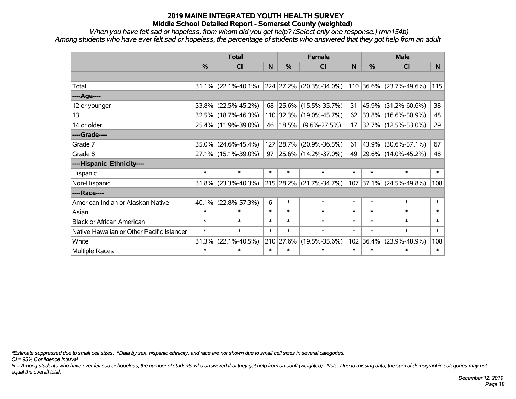*When you have felt sad or hopeless, from whom did you get help? (Select only one response.) (mn154b) Among students who have ever felt sad or hopeless, the percentage of students who answered that they got help from an adult*

|                                           |               | <b>Total</b>           |        | <b>Female</b> |                              |        |        | <b>Male</b>             |                |  |
|-------------------------------------------|---------------|------------------------|--------|---------------|------------------------------|--------|--------|-------------------------|----------------|--|
|                                           | $\frac{0}{0}$ | <b>CI</b>              | N      | %             | <b>CI</b>                    | N      | %      | <b>CI</b>               | N <sub>1</sub> |  |
|                                           |               |                        |        |               |                              |        |        |                         |                |  |
| Total                                     |               | $31.1\%$ (22.1%-40.1%) |        |               | 224 27.2% (20.3%-34.0%)      |        |        | 110 36.6% (23.7%-49.6%) | 115            |  |
| ----Age----                               |               |                        |        |               |                              |        |        |                         |                |  |
| 12 or younger                             | 33.8%         | $(22.5\% - 45.2\%)$    | 68     | $25.6\%$      | $(15.5\% - 35.7\%)$          | 31     | 45.9%  | $(31.2\% - 60.6\%)$     | 38             |  |
| 13                                        | 32.5%         | $(18.7\% - 46.3\%)$    |        |               | 110 32.3% (19.0%-45.7%)      | 62     |        | 33.8% (16.6%-50.9%)     | 48             |  |
| 14 or older                               |               | 25.4% (11.9%-39.0%)    |        | 46   18.5%    | $(9.6\% - 27.5\%)$           | 17     |        | 32.7% (12.5%-53.0%)     | 29             |  |
| ----Grade----                             |               |                        |        |               |                              |        |        |                         |                |  |
| Grade 7                                   | 35.0%         | $(24.6\% - 45.4\%)$    | 127    | $ 28.7\% $    | $(20.9\% - 36.5\%)$          | 61     | 43.9%  | $(30.6\% - 57.1\%)$     | 67             |  |
| Grade 8                                   |               | 27.1% (15.1%-39.0%)    |        |               | 97 25.6% $(14.2\% - 37.0\%)$ | 49     |        | 29.6% (14.0%-45.2%)     | 48             |  |
| ----Hispanic Ethnicity----                |               |                        |        |               |                              |        |        |                         |                |  |
| Hispanic                                  | $\ast$        | $\ast$                 | $\ast$ | $\ast$        | $\ast$                       | $\ast$ | $\ast$ | $\ast$                  | $\ast$         |  |
| Non-Hispanic                              | 31.8%         | $(23.3\% - 40.3\%)$    |        |               | 215 28.2% (21.7%-34.7%)      |        |        | 107 37.1% (24.5%-49.8%) | 108            |  |
| ----Race----                              |               |                        |        |               |                              |        |        |                         |                |  |
| American Indian or Alaskan Native         | 40.1%         | $(22.8\% - 57.3\%)$    | 6      | $\ast$        | $\ast$                       | $\ast$ | $\ast$ | $\ast$                  | $\ast$         |  |
| Asian                                     | $\ast$        | $\ast$                 | $\ast$ | $\ast$        | $\ast$                       | $\ast$ | $\ast$ | $\ast$                  | $\ast$         |  |
| <b>Black or African American</b>          | $\ast$        | $\ast$                 | $\ast$ | $\ast$        | $\ast$                       | $\ast$ | $\ast$ | $\ast$                  | $\ast$         |  |
| Native Hawaiian or Other Pacific Islander | $\ast$        | $\ast$                 | $\ast$ | $\ast$        | $\ast$                       | $\ast$ | $\ast$ | $\ast$                  | $\ast$         |  |
| White                                     | 31.3%         | $(22.1\% - 40.5\%)$    |        | 210 27.6%     | $(19.5\% - 35.6\%)$          | 102    | 36.4%  | $(23.9\% - 48.9\%)$     | 108            |  |
| <b>Multiple Races</b>                     | $\ast$        | $\ast$                 | $\ast$ | $\ast$        | $\ast$                       | $\ast$ | $\ast$ | $\ast$                  | $\ast$         |  |

*\*Estimate suppressed due to small cell sizes. ^Data by sex, hispanic ethnicity, and race are not shown due to small cell sizes in several categories.*

*CI = 95% Confidence Interval*

*N = Among students who have ever felt sad or hopeless, the number of students who answered that they got help from an adult (weighted). Note: Due to missing data, the sum of demographic categories may not equal the overall total.*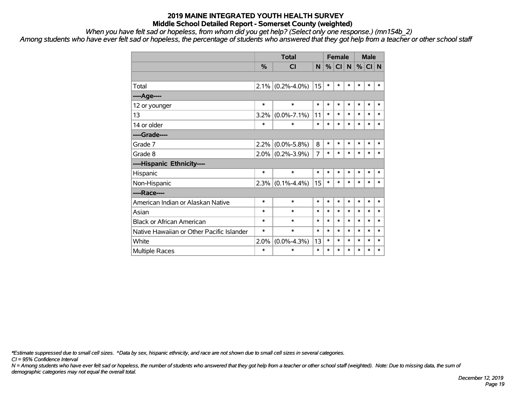*When you have felt sad or hopeless, from whom did you get help? (Select only one response.) (mn154b\_2)*

*Among students who have ever felt sad or hopeless, the percentage of students who answered that they got help from a teacher or other school staff*

|                                           |               | <b>Total</b>        |        |        | <b>Female</b> |        |        | <b>Male</b> |        |  |
|-------------------------------------------|---------------|---------------------|--------|--------|---------------|--------|--------|-------------|--------|--|
|                                           | $\frac{0}{2}$ | <b>CI</b>           | N      | %      | I CII N       |        |        | $%$ CI N    |        |  |
|                                           |               |                     |        |        |               |        |        |             |        |  |
| Total                                     |               | $2.1\%$ (0.2%-4.0%) | 15     | $\ast$ | *             | $\ast$ | *      | $\ast$      | $\ast$ |  |
| ----Age----                               |               |                     |        |        |               |        |        |             |        |  |
| 12 or younger                             | $\ast$        | $\ast$              | *      | $\ast$ | $\ast$        | $\ast$ | $\ast$ | $\ast$      | $\ast$ |  |
| 13                                        | 3.2%          | $(0.0\% - 7.1\%)$   | 11     | *      | *             | $\ast$ | $\ast$ | $\ast$      | $\ast$ |  |
| 14 or older                               | $\ast$        | $\ast$              | $\ast$ | $\ast$ | $\ast$        | $\ast$ | $\ast$ | $\ast$      | $\ast$ |  |
| ----Grade----                             |               |                     |        |        |               |        |        |             |        |  |
| Grade 7                                   | 2.2%          | $(0.0\% - 5.8\%)$   | 8      | $\ast$ | *             | $\ast$ | $\ast$ | $\ast$      | $\ast$ |  |
| Grade 8                                   |               | $2.0\%$ (0.2%-3.9%) | 7      | $\ast$ | *             | $\ast$ | $\ast$ | $\ast$      | $\ast$ |  |
| ----Hispanic Ethnicity----                |               |                     |        |        |               |        |        |             |        |  |
| Hispanic                                  | $\ast$        | $\ast$              | $\ast$ | $\ast$ | $\ast$        | $\ast$ | *      | $\ast$      | $\ast$ |  |
| Non-Hispanic                              |               | $2.3\%$ (0.1%-4.4%) | 15     | $\ast$ | *             | $\ast$ | *      | $\ast$      | $\ast$ |  |
| ----Race----                              |               |                     |        |        |               |        |        |             |        |  |
| American Indian or Alaskan Native         | $\ast$        | $\ast$              | $\ast$ | $\ast$ | *             | $\ast$ | *      | $\ast$      | $\ast$ |  |
| Asian                                     | $\ast$        | $\ast$              | $\ast$ | $\ast$ | $\ast$        | $\ast$ | $\ast$ | $\ast$      | $\ast$ |  |
| <b>Black or African American</b>          | $\ast$        | $\ast$              | $\ast$ | $\ast$ | $\ast$        | $\ast$ | $\ast$ | $\ast$      | $\ast$ |  |
| Native Hawaiian or Other Pacific Islander | $\ast$        | $\ast$              | $\ast$ | $\ast$ | $\ast$        | $\ast$ | $\ast$ | $\ast$      | $\ast$ |  |
| White                                     | 2.0%          | $(0.0\% - 4.3\%)$   | 13     | $\ast$ | *             | $\ast$ | *      | $\ast$      | $\ast$ |  |
| Multiple Races                            | $\ast$        | $\ast$              | $\ast$ | $\ast$ | $\ast$        | $\ast$ | $\ast$ | $\ast$      | $\ast$ |  |

*\*Estimate suppressed due to small cell sizes. ^Data by sex, hispanic ethnicity, and race are not shown due to small cell sizes in several categories.*

*CI = 95% Confidence Interval*

*N = Among students who have ever felt sad or hopeless, the number of students who answered that they got help from a teacher or other school staff (weighted). Note: Due to missing data, the sum of demographic categories may not equal the overall total.*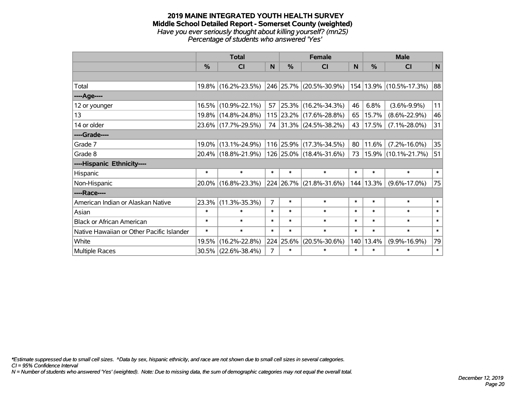#### **2019 MAINE INTEGRATED YOUTH HEALTH SURVEY Middle School Detailed Report - Somerset County (weighted)** *Have you ever seriously thought about killing yourself? (mn25) Percentage of students who answered 'Yes'*

|                                           |                                                                                                                       | <b>Total</b>                                                 |                |                    | <b>Female</b>                                             |        |           | <b>Male</b>         |        |
|-------------------------------------------|-----------------------------------------------------------------------------------------------------------------------|--------------------------------------------------------------|----------------|--------------------|-----------------------------------------------------------|--------|-----------|---------------------|--------|
|                                           | $\frac{0}{0}$                                                                                                         | <b>CI</b>                                                    | N              | $\%$               | <b>CI</b>                                                 | N      | $\%$      | <b>CI</b>           | N      |
|                                           |                                                                                                                       |                                                              |                |                    |                                                           |        |           |                     |        |
| Total                                     |                                                                                                                       | 19.8% (16.2%-23.5%)                                          |                |                    | $ 246 25.7\% $ (20.5%-30.9%) $ 154 13.9\% $ (10.5%-17.3%) |        |           |                     | 88     |
| ----Age----                               |                                                                                                                       |                                                              |                |                    |                                                           |        |           |                     |        |
| 12 or younger                             | 16.5%                                                                                                                 | $(10.9\% - 22.1\%)$                                          | 57             | 25.3%              | $(16.2\% - 34.3\%)$                                       | 46     | 6.8%      | $(3.6\% - 9.9\%)$   | 11     |
| 13                                        | 19.8%                                                                                                                 | $(14.8\% - 24.8\%)$                                          |                |                    | 115 23.2% (17.6%-28.8%)                                   | 65     | 15.7%     | $(8.6\% - 22.9\%)$  | 46     |
| 14 or older                               |                                                                                                                       | 23.6% (17.7%-29.5%)<br>74 31.3% (24.5%-38.2%)<br>17.5%<br>43 |                | $(7.1\% - 28.0\%)$ | 31                                                        |        |           |                     |        |
| ----Grade----                             |                                                                                                                       |                                                              |                |                    |                                                           |        |           |                     |        |
| Grade 7                                   | $(13.1\% - 24.9\%)$<br>116 25.9% (17.3%-34.5%)<br>19.0%<br>80<br>20.4% (18.8%-21.9%)<br>126 25.0% (18.4%-31.6%)<br>73 |                                                              | 11.6%          | $(7.2\% - 16.0\%)$ | 35                                                        |        |           |                     |        |
| Grade 8                                   |                                                                                                                       |                                                              |                |                    |                                                           |        |           | 15.9% (10.1%-21.7%) | 51     |
| ----Hispanic Ethnicity----                |                                                                                                                       |                                                              |                |                    |                                                           |        |           |                     |        |
| Hispanic                                  | $\ast$                                                                                                                | $\ast$                                                       | $\ast$         | $\ast$             | $\ast$                                                    | $\ast$ | $\ast$    | $\ast$              | $\ast$ |
| Non-Hispanic                              | 20.0%                                                                                                                 | $(16.8\% - 23.3\%)$                                          |                |                    | 224 26.7% (21.8%-31.6%)                                   |        | 144 13.3% | $(9.6\% - 17.0\%)$  | 75     |
| ----Race----                              |                                                                                                                       |                                                              |                |                    |                                                           |        |           |                     |        |
| American Indian or Alaskan Native         | 23.3%                                                                                                                 | $(11.3\% - 35.3\%)$                                          | 7              | $\ast$             | $\ast$                                                    | $\ast$ | $\ast$    | $\ast$              | $\ast$ |
| Asian                                     | $\ast$                                                                                                                | $\ast$                                                       | $\ast$         | $\ast$             | $\ast$                                                    | $\ast$ | $\ast$    | $\ast$              | $\ast$ |
| <b>Black or African American</b>          | $\ast$                                                                                                                | $\ast$                                                       | $\ast$         | $\ast$             | $\ast$                                                    | $\ast$ | $\ast$    | $\ast$              | $\ast$ |
| Native Hawaiian or Other Pacific Islander | $\ast$                                                                                                                | $\ast$                                                       | $\ast$         | $\ast$             | $\ast$                                                    | $\ast$ | $\ast$    | $\ast$              | $\ast$ |
| White                                     | 19.5%                                                                                                                 | $(16.2\% - 22.8\%)$                                          |                | 224 25.6%          | $(20.5\% - 30.6\%)$                                       | 140    | 13.4%     | $(9.9\% - 16.9\%)$  | 79     |
| <b>Multiple Races</b>                     |                                                                                                                       | 30.5% (22.6%-38.4%)                                          | $\overline{7}$ | $\ast$             | $\ast$                                                    | $\ast$ | $\ast$    | $\ast$              | $\ast$ |

*\*Estimate suppressed due to small cell sizes. ^Data by sex, hispanic ethnicity, and race are not shown due to small cell sizes in several categories.*

*CI = 95% Confidence Interval*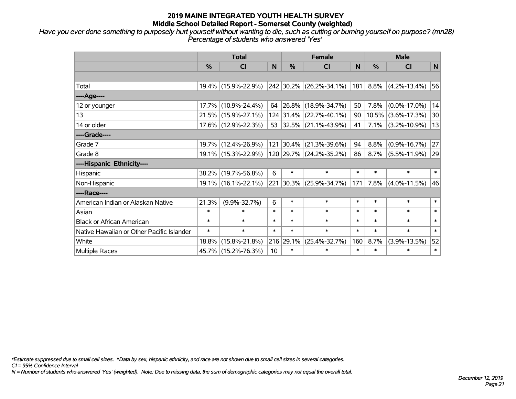*Have you ever done something to purposely hurt yourself without wanting to die, such as cutting or burning yourself on purpose? (mn28) Percentage of students who answered 'Yes'*

|                                           | <b>Total</b> |                     |                                         | <b>Female</b> |                          | <b>Male</b>        |        |                       |        |
|-------------------------------------------|--------------|---------------------|-----------------------------------------|---------------|--------------------------|--------------------|--------|-----------------------|--------|
|                                           | $\%$         | <b>CI</b>           | N                                       | %             | <b>CI</b>                | <sub>N</sub>       | $\%$   | <b>CI</b>             | N      |
|                                           |              |                     |                                         |               |                          |                    |        |                       |        |
| Total                                     |              | 19.4% (15.9%-22.9%) |                                         |               | 242 30.2% (26.2%-34.1%)  | 181                | 8.8%   | $(4.2\% - 13.4\%)$    | 56     |
| ----Age----                               |              |                     |                                         |               |                          |                    |        |                       |        |
| 12 or younger                             | 17.7%        | $(10.9\% - 24.4\%)$ | 64                                      |               | $ 26.8\% $ (18.9%-34.7%) | 50                 | 7.8%   | $(0.0\% - 17.0\%)$    | 14     |
| 13                                        |              | 21.5% (15.9%-27.1%) |                                         |               | 124 31.4% (22.7%-40.1%)  | 90                 |        | $10.5\%$ (3.6%-17.3%) | 30     |
| 14 or older                               |              | 17.6% (12.9%-22.3%) |                                         |               | 53 32.5% (21.1%-43.9%)   | 41                 | 7.1%   | $(3.2\% - 10.9\%)$    | 13     |
| ----Grade----                             |              |                     |                                         |               |                          |                    |        |                       |        |
| Grade 7                                   |              | 19.7% (12.4%-26.9%) |                                         |               | 121 30.4% (21.3%-39.6%)  | 94<br>8.8%         |        | $(0.9\% - 16.7\%)$    | 27     |
| Grade 8                                   |              | 19.1% (15.3%-22.9%) |                                         |               | 120 29.7% (24.2%-35.2%)  | 86                 | 8.7%   | $(5.5\% - 11.9\%)$    | 29     |
| ----Hispanic Ethnicity----                |              |                     |                                         |               |                          |                    |        |                       |        |
| Hispanic                                  | 38.2%        | $(19.7\% - 56.8\%)$ | 6                                       | $\ast$        | $\ast$                   | $\ast$             | $\ast$ | $\ast$                | $\ast$ |
| Non-Hispanic                              |              | 19.1% (16.1%-22.1%) |                                         |               | 221 30.3% (25.9%-34.7%)  | 171                | 7.8%   | $(4.0\% - 11.5\%)$    | 46     |
| ----Race----                              |              |                     |                                         |               |                          |                    |        |                       |        |
| American Indian or Alaskan Native         | 21.3%        | $(9.9\% - 32.7\%)$  | 6                                       | $\ast$        | $\ast$                   | $\ast$             | $\ast$ | $\ast$                | $\ast$ |
| Asian                                     | $\ast$       | $\ast$              | $\ast$                                  | $\ast$        | $\ast$                   | $\ast$             | $\ast$ | $\ast$                | $\ast$ |
| <b>Black or African American</b>          | $\ast$       | $\ast$              | $\ast$                                  | $\ast$        | $\ast$                   | $\ast$             | $\ast$ | $\ast$                | $\ast$ |
| Native Hawaiian or Other Pacific Islander | $\ast$       | $\ast$              | $\ast$<br>$\ast$<br>$\ast$              |               |                          | $\ast$             | $\ast$ | $\ast$                | $\ast$ |
| White                                     | 18.8%        | $(15.8\% - 21.8\%)$ | 216 29.1%<br>$(25.4\% - 32.7\%)$<br>160 |               | 8.7%                     | $(3.9\% - 13.5\%)$ |        |                       |        |
| Multiple Races                            |              | 45.7% (15.2%-76.3%) | 10                                      | $\ast$        | $\ast$                   | $\ast$             | $\ast$ | $\ast$                | $\ast$ |

*\*Estimate suppressed due to small cell sizes. ^Data by sex, hispanic ethnicity, and race are not shown due to small cell sizes in several categories.*

*CI = 95% Confidence Interval*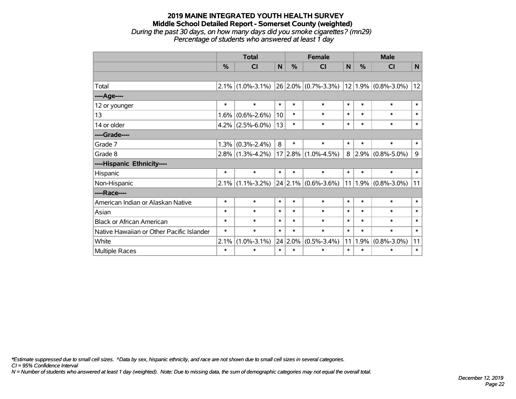## **2019 MAINE INTEGRATED YOUTH HEALTH SURVEY Middle School Detailed Report - Somerset County (weighted)** *During the past 30 days, on how many days did you smoke cigarettes? (mn29) Percentage of students who answered at least 1 day*

|                                           | <b>Total</b> |                     |        |         | <b>Female</b>           |        | <b>Male</b>      |                          |              |  |
|-------------------------------------------|--------------|---------------------|--------|---------|-------------------------|--------|------------------|--------------------------|--------------|--|
|                                           | %            | <b>CI</b>           | N      | %       | <b>CI</b>               | N      | $\%$             | <b>CI</b>                | $\mathsf{N}$ |  |
|                                           |              |                     |        |         |                         |        |                  |                          |              |  |
| Total                                     |              | $2.1\%$ (1.0%-3.1%) |        |         | $26 2.0\% $ (0.7%-3.3%) |        |                  | $ 12 1.9\% $ (0.8%-3.0%) | 12           |  |
| ----Age----                               |              |                     |        |         |                         |        |                  |                          |              |  |
| 12 or younger                             | $\ast$       | $\ast$              | $\ast$ | $\ast$  | $\ast$                  | $\ast$ | $\ast$           | $\ast$                   | $\ast$       |  |
| 13                                        | 1.6%         | $(0.6\% - 2.6\%)$   | 10     | $\ast$  | $\ast$                  | $\ast$ | $\ast$<br>$\ast$ |                          | $\ast$       |  |
| 14 or older                               | 4.2%         | $(2.5\% - 6.0\%)$   | 13     | $\ast$  | $\ast$                  | $\ast$ | $\ast$           | $\ast$                   |              |  |
| ----Grade----                             |              |                     |        |         |                         |        |                  |                          |              |  |
| Grade 7                                   | 1.3%         | $(0.3\% - 2.4\%)$   | 8      | $\ast$  | $\ast$                  | $\ast$ | $\ast$           | $\ast$                   | $\ast$       |  |
| Grade 8                                   | 2.8%         | $(1.3\% - 4.2\%)$   |        |         | $17 2.8\% $ (1.0%-4.5%) | 8      | 2.9%             | $(0.8\% - 5.0\%)$        | 9            |  |
| ----Hispanic Ethnicity----                |              |                     |        |         |                         |        |                  |                          |              |  |
| Hispanic                                  | $\ast$       | $\ast$              | $\ast$ | $\ast$  | $\ast$                  | $\ast$ | $\ast$           | $\ast$                   | $\ast$       |  |
| Non-Hispanic                              | $2.1\%$      | $(1.1\% - 3.2\%)$   |        |         | $24$ 2.1% (0.6%-3.6%)   | 11     | 1.9%             | $(0.8\% - 3.0\%)$        | 11           |  |
| ----Race----                              |              |                     |        |         |                         |        |                  |                          |              |  |
| American Indian or Alaskan Native         | $\ast$       | $\ast$              | $\ast$ | $\ast$  | $\ast$                  | $\ast$ | $\ast$           | $\ast$                   | $\ast$       |  |
| Asian                                     | $\ast$       | $\ast$              | $\ast$ | $\ast$  | $\ast$                  | $\ast$ | $\ast$           | $\ast$                   | $\ast$       |  |
| <b>Black or African American</b>          | $\ast$       | $\ast$              | $\ast$ | $\ast$  | $\ast$                  | $\ast$ | $\ast$           | $\ast$                   | $\ast$       |  |
| Native Hawaiian or Other Pacific Islander | $\ast$       | $\ast$              | $\ast$ | $\ast$  | $\ast$                  | $\ast$ | $\ast$           | $\ast$                   | $\ast$       |  |
| White                                     | 2.1%         | $(1.0\% - 3.1\%)$   |        | 24 2.0% | $(0.5\% - 3.4\%)$       | 11     | 1.9%             | $(0.8\% - 3.0\%)$        | 11           |  |
| Multiple Races                            | $\ast$       | $\ast$              | $\ast$ | $\ast$  | $\ast$                  | $\ast$ | $\ast$           | $\ast$                   | $\ast$       |  |

*\*Estimate suppressed due to small cell sizes. ^Data by sex, hispanic ethnicity, and race are not shown due to small cell sizes in several categories.*

*CI = 95% Confidence Interval*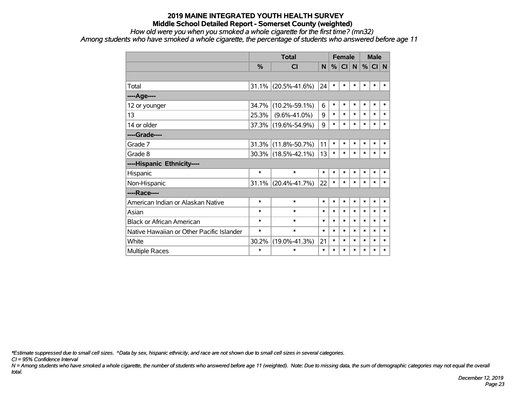#### *How old were you when you smoked a whole cigarette for the first time? (mn32)*

*Among students who have smoked a whole cigarette, the percentage of students who answered before age 11*

|                                           | <b>Total</b>  |                     |        |        | <b>Female</b>   |              |        | <b>Male</b> |        |  |
|-------------------------------------------|---------------|---------------------|--------|--------|-----------------|--------------|--------|-------------|--------|--|
|                                           | $\frac{9}{6}$ | <b>CI</b>           | N      | %      | Cl <sub>1</sub> | <sub>N</sub> | %      | $CI$ N      |        |  |
|                                           |               |                     |        |        |                 |              |        |             |        |  |
| Total                                     | 31.1%         | $(20.5\% - 41.6\%)$ | 24     | $\ast$ | $\ast$          | $\ast$       | $\ast$ | $\ast$      | $\ast$ |  |
| ----Age----                               |               |                     |        |        |                 |              |        |             |        |  |
| 12 or younger                             | 34.7%         | $(10.2\% - 59.1\%)$ | 6      | $\ast$ | $\ast$          | $\ast$       | *      | $\ast$      | ∗      |  |
| 13                                        | 25.3%         | $(9.6\% - 41.0\%)$  | 9      | $\ast$ | $\ast$          | $\ast$       | $\ast$ | $\ast$      | $\ast$ |  |
| 14 or older                               |               | 37.3% (19.6%-54.9%) | 9      | $\ast$ | $\ast$          | $\ast$       | $\ast$ | $\ast$      | $\ast$ |  |
| ----Grade----                             |               |                     |        |        |                 |              |        |             |        |  |
| Grade 7                                   | 31.3%         | $(11.8\% - 50.7\%)$ | 11     | $\ast$ | $\ast$          | $\ast$       | $\ast$ | $\ast$      | $\ast$ |  |
| Grade 8                                   |               | 30.3% (18.5%-42.1%) | 13     | $\ast$ | $\ast$          | $\ast$       | $\ast$ | $\ast$      | $\ast$ |  |
| ----Hispanic Ethnicity----                |               |                     |        |        |                 |              |        |             |        |  |
| Hispanic                                  | $\ast$        | $\ast$              | $\ast$ | $\ast$ | $\ast$          | $\ast$       | $\ast$ | $\ast$      | $\ast$ |  |
| Non-Hispanic                              | 31.1%         | $(20.4\% - 41.7\%)$ | 22     | $\ast$ | $\ast$          | $\ast$       | $\ast$ | $\ast$      | $\ast$ |  |
| ----Race----                              |               |                     |        |        |                 |              |        |             |        |  |
| American Indian or Alaskan Native         | $\ast$        | $\ast$              | $\ast$ | $\ast$ | $\ast$          | $\ast$       | $\ast$ | $\ast$      | $\ast$ |  |
| Asian                                     | $\ast$        | $\ast$              | $\ast$ | $\ast$ | $\ast$          | $\ast$       | $\ast$ | $\ast$      | $\ast$ |  |
| <b>Black or African American</b>          | ∗             | $\ast$              | $\ast$ | $\ast$ | $\ast$          | $\ast$       | $\ast$ | $\ast$      | $\ast$ |  |
| Native Hawaiian or Other Pacific Islander | *             | $\ast$              | $\ast$ | $\ast$ | $\ast$          | $\ast$       | $\ast$ | $\ast$      | $\ast$ |  |
| White                                     | 30.2%         | $(19.0\% - 41.3\%)$ | 21     | $\ast$ | $\ast$          | $\ast$       | $\ast$ | *           | $\ast$ |  |
| <b>Multiple Races</b>                     | $\ast$        | $\ast$              | $\ast$ | $\ast$ | $\ast$          | $\ast$       | $\ast$ | $\ast$      | $\ast$ |  |

*\*Estimate suppressed due to small cell sizes. ^Data by sex, hispanic ethnicity, and race are not shown due to small cell sizes in several categories.*

*CI = 95% Confidence Interval*

*N = Among students who have smoked a whole cigarette, the number of students who answered before age 11 (weighted). Note: Due to missing data, the sum of demographic categories may not equal the overall total.*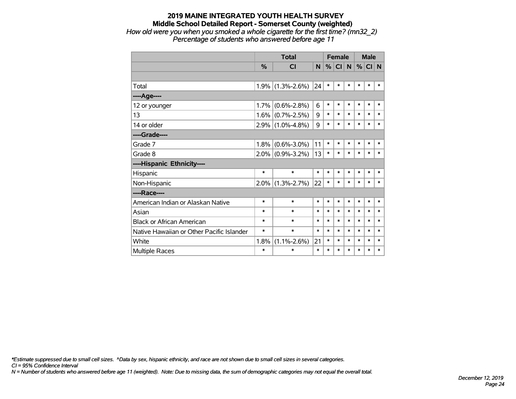#### **2019 MAINE INTEGRATED YOUTH HEALTH SURVEY Middle School Detailed Report - Somerset County (weighted)** *How old were you when you smoked a whole cigarette for the first time? (mn32\_2) Percentage of students who answered before age 11*

|                                           |               | <b>Total</b>        |        |        | <b>Female</b> |           | <b>Male</b> |          |        |
|-------------------------------------------|---------------|---------------------|--------|--------|---------------|-----------|-------------|----------|--------|
|                                           | $\frac{9}{6}$ | <b>CI</b>           | N      | %      | <b>CI</b>     | ${\sf N}$ |             | $%$ CI N |        |
|                                           |               |                     |        |        |               |           |             |          |        |
| Total                                     |               | $1.9\%$ (1.3%-2.6%) | 24     | $\ast$ | *             | $\ast$    | $\ast$      | $\ast$   | *      |
| ----Age----                               |               |                     |        |        |               |           |             |          |        |
| 12 or younger                             | 1.7%          | $(0.6\% - 2.8\%)$   | 6      | $\ast$ | *             | $\ast$    | $\ast$      | $\ast$   | $\ast$ |
| 13                                        | 1.6%          | $(0.7\% - 2.5\%)$   | 9      | $\ast$ | *             | *         | $\ast$      | $\ast$   | $\ast$ |
| 14 or older                               |               | $2.9\%$ (1.0%-4.8%) | 9      | $\ast$ | $\ast$        | $\ast$    | $\ast$      | $\ast$   | $\ast$ |
| ----Grade----                             |               |                     |        |        |               |           |             |          |        |
| Grade 7                                   | 1.8%          | $(0.6\% - 3.0\%)$   | 11     | $\ast$ | *             | $\ast$    | *           | $\ast$   | $\ast$ |
| Grade 8                                   |               | $2.0\%$ (0.9%-3.2%) | 13     | $\ast$ | *             | $\ast$    | *           | $\ast$   | *      |
| ----Hispanic Ethnicity----                |               |                     |        |        |               |           |             |          |        |
| Hispanic                                  | $\ast$        | $\ast$              | $\ast$ | $\ast$ | *             | $\ast$    | *           | *        | $\ast$ |
| Non-Hispanic                              |               | $2.0\%$ (1.3%-2.7%) | 22     | $\ast$ | $\ast$        | $\ast$    | *           | $\ast$   | $\ast$ |
| ----Race----                              |               |                     |        |        |               |           |             |          |        |
| American Indian or Alaskan Native         | $\ast$        | $\ast$              | $\ast$ | $\ast$ | $\ast$        | $\ast$    | $\ast$      | $\ast$   | $\ast$ |
| Asian                                     | $\ast$        | $\ast$              | $\ast$ | $\ast$ | $\ast$        | $\ast$    | $\ast$      | *        | $\ast$ |
| <b>Black or African American</b>          | $\ast$        | $\ast$              | $\ast$ | $\ast$ | $\ast$        | *         | $\ast$      | *        | $\ast$ |
| Native Hawaiian or Other Pacific Islander | $\ast$        | $\ast$              | $\ast$ | $\ast$ | *             | *         | *           | *        | *      |
| White                                     | 1.8%          | $(1.1\% - 2.6\%)$   | 21     | $\ast$ | $\ast$        | $\ast$    | $\ast$      | *        | $\ast$ |
| Multiple Races                            | *             | $\ast$              | $\ast$ | $\ast$ | *             | $\ast$    | $\ast$      | *        | *      |

*\*Estimate suppressed due to small cell sizes. ^Data by sex, hispanic ethnicity, and race are not shown due to small cell sizes in several categories.*

*CI = 95% Confidence Interval*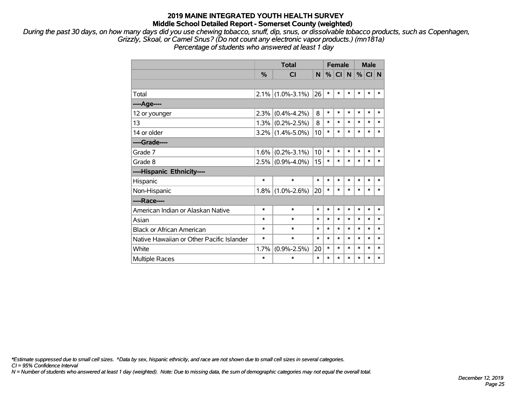*During the past 30 days, on how many days did you use chewing tobacco, snuff, dip, snus, or dissolvable tobacco products, such as Copenhagen, Grizzly, Skoal, or Camel Snus? (Do not count any electronic vapor products.) (mn181a)*

*Percentage of students who answered at least 1 day*

|                                           |               | <b>Total</b>        |        | <b>Female</b> |           |        | <b>Male</b> |         |             |
|-------------------------------------------|---------------|---------------------|--------|---------------|-----------|--------|-------------|---------|-------------|
|                                           | $\frac{0}{2}$ | <b>CI</b>           | N      | %             | <b>CI</b> | N      |             | $\%$ CI | $\mathbf N$ |
|                                           |               |                     |        |               |           |        |             |         |             |
| Total                                     |               | $2.1\%$ (1.0%-3.1%) | 26     | *             | *         | $\ast$ | $\ast$      | $\ast$  | $\ast$      |
| ---- Age----                              |               |                     |        |               |           |        |             |         |             |
| 12 or younger                             | 2.3%          | $(0.4\% - 4.2\%)$   | 8      | $\ast$        | $\ast$    | $\ast$ | $\ast$      | $\ast$  | $\ast$      |
| 13                                        |               | $1.3\%$ (0.2%-2.5%) | 8      | $\ast$        | $\ast$    | $\ast$ | $\ast$      | $\ast$  | $\ast$      |
| 14 or older                               |               | $3.2\%$ (1.4%-5.0%) | 10     | $\ast$        | $\ast$    | $\ast$ | $\ast$      | $\ast$  | $\ast$      |
| ----Grade----                             |               |                     |        |               |           |        |             |         |             |
| Grade 7                                   | $1.6\%$       | $(0.2\% - 3.1\%)$   | 10     | $\ast$        | *         | $\ast$ | $\ast$      | $\ast$  | $\ast$      |
| Grade 8                                   |               | $2.5\%$ (0.9%-4.0%) | 15     | $\ast$        | *         | $\ast$ | $\ast$      | $\ast$  | *           |
| ----Hispanic Ethnicity----                |               |                     |        |               |           |        |             |         |             |
| Hispanic                                  | $\ast$        | $\ast$              | $\ast$ | $\ast$        | $\ast$    | $\ast$ | $\ast$      | $\ast$  | *           |
| Non-Hispanic                              |               | $1.8\%$ (1.0%-2.6%) | 20     | $\ast$        | *         | $\ast$ | $\ast$      | $\ast$  | $\ast$      |
| ----Race----                              |               |                     |        |               |           |        |             |         |             |
| American Indian or Alaskan Native         | $\ast$        | $\ast$              | $\ast$ | $\ast$        | *         | $\ast$ | $\ast$      | $\ast$  | $\ast$      |
| Asian                                     | $\ast$        | $\ast$              | $\ast$ | $\ast$        | $\ast$    | $\ast$ | $\ast$      | $\ast$  | $\ast$      |
| <b>Black or African American</b>          | $\ast$        | $\ast$              | $\ast$ | *             | $\ast$    | $\ast$ | $\ast$      | $\ast$  | *           |
| Native Hawaiian or Other Pacific Islander | $\ast$        | $\ast$              | $\ast$ | $\ast$        | $\ast$    | $\ast$ | $\ast$      | $\ast$  | $\ast$      |
| White                                     | 1.7%          | $(0.9\% - 2.5\%)$   | 20     | $\ast$        | $\ast$    | $\ast$ | $\ast$      | $\ast$  | *           |
| <b>Multiple Races</b>                     | *             | $\ast$              | $\ast$ | $\ast$        | $\ast$    | $\ast$ | $\ast$      | $\ast$  | $\ast$      |

*\*Estimate suppressed due to small cell sizes. ^Data by sex, hispanic ethnicity, and race are not shown due to small cell sizes in several categories.*

*CI = 95% Confidence Interval*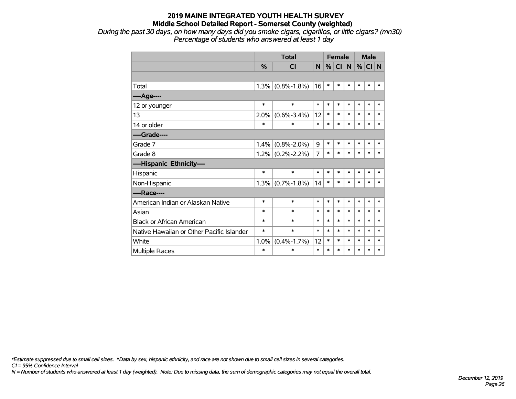*During the past 30 days, on how many days did you smoke cigars, cigarillos, or little cigars? (mn30) Percentage of students who answered at least 1 day*

|                                           |               | <b>Total</b>      |        | <b>Female</b> |        |          | <b>Male</b> |        |        |
|-------------------------------------------|---------------|-------------------|--------|---------------|--------|----------|-------------|--------|--------|
|                                           | $\frac{0}{0}$ | <b>CI</b>         | N      | %             | CI     | <b>N</b> |             | % CI N |        |
|                                           |               |                   |        |               |        |          |             |        |        |
| Total                                     | 1.3%          | $(0.8\% - 1.8\%)$ | 16     | $\ast$        | $\ast$ | *        | *           | *      | $\ast$ |
| ----Age----                               |               |                   |        |               |        |          |             |        |        |
| 12 or younger                             | $\ast$        | $\ast$            | $\ast$ | $\ast$        | $\ast$ | $\ast$   | $\ast$      | $\ast$ | $\ast$ |
| 13                                        | 2.0%          | $(0.6\% - 3.4\%)$ | 12     | $\ast$        | $\ast$ | $\ast$   | $\ast$      | $\ast$ | $\ast$ |
| 14 or older                               | $\ast$        | $\ast$            | $\ast$ | $\ast$        | $\ast$ | $\ast$   | $\ast$      | $\ast$ | $\ast$ |
| ----Grade----                             |               |                   |        |               |        |          |             |        |        |
| Grade 7                                   | 1.4%          | $(0.8\% - 2.0\%)$ | 9      | $\ast$        | $\ast$ | $\ast$   | $\ast$      | $\ast$ | $\ast$ |
| Grade 8                                   | 1.2%          | $(0.2\% - 2.2\%)$ | 7      | $\ast$        | $\ast$ | $\ast$   | $\ast$      | $\ast$ | $\ast$ |
| ----Hispanic Ethnicity----                |               |                   |        |               |        |          |             |        |        |
| Hispanic                                  | $\ast$        | $\ast$            | $\ast$ | $\ast$        | *      | *        | *           | *      | ∗      |
| Non-Hispanic                              | 1.3%          | $(0.7\% - 1.8\%)$ | 14     | $\ast$        | *      | $\ast$   | *           | $\ast$ | $\ast$ |
| ----Race----                              |               |                   |        |               |        |          |             |        |        |
| American Indian or Alaskan Native         | $\ast$        | $\ast$            | $\ast$ | $\ast$        | $\ast$ | *        | $\ast$      | $\ast$ | $\ast$ |
| Asian                                     | $\ast$        | $\ast$            | $\ast$ | $\ast$        | $\ast$ | *        | $\ast$      | $\ast$ | $\ast$ |
| <b>Black or African American</b>          | $\ast$        | $\ast$            | $\ast$ | $\ast$        | $\ast$ | $\ast$   | $\ast$      | $\ast$ | $\ast$ |
| Native Hawaiian or Other Pacific Islander | *             | $\ast$            | $\ast$ | $\ast$        | $\ast$ | *        | $\ast$      | $\ast$ | $\ast$ |
| White                                     | 1.0%          | $(0.4\% - 1.7\%)$ | 12     | $\ast$        | $\ast$ | $\ast$   | $\ast$      | $\ast$ | $\ast$ |
| Multiple Races                            | $\ast$        | $\ast$            | $\ast$ | $\ast$        | $\ast$ | $\ast$   | $\ast$      | $\ast$ | *      |

*\*Estimate suppressed due to small cell sizes. ^Data by sex, hispanic ethnicity, and race are not shown due to small cell sizes in several categories.*

*CI = 95% Confidence Interval*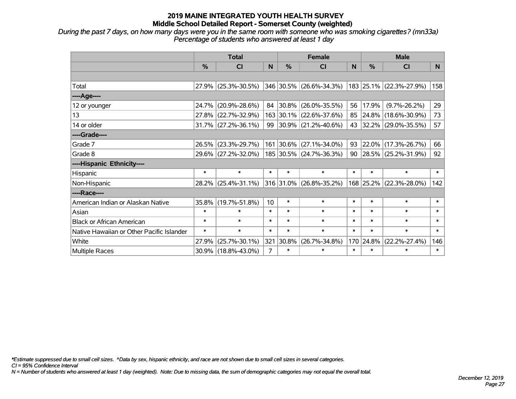*During the past 7 days, on how many days were you in the same room with someone who was smoking cigarettes? (mn33a) Percentage of students who answered at least 1 day*

|                                           | <b>Total</b> |                        |        |                | <b>Female</b>           |        | <b>Male</b> |                         |        |  |
|-------------------------------------------|--------------|------------------------|--------|----------------|-------------------------|--------|-------------|-------------------------|--------|--|
|                                           | $\%$         | <b>CI</b>              | N      | $\%$           | <b>CI</b>               | N      | $\%$        | <b>CI</b>               | N      |  |
|                                           |              |                        |        |                |                         |        |             |                         |        |  |
| Total                                     |              | $27.9\%$ (25.3%-30.5%) |        |                | 346 30.5% (26.6%-34.3%) |        |             | 183 25.1% (22.3%-27.9%) | 158    |  |
| ----Age----                               |              |                        |        |                |                         |        |             |                         |        |  |
| 12 or younger                             | 24.7%        | $(20.9\% - 28.6\%)$    | 84     | $30.8\%$       | $(26.0\% - 35.5\%)$     | 56     | 17.9%       | $(9.7\% - 26.2\%)$      | 29     |  |
| 13                                        | 27.8%        | $(22.7\% - 32.9\%)$    |        |                | 163 30.1% (22.6%-37.6%) | 85     |             | 24.8% (18.6%-30.9%)     | 73     |  |
| 14 or older                               |              | $31.7\%$ (27.2%-36.1%) |        |                | 99 30.9% (21.2%-40.6%)  | 43     |             | 32.2% (29.0%-35.5%)     | 57     |  |
| ----Grade----                             |              |                        |        |                |                         |        |             |                         |        |  |
| Grade 7                                   | 26.5%        | $(23.3\% - 29.7\%)$    |        | 161 30.6%      | $(27.1\% - 34.0\%)$     | 93     | 22.0%       | $(17.3\% - 26.7\%)$     | 66     |  |
| Grade 8                                   |              | 29.6% (27.2%-32.0%)    |        |                | 185 30.5% (24.7%-36.3%) | 90     |             | 28.5% (25.2%-31.9%)     | 92     |  |
| ----Hispanic Ethnicity----                |              |                        |        |                |                         |        |             |                         |        |  |
| Hispanic                                  | $\ast$       | $\ast$                 | $\ast$ | $\ast$         | $\ast$                  | $\ast$ | $\ast$      | $\ast$                  | $\ast$ |  |
| Non-Hispanic                              | 28.2%        | $(25.4\% - 31.1\%)$    |        | $ 316 31.0\% $ | $(26.8\% - 35.2\%)$     |        |             | 168 25.2% (22.3%-28.0%) | 142    |  |
| ----Race----                              |              |                        |        |                |                         |        |             |                         |        |  |
| American Indian or Alaskan Native         | 35.8%        | $(19.7\% - 51.8\%)$    | 10     | $\ast$         | $\ast$                  | $\ast$ | $\ast$      | $\ast$                  | $\ast$ |  |
| Asian                                     | $\ast$       | $\ast$                 | $\ast$ | $\ast$         | $\ast$                  | $\ast$ | $\ast$      | $\ast$                  | $\ast$ |  |
| <b>Black or African American</b>          | $\ast$       | $\ast$                 | $\ast$ | $\ast$         | $\ast$                  | $\ast$ | $\ast$      | $\ast$                  | $\ast$ |  |
| Native Hawaiian or Other Pacific Islander | $\ast$       | $\ast$                 | $\ast$ | $\ast$         | $\ast$                  | $\ast$ | $\ast$      | $\ast$                  | $\ast$ |  |
| White                                     | 27.9%        | $(25.7\% - 30.1\%)$    | 321    | 30.8%          | $(26.7\% - 34.8\%)$     | 170    | 24.8%       | $(22.2\% - 27.4\%)$     | 146    |  |
| <b>Multiple Races</b>                     |              | 30.9% (18.8%-43.0%)    | 7      | $\ast$         | $\ast$                  | $\ast$ | $\ast$      | $\ast$                  | $\ast$ |  |

*\*Estimate suppressed due to small cell sizes. ^Data by sex, hispanic ethnicity, and race are not shown due to small cell sizes in several categories.*

*CI = 95% Confidence Interval*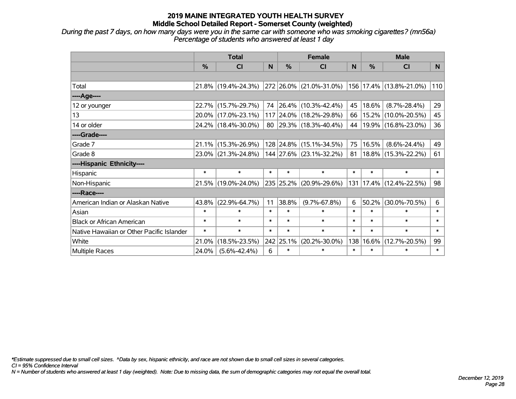*During the past 7 days, on how many days were you in the same car with someone who was smoking cigarettes? (mn56a) Percentage of students who answered at least 1 day*

|                                           | <b>Total</b> |                        |        |               | <b>Female</b>                    |              | <b>Male</b> |                         |                |  |
|-------------------------------------------|--------------|------------------------|--------|---------------|----------------------------------|--------------|-------------|-------------------------|----------------|--|
|                                           | %            | <b>CI</b>              | N      | $\frac{0}{0}$ | <b>CI</b>                        | <sub>N</sub> | %           | <b>CI</b>               | N <sub>1</sub> |  |
|                                           |              |                        |        |               |                                  |              |             |                         |                |  |
| Total                                     |              | 21.8% (19.4%-24.3%)    |        |               | 272 26.0% (21.0%-31.0%)          |              |             | 156 17.4% (13.8%-21.0%) | 110            |  |
| ----Age----                               |              |                        |        |               |                                  |              |             |                         |                |  |
| 12 or younger                             |              | 22.7% (15.7%-29.7%)    |        |               | 74 26.4% (10.3%-42.4%)           | 45           | 18.6%       | $(8.7\% - 28.4\%)$      | 29             |  |
| 13                                        |              | 20.0% (17.0%-23.1%)    |        |               | 117 24.0% (18.2%-29.8%)          | 66           | 15.2%       | $(10.0\% - 20.5\%)$     | 45             |  |
| 14 or older                               |              | 24.2% (18.4%-30.0%)    |        |               | 80   29.3%   $(18.3\% - 40.4\%)$ | 44           |             | 19.9% (16.8%-23.0%)     | 36             |  |
| ----Grade----                             |              |                        |        |               |                                  |              |             |                         |                |  |
| Grade 7                                   | $21.1\%$     | $(15.3\% - 26.9\%)$    |        |               | 128 24.8% (15.1%-34.5%)          | 75           | 16.5%       | $(8.6\% - 24.4\%)$      | 49             |  |
| Grade 8                                   |              | $23.0\%$ (21.3%-24.8%) |        |               | $144$ 27.6% (23.1%-32.2%)        | 81           |             | $18.8\%$ (15.3%-22.2%)  | 61             |  |
| ----Hispanic Ethnicity----                |              |                        |        |               |                                  |              |             |                         |                |  |
| Hispanic                                  | $\ast$       | $\ast$                 | $\ast$ | $\ast$        | $\ast$                           | $\ast$       | $\ast$      | $\ast$                  | $\ast$         |  |
| Non-Hispanic                              |              | 21.5% (19.0%-24.0%)    |        | 235 25.2%     | $(20.9\% - 29.6\%)$              | 131          |             | $17.4\%$ (12.4%-22.5%)  | 98             |  |
| ----Race----                              |              |                        |        |               |                                  |              |             |                         |                |  |
| American Indian or Alaskan Native         | 43.8%        | $(22.9\% - 64.7\%)$    | 11     | 38.8%         | $(9.7\% - 67.8\%)$               | 6            | 50.2%       | $(30.0\% - 70.5\%)$     | 6              |  |
| Asian                                     | $\ast$       | $\ast$                 | $\ast$ | $\ast$        | $\ast$                           | $\ast$       | $\ast$      | $\ast$                  | $\ast$         |  |
| <b>Black or African American</b>          | $\ast$       | $\ast$                 | $\ast$ | $\ast$        | $\ast$                           | $\ast$       | $\ast$      | $\ast$                  | $\ast$         |  |
| Native Hawaiian or Other Pacific Islander | $\ast$       | $\ast$                 | $\ast$ | $\ast$        | $\ast$                           | $\ast$       | $\ast$      | $\ast$                  | $\ast$         |  |
| White                                     | 21.0%        | $(18.5\% - 23.5\%)$    |        | 242 25.1%     | $(20.2\% - 30.0\%)$              | 138          | 16.6%       | $(12.7\% - 20.5\%)$     | 99             |  |
| Multiple Races                            | 24.0%        | $(5.6\% - 42.4\%)$     | 6      | $\ast$        | $\ast$                           | $\ast$       | $\ast$      | $\ast$                  | $\ast$         |  |

*\*Estimate suppressed due to small cell sizes. ^Data by sex, hispanic ethnicity, and race are not shown due to small cell sizes in several categories.*

*CI = 95% Confidence Interval*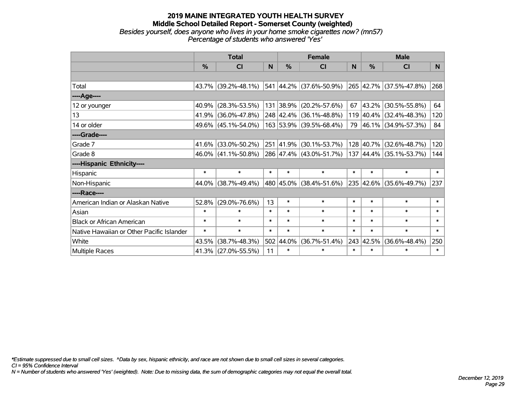#### **2019 MAINE INTEGRATED YOUTH HEALTH SURVEY Middle School Detailed Report - Somerset County (weighted)** *Besides yourself, does anyone who lives in your home smoke cigarettes now? (mn57) Percentage of students who answered 'Yes'*

|                                           | <b>Total</b>  |                        |        |        | <b>Female</b>           |              | <b>Male</b> |                         |        |  |
|-------------------------------------------|---------------|------------------------|--------|--------|-------------------------|--------------|-------------|-------------------------|--------|--|
|                                           | $\frac{0}{0}$ | <b>CI</b>              | N      | $\%$   | <b>CI</b>               | <sub>N</sub> | $\%$        | <b>CI</b>               | N      |  |
|                                           |               |                        |        |        |                         |              |             |                         |        |  |
| Total                                     |               | 43.7% (39.2%-48.1%)    |        |        | 541 44.2% (37.6%-50.9%) |              |             | 265 42.7% (37.5%-47.8%) | 268    |  |
| ----Age----                               |               |                        |        |        |                         |              |             |                         |        |  |
| 12 or younger                             | $40.9\%$      | $(28.3\% - 53.5\%)$    |        |        | 131 38.9% (20.2%-57.6%) | 67           | 43.2%       | $(30.5\% - 55.8\%)$     | 64     |  |
| 13                                        |               | 41.9% (36.0%-47.8%)    |        |        | 248 42.4% (36.1%-48.8%) |              |             | 119 40.4% (32.4%-48.3%) | 120    |  |
| 14 or older                               |               | 49.6% (45.1%-54.0%)    |        |        | 163 53.9% (39.5%-68.4%) |              |             | 79 46.1% (34.9%-57.3%)  | 84     |  |
| ----Grade----                             |               |                        |        |        |                         |              |             |                         |        |  |
| Grade 7                                   | $41.6\%$      | $(33.0\% - 50.2\%)$    |        |        | 251 41.9% (30.1%-53.7%) |              | 128 40.7%   | $(32.6\% - 48.7\%)$     | 120    |  |
| Grade 8                                   |               | $46.0\%$ (41.1%-50.8%) |        |        | 286 47.4% (43.0%-51.7%) |              |             | 137 44.4% (35.1%-53.7%) | 144    |  |
| ----Hispanic Ethnicity----                |               |                        |        |        |                         |              |             |                         |        |  |
| Hispanic                                  | $\ast$        | $\ast$                 | $\ast$ | $\ast$ | $\ast$                  | $\ast$       | $\ast$      | $\ast$                  | $\ast$ |  |
| Non-Hispanic                              |               | 44.0% (38.7%-49.4%)    |        |        | 480 45.0% (38.4%-51.6%) |              |             | 235 42.6% (35.6%-49.7%) | 237    |  |
| ----Race----                              |               |                        |        |        |                         |              |             |                         |        |  |
| American Indian or Alaskan Native         | 52.8%         | $(29.0\% - 76.6\%)$    | 13     | $\ast$ | $\ast$                  | $\ast$       | $\ast$      | $\ast$                  | $\ast$ |  |
| Asian                                     | $\ast$        | $\ast$                 | $\ast$ | $\ast$ | $\ast$                  | $\ast$       | $\ast$      | $\ast$                  | $\ast$ |  |
| <b>Black or African American</b>          | $\ast$        | $\ast$                 | $\ast$ | $\ast$ | $\ast$                  | $\ast$       | $\ast$      | $\ast$                  | $\ast$ |  |
| Native Hawaiian or Other Pacific Islander | $\ast$        | $\ast$                 | $\ast$ | $\ast$ | $\ast$                  | $\ast$       | $\ast$      | $\ast$                  | $\ast$ |  |
| White                                     | 43.5%         | $(38.7\% - 48.3\%)$    | 502    | 44.0%  | $(36.7\% - 51.4\%)$     | 243          | 42.5%       | $(36.6\% - 48.4\%)$     | 250    |  |
| Multiple Races                            |               | 41.3% (27.0%-55.5%)    | 11     | $\ast$ | $\ast$                  | $\ast$       | $\ast$      | $\ast$                  | $\ast$ |  |

*\*Estimate suppressed due to small cell sizes. ^Data by sex, hispanic ethnicity, and race are not shown due to small cell sizes in several categories.*

*CI = 95% Confidence Interval*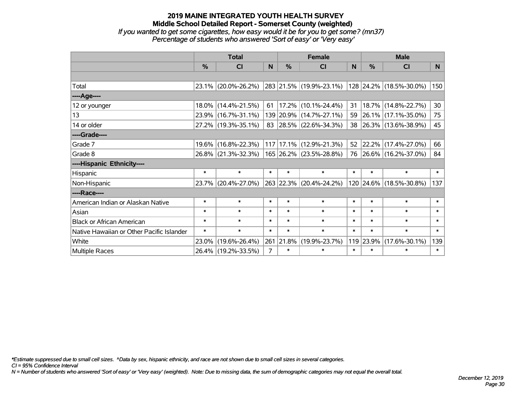## **2019 MAINE INTEGRATED YOUTH HEALTH SURVEY Middle School Detailed Report - Somerset County (weighted)** *If you wanted to get some cigarettes, how easy would it be for you to get some? (mn37) Percentage of students who answered 'Sort of easy' or 'Very easy'*

|                                           | <b>Total</b>  |                     |                |        | <b>Female</b>           |        | <b>Male</b> |                         |        |  |
|-------------------------------------------|---------------|---------------------|----------------|--------|-------------------------|--------|-------------|-------------------------|--------|--|
|                                           | $\frac{0}{2}$ | CI                  | N              | $\%$   | <b>CI</b>               | N      | $\%$        | <b>CI</b>               | N      |  |
|                                           |               |                     |                |        |                         |        |             |                         |        |  |
| Total                                     |               | 23.1% (20.0%-26.2%) |                |        | 283 21.5% (19.9%-23.1%) |        |             | 128 24.2% (18.5%-30.0%) | 150    |  |
| ----Age----                               |               |                     |                |        |                         |        |             |                         |        |  |
| 12 or younger                             |               | 18.0% (14.4%-21.5%) | 61             |        | $17.2\%$ (10.1%-24.4%)  | 31     | 18.7%       | $(14.8\% - 22.7\%)$     | 30     |  |
| 13                                        |               | 23.9% (16.7%-31.1%) |                |        | 139 20.9% (14.7%-27.1%) | 59     |             | 26.1% (17.1%-35.0%)     | 75     |  |
| 14 or older                               |               | 27.2% (19.3%-35.1%) |                |        | 83 28.5% (22.6%-34.3%)  | 38     |             | 26.3% (13.6%-38.9%)     | 45     |  |
| ----Grade----                             |               |                     |                |        |                         |        |             |                         |        |  |
| Grade 7                                   |               | 19.6% (16.8%-22.3%) |                |        | 117 17.1% (12.9%-21.3%) | 52     |             | $22.2\%$ (17.4%-27.0%)  | 66     |  |
| Grade 8                                   |               | 26.8% (21.3%-32.3%) |                |        | 165 26.2% (23.5%-28.8%) |        |             | 76 26.6% (16.2%-37.0%)  | 84     |  |
| ----Hispanic Ethnicity----                |               |                     |                |        |                         |        |             |                         |        |  |
| Hispanic                                  | $\ast$        | $\ast$              | $\ast$         | $\ast$ | $\ast$                  | $\ast$ | $\ast$      | $\ast$                  | $\ast$ |  |
| Non-Hispanic                              |               | 23.7% (20.4%-27.0%) |                |        | 263 22.3% (20.4%-24.2%) |        |             | 120 24.6% (18.5%-30.8%) | 137    |  |
| ----Race----                              |               |                     |                |        |                         |        |             |                         |        |  |
| American Indian or Alaskan Native         | $\ast$        | $\ast$              | $\ast$         | $\ast$ | $\ast$                  | $\ast$ | $\ast$      | $\ast$                  | $\ast$ |  |
| Asian                                     | $\ast$        | $\ast$              | $\ast$         | $\ast$ | $\ast$                  | $\ast$ | $\ast$      | $\ast$                  | $\ast$ |  |
| <b>Black or African American</b>          | $\ast$        | $\ast$              | $\ast$         | $\ast$ | $\ast$                  | $\ast$ | $\ast$      | $\ast$                  | $\ast$ |  |
| Native Hawaiian or Other Pacific Islander | $\ast$        | $\ast$              | $\ast$         | $\ast$ | $\ast$                  | $\ast$ | $\ast$      | $\ast$                  | $\ast$ |  |
| White                                     | 23.0%         | $(19.6\% - 26.4\%)$ | 261            | 21.8%  | $(19.9\% - 23.7\%)$     | 119    | 23.9%       | $(17.6\% - 30.1\%)$     | 139    |  |
| Multiple Races                            |               | 26.4% (19.2%-33.5%) | $\overline{7}$ | $\ast$ | $\ast$                  | $\ast$ | $\ast$      | $\ast$                  | $\ast$ |  |

*\*Estimate suppressed due to small cell sizes. ^Data by sex, hispanic ethnicity, and race are not shown due to small cell sizes in several categories.*

*CI = 95% Confidence Interval*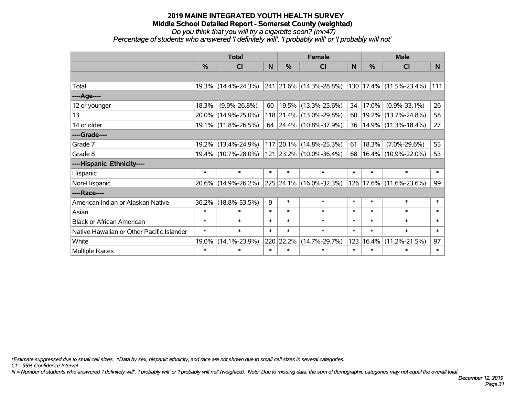*Do you think that you will try a cigarette soon? (mn47)*

*Percentage of students who answered 'I definitely will', 'I probably will' or 'I probably will not'*

|                                           | <b>Total</b>  |                     |        |               | <b>Female</b>                                   |          |          | <b>Male</b>             |        |  |  |
|-------------------------------------------|---------------|---------------------|--------|---------------|-------------------------------------------------|----------|----------|-------------------------|--------|--|--|
|                                           | $\frac{0}{0}$ | <b>CI</b>           | N      | $\frac{9}{6}$ | <b>CI</b>                                       | <b>N</b> | %        | <b>CI</b>               | N.     |  |  |
|                                           |               |                     |        |               |                                                 |          |          |                         |        |  |  |
| Total                                     |               | 19.3% (14.4%-24.3%) |        |               | $\vert$ 241 $\vert$ 21.6% $\vert$ (14.3%-28.8%) |          |          | 130 17.4% (11.5%-23.4%) | 111    |  |  |
| ----Age----                               |               |                     |        |               |                                                 |          |          |                         |        |  |  |
| 12 or younger                             | 18.3%         | $(9.9\% - 26.8\%)$  |        |               | 60   19.5%   $(13.3\% - 25.6\%)$                | 34       | 17.0%    | $(0.9\% - 33.1\%)$      | 26     |  |  |
| 13                                        |               | 20.0% (14.9%-25.0%) |        |               | 118 21.4% (13.0%-29.8%)                         | 60       |          | 19.2% (13.7%-24.8%)     | 58     |  |  |
| 14 or older                               |               | 19.1% (11.8%-26.5%) |        |               | 64 24.4% (10.8%-37.9%)                          | 36       |          | $14.9\%$ (11.3%-18.4%)  | 27     |  |  |
| ----Grade----                             |               |                     |        |               |                                                 |          |          |                         |        |  |  |
| Grade 7                                   | $19.2\%$      | $(13.4\% - 24.9\%)$ |        |               | 117 20.1% (14.8%-25.3%)                         | 61       | 18.3%    | $(7.0\% - 29.6\%)$      | 55     |  |  |
| Grade 8                                   |               | 19.4% (10.7%-28.0%) |        |               | 121 23.2% (10.0%-36.4%)                         | 68       |          | 16.4% (10.9%-22.0%)     | 53     |  |  |
| ----Hispanic Ethnicity----                |               |                     |        |               |                                                 |          |          |                         |        |  |  |
| Hispanic                                  | $\ast$        | $\ast$              | $\ast$ | $\ast$        | $\ast$                                          | $\ast$   | $\ast$   | $\ast$                  | $\ast$ |  |  |
| Non-Hispanic                              |               | 20.6% (14.9%-26.2%) |        |               | 225 24.1% (16.0%-32.3%)                         | 126      | $17.6\%$ | $(11.6\% - 23.6\%)$     | 99     |  |  |
| ----Race----                              |               |                     |        |               |                                                 |          |          |                         |        |  |  |
| American Indian or Alaskan Native         | 36.2%         | $(18.8\% - 53.5\%)$ | 9      | $\ast$        | $\ast$                                          | $\ast$   | $\ast$   | $\ast$                  | $\ast$ |  |  |
| Asian                                     | $\ast$        | $\ast$              | $\ast$ | $\ast$        | $\ast$                                          | $\ast$   | $\ast$   | $\ast$                  | $\ast$ |  |  |
| <b>Black or African American</b>          | $\ast$        | $\ast$              | $\ast$ | $\ast$        | $\ast$                                          | $\ast$   | $\ast$   | $\ast$                  | $\ast$ |  |  |
| Native Hawaiian or Other Pacific Islander | $\ast$        | $\ast$              | $\ast$ | $\ast$        | $\ast$                                          | $\ast$   | $\ast$   | $\ast$                  | $\ast$ |  |  |
| White                                     | 19.0%         | $(14.1\% - 23.9\%)$ |        | 220 22.2%     | $(14.7\% - 29.7\%)$                             | 123      | 16.4%    | $(11.2\% - 21.5\%)$     | 97     |  |  |
| Multiple Races                            | $\ast$        | $\ast$              | $\ast$ | $\ast$        | $\ast$                                          | $\ast$   | $\ast$   | $\ast$                  | $\ast$ |  |  |

*\*Estimate suppressed due to small cell sizes. ^Data by sex, hispanic ethnicity, and race are not shown due to small cell sizes in several categories.*

*CI = 95% Confidence Interval*

*N = Number of students who answered 'I definitely will', 'I probably will' or 'I probably will not' (weighted). Note: Due to missing data, the sum of demographic categories may not equal the overall total.*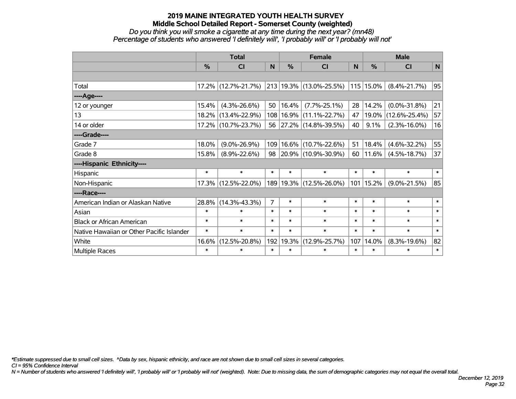*Do you think you will smoke a cigarette at any time during the next year? (mn48) Percentage of students who answered 'I definitely will', 'I probably will' or 'I probably will not'*

|                                           | <b>Total</b> |                     |              |           | <b>Female</b>            | <b>Male</b> |               |                     |              |
|-------------------------------------------|--------------|---------------------|--------------|-----------|--------------------------|-------------|---------------|---------------------|--------------|
|                                           | %            | <b>CI</b>           | $\mathsf{N}$ | %         | <b>CI</b>                | N           | $\frac{0}{0}$ | <b>CI</b>           | $\mathsf{N}$ |
|                                           |              |                     |              |           |                          |             |               |                     |              |
| Total                                     |              | 17.2% (12.7%-21.7%) |              |           | 213 19.3% (13.0%-25.5%)  |             | $115$ 15.0%   | $(8.4\% - 21.7\%)$  | 95           |
| ----Age----                               |              |                     |              |           |                          |             |               |                     |              |
| 12 or younger                             | 15.4%        | $(4.3\% - 26.6\%)$  | 50           | 16.4%     | $(7.7\% - 25.1\%)$       | 28          | 14.2%         | $(0.0\% - 31.8\%)$  | 21           |
| 13                                        | 18.2%        | $(13.4\% - 22.9\%)$ |              | 108 16.9% | $(11.1\% - 22.7\%)$      | 47          | $19.0\%$      | $(12.6\% - 25.4\%)$ | 57           |
| 14 or older                               |              | 17.2% (10.7%-23.7%) | 56           |           | $ 27.2\% $ (14.8%-39.5%) | 40          | 9.1%          | $(2.3\% - 16.0\%)$  | 16           |
| ----Grade----                             |              |                     |              |           |                          |             |               |                     |              |
| Grade 7                                   | 18.0%        | $(9.0\% - 26.9\%)$  | 109          | 16.6%     | $(10.7\% - 22.6\%)$      | 51          | 18.4%         | $(4.6\% - 32.2\%)$  | 55           |
| Grade 8                                   | 15.8%        | $(8.9\% - 22.6\%)$  | 98           |           | $ 20.9\% $ (10.9%-30.9%) | 60          | 11.6%         | $(4.5\% - 18.7\%)$  | 37           |
| ----Hispanic Ethnicity----                |              |                     |              |           |                          |             |               |                     |              |
| Hispanic                                  | $\ast$       | $\ast$              | $\ast$       | $\ast$    | $\ast$                   | $\ast$      | $\ast$        | $\ast$              | $*1$         |
| Non-Hispanic                              |              | 17.3% (12.5%-22.0%) |              |           | 189 19.3% (12.5%-26.0%)  |             | 101 15.2%     | $(9.0\% - 21.5\%)$  | 85           |
| ----Race----                              |              |                     |              |           |                          |             |               |                     |              |
| American Indian or Alaskan Native         | 28.8%        | $(14.3\% - 43.3\%)$ | 7            | $\ast$    | $\ast$                   | $\ast$      | $\ast$        | $\ast$              | $\ast$       |
| Asian                                     | $\ast$       | $\ast$              | $\ast$       | $\ast$    | $\ast$                   | $\ast$      | $\ast$        | $\ast$              | $\ast$       |
| <b>Black or African American</b>          | $\ast$       | $\ast$              | $\ast$       | $\ast$    | $\ast$                   | $\ast$      | $\ast$        | $\ast$              | $\ast$       |
| Native Hawaiian or Other Pacific Islander | $\ast$       | $\ast$              | $\ast$       | $\ast$    | $\ast$                   | $\ast$      | $\ast$        | $\ast$              | $\ast$       |
| White                                     | 16.6%        | $(12.5\% - 20.8\%)$ | 192          | 19.3%     | $(12.9\% - 25.7\%)$      | 107         | 14.0%         | $(8.3\% - 19.6\%)$  | 82           |
| <b>Multiple Races</b>                     | $\ast$       | $\ast$              | $\ast$       | $\ast$    | $\ast$                   | $\ast$      | $\ast$        | $\ast$              | $\ast$       |

*\*Estimate suppressed due to small cell sizes. ^Data by sex, hispanic ethnicity, and race are not shown due to small cell sizes in several categories.*

*CI = 95% Confidence Interval*

*N = Number of students who answered 'I definitely will', 'I probably will' or 'I probably will not' (weighted). Note: Due to missing data, the sum of demographic categories may not equal the overall total.*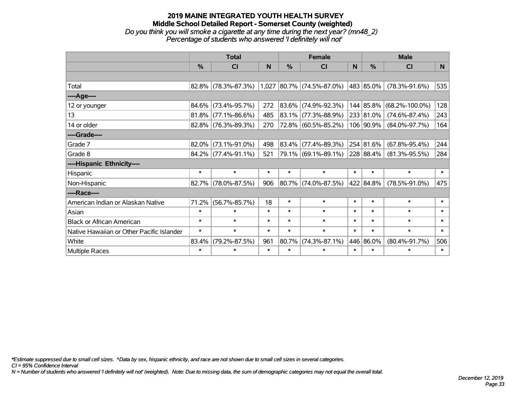## **2019 MAINE INTEGRATED YOUTH HEALTH SURVEY Middle School Detailed Report - Somerset County (weighted)** *Do you think you will smoke a cigarette at any time during the next year? (mn48\_2) Percentage of students who answered 'I definitely will not'*

|                                           | <b>Total</b> |                        |        | <b>Female</b> |                             |        | <b>Male</b>   |                      |                |  |
|-------------------------------------------|--------------|------------------------|--------|---------------|-----------------------------|--------|---------------|----------------------|----------------|--|
|                                           | %            | <b>CI</b>              | N      | $\frac{0}{0}$ | <b>CI</b>                   | N      | $\frac{0}{0}$ | <b>CI</b>            | N <sub>1</sub> |  |
|                                           |              |                        |        |               |                             |        |               |                      |                |  |
| Total                                     | 82.8%        | $(78.3\% - 87.3\%)$    |        |               | $1,027$ 80.7% (74.5%-87.0%) |        | 483 85.0%     | $(78.3\% - 91.6\%)$  | 535            |  |
| ----Age----                               |              |                        |        |               |                             |        |               |                      |                |  |
| 12 or younger                             | 84.6%        | $(73.4\% - 95.7\%)$    | 272    |               | 83.6% (74.9%-92.3%)         | 144    | 85.8%         | $(68.2\% - 100.0\%)$ | 128            |  |
| 13                                        | 81.8%        | $(77.1\% - 86.6\%)$    | 485    |               | 83.1% (77.3%-88.9%)         |        | 233 81.0%     | $(74.6\% - 87.4\%)$  | 243            |  |
| 14 or older                               | 82.8%        | $(76.3\% - 89.3\%)$    | 270    |               | 72.8% (60.5%-85.2%)         |        | 106 90.9%     | $(84.0\% - 97.7\%)$  | 164            |  |
| ----Grade----                             |              |                        |        |               |                             |        |               |                      |                |  |
| Grade 7                                   | 82.0%        | $(73.1\% - 91.0\%)$    | 498    |               | 83.4% (77.4%-89.3%)         |        | 254 81.6%     | $(67.8\% - 95.4\%)$  | 244            |  |
| Grade 8                                   |              | $84.2\%$ (77.4%-91.1%) | 521    |               | 79.1% (69.1%-89.1%)         |        | 228 88.4%     | $(81.3\% - 95.5\%)$  | 284            |  |
| ----Hispanic Ethnicity----                |              |                        |        |               |                             |        |               |                      |                |  |
| Hispanic                                  | $\ast$       | $\ast$                 | $\ast$ | $\ast$        | $\ast$                      | $\ast$ | $\ast$        | $\ast$               | $\ast$         |  |
| Non-Hispanic                              | 82.7%        | $(78.0\% - 87.5\%)$    | 906    |               | 80.7% (74.0%-87.5%)         |        | 422 84.8%     | $(78.5\% - 91.0\%)$  | 475            |  |
| ----Race----                              |              |                        |        |               |                             |        |               |                      |                |  |
| American Indian or Alaskan Native         | 71.2%        | $(56.7\% - 85.7\%)$    | 18     | $\ast$        | $\ast$                      | $\ast$ | $\ast$        | $\ast$               | $\ast$         |  |
| Asian                                     | $\ast$       | $\ast$                 | $\ast$ | $\ast$        | $\ast$                      | $\ast$ | $\ast$        | $\ast$               | $\ast$         |  |
| <b>Black or African American</b>          | $\ast$       | $\ast$                 | $\ast$ | $\ast$        | $\ast$                      | $\ast$ | $\ast$        | $\ast$               | $\ast$         |  |
| Native Hawaiian or Other Pacific Islander | $\ast$       | $\ast$                 | $\ast$ | $\ast$        | $\ast$                      | $\ast$ | $\ast$        | $\ast$               | $\ast$         |  |
| White                                     | 83.4%        | $(79.2\% - 87.5\%)$    | 961    | 80.7%         | $(74.3\% - 87.1\%)$         |        | 446 86.0%     | $(80.4\% - 91.7\%)$  | 506            |  |
| <b>Multiple Races</b>                     | $\ast$       | $\ast$                 | $\ast$ | $\ast$        | $\ast$                      | $\ast$ | $\ast$        | $\ast$               | $\ast$         |  |

*\*Estimate suppressed due to small cell sizes. ^Data by sex, hispanic ethnicity, and race are not shown due to small cell sizes in several categories.*

*CI = 95% Confidence Interval*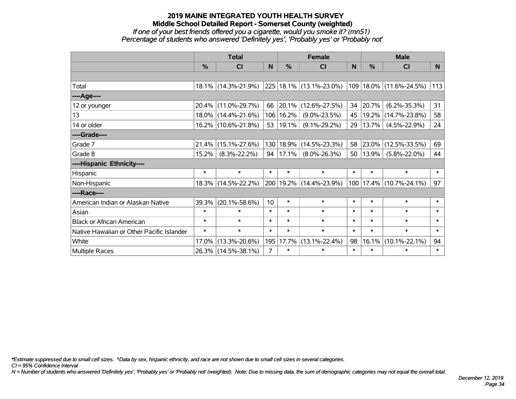## **2019 MAINE INTEGRATED YOUTH HEALTH SURVEY Middle School Detailed Report - Somerset County (weighted)** *If one of your best friends offered you a cigarette, would you smoke it? (mn51) Percentage of students who answered 'Definitely yes', 'Probably yes' or 'Probably not'*

|                                           | <b>Total</b>  |                     |                |               | <b>Female</b>               |          | <b>Male</b> |                         |                |  |
|-------------------------------------------|---------------|---------------------|----------------|---------------|-----------------------------|----------|-------------|-------------------------|----------------|--|
|                                           | $\frac{0}{0}$ | CI                  | N.             | $\frac{0}{0}$ | CI                          | <b>N</b> | %           | <b>CI</b>               | N <sub>1</sub> |  |
|                                           |               |                     |                |               |                             |          |             |                         |                |  |
| Total                                     |               | 18.1% (14.3%-21.9%) |                |               | 225 18.1% (13.1%-23.0%)     |          |             | 109 18.0% (11.6%-24.5%) | 113            |  |
| ----Age----                               |               |                     |                |               |                             |          |             |                         |                |  |
| 12 or younger                             |               | 20.4% (11.0%-29.7%) | 66             |               | 20.1% (12.6%-27.5%)         | 34       | 20.7%       | $(6.2\% - 35.3\%)$      | 31             |  |
| 13                                        |               | 18.0% (14.4%-21.6%) |                | 106 16.2%     | $(9.0\% - 23.5\%)$          | 45       | 19.2%       | $(14.7\% - 23.8\%)$     | 58             |  |
| 14 or older                               |               | 16.2% (10.6%-21.8%) |                | 53   19.1%    | $(9.1\% - 29.2\%)$          | 29       | 13.7%       | $(4.5\% - 22.9\%)$      | 24             |  |
| ----Grade----                             |               |                     |                |               |                             |          |             |                         |                |  |
| Grade 7                                   | 21.4%         | $(15.1\% - 27.6\%)$ |                | 130 18.9%     | $(14.5\% - 23.3\%)$         | 58       | 23.0%       | $(12.5\% - 33.5\%)$     | 69             |  |
| Grade 8                                   | 15.2%         | $(8.3\% - 22.2\%)$  |                | 94   17.1%    | $(8.0\% - 26.3\%)$          | 50       | 13.9%       | $(5.8\% - 22.0\%)$      | 44             |  |
| ----Hispanic Ethnicity----                |               |                     |                |               |                             |          |             |                         |                |  |
| Hispanic                                  | $\ast$        | $\ast$              | $\ast$         | $\ast$        | $\ast$                      | $\ast$   | $\ast$      | $\ast$                  | $\ast$         |  |
| Non-Hispanic                              |               | 18.3% (14.5%-22.2%) |                |               | 200   19.2%   (14.4%-23.9%) | 100      |             | $17.4\%$ (10.7%-24.1%)  | 97             |  |
| ----Race----                              |               |                     |                |               |                             |          |             |                         |                |  |
| American Indian or Alaskan Native         | 39.3%         | $(20.1\% - 58.6\%)$ | 10             | $\ast$        | $\ast$                      | $\ast$   | $\ast$      | $\ast$                  | $\ast$         |  |
| Asian                                     | $\ast$        | $\ast$              | $\ast$         | $\ast$        | $\ast$                      | $\ast$   | $\ast$      | $\ast$                  | $\ast$         |  |
| <b>Black or African American</b>          | $\ast$        | $\ast$              | $\ast$         | $\ast$        | $\ast$                      | $\ast$   | $\ast$      | $\ast$                  | $\ast$         |  |
| Native Hawaiian or Other Pacific Islander | $\ast$        | $\ast$              | $\ast$         | $\ast$        | $\ast$                      | $\ast$   | $\ast$      | $\ast$                  | $\ast$         |  |
| White                                     | 17.0%         | $(13.3\% - 20.6\%)$ | 195            | 17.7%         | $(13.1\% - 22.4\%)$         | 98       | 16.1%       | $(10.1\% - 22.1\%)$     | 94             |  |
| <b>Multiple Races</b>                     |               | 26.3% (14.5%-38.1%) | $\overline{7}$ | $\ast$        | $\ast$                      | $\ast$   | $\ast$      | $\ast$                  | $\ast$         |  |

*\*Estimate suppressed due to small cell sizes. ^Data by sex, hispanic ethnicity, and race are not shown due to small cell sizes in several categories.*

*CI = 95% Confidence Interval*

*N = Number of students who answered 'Definitely yes', 'Probably yes' or 'Probably not' (weighted). Note: Due to missing data, the sum of demographic categories may not equal the overall total.*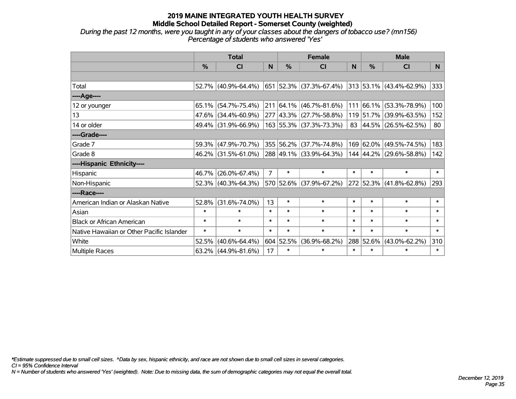*During the past 12 months, were you taught in any of your classes about the dangers of tobacco use? (mn156) Percentage of students who answered 'Yes'*

|                                           | <b>Total</b>  |                        |                |           | <b>Female</b>                               |        | <b>Male</b>   |                              |        |  |
|-------------------------------------------|---------------|------------------------|----------------|-----------|---------------------------------------------|--------|---------------|------------------------------|--------|--|
|                                           | $\frac{0}{0}$ | <b>CI</b>              | N              | $\%$      | <b>CI</b>                                   | N      | $\%$          | <b>CI</b>                    | N.     |  |
|                                           |               |                        |                |           |                                             |        |               |                              |        |  |
| Total                                     |               |                        |                |           | 52.7% (40.9%-64.4%) 651 52.3% (37.3%-67.4%) |        |               | $ 313 53.1\% $ (43.4%-62.9%) | 333    |  |
| ----Age----                               |               |                        |                |           |                                             |        |               |                              |        |  |
| 12 or younger                             | $65.1\%$      | $(54.7\% - 75.4\%)$    |                |           | $211 64.1\% (46.7\% - 81.6\%)$              |        | $111 66.1\% $ | $(53.3\% - 78.9\%)$          | 100    |  |
| 13                                        |               | 47.6% (34.4%-60.9%)    |                |           | 277 43.3% (27.7%-58.8%)                     |        |               | 119 51.7% (39.9%-63.5%)      | 152    |  |
| 14 or older                               |               | 49.4% (31.9%-66.9%)    |                |           | 163 55.3% (37.3%-73.3%)                     |        |               | 83 44.5% (26.5%-62.5%)       | 80     |  |
| ----Grade----                             |               |                        |                |           |                                             |        |               |                              |        |  |
| Grade 7                                   | 59.3%         | $(47.9\% - 70.7\%)$    |                |           | 355 56.2% (37.7%-74.8%)                     |        | 169 62.0%     | $(49.5\% - 74.5\%)$          | 183    |  |
| Grade 8                                   |               | $46.2\%$ (31.5%-61.0%) |                |           | 288 49.1% (33.9%-64.3%)                     |        |               | 144 44.2% (29.6%-58.8%)      | 142    |  |
| ----Hispanic Ethnicity----                |               |                        |                |           |                                             |        |               |                              |        |  |
| Hispanic                                  | 46.7%         | $(26.0\% - 67.4\%)$    | $\overline{7}$ | $\ast$    | $\ast$                                      | $\ast$ | $\ast$        | $\ast$                       | $\ast$ |  |
| Non-Hispanic                              |               | 52.3% (40.3%-64.3%)    |                |           | 570 52.6% (37.9%-67.2%)                     |        |               | 272 52.3% (41.8%-62.8%)      | 293    |  |
| ----Race----                              |               |                        |                |           |                                             |        |               |                              |        |  |
| American Indian or Alaskan Native         | 52.8%         | $(31.6\% - 74.0\%)$    | 13             | $\ast$    | $\ast$                                      | $\ast$ | $\ast$        | $\ast$                       | $\ast$ |  |
| Asian                                     | $\ast$        | $\ast$                 | $\ast$         | $\ast$    | $\ast$                                      | $\ast$ | $\ast$        | $\ast$                       | $\ast$ |  |
| <b>Black or African American</b>          | $\ast$        | $\ast$                 | $\ast$         | $\ast$    | $\ast$                                      | $\ast$ | $\ast$        | $\ast$                       | $\ast$ |  |
| Native Hawaiian or Other Pacific Islander | $\ast$        | $\ast$                 | $\ast$         | $\ast$    | $\ast$                                      | $\ast$ | $\ast$        | $\ast$                       | $\ast$ |  |
| White                                     | 52.5%         | $(40.6\% - 64.4\%)$    |                | 604 52.5% | $(36.9\% - 68.2\%)$                         | 288    | 52.6%         | $(43.0\% - 62.2\%)$          | 310    |  |
| Multiple Races                            |               | $63.2\%$ (44.9%-81.6%) | 17             | $\ast$    | $\ast$                                      | $\ast$ | $\ast$        | $\ast$                       | $\ast$ |  |

*\*Estimate suppressed due to small cell sizes. ^Data by sex, hispanic ethnicity, and race are not shown due to small cell sizes in several categories.*

*CI = 95% Confidence Interval*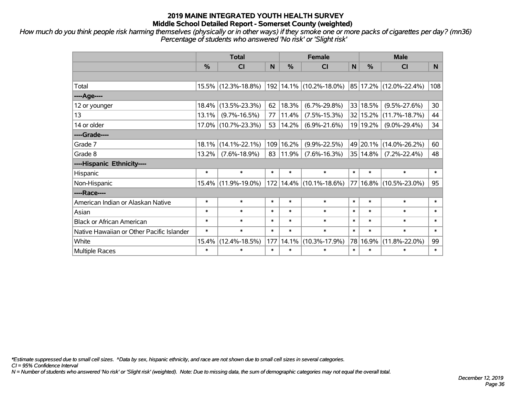*How much do you think people risk harming themselves (physically or in other ways) if they smoke one or more packs of cigarettes per day? (mn36) Percentage of students who answered 'No risk' or 'Slight risk'*

|                                           | <b>Total</b>  |                     |        |           | <b>Female</b>                |        | <b>Male</b> |                        |          |  |
|-------------------------------------------|---------------|---------------------|--------|-----------|------------------------------|--------|-------------|------------------------|----------|--|
|                                           | $\frac{0}{0}$ | <b>CI</b>           | N      | %         | CI                           | N      | %           | <b>CI</b>              | <b>N</b> |  |
|                                           |               |                     |        |           |                              |        |             |                        |          |  |
| Total                                     |               | 15.5% (12.3%-18.8%) |        |           | $ 192 14.1\% $ (10.2%-18.0%) |        |             | 85 17.2% (12.0%-22.4%) | 108      |  |
| ----Age----                               |               |                     |        |           |                              |        |             |                        |          |  |
| 12 or younger                             | 18.4%         | $(13.5\% - 23.3\%)$ | 62     | 18.3%     | $(6.7\% - 29.8\%)$           |        | 33 18.5%    | $(9.5\% - 27.6\%)$     | 30       |  |
| 13                                        | 13.1%         | $(9.7\% - 16.5\%)$  | 77     | 11.4%     | $(7.5\% - 15.3\%)$           |        | 32 15.2%    | $(11.7\% - 18.7\%)$    | 44       |  |
| 14 or older                               | $17.0\%$      | $(10.7\% - 23.3\%)$ | 53     | 14.2%     | $(6.9\% - 21.6\%)$           |        | 19 19.2%    | $(9.0\% - 29.4\%)$     | 34       |  |
| ----Grade----                             |               |                     |        |           |                              |        |             |                        |          |  |
| Grade 7                                   | 18.1%         | $(14.1\% - 22.1\%)$ |        | 109 16.2% | $(9.9\% - 22.5\%)$           |        | 49 20.1%    | $(14.0\% - 26.2\%)$    | 60       |  |
| Grade 8                                   | 13.2%         | $(7.6\% - 18.9\%)$  | 83     | 11.9%     | $(7.6\% - 16.3\%)$           |        | 35 14.8%    | $(7.2\% - 22.4\%)$     | 48       |  |
| ----Hispanic Ethnicity----                |               |                     |        |           |                              |        |             |                        |          |  |
| Hispanic                                  | $\ast$        | $\ast$              | $\ast$ | $\ast$    | $\ast$                       | $\ast$ | $\ast$      | $\ast$                 | $\ast$   |  |
| Non-Hispanic                              | $15.4\%$      | $(11.9\% - 19.0\%)$ |        |           | 172   14.4%   (10.1%-18.6%)  |        | 77 16.8%    | $(10.5\% - 23.0\%)$    | 95       |  |
| ----Race----                              |               |                     |        |           |                              |        |             |                        |          |  |
| American Indian or Alaskan Native         | $\ast$        | $\ast$              | $\ast$ | $\ast$    | $\ast$                       | $\ast$ | $\ast$      | $\ast$                 | $\ast$   |  |
| Asian                                     | $\ast$        | $\ast$              | $\ast$ | $\ast$    | $\ast$                       | $\ast$ | $\ast$      | $\ast$                 | $\ast$   |  |
| <b>Black or African American</b>          | $\ast$        | $\ast$              | $\ast$ | $\ast$    | $\ast$                       | $\ast$ | $\ast$      | $\ast$                 | $\ast$   |  |
| Native Hawaiian or Other Pacific Islander | $\ast$        | $\ast$              | $\ast$ | $\ast$    | $\ast$                       | $\ast$ | $\ast$      | $\ast$                 | $\ast$   |  |
| White                                     | 15.4%         | $(12.4\% - 18.5\%)$ | 177    | 14.1%     | $(10.3\% - 17.9\%)$          |        | 78 16.9%    | $(11.8\% - 22.0\%)$    | 99       |  |
| <b>Multiple Races</b>                     | $\ast$        | *                   | $\ast$ | $\ast$    | $\ast$                       | $\ast$ | $\ast$      | $\ast$                 | $\ast$   |  |

*\*Estimate suppressed due to small cell sizes. ^Data by sex, hispanic ethnicity, and race are not shown due to small cell sizes in several categories.*

*CI = 95% Confidence Interval*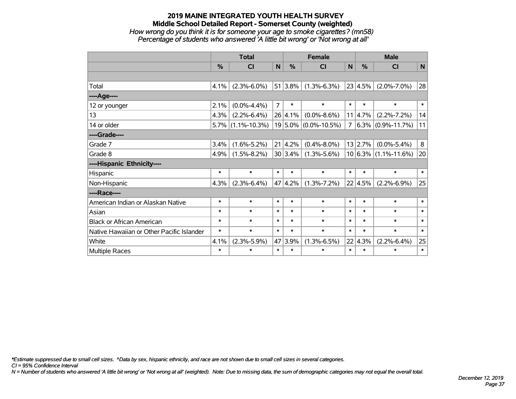# **2019 MAINE INTEGRATED YOUTH HEALTH SURVEY Middle School Detailed Report - Somerset County (weighted)** *How wrong do you think it is for someone your age to smoke cigarettes? (mn58) Percentage of students who answered 'A little bit wrong' or 'Not wrong at all'*

|                                           | <b>Total</b> |                      |                |                 | <b>Female</b>            |             | <b>Male</b>     |                          |             |  |
|-------------------------------------------|--------------|----------------------|----------------|-----------------|--------------------------|-------------|-----------------|--------------------------|-------------|--|
|                                           | %            | <b>CI</b>            | N              | $\%$            | <b>CI</b>                | $\mathbf N$ | %               | <b>CI</b>                | $\mathbf N$ |  |
|                                           |              |                      |                |                 |                          |             |                 |                          |             |  |
| Total                                     | 4.1%         | $(2.3\% - 6.0\%)$    |                | 51 3.8%         | $(1.3\% - 6.3\%)$        |             | 23 4.5%         | $(2.0\% - 7.0\%)$        | 28          |  |
| ----Age----                               |              |                      |                |                 |                          |             |                 |                          |             |  |
| 12 or younger                             | 2.1%         | $(0.0\% - 4.4\%)$    | $\overline{7}$ | $\ast$          | $\ast$                   | $\ast$      | $\ast$          | $\ast$                   | $\ast$      |  |
| 13                                        | 4.3%         | $(2.2\% - 6.4\%)$    |                | 26 4.1%         | $(0.0\% - 8.6\%)$        | 11          | 4.7%            | $(2.2\% - 7.2\%)$        | 14          |  |
| 14 or older                               |              | $5.7\%$ (1.1%-10.3%) |                |                 | $19 5.0\% $ (0.0%-10.5%) | 7           |                 | $6.3\%$ (0.9%-11.7%)     | 11          |  |
| ----Grade----                             |              |                      |                |                 |                          |             |                 |                          |             |  |
| Grade 7                                   | 3.4%         | $(1.6\% - 5.2\%)$    |                | $21 \mid 4.2\%$ | $(0.4\% - 8.0\%)$        |             | 13 2.7%         | $(0.0\% - 5.4\%)$        | 8           |  |
| Grade 8                                   | 4.9%         | $(1.5\% - 8.2\%)$    |                | 30 3.4%         | $(1.3\% - 5.6\%)$        |             |                 | $10 6.3\% $ (1.1%-11.6%) | 20          |  |
| ----Hispanic Ethnicity----                |              |                      |                |                 |                          |             |                 |                          |             |  |
| Hispanic                                  | $\ast$       | $\ast$               | $\ast$         | $\ast$          | $\ast$                   | $\ast$      | $\ast$          | $\ast$                   | $\ast$      |  |
| Non-Hispanic                              | 4.3%         | $(2.3\% - 6.4\%)$    |                | 47 4.2%         | $(1.3\% - 7.2\%)$        |             | $22 \mid 4.5\%$ | $(2.2\% - 6.9\%)$        | 25          |  |
| ----Race----                              |              |                      |                |                 |                          |             |                 |                          |             |  |
| American Indian or Alaskan Native         | $\ast$       | $\ast$               | $\ast$         | $\ast$          | $\ast$                   | $\ast$      | $\ast$          | $\ast$                   | $\ast$      |  |
| Asian                                     | $\ast$       | $\ast$               | $\ast$         | $\ast$          | $\ast$                   | $\ast$      | $\ast$          | $\ast$                   | $\ast$      |  |
| <b>Black or African American</b>          | $\ast$       | $\ast$               | $\ast$         | $\ast$          | $\ast$                   | $\ast$      | $\ast$          | $\ast$                   | $\ast$      |  |
| Native Hawaiian or Other Pacific Islander | $\ast$       | $\ast$               | $\ast$         | $\ast$          | $\ast$                   | $\ast$      | $\ast$          | $\ast$                   | $\ast$      |  |
| White                                     | 4.1%         | $(2.3\% - 5.9\%)$    |                | 47 3.9%         | $(1.3\% - 6.5\%)$        |             | 22 4.3%         | $(2.2\% - 6.4\%)$        | 25          |  |
| Multiple Races                            | $\ast$       | $\ast$               | $\ast$         | $\ast$          | $\ast$                   | $\ast$      | $\ast$          | $\ast$                   | $\ast$      |  |

*\*Estimate suppressed due to small cell sizes. ^Data by sex, hispanic ethnicity, and race are not shown due to small cell sizes in several categories.*

*CI = 95% Confidence Interval*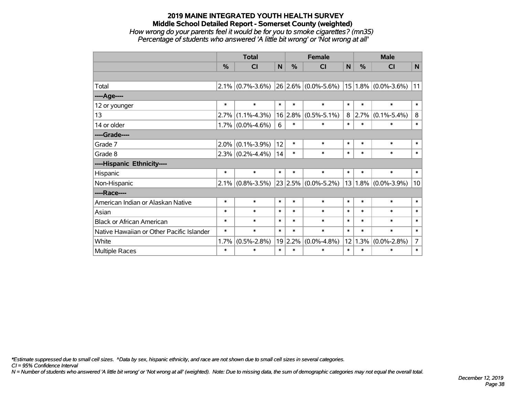# **2019 MAINE INTEGRATED YOUTH HEALTH SURVEY Middle School Detailed Report - Somerset County (weighted)** *How wrong do your parents feel it would be for you to smoke cigarettes? (mn35) Percentage of students who answered 'A little bit wrong' or 'Not wrong at all'*

|                                           | <b>Total</b> |                     |        |         | <b>Female</b>           | <b>Male</b> |        |                         |                |
|-------------------------------------------|--------------|---------------------|--------|---------|-------------------------|-------------|--------|-------------------------|----------------|
|                                           | %            | <b>CI</b>           | N      | %       | <b>CI</b>               | N           | $\%$   | <b>CI</b>               | $\mathsf{N}$   |
|                                           |              |                     |        |         |                         |             |        |                         |                |
| Total                                     |              | $2.1\%$ (0.7%-3.6%) |        |         | $26 2.6\% $ (0.0%-5.6%) |             |        | $15 1.8\% $ (0.0%-3.6%) | 11             |
| ----Age----                               |              |                     |        |         |                         |             |        |                         |                |
| 12 or younger                             | $\ast$       | $\ast$              | $\ast$ | $\ast$  | $\ast$                  | $\ast$      | $\ast$ | $\ast$                  | $\ast$         |
| 13                                        | 2.7%         | $(1.1\% - 4.3\%)$   |        | 16 2.8% | $(0.5\% - 5.1\%)$       | 8           | 2.7%   | $(0.1\% - 5.4\%)$       | 8              |
| 14 or older                               |              | $1.7\%$ (0.0%-4.6%) | 6      | $\ast$  | $\ast$                  | $\ast$      | $\ast$ | $\ast$                  | $\ast$         |
| ----Grade----                             |              |                     |        |         |                         |             |        |                         |                |
| Grade 7                                   | 2.0%         | $(0.1\% - 3.9\%)$   | 12     | $\ast$  | $\ast$                  | $\ast$      | $\ast$ | $\ast$                  | $\ast$         |
| Grade 8                                   |              | $2.3\%$ (0.2%-4.4%) | 14     | $\ast$  | $\ast$                  | $\ast$      | $\ast$ | $\ast$                  | $\ast$         |
| ----Hispanic Ethnicity----                |              |                     |        |         |                         |             |        |                         |                |
| Hispanic                                  | $\ast$       | $\ast$              | $\ast$ | $\ast$  | $\ast$                  | $\ast$      | $\ast$ | $\ast$                  | $\ast$         |
| Non-Hispanic                              | 2.1%         | $(0.8\% - 3.5\%)$   |        |         | $23 2.5\% $ (0.0%-5.2%) | 13          | 1.8%   | $(0.0\% - 3.9\%)$       | 10             |
| ----Race----                              |              |                     |        |         |                         |             |        |                         |                |
| American Indian or Alaskan Native         | $\ast$       | $\ast$              | $\ast$ | $\ast$  | $\ast$                  | $\ast$      | $\ast$ | $\ast$                  | $\ast$         |
| Asian                                     | $\ast$       | $\ast$              | $\ast$ | $\ast$  | $\ast$                  | $\ast$      | $\ast$ | $\ast$                  | $\ast$         |
| <b>Black or African American</b>          | $\ast$       | $\ast$              | $\ast$ | $\ast$  | $\ast$                  | $\ast$      | $\ast$ | $\ast$                  | $\ast$         |
| Native Hawaiian or Other Pacific Islander | $\ast$       | $\ast$              | $\ast$ | $\ast$  | $\ast$                  | $\ast$      | $\ast$ | $\ast$                  | $\ast$         |
| White                                     | 1.7%         | $(0.5\% - 2.8\%)$   | 19     | 2.2%    | $(0.0\% - 4.8\%)$       | 12          | 1.3%   | $(0.0\% - 2.8\%)$       | $\overline{7}$ |
| Multiple Races                            | $\ast$       | $\ast$              | $\ast$ | $\ast$  | $\ast$                  | $\ast$      | $\ast$ | $\ast$                  | $\ast$         |

*\*Estimate suppressed due to small cell sizes. ^Data by sex, hispanic ethnicity, and race are not shown due to small cell sizes in several categories.*

*CI = 95% Confidence Interval*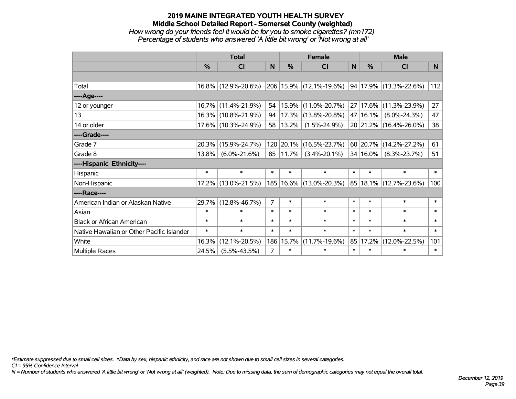# **2019 MAINE INTEGRATED YOUTH HEALTH SURVEY Middle School Detailed Report - Somerset County (weighted)** *How wrong do your friends feel it would be for you to smoke cigarettes? (mn172) Percentage of students who answered 'A little bit wrong' or 'Not wrong at all'*

|                                           | <b>Total</b> |                     |                |               | <b>Female</b>               |              | <b>Male</b> |                            |                |  |
|-------------------------------------------|--------------|---------------------|----------------|---------------|-----------------------------|--------------|-------------|----------------------------|----------------|--|
|                                           | %            | <b>CI</b>           | N              | $\frac{9}{6}$ | <b>CI</b>                   | $\mathsf{N}$ | %           | <b>CI</b>                  | N <sub>1</sub> |  |
|                                           |              |                     |                |               |                             |              |             |                            |                |  |
| Total                                     |              | 16.8% (12.9%-20.6%) |                |               | 206 15.9% (12.1%-19.6%)     |              |             | 94   17.9%   (13.3%-22.6%) | 112            |  |
| ----Age----                               |              |                     |                |               |                             |              |             |                            |                |  |
| 12 or younger                             | 16.7%        | $(11.4\% - 21.9\%)$ | 54             | 15.9%         | $(11.0\% - 20.7\%)$         |              | 27 17.6%    | $(11.3\% - 23.9\%)$        | 27             |  |
| 13                                        | 16.3%        | $(10.8\% - 21.9\%)$ | 94             |               | $ 17.3\% $ (13.8%-20.8%)    |              | 47 16.1%    | $(8.0\% - 24.3\%)$         | 47             |  |
| 14 or older                               |              | 17.6% (10.3%-24.9%) | 58             | 13.2%         | $(1.5\% - 24.9\%)$          |              |             | 20 21.2% (16.4%-26.0%)     | 38             |  |
| ----Grade----                             |              |                     |                |               |                             |              |             |                            |                |  |
| Grade 7                                   | 20.3%        | $(15.9\% - 24.7\%)$ |                | 120 20.1%     | $(16.5\% - 23.7\%)$         |              | 60 20.7%    | $(14.2\% - 27.2\%)$        | 61             |  |
| Grade 8                                   | 13.8%        | $(6.0\% - 21.6\%)$  |                | 85   11.7%    | $(3.4\% - 20.1\%)$          |              | 34 16.0%    | $(8.3\% - 23.7\%)$         | 51             |  |
| ----Hispanic Ethnicity----                |              |                     |                |               |                             |              |             |                            |                |  |
| Hispanic                                  | $\ast$       | $\ast$              | $\ast$         | $\ast$        | $\ast$                      | $\ast$       | $\ast$      | $\ast$                     | $\ast$         |  |
| Non-Hispanic                              |              | 17.2% (13.0%-21.5%) |                |               | 185   16.6%   (13.0%-20.3%) |              | 85 18.1%    | $(12.7\% - 23.6\%)$        | 100            |  |
| ----Race----                              |              |                     |                |               |                             |              |             |                            |                |  |
| American Indian or Alaskan Native         | 29.7%        | $(12.8\% - 46.7\%)$ | 7              | $\ast$        | $\ast$                      | $\ast$       | $\ast$      | $\ast$                     | $\ast$         |  |
| Asian                                     | $\ast$       | $\ast$              | $\ast$         | $\ast$        | $\ast$                      | $\ast$       | $\ast$      | $\ast$                     | $\ast$         |  |
| <b>Black or African American</b>          | $\ast$       | $\ast$              | $\ast$         | $\ast$        | $\ast$                      | $\ast$       | $\ast$      | $\ast$                     | $\ast$         |  |
| Native Hawaiian or Other Pacific Islander | $\ast$       | $\ast$              | $\ast$         | $\ast$        | $\ast$                      | $\ast$       | $\ast$      | $\ast$                     | $\ast$         |  |
| White                                     | 16.3%        | $(12.1\% - 20.5\%)$ |                | 186 15.7%     | $(11.7\% - 19.6\%)$         |              | 85 17.2%    | $(12.0\% - 22.5\%)$        | 101            |  |
| Multiple Races                            | 24.5%        | $(5.5\% - 43.5\%)$  | $\overline{7}$ | $\ast$        | $\ast$                      | $\ast$       | $\ast$      | $\ast$                     | $\ast$         |  |

*\*Estimate suppressed due to small cell sizes. ^Data by sex, hispanic ethnicity, and race are not shown due to small cell sizes in several categories.*

*CI = 95% Confidence Interval*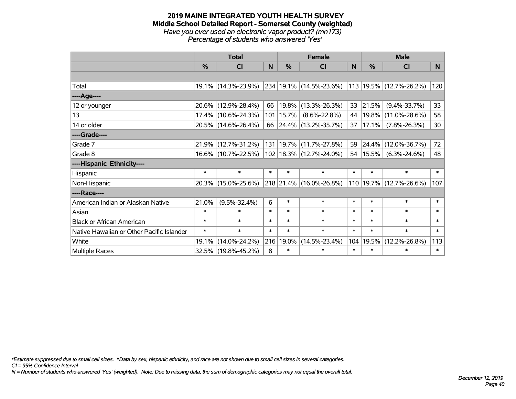#### **2019 MAINE INTEGRATED YOUTH HEALTH SURVEY Middle School Detailed Report - Somerset County (weighted)** *Have you ever used an electronic vapor product? (mn173) Percentage of students who answered 'Yes'*

|                                           | <b>Total</b>  |                     |        |             | <b>Female</b>                                             |        | <b>Male</b> |                         |        |  |
|-------------------------------------------|---------------|---------------------|--------|-------------|-----------------------------------------------------------|--------|-------------|-------------------------|--------|--|
|                                           | $\frac{0}{2}$ | <b>CI</b>           | N      | $\%$        | <b>CI</b>                                                 | N      | $\%$        | <b>CI</b>               | N      |  |
|                                           |               |                     |        |             |                                                           |        |             |                         |        |  |
| Total                                     |               | 19.1% (14.3%-23.9%) |        |             | 234   19.1%   (14.5%-23.6%)   113   19.5%   (12.7%-26.2%) |        |             |                         | 120    |  |
| ----Age----                               |               |                     |        |             |                                                           |        |             |                         |        |  |
| 12 or younger                             | 20.6%         | $(12.9\% - 28.4\%)$ | 66     | $19.8\%$    | $(13.3\% - 26.3\%)$                                       | 33     | 21.5%       | $(9.4\% - 33.7\%)$      | 33     |  |
| 13                                        |               | 17.4% (10.6%-24.3%) |        | 101   15.7% | $(8.6\% - 22.8\%)$                                        | 44     |             | 19.8% (11.0%-28.6%)     | 58     |  |
| 14 or older                               |               | 20.5% (14.6%-26.4%) |        |             | 66 24.4% (13.2%-35.7%)                                    | 37     | 17.1%       | $(7.8\% - 26.3\%)$      | 30     |  |
| ----Grade----                             |               |                     |        |             |                                                           |        |             |                         |        |  |
| Grade 7                                   | 21.9%         | $(12.7\% - 31.2\%)$ |        |             | 131   19.7%   (11.7%-27.8%)                               | 59     |             | 24.4% (12.0%-36.7%)     | 72     |  |
| Grade 8                                   |               | 16.6% (10.7%-22.5%) |        |             | $102$   18.3%   (12.7%-24.0%)                             | 54     | $ 15.5\% $  | $(6.3\% - 24.6\%)$      | 48     |  |
| ----Hispanic Ethnicity----                |               |                     |        |             |                                                           |        |             |                         |        |  |
| Hispanic                                  | $\ast$        | $\ast$              | $\ast$ | $\ast$      | $\ast$                                                    | $\ast$ | $\ast$      | $\ast$                  | $\ast$ |  |
| Non-Hispanic                              |               | 20.3% (15.0%-25.6%) |        |             | 218 21.4% (16.0%-26.8%)                                   |        |             | 110 19.7% (12.7%-26.6%) | 107    |  |
| ----Race----                              |               |                     |        |             |                                                           |        |             |                         |        |  |
| American Indian or Alaskan Native         | 21.0%         | $(9.5\% - 32.4\%)$  | 6      | $\ast$      | $\ast$                                                    | $\ast$ | $\ast$      | $\ast$                  | $\ast$ |  |
| Asian                                     | $\ast$        | $\ast$              | $\ast$ | $\ast$      | $\ast$                                                    | $\ast$ | $\ast$      | $\ast$                  | $\ast$ |  |
| <b>Black or African American</b>          | $\ast$        | $\ast$              | $\ast$ | $\ast$      | $\ast$                                                    | $\ast$ | $\ast$      | $\ast$                  | $\ast$ |  |
| Native Hawaiian or Other Pacific Islander | $\ast$        | $\ast$              | $\ast$ | $\ast$      | $\ast$                                                    | $\ast$ | $\ast$      | $\ast$                  | $\ast$ |  |
| White                                     | 19.1%         | $(14.0\% - 24.2\%)$ | 216    | 19.0%       | $(14.5\% - 23.4\%)$                                       | 104    | 19.5%       | $(12.2\% - 26.8\%)$     | 113    |  |
| <b>Multiple Races</b>                     |               | 32.5% (19.8%-45.2%) | 8      | $\ast$      | $\ast$                                                    | $\ast$ | $\ast$      | $\ast$                  | $\ast$ |  |

*\*Estimate suppressed due to small cell sizes. ^Data by sex, hispanic ethnicity, and race are not shown due to small cell sizes in several categories.*

*CI = 95% Confidence Interval*

*N = Number of students who answered 'Yes' (weighted). Note: Due to missing data, the sum of demographic categories may not equal the overall total.*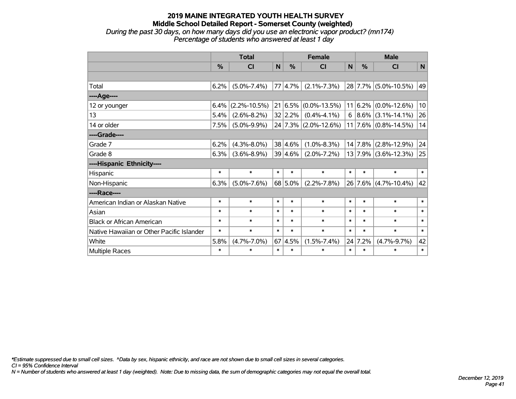### **2019 MAINE INTEGRATED YOUTH HEALTH SURVEY Middle School Detailed Report - Somerset County (weighted)** *During the past 30 days, on how many days did you use an electronic vapor product? (mn174) Percentage of students who answered at least 1 day*

|                                           | <b>Total</b>  |                    |        |                 | <b>Female</b>                |             | <b>Male</b> |                          |        |  |
|-------------------------------------------|---------------|--------------------|--------|-----------------|------------------------------|-------------|-------------|--------------------------|--------|--|
|                                           | $\frac{0}{0}$ | <b>CI</b>          | N      | $\frac{0}{0}$   | <b>CI</b>                    | $\mathbf N$ | %           | <b>CI</b>                | N      |  |
|                                           |               |                    |        |                 |                              |             |             |                          |        |  |
| Total                                     | 6.2%          | $(5.0\% - 7.4\%)$  |        | 77 4.7%         | $(2.1\% - 7.3\%)$            |             |             | 28 7.7% (5.0%-10.5%)     | 49     |  |
| ----Age----                               |               |                    |        |                 |                              |             |             |                          |        |  |
| 12 or younger                             | 6.4%          | $(2.2\% - 10.5\%)$ |        |                 | $21 6.5\%  (0.0\% - 13.5\%)$ | 11          |             | $ 6.2\% $ (0.0%-12.6%)   | 10     |  |
| 13                                        | 5.4%          | $(2.6\% - 8.2\%)$  |        | 32 2.2%         | $(0.4\% - 4.1\%)$            | 6           |             | $ 8.6\% $ (3.1%-14.1%)   | 26     |  |
| 14 or older                               | 7.5%          | $(5.0\% - 9.9\%)$  |        |                 | $24$ 7.3% (2.0%-12.6%)       | 11          |             | $ 7.6\% $ (0.8%-14.5%)   | 14     |  |
| ----Grade----                             |               |                    |        |                 |                              |             |             |                          |        |  |
| Grade 7                                   | 6.2%          | $(4.3\% - 8.0\%)$  |        | 38 4.6%         | $(1.0\% - 8.3\%)$            |             | 14 7.8%     | $(2.8\% - 12.9\%)$       | 24     |  |
| Grade 8                                   | 6.3%          | $(3.6\% - 8.9\%)$  |        | 39 4.6%         | $(2.0\% - 7.2\%)$            |             |             | $13 7.9\% $ (3.6%-12.3%) | 25     |  |
| ----Hispanic Ethnicity----                |               |                    |        |                 |                              |             |             |                          |        |  |
| Hispanic                                  | $\ast$        | $\ast$             | $\ast$ | $\ast$          | $\ast$                       | $\ast$      | $\ast$      | $\ast$                   | $\ast$ |  |
| Non-Hispanic                              | 6.3%          | $(5.0\% - 7.6\%)$  |        | $68$ 5.0%       | $(2.2\% - 7.8\%)$            |             |             | 26 7.6% (4.7%-10.4%)     | 42     |  |
| ----Race----                              |               |                    |        |                 |                              |             |             |                          |        |  |
| American Indian or Alaskan Native         | $\ast$        | $\ast$             | $\ast$ | $\ast$          | $\ast$                       | $\ast$      | $\ast$      | $\ast$                   | $\ast$ |  |
| Asian                                     | $\ast$        | $\ast$             | $\ast$ | $\ast$          | $\ast$                       | $\ast$      | $\ast$      | $\ast$                   | $\ast$ |  |
| <b>Black or African American</b>          | $\ast$        | $\ast$             | $\ast$ | $\ast$          | $\ast$                       | $\ast$      | $\ast$      | $\ast$                   | $\ast$ |  |
| Native Hawaiian or Other Pacific Islander | $\ast$        | $\ast$             | $\ast$ | $\ast$          | $\ast$                       | $\ast$      | $\ast$      | $\ast$                   | $\ast$ |  |
| White                                     | 5.8%          | $(4.7\% - 7.0\%)$  |        | $67 \,   4.5\%$ | $(1.5\% - 7.4\%)$            |             | 24 7.2%     | $(4.7\% - 9.7\%)$        | 42     |  |
| Multiple Races                            | $\ast$        | $\ast$             | $\ast$ | $\ast$          | $\ast$                       | $\ast$      | $\ast$      | $\ast$                   | $\ast$ |  |

*\*Estimate suppressed due to small cell sizes. ^Data by sex, hispanic ethnicity, and race are not shown due to small cell sizes in several categories.*

*CI = 95% Confidence Interval*

*N = Number of students who answered at least 1 day (weighted). Note: Due to missing data, the sum of demographic categories may not equal the overall total.*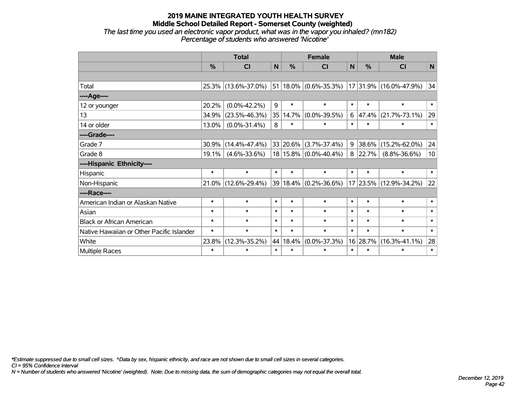#### **2019 MAINE INTEGRATED YOUTH HEALTH SURVEY Middle School Detailed Report - Somerset County (weighted)** *The last time you used an electronic vapor product, what was in the vapor you inhaled? (mn182) Percentage of students who answered 'Nicotine'*

|                                           |        | <b>Total</b>        |        |          | <b>Female</b>              |        |          | <b>Male</b>            |        |
|-------------------------------------------|--------|---------------------|--------|----------|----------------------------|--------|----------|------------------------|--------|
|                                           | %      | CI                  | N      | %        | CI                         | N      | %        | CI                     | N      |
|                                           |        |                     |        |          |                            |        |          |                        |        |
| Total                                     |        | 25.3% (13.6%-37.0%) |        |          | $ 51 18.0\% $ (0.6%-35.3%) |        |          | 17 31.9% (16.0%-47.9%) | 34     |
| ----Age----                               |        |                     |        |          |                            |        |          |                        |        |
| 12 or younger                             | 20.2%  | $(0.0\% - 42.2\%)$  | 9      | $\ast$   | $\ast$                     | $\ast$ | $\ast$   | $\ast$                 | $\ast$ |
| 13                                        | 34.9%  | $(23.5\% - 46.3\%)$ | 35     | 14.7%    | $(0.0\% - 39.5\%)$         | 6      | 47.4%    | $(21.7\% - 73.1\%)$    | 29     |
| 14 or older                               | 13.0%  | $(0.0\% - 31.4\%)$  | 8      | $\ast$   | $\ast$                     | $\ast$ | $\ast$   | $\ast$                 | $\ast$ |
| ----Grade----                             |        |                     |        |          |                            |        |          |                        |        |
| Grade 7                                   | 30.9%  | $(14.4\% - 47.4\%)$ |        | 33 20.6% | $(3.7\% - 37.4\%)$         | 9      | 38.6%    | $(15.2\% - 62.0\%)$    | 24     |
| Grade 8                                   | 19.1%  | $(4.6\% - 33.6\%)$  |        |          | 18 15.8% (0.0%-40.4%)      | 8      | 22.7%    | $(8.8\% - 36.6\%)$     | 10     |
| ----Hispanic Ethnicity----                |        |                     |        |          |                            |        |          |                        |        |
| Hispanic                                  | $\ast$ | $\ast$              | $\ast$ | $\ast$   | $\ast$                     | $\ast$ | $\ast$   | $\ast$                 | $\ast$ |
| Non-Hispanic                              | 21.0%  | $(12.6\% - 29.4\%)$ |        |          | 39 18.4% (0.2%-36.6%)      |        |          | 17 23.5% (12.9%-34.2%) | 22     |
| ----Race----                              |        |                     |        |          |                            |        |          |                        |        |
| American Indian or Alaskan Native         | *      | $\ast$              | $\ast$ | $\ast$   | $\ast$                     | $\ast$ | $\ast$   | $\ast$                 | $\ast$ |
| Asian                                     | *      | $\ast$              | $\ast$ | $\ast$   | $\ast$                     | $\ast$ | $\ast$   | $\ast$                 | $\ast$ |
| <b>Black or African American</b>          | $\ast$ | $\ast$              | $\ast$ | $\ast$   | $\ast$                     | $\ast$ | $\ast$   | $\ast$                 | $\ast$ |
| Native Hawaiian or Other Pacific Islander | $\ast$ | $\ast$              | $\ast$ | $\ast$   | $\ast$                     | $\ast$ | $\ast$   | $\ast$                 | $\ast$ |
| White                                     | 23.8%  | $(12.3\% - 35.2\%)$ | 44     | 18.4%    | $(0.0\% - 37.3\%)$         |        | 16 28.7% | $(16.3\% - 41.1\%)$    | 28     |
| Multiple Races                            | $\ast$ | $\ast$              | $\ast$ | $\ast$   | $\ast$                     | $\ast$ | $\ast$   | $\ast$                 | $\ast$ |

*\*Estimate suppressed due to small cell sizes. ^Data by sex, hispanic ethnicity, and race are not shown due to small cell sizes in several categories.*

*CI = 95% Confidence Interval*

*N = Number of students who answered 'Nicotine' (weighted). Note: Due to missing data, the sum of demographic categories may not equal the overall total.*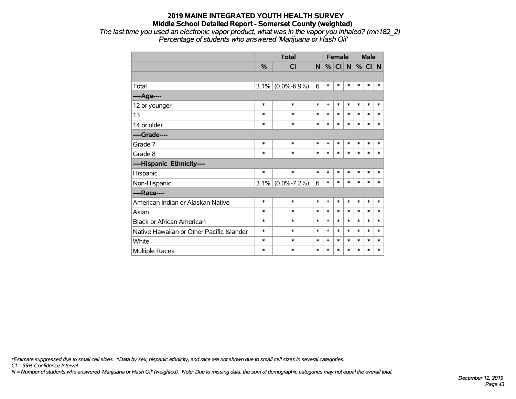*The last time you used an electronic vapor product, what was in the vapor you inhaled? (mn182\_2) Percentage of students who answered 'Marijuana or Hash Oil'*

|                                           |         | <b>Total</b>        | <b>Female</b> |        |        |              |        | <b>Male</b> |        |
|-------------------------------------------|---------|---------------------|---------------|--------|--------|--------------|--------|-------------|--------|
|                                           | $\%$    | <b>CI</b>           | N             | %      | CI     | $\mathsf{N}$ |        | % CI N      |        |
|                                           |         |                     |               |        |        |              |        |             |        |
| Total                                     | $3.1\%$ | $(0.0\% - 6.9\%)$   | 6             | $\ast$ | $\ast$ | *            | *      | $\ast$      | $\ast$ |
| ---- Age----                              |         |                     |               |        |        |              |        |             |        |
| 12 or younger                             | $\ast$  | $\ast$              | $\ast$        | $\ast$ | $\ast$ | $\ast$       | *      | $\ast$      | $\ast$ |
| 13                                        | $\ast$  | $\ast$              | $\ast$        | $\ast$ | $\ast$ | $\ast$       | *      | $\ast$      | $\ast$ |
| 14 or older                               | *       | $\ast$              | $\ast$        | $\ast$ | $\ast$ | $\ast$       | *      | $\ast$      | $\ast$ |
| ----Grade----                             |         |                     |               |        |        |              |        |             |        |
| Grade 7                                   | $\ast$  | $\ast$              | $\ast$        | $\ast$ | $\ast$ | $\ast$       | $\ast$ | $\ast$      | $\ast$ |
| Grade 8                                   | $\ast$  | $\ast$              | $\ast$        | $\ast$ | $\ast$ | $\ast$       | *      | $\ast$      | $\ast$ |
| ----Hispanic Ethnicity----                |         |                     |               |        |        |              |        |             |        |
| Hispanic                                  | $\ast$  | $\ast$              | $\ast$        | $\ast$ | $\ast$ | $\ast$       | *      | $\ast$      | *      |
| Non-Hispanic                              |         | $3.1\%$ (0.0%-7.2%) | 6             | $\ast$ | $\ast$ | $\ast$       | $\ast$ | *           | $\ast$ |
| ----Race----                              |         |                     |               |        |        |              |        |             |        |
| American Indian or Alaskan Native         | $\ast$  | $\ast$              | $\ast$        | $\ast$ | $\ast$ | $\ast$       | $\ast$ | $\ast$      | $\ast$ |
| Asian                                     | $\ast$  | $\ast$              | $\ast$        | $\ast$ | $\ast$ | $\ast$       | $\ast$ | $\ast$      | $\ast$ |
| <b>Black or African American</b>          | *       | $\ast$              | $\ast$        | $\ast$ | $\ast$ | $\ast$       | $\ast$ | $\ast$      | $\ast$ |
| Native Hawaiian or Other Pacific Islander | $\ast$  | $\ast$              | $\ast$        | $\ast$ | $\ast$ | $\ast$       | $\ast$ | $\ast$      | $\ast$ |
| White                                     | *       | $\ast$              | $\ast$        | $\ast$ | $\ast$ | $\ast$       | $\ast$ | $\ast$      | $\ast$ |
| <b>Multiple Races</b>                     | *       | $\ast$              | $\ast$        | $\ast$ | $\ast$ | $\ast$       | $\ast$ | $\ast$      | $\ast$ |

*\*Estimate suppressed due to small cell sizes. ^Data by sex, hispanic ethnicity, and race are not shown due to small cell sizes in several categories.*

*CI = 95% Confidence Interval*

*N = Number of students who answered 'Marijuana or Hash Oil' (weighted). Note: Due to missing data, the sum of demographic categories may not equal the overall total.*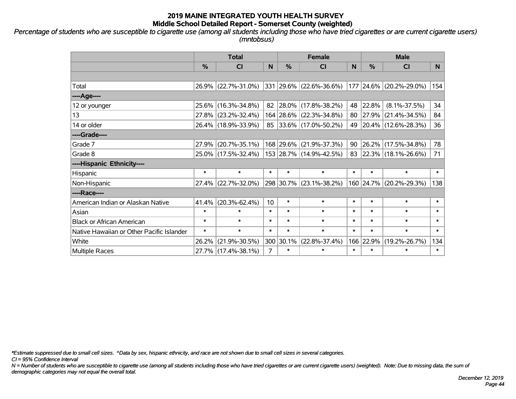*Percentage of students who are susceptible to cigarette use (among all students including those who have tried cigarettes or are current cigarette users) (mntobsus)*

|                                           | <b>Total</b>  |                     |                |           | <b>Female</b>           |        | <b>Male</b>   |                         |        |  |
|-------------------------------------------|---------------|---------------------|----------------|-----------|-------------------------|--------|---------------|-------------------------|--------|--|
|                                           | $\frac{0}{0}$ | C <sub>l</sub>      | N              | %         | <b>CI</b>               | N      | $\frac{0}{0}$ | <b>CI</b>               | N.     |  |
|                                           |               |                     |                |           |                         |        |               |                         |        |  |
| Total                                     |               | 26.9% (22.7%-31.0%) |                |           | 331 29.6% (22.6%-36.6%) |        |               | 177 24.6% (20.2%-29.0%) | 154    |  |
| ----Age----                               |               |                     |                |           |                         |        |               |                         |        |  |
| 12 or younger                             |               | 25.6% (16.3%-34.8%) |                |           | 82 28.0% (17.8%-38.2%)  |        | 48 22.8%      | $(8.1\% - 37.5\%)$      | 34     |  |
| 13                                        |               | 27.8% (23.2%-32.4%) |                |           | 164 28.6% (22.3%-34.8%) |        | 80 27.9%      | $(21.4\% - 34.5\%)$     | 84     |  |
| 14 or older                               |               | 26.4% (18.9%-33.9%) |                |           | 85 33.6% (17.0%-50.2%)  |        |               | 49 20.4% (12.6%-28.3%)  | 36     |  |
| ----Grade----                             |               |                     |                |           |                         |        |               |                         |        |  |
| Grade 7                                   |               | 27.9% (20.7%-35.1%) |                | 168 29.6% | $(21.9\% - 37.3\%)$     | 90     | 26.2%         | $(17.5\% - 34.8\%)$     | 78     |  |
| Grade 8                                   |               | 25.0% (17.5%-32.4%) |                |           | 153 28.7% (14.9%-42.5%) |        |               | 83 22.3% (18.1%-26.6%)  | 71     |  |
| ----Hispanic Ethnicity----                |               |                     |                |           |                         |        |               |                         |        |  |
| Hispanic                                  | $\ast$        | $\ast$              | $\ast$         | $\ast$    | $\ast$                  | $\ast$ | $\ast$        | $\ast$                  | $\ast$ |  |
| Non-Hispanic                              |               | 27.4% (22.7%-32.0%) |                |           | 298 30.7% (23.1%-38.2%) |        | 160 24.7%     | $(20.2\% - 29.3\%)$     | 138    |  |
| ----Race----                              |               |                     |                |           |                         |        |               |                         |        |  |
| American Indian or Alaskan Native         | 41.4%         | $(20.3\% - 62.4\%)$ | 10             | $\ast$    | $\ast$                  | $\ast$ | $\ast$        | $\ast$                  | $\ast$ |  |
| Asian                                     | $\ast$        | $\ast$              | $\ast$         | $\ast$    | $\ast$                  | $\ast$ | $\ast$        | $\ast$                  | $\ast$ |  |
| <b>Black or African American</b>          | $\ast$        | $\ast$              | $\ast$         | $\ast$    | $\ast$                  | $\ast$ | $\ast$        | $\ast$                  | $\ast$ |  |
| Native Hawaiian or Other Pacific Islander | $\ast$        | $\ast$              | $\ast$         | $\ast$    | $\ast$                  | $\ast$ | $\ast$        | $\ast$                  | $\ast$ |  |
| White                                     | 26.2%         | $(21.9\% - 30.5\%)$ |                | 300 30.1% | $(22.8\% - 37.4\%)$     | 166    | 22.9%         | $(19.2\% - 26.7\%)$     | 134    |  |
| <b>Multiple Races</b>                     |               | 27.7% (17.4%-38.1%) | $\overline{7}$ | $\ast$    | $\ast$                  | $\ast$ | $\ast$        | $\ast$                  | $\ast$ |  |

*\*Estimate suppressed due to small cell sizes. ^Data by sex, hispanic ethnicity, and race are not shown due to small cell sizes in several categories.*

*CI = 95% Confidence Interval*

*N = Number of students who are susceptible to cigarette use (among all students including those who have tried cigarettes or are current cigarette users) (weighted). Note: Due to missing data, the sum of demographic categories may not equal the overall total.*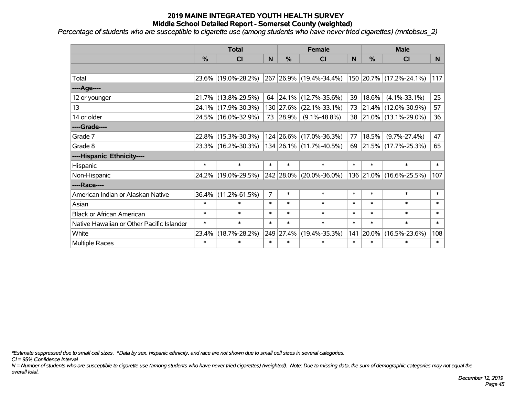*Percentage of students who are susceptible to cigarette use (among students who have never tried cigarettes) (mntobsus\_2)*

|                                           |        | <b>Total</b>        | <b>Female</b>  |               |                         |        | <b>Male</b> |                         |        |  |
|-------------------------------------------|--------|---------------------|----------------|---------------|-------------------------|--------|-------------|-------------------------|--------|--|
|                                           | %      | C <sub>l</sub>      | $\mathsf{N}$   | $\frac{0}{0}$ | <b>CI</b>               | N      | %           | <b>CI</b>               | N      |  |
|                                           |        |                     |                |               |                         |        |             |                         |        |  |
| Total                                     |        | 23.6% (19.0%-28.2%) |                |               | 267 26.9% (19.4%-34.4%) |        |             | 150 20.7% (17.2%-24.1%) | 117    |  |
| ---- Age----                              |        |                     |                |               |                         |        |             |                         |        |  |
| 12 or younger                             |        | 21.7% (13.8%-29.5%) |                | 64   24.1%    | $(12.7\% - 35.6\%)$     | 39     | 18.6%       | $(4.1\% - 33.1\%)$      | 25     |  |
| 13                                        |        | 24.1% (17.9%-30.3%) |                |               | 130 27.6% (22.1%-33.1%) | 73     |             | 21.4% (12.0%-30.9%)     | 57     |  |
| 14 or older                               |        | 24.5% (16.0%-32.9%) |                | 73 28.9%      | $(9.1\% - 48.8\%)$      | 38     |             | $21.0\%$ (13.1%-29.0%)  | 36     |  |
| ----Grade----                             |        |                     |                |               |                         |        |             |                         |        |  |
| Grade 7                                   |        | 22.8% (15.3%-30.3%) |                | $124$ 26.6%   | $(17.0\% - 36.3\%)$     | 77     | 18.5%       | $(9.7\% - 27.4\%)$      | 47     |  |
| Grade 8                                   |        | 23.3% (16.2%-30.3%) |                |               | 134 26.1% (11.7%-40.5%) | 69     |             | $21.5\%$ (17.7%-25.3%)  | 65     |  |
| ----Hispanic Ethnicity----                |        |                     |                |               |                         |        |             |                         |        |  |
| Hispanic                                  | $\ast$ | $\ast$              | $\ast$         | $\ast$        | $\ast$                  | $\ast$ | $\ast$      | $\ast$                  | $\ast$ |  |
| Non-Hispanic                              |        | 24.2% (19.0%-29.5%) |                |               | 242 28.0% (20.0%-36.0%) |        |             | 136 21.0% (16.6%-25.5%) | 107    |  |
| ----Race----                              |        |                     |                |               |                         |        |             |                         |        |  |
| American Indian or Alaskan Native         | 36.4%  | $(11.2\% - 61.5\%)$ | $\overline{7}$ | $\ast$        | $\ast$                  | $\ast$ | $\ast$      | $\ast$                  | $\ast$ |  |
| Asian                                     | $\ast$ | $\ast$              | $\ast$         | $\ast$        | $\ast$                  | $\ast$ | $\ast$      | $\ast$                  | $\ast$ |  |
| <b>Black or African American</b>          | $\ast$ | $\ast$              | $\ast$         | $\ast$        | $\ast$                  | $\ast$ | $\ast$      | $\ast$                  | $\ast$ |  |
| Native Hawaiian or Other Pacific Islander | $\ast$ | $\ast$              | $\ast$         | $\ast$        | $\ast$                  | $\ast$ | $\ast$      | $\ast$                  | $\ast$ |  |
| White                                     | 23.4%  | $(18.7\% - 28.2\%)$ |                | 249 27.4%     | $(19.4\% - 35.3\%)$     | 141    | 20.0%       | $(16.5\% - 23.6\%)$     | 108    |  |
| Multiple Races                            | $\ast$ | $\ast$              | $\ast$         | $\ast$        | $\ast$                  | $\ast$ | $\ast$      | $\ast$                  | $\ast$ |  |

*\*Estimate suppressed due to small cell sizes. ^Data by sex, hispanic ethnicity, and race are not shown due to small cell sizes in several categories.*

*CI = 95% Confidence Interval*

*N = Number of students who are susceptible to cigarette use (among students who have never tried cigarettes) (weighted). Note: Due to missing data, the sum of demographic categories may not equal the overall total.*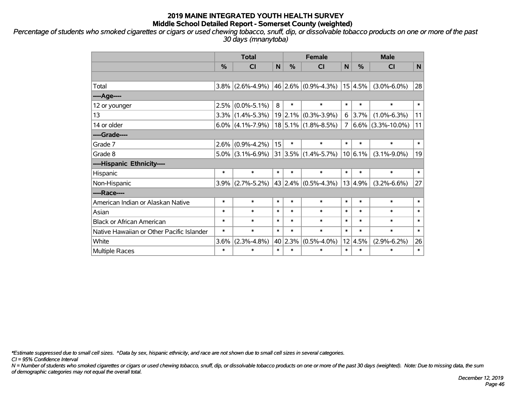*Percentage of students who smoked cigarettes or cigars or used chewing tobacco, snuff, dip, or dissolvable tobacco products on one or more of the past 30 days (mnanytoba)*

|                                           | <b>Total</b> |                     |        |               | <b>Female</b>                |        | <b>Male</b> |                      |        |  |
|-------------------------------------------|--------------|---------------------|--------|---------------|------------------------------|--------|-------------|----------------------|--------|--|
|                                           | %            | CI                  | N      | $\frac{0}{0}$ | <b>CI</b>                    | N      | %           | <b>CI</b>            | N      |  |
|                                           |              |                     |        |               |                              |        |             |                      |        |  |
| Total                                     |              | $3.8\%$ (2.6%-4.9%) |        |               | $ 46 2.6\% $ (0.9%-4.3%)     |        | 15 4.5%     | $(3.0\% - 6.0\%)$    | 28     |  |
| ----Age----                               |              |                     |        |               |                              |        |             |                      |        |  |
| 12 or younger                             | 2.5%         | $(0.0\% - 5.1\%)$   | 8      | $\ast$        | $\ast$                       | $\ast$ | $\ast$      | $\ast$               | $\ast$ |  |
| 13                                        |              | $3.3\%$ (1.4%-5.3%) |        | 19 2.1%       | $(0.3\% - 3.9\%)$            | 6      | $3.7\%$     | $(1.0\% - 6.3\%)$    | 11     |  |
| 14 or older                               |              | $6.0\%$ (4.1%-7.9%) |        |               | $18 5.1\% $ (1.8%-8.5%)      | 7      |             | $6.6\%$ (3.3%-10.0%) | 11     |  |
| ----Grade----                             |              |                     |        |               |                              |        |             |                      |        |  |
| Grade 7                                   |              | $2.6\%$ (0.9%-4.2%) | 15     | $\ast$        | $\ast$                       | $\ast$ | $\ast$      | $\ast$               | $\ast$ |  |
| Grade 8                                   |              | $5.0\%$ (3.1%-6.9%) |        |               | $ 31 3.5\%  (1.4\% - 5.7\%)$ |        | 10 6.1%     | $(3.1\% - 9.0\%)$    | 19     |  |
| ----Hispanic Ethnicity----                |              |                     |        |               |                              |        |             |                      |        |  |
| Hispanic                                  | $\ast$       | $\ast$              | $\ast$ | $\ast$        | $\ast$                       | $\ast$ | $\ast$      | $\ast$               | $\ast$ |  |
| Non-Hispanic                              | 3.9%         | $(2.7\% - 5.2\%)$   |        |               | $ 43 2.4\%  (0.5\% - 4.3\%)$ |        | 13 4.9%     | $(3.2\% - 6.6\%)$    | 27     |  |
| ----Race----                              |              |                     |        |               |                              |        |             |                      |        |  |
| American Indian or Alaskan Native         | $\ast$       | $\ast$              | $\ast$ | $\ast$        | $\ast$                       | $\ast$ | $\ast$      | $\ast$               | $\ast$ |  |
| Asian                                     | $\ast$       | $\ast$              | $\ast$ | $\ast$        | $\ast$                       | $\ast$ | $\ast$      | $\ast$               | $\ast$ |  |
| <b>Black or African American</b>          | $\ast$       | $\ast$              | $\ast$ | $\ast$        | $\ast$                       | $\ast$ | $\ast$      | $\ast$               | $\ast$ |  |
| Native Hawaiian or Other Pacific Islander | $\ast$       | $\ast$              | $\ast$ | $\ast$        | $\ast$                       | $\ast$ | $\ast$      | $\ast$               | $\ast$ |  |
| White                                     | 3.6%         | $(2.3\% - 4.8\%)$   |        | 40 2.3%       | $(0.5\% - 4.0\%)$            | 12     | 4.5%        | $(2.9\% - 6.2\%)$    | 26     |  |
| <b>Multiple Races</b>                     | $\ast$       | $\ast$              | $\ast$ | $\ast$        | $\ast$                       | $\ast$ | $\ast$      | $\ast$               | $\ast$ |  |

*\*Estimate suppressed due to small cell sizes. ^Data by sex, hispanic ethnicity, and race are not shown due to small cell sizes in several categories.*

*CI = 95% Confidence Interval*

*N = Number of students who smoked cigarettes or cigars or used chewing tobacco, snuff, dip, or dissolvable tobacco products on one or more of the past 30 days (weighted). Note: Due to missing data, the sum of demographic categories may not equal the overall total.*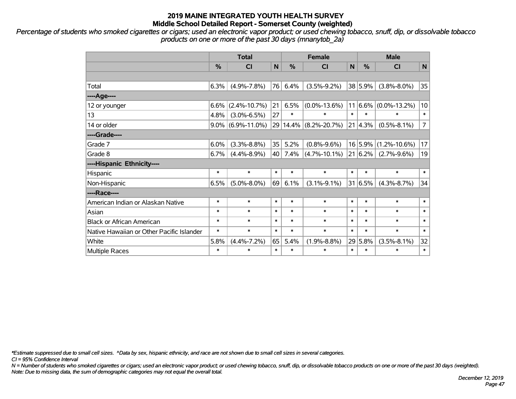*Percentage of students who smoked cigarettes or cigars; used an electronic vapor product; or used chewing tobacco, snuff, dip, or dissolvable tobacco products on one or more of the past 30 days (mnanytob\_2a)*

|                                           | <b>Total</b> |                      |        | <b>Female</b> |                       |        | <b>Male</b>    |                              |                |  |
|-------------------------------------------|--------------|----------------------|--------|---------------|-----------------------|--------|----------------|------------------------------|----------------|--|
|                                           | %            | <b>CI</b>            | N      | $\%$          | <b>CI</b>             | N      | $\frac{0}{0}$  | <b>CI</b>                    | N              |  |
|                                           |              |                      |        |               |                       |        |                |                              |                |  |
| Total                                     | 6.3%         | $(4.9\% - 7.8\%)$    | 76     | 6.4%          | $(3.5\% - 9.2\%)$     |        | 38 5.9%        | $(3.8\% - 8.0\%)$            | 35             |  |
| ----Age----                               |              |                      |        |               |                       |        |                |                              |                |  |
| 12 or younger                             | 6.6%         | $(2.4\% - 10.7\%)$   | 21     | 6.5%          | $(0.0\% - 13.6\%)$    |        |                | $11 6.6\%  (0.0\% - 13.2\%)$ | 10             |  |
| 13                                        | 4.8%         | $(3.0\% - 6.5\%)$    | 27     | $\ast$        | $\ast$                | $\ast$ | $\ast$         | $\ast$                       | $\ast$         |  |
| 14 or older                               |              | $9.0\%$ (6.9%-11.0%) | 29     |               | $14.4\%$ (8.2%-20.7%) |        | $21   4.3\%  $ | $(0.5\% - 8.1\%)$            | $\overline{7}$ |  |
| ----Grade----                             |              |                      |        |               |                       |        |                |                              |                |  |
| Grade 7                                   | 6.0%         | $(3.3\% - 8.8\%)$    | 35     | 5.2%          | $(0.8\% - 9.6\%)$     |        | 16 5.9%        | $(1.2\% - 10.6\%)$           | 17             |  |
| Grade 8                                   | 6.7%         | $(4.4\% - 8.9\%)$    | 40     | 7.4%          | $(4.7\% - 10.1\%)$    |        | 21   6.2%      | $(2.7\% - 9.6\%)$            | 19             |  |
| ----Hispanic Ethnicity----                |              |                      |        |               |                       |        |                |                              |                |  |
| Hispanic                                  | $\ast$       | $\ast$               | $\ast$ | $\ast$        | $\ast$                | $\ast$ | $\ast$         | $\ast$                       | $\ast$         |  |
| Non-Hispanic                              | 6.5%         | $(5.0\% - 8.0\%)$    | 69     | 6.1%          | $(3.1\% - 9.1\%)$     |        | 31 6.5%        | $(4.3\% - 8.7\%)$            | 34             |  |
| ----Race----                              |              |                      |        |               |                       |        |                |                              |                |  |
| American Indian or Alaskan Native         | $\ast$       | $\ast$               | $\ast$ | $\ast$        | $\ast$                | $\ast$ | $\ast$         | $\ast$                       | $\ast$         |  |
| Asian                                     | $\ast$       | $\ast$               | $\ast$ | $\ast$        | $\ast$                | $\ast$ | $\ast$         | $\ast$                       | $\ast$         |  |
| <b>Black or African American</b>          | $\ast$       | $\ast$               | $\ast$ | $\ast$        | $\ast$                | $\ast$ | $\ast$         | $\ast$                       | $\ast$         |  |
| Native Hawaiian or Other Pacific Islander | $\ast$       | $\ast$               | $\ast$ | $\ast$        | $\ast$                | $\ast$ | $\ast$         | $\ast$                       | $\ast$         |  |
| White                                     | 5.8%         | $(4.4\% - 7.2\%)$    | 65     | 5.4%          | $(1.9\% - 8.8\%)$     |        | 29 5.8%        | $(3.5\% - 8.1\%)$            | 32             |  |
| Multiple Races                            | $\ast$       | $\ast$               | $\ast$ | $\ast$        | $\ast$                | $\ast$ | $\ast$         | $\ast$                       | $\ast$         |  |

*\*Estimate suppressed due to small cell sizes. ^Data by sex, hispanic ethnicity, and race are not shown due to small cell sizes in several categories.*

*CI = 95% Confidence Interval*

*N = Number of students who smoked cigarettes or cigars; used an electronic vapor product; or used chewing tobacco, snuff, dip, or dissolvable tobacco products on one or more of the past 30 days (weighted). Note: Due to missing data, the sum of demographic categories may not equal the overall total.*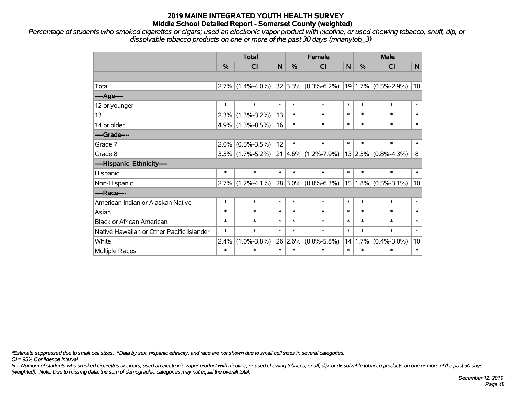*Percentage of students who smoked cigarettes or cigars; used an electronic vapor product with nicotine; or used chewing tobacco, snuff, dip, or dissolvable tobacco products on one or more of the past 30 days (mnanytob\_3)*

|                                           | <b>Total</b> |                     |              |        | <b>Female</b>            | <b>Male</b> |        |                          |              |
|-------------------------------------------|--------------|---------------------|--------------|--------|--------------------------|-------------|--------|--------------------------|--------------|
|                                           | %            | CI                  | $\mathsf{N}$ | %      | <b>CI</b>                | N           | $\%$   | <b>CI</b>                | $\mathsf{N}$ |
|                                           |              |                     |              |        |                          |             |        |                          |              |
| Total                                     |              | $2.7\%$ (1.4%-4.0%) |              |        | $ 32 3.3\% $ (0.3%-6.2%) |             |        | $ 19 1.7\% $ (0.5%-2.9%) | 10           |
| ----Age----                               |              |                     |              |        |                          |             |        |                          |              |
| 12 or younger                             | $\ast$       | $\ast$              | $\ast$       | $\ast$ | $\ast$                   | $\ast$      | $\ast$ | $\ast$                   | $\ast$       |
| 13                                        | 2.3%         | $(1.3\% - 3.2\%)$   | 13           | $\ast$ | $\ast$                   | $\ast$      | $\ast$ | $\ast$                   | $\ast$       |
| 14 or older                               |              | $4.9\%$ (1.3%-8.5%) | 16           | $\ast$ | $\ast$                   | $\ast$      | $\ast$ | $\ast$                   | $\ast$       |
| ----Grade----                             |              |                     |              |        |                          |             |        |                          |              |
| Grade 7                                   | $2.0\%$      | $(0.5\% - 3.5\%)$   | 12           | $\ast$ | $\ast$                   | $\ast$      | $\ast$ | $\ast$                   | $\ast$       |
| Grade 8                                   |              | $3.5\%$ (1.7%-5.2%) |              |        | 21 4.6% (1.2%-7.9%)      |             |        | $13 2.5\% $ (0.8%-4.3%)  | 8            |
| ----Hispanic Ethnicity----                |              |                     |              |        |                          |             |        |                          |              |
| Hispanic                                  | $\ast$       | $\ast$              | $\ast$       | $\ast$ | $\ast$                   | $\ast$      | $\ast$ | $\ast$                   | $\ast$       |
| Non-Hispanic                              | $ 2.7\% $    | $(1.2\% - 4.1\%)$   |              |        | $28 3.0\% $ (0.0%-6.3%)  | 15          |        | $1.8\%$ (0.5%-3.1%)      | 10           |
| ----Race----                              |              |                     |              |        |                          |             |        |                          |              |
| American Indian or Alaskan Native         | $\ast$       | $\ast$              | $\ast$       | $\ast$ | $\ast$                   | $\ast$      | $\ast$ | $\ast$                   | $\ast$       |
| Asian                                     | $\ast$       | $\ast$              | $\ast$       | $\ast$ | $\ast$                   | $\ast$      | $\ast$ | $\ast$                   | $\ast$       |
| <b>Black or African American</b>          | $\ast$       | $\ast$              | $\ast$       | $\ast$ | $\ast$                   | $\ast$      | $\ast$ | $\ast$                   | $\ast$       |
| Native Hawaiian or Other Pacific Islander | $\ast$       | $\ast$              | $\ast$       | $\ast$ | $\ast$                   | $\ast$      | $\ast$ | $\ast$                   | $\ast$       |
| White                                     | 2.4%         | $(1.0\% - 3.8\%)$   | 26           | 2.6%   | $(0.0\% - 5.8\%)$        | 14          | 1.7%   | $(0.4\% - 3.0\%)$        | 10           |
| Multiple Races                            | $\ast$       | $\ast$              | $\ast$       | $\ast$ | $\ast$                   | $\ast$      | $\ast$ | $\ast$                   | $\ast$       |

*\*Estimate suppressed due to small cell sizes. ^Data by sex, hispanic ethnicity, and race are not shown due to small cell sizes in several categories.*

*CI = 95% Confidence Interval*

*N = Number of students who smoked cigarettes or cigars; used an electronic vapor product with nicotine; or used chewing tobacco, snuff, dip, or dissolvable tobacco products on one or more of the past 30 days (weighted). Note: Due to missing data, the sum of demographic categories may not equal the overall total.*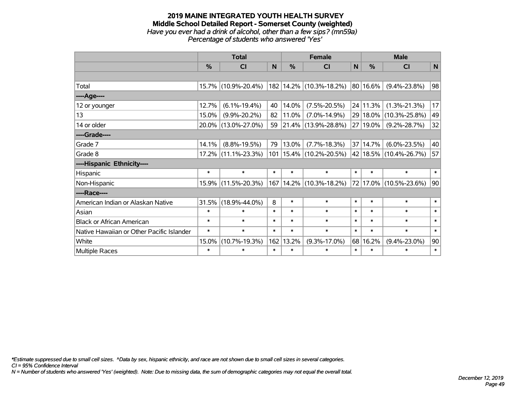#### **2019 MAINE INTEGRATED YOUTH HEALTH SURVEY Middle School Detailed Report - Somerset County (weighted)** *Have you ever had a drink of alcohol, other than a few sips? (mn59a) Percentage of students who answered 'Yes'*

|                                           | <b>Total</b> |                        |        |               | <b>Female</b>               | <b>Male</b> |                                  |                        |                 |
|-------------------------------------------|--------------|------------------------|--------|---------------|-----------------------------|-------------|----------------------------------|------------------------|-----------------|
|                                           | $\%$         | <b>CI</b>              | N      | $\frac{0}{0}$ | <b>CI</b>                   | N           | $\%$                             | <b>CI</b>              | $\mathsf{N}$    |
|                                           |              |                        |        |               |                             |             |                                  |                        |                 |
| Total                                     |              | 15.7% (10.9%-20.4%)    |        |               | 182 14.2% (10.3%-18.2%)     |             | $\vert$ 80 $\vert$ 16.6% $\vert$ | $(9.4\% - 23.8\%)$     | 98              |
| ----Age----                               |              |                        |        |               |                             |             |                                  |                        |                 |
| 12 or younger                             | 12.7%        | $(6.1\% - 19.4\%)$     | 40     | 14.0%         | $(7.5\% - 20.5\%)$          |             | 24 11.3%                         | $(1.3\% - 21.3\%)$     | 17              |
| 13                                        | 15.0%        | $(9.9\% - 20.2\%)$     | 82     | 11.0%         | $(7.0\% - 14.9\%)$          |             |                                  | 29 18.0% (10.3%-25.8%) | 49              |
| 14 or older                               |              | 20.0% (13.0%-27.0%)    | 59     |               | $ 21.4\% $ (13.9%-28.8%)    |             | 27 19.0%                         | $(9.2\% - 28.7\%)$     | 32              |
| ----Grade----                             |              |                        |        |               |                             |             |                                  |                        |                 |
| Grade 7                                   | 14.1%        | $(8.8\% - 19.5\%)$     | 79     | 13.0%         | $(7.7\% - 18.3\%)$          |             | 37 14.7%                         | $(6.0\% - 23.5\%)$     | 40              |
| Grade 8                                   |              | $17.2\%$ (11.1%-23.3%) |        |               | 101   15.4%   (10.2%-20.5%) |             |                                  | 42 18.5% (10.4%-26.7%) | 57              |
| ----Hispanic Ethnicity----                |              |                        |        |               |                             |             |                                  |                        |                 |
| Hispanic                                  | $\ast$       | $\ast$                 | $\ast$ | $\ast$        | $\ast$                      | $\ast$      | $\ast$                           | $\ast$                 | $*1$            |
| Non-Hispanic                              |              | 15.9% (11.5%-20.3%)    |        |               | 167   14.2%   (10.3%-18.2%) |             |                                  | 72 17.0% (10.5%-23.6%) | 90 <sup>°</sup> |
| ----Race----                              |              |                        |        |               |                             |             |                                  |                        |                 |
| American Indian or Alaskan Native         | 31.5%        | $(18.9\% - 44.0\%)$    | 8      | $\ast$        | $\ast$                      | $\ast$      | $\ast$                           | $\ast$                 | $\ast$          |
| Asian                                     | $\ast$       | $\ast$                 | $\ast$ | $\ast$        | $\ast$                      | $\ast$      | $\ast$                           | $\ast$                 | $\ast$          |
| <b>Black or African American</b>          | $\ast$       | $\ast$                 | $\ast$ | $\ast$        | $\ast$                      | $\ast$      | $\ast$                           | $\ast$                 | $\ast$          |
| Native Hawaiian or Other Pacific Islander | $\ast$       | $\ast$                 | $\ast$ | $\ast$        | $\ast$                      | $\ast$      | $\ast$                           | $\ast$                 | $\ast$          |
| White                                     | 15.0%        | $(10.7\% - 19.3\%)$    | 162    | 13.2%         | $(9.3\% - 17.0\%)$          | 68          | 16.2%                            | $(9.4\% - 23.0\%)$     | 90              |
| Multiple Races                            | $\ast$       | $\ast$                 | $\ast$ | $\ast$        | $\ast$                      | $\ast$      | $\ast$                           | $\ast$                 | $\ast$          |

*\*Estimate suppressed due to small cell sizes. ^Data by sex, hispanic ethnicity, and race are not shown due to small cell sizes in several categories.*

*CI = 95% Confidence Interval*

*N = Number of students who answered 'Yes' (weighted). Note: Due to missing data, the sum of demographic categories may not equal the overall total.*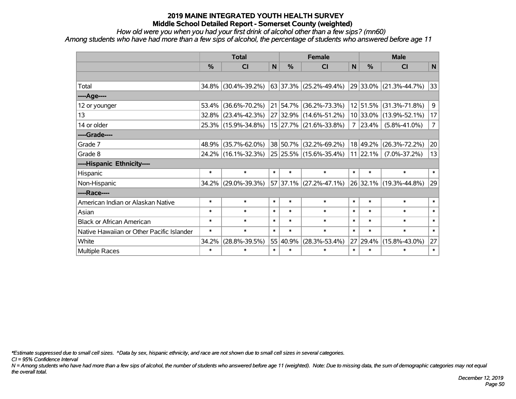*How old were you when you had your first drink of alcohol other than a few sips? (mn60)*

*Among students who have had more than a few sips of alcohol, the percentage of students who answered before age 11*

|                                           | <b>Total</b>  |                     |        |          | <b>Female</b>                  | <b>Male</b>    |            |                        |                |
|-------------------------------------------|---------------|---------------------|--------|----------|--------------------------------|----------------|------------|------------------------|----------------|
|                                           | $\frac{0}{0}$ | C <sub>1</sub>      | N      | %        | <b>CI</b>                      | N              | %          | <b>CI</b>              | N              |
|                                           |               |                     |        |          |                                |                |            |                        |                |
| Total                                     | 34.8%         | $(30.4\% - 39.2\%)$ |        |          | 63 37.3% (25.2%-49.4%)         |                |            | 29 33.0% (21.3%-44.7%) | 33             |
| ---- Age----                              |               |                     |        |          |                                |                |            |                        |                |
| 12 or younger                             | 53.4%         | $(36.6\% - 70.2\%)$ |        | 21 54.7% | $(36.2\% - 73.3\%)$            |                | 12 51.5%   | $(31.3\% - 71.8\%)$    | 9 <sup>1</sup> |
| 13                                        | $32.8\%$      | $(23.4\% - 42.3\%)$ |        |          | $ 27 32.9\% $ (14.6%-51.2%)    |                |            | 10 33.0% (13.9%-52.1%) | 17             |
| 14 or older                               |               | 25.3% (15.9%-34.8%) |        |          | 15 27.7% (21.6%-33.8%)         | $\overline{7}$ | $ 23.4\% $ | $(5.8\% - 41.0\%)$     | 7 <sup>1</sup> |
| ----Grade----                             |               |                     |        |          |                                |                |            |                        |                |
| Grade 7                                   | 48.9%         | $(35.7\% - 62.0\%)$ |        | 38 50.7% | $(32.2\% - 69.2\%)$            |                | 18 49.2%   | $(26.3\% - 72.2\%)$    | 20             |
| Grade 8                                   |               | 24.2% (16.1%-32.3%) |        |          | $ 25 25.5\% (15.6\% - 35.4\%)$ |                | 11 22.1%   | $(7.0\% - 37.2\%)$     | 13             |
| ----Hispanic Ethnicity----                |               |                     |        |          |                                |                |            |                        |                |
| Hispanic                                  | $\ast$        | $\ast$              | $\ast$ | $\ast$   | $\ast$                         | $\ast$         | $\ast$     | $\ast$                 | $\ast$         |
| Non-Hispanic                              | 34.2%         | $(29.0\% - 39.3\%)$ |        |          | 57 37.1% (27.2%-47.1%)         |                |            | 26 32.1% (19.3%-44.8%) | 29             |
| ----Race----                              |               |                     |        |          |                                |                |            |                        |                |
| American Indian or Alaskan Native         | $\ast$        | $\ast$              | $\ast$ | $\ast$   | $\ast$                         | $\ast$         | $\ast$     | $\ast$                 | $\ast$         |
| Asian                                     | $\ast$        | $\ast$              | $\ast$ | $\ast$   | $\ast$                         | $\ast$         | $\ast$     | $\ast$                 | $\ast$         |
| <b>Black or African American</b>          | $\ast$        | $\ast$              | $\ast$ | $\ast$   | $\ast$                         | $\ast$         | $\ast$     | $\ast$                 | $\ast$         |
| Native Hawaiian or Other Pacific Islander | $\ast$        | $\ast$              | $\ast$ | $\ast$   | $\ast$                         | $\ast$         | $\ast$     | $\ast$                 | $\ast$         |
| White                                     | 34.2%         | $(28.8\% - 39.5\%)$ |        | 55 40.9% | $(28.3\% - 53.4\%)$            | 27             | 29.4%      | $(15.8\% - 43.0\%)$    | 27             |
| Multiple Races                            | $\ast$        | $\ast$              | $\ast$ | $\ast$   | $\ast$                         | $\ast$         | $\ast$     | $\ast$                 | $\ast$         |

*\*Estimate suppressed due to small cell sizes. ^Data by sex, hispanic ethnicity, and race are not shown due to small cell sizes in several categories.*

*CI = 95% Confidence Interval*

*N = Among students who have had more than a few sips of alcohol, the number of students who answered before age 11 (weighted). Note: Due to missing data, the sum of demographic categories may not equal the overall total.*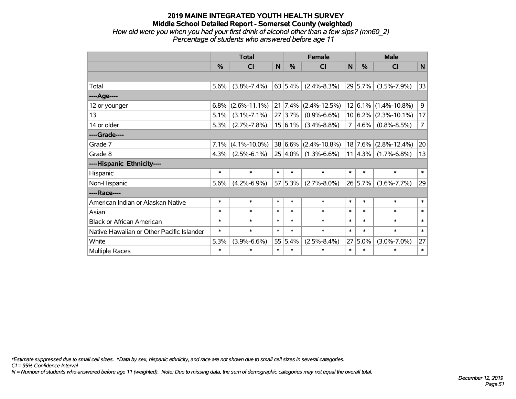### **2019 MAINE INTEGRATED YOUTH HEALTH SURVEY Middle School Detailed Report - Somerset County (weighted)** *How old were you when you had your first drink of alcohol other than a few sips? (mn60\_2) Percentage of students who answered before age 11*

|                                           | <b>Total</b> |                    |        |               | <b>Female</b>      |        | <b>Male</b>   |                    |                |  |
|-------------------------------------------|--------------|--------------------|--------|---------------|--------------------|--------|---------------|--------------------|----------------|--|
|                                           | %            | <b>CI</b>          | N      | $\frac{0}{0}$ | <b>CI</b>          | N      | $\frac{0}{0}$ | <b>CI</b>          | N              |  |
|                                           |              |                    |        |               |                    |        |               |                    |                |  |
| Total                                     | 5.6%         | $(3.8\% - 7.4\%)$  |        | 63 5.4%       | $(2.4\% - 8.3\%)$  |        | 29 5.7%       | $(3.5\% - 7.9\%)$  | 33             |  |
| ---- Age----                              |              |                    |        |               |                    |        |               |                    |                |  |
| 12 or younger                             | 6.8%         | $(2.6\% - 11.1\%)$ |        | 21   7.4%     | $(2.4\% - 12.5\%)$ |        | 12 6.1%       | $(1.4\% - 10.8\%)$ | 9              |  |
| 13                                        | 5.1%         | $(3.1\% - 7.1\%)$  |        | 27 3.7%       | $(0.9\% - 6.6\%)$  |        | $10 6.2\% $   | $(2.3\% - 10.1\%)$ | 17             |  |
| 14 or older                               | 5.3%         | $(2.7\% - 7.8\%)$  |        | $15 6.1\% $   | $(3.4\% - 8.8\%)$  | 7      | $ 4.6\% $     | $(0.8\% - 8.5\%)$  | $\overline{7}$ |  |
| ----Grade----                             |              |                    |        |               |                    |        |               |                    |                |  |
| Grade 7                                   | 7.1%         | $(4.1\% - 10.0\%)$ |        | 38 6.6%       | $(2.4\% - 10.8\%)$ |        | 18 7.6%       | $(2.8\% - 12.4\%)$ | 20             |  |
| Grade 8                                   | 4.3%         | $(2.5\% - 6.1\%)$  |        | $25 4.0\% $   | $(1.3\% - 6.6\%)$  |        | 11 4.3%       | $(1.7\% - 6.8\%)$  | 13             |  |
| ----Hispanic Ethnicity----                |              |                    |        |               |                    |        |               |                    |                |  |
| Hispanic                                  | $\ast$       | $\ast$             | $\ast$ | $\ast$        | $\ast$             | $\ast$ | $\ast$        | $\ast$             | $\ast$         |  |
| Non-Hispanic                              | 5.6%         | $(4.2\% - 6.9\%)$  |        | 57 5.3%       | $(2.7\% - 8.0\%)$  |        | 26 5.7%       | $(3.6\% - 7.7\%)$  | 29             |  |
| ----Race----                              |              |                    |        |               |                    |        |               |                    |                |  |
| American Indian or Alaskan Native         | $\ast$       | $\ast$             | $\ast$ | $\ast$        | $\ast$             | $\ast$ | $\ast$        | $\ast$             | $\ast$         |  |
| Asian                                     | $\ast$       | $\ast$             | $\ast$ | $\ast$        | $\ast$             | $\ast$ | $\ast$        | $\ast$             | $\ast$         |  |
| <b>Black or African American</b>          | $\ast$       | $\ast$             | $\ast$ | $\ast$        | $\ast$             | $\ast$ | $\ast$        | $\ast$             | $\ast$         |  |
| Native Hawaiian or Other Pacific Islander | $\ast$       | $\ast$             | $\ast$ | $\ast$        | $\ast$             | $\ast$ | $\ast$        | $\ast$             | $\ast$         |  |
| White                                     | 5.3%         | $(3.9\% - 6.6\%)$  |        | 55 5.4%       | $(2.5\% - 8.4\%)$  | 27     | 5.0%          | $(3.0\% - 7.0\%)$  | 27             |  |
| <b>Multiple Races</b>                     | $\ast$       | $\ast$             | $\ast$ | $\ast$        | $\ast$             | $\ast$ | $\ast$        | $\ast$             | $\ast$         |  |

*\*Estimate suppressed due to small cell sizes. ^Data by sex, hispanic ethnicity, and race are not shown due to small cell sizes in several categories.*

*CI = 95% Confidence Interval*

*N = Number of students who answered before age 11 (weighted). Note: Due to missing data, the sum of demographic categories may not equal the overall total.*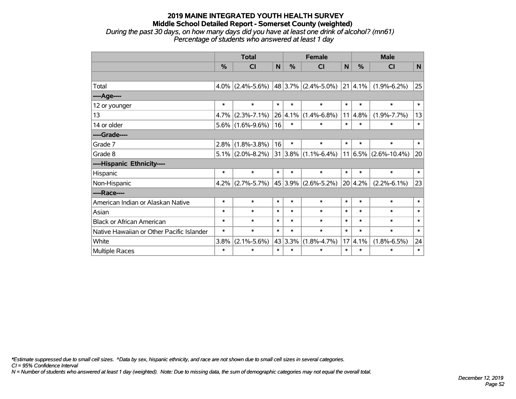### **2019 MAINE INTEGRATED YOUTH HEALTH SURVEY Middle School Detailed Report - Somerset County (weighted)** *During the past 30 days, on how many days did you have at least one drink of alcohol? (mn61) Percentage of students who answered at least 1 day*

|                                           | <b>Total</b>  |                                              |        |               | <b>Female</b>            |        | <b>Male</b> |                          |        |  |
|-------------------------------------------|---------------|----------------------------------------------|--------|---------------|--------------------------|--------|-------------|--------------------------|--------|--|
|                                           | $\frac{0}{0}$ | <b>CI</b>                                    | N      | $\frac{0}{0}$ | CI                       | N      | %           | <b>CI</b>                | N      |  |
|                                           |               |                                              |        |               |                          |        |             |                          |        |  |
| Total                                     |               | 4.0% (2.4%-5.6%) 48 3.7% (2.4%-5.0%) 21 4.1% |        |               |                          |        |             | $(1.9\% - 6.2\%)$        | 25     |  |
| ----Age----                               |               |                                              |        |               |                          |        |             |                          |        |  |
| 12 or younger                             | $\ast$        | $\ast$                                       | $\ast$ | $\ast$        | $\ast$                   | $\ast$ | $\ast$      | $\ast$                   | $\ast$ |  |
| 13                                        | 4.7%          | $(2.3\% - 7.1\%)$                            |        |               | $26 4.1\% $ (1.4%-6.8%)  | 11     | 4.8%        | $(1.9\% - 7.7\%)$        | 13     |  |
| 14 or older                               |               | $5.6\%$ (1.6%-9.6%)                          | 16     | $\ast$        | $\ast$                   | $\ast$ | $\ast$      | $\ast$                   | $\ast$ |  |
| ----Grade----                             |               |                                              |        |               |                          |        |             |                          |        |  |
| Grade 7                                   | $2.8\%$       | $(1.8\% - 3.8\%)$                            | 16     | $\ast$        | $\ast$                   | $\ast$ | $\ast$      | $\ast$                   | $\ast$ |  |
| Grade 8                                   |               | $5.1\%$ (2.0%-8.2%)                          |        |               | $31 3.8\% $ (1.1%-6.4%)  |        |             | $11 6.5\% $ (2.6%-10.4%) | 20     |  |
| ----Hispanic Ethnicity----                |               |                                              |        |               |                          |        |             |                          |        |  |
| Hispanic                                  | *             | $\ast$                                       | $\ast$ | $\ast$        | $\ast$                   | $\ast$ | $\ast$      | $\ast$                   | $\ast$ |  |
| Non-Hispanic                              |               | $4.2\%$ (2.7%-5.7%)                          |        |               | $ 45 3.9\% $ (2.6%-5.2%) |        | 20 4.2%     | $(2.2\% - 6.1\%)$        | 23     |  |
| ----Race----                              |               |                                              |        |               |                          |        |             |                          |        |  |
| American Indian or Alaskan Native         | *             | $\ast$                                       | $\ast$ | $\ast$        | $\ast$                   | $\ast$ | $\ast$      | $\ast$                   | $\ast$ |  |
| Asian                                     | $\ast$        | $\ast$                                       | $\ast$ | $\ast$        | $\ast$                   | $\ast$ | $\ast$      | $\ast$                   | $\ast$ |  |
| <b>Black or African American</b>          | $\ast$        | $\ast$                                       | $\ast$ | $\ast$        | $\ast$                   | $\ast$ | $\ast$      | $\ast$                   | $\ast$ |  |
| Native Hawaiian or Other Pacific Islander | $\ast$        | $\ast$                                       | $\ast$ | $\ast$        | $\ast$                   | $\ast$ | $\ast$      | $\ast$                   | $\ast$ |  |
| White                                     | 3.8%          | $(2.1\% - 5.6\%)$                            |        | 43 3.3%       | $(1.8\% - 4.7\%)$        | 17     | 4.1%        | $(1.8\% - 6.5\%)$        | 24     |  |
| <b>Multiple Races</b>                     | *             | $\ast$                                       | $\ast$ | $\ast$        | $\ast$                   | $\ast$ | $\ast$      | $\ast$                   | $\ast$ |  |

*\*Estimate suppressed due to small cell sizes. ^Data by sex, hispanic ethnicity, and race are not shown due to small cell sizes in several categories.*

*CI = 95% Confidence Interval*

*N = Number of students who answered at least 1 day (weighted). Note: Due to missing data, the sum of demographic categories may not equal the overall total.*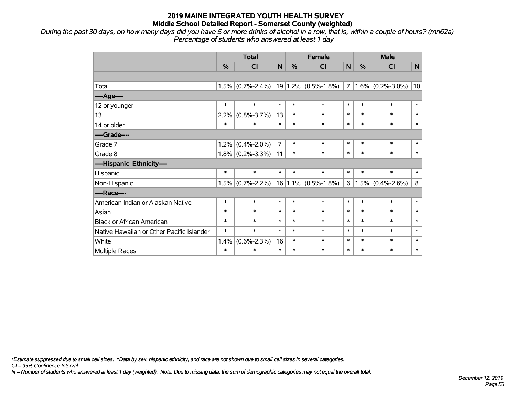*During the past 30 days, on how many days did you have 5 or more drinks of alcohol in a row, that is, within a couple of hours? (mn62a) Percentage of students who answered at least 1 day*

|                                           | <b>Total</b> |                   |                | <b>Female</b> |                         |                | <b>Male</b> |                     |        |  |
|-------------------------------------------|--------------|-------------------|----------------|---------------|-------------------------|----------------|-------------|---------------------|--------|--|
|                                           | $\%$         | <b>CI</b>         | $\mathbf N$    | %             | <b>CI</b>               | $\mathbf N$    | $\%$        | <b>CI</b>           | N      |  |
|                                           |              |                   |                |               |                         |                |             |                     |        |  |
| Total                                     | 1.5%         | $(0.7\% - 2.4\%)$ |                |               | $19 1.2\% $ (0.5%-1.8%) | $\overline{7}$ |             | $1.6\%$ (0.2%-3.0%) | 10     |  |
| ----Age----                               |              |                   |                |               |                         |                |             |                     |        |  |
| 12 or younger                             | $\ast$       | $\ast$            | $\ast$         | $\ast$        | $\ast$                  | $\ast$         | $\ast$      | $\ast$              | $\ast$ |  |
| 13                                        | 2.2%         | $(0.8\% - 3.7\%)$ | 13             | $\ast$        | $\ast$                  | $\ast$         | $\ast$      | $\ast$              | $\ast$ |  |
| 14 or older                               | $\ast$       | $\ast$            | $\ast$         | $\ast$        | $\ast$                  | $\ast$         | $\ast$      | $\ast$              | $\ast$ |  |
| ----Grade----                             |              |                   |                |               |                         |                |             |                     |        |  |
| Grade 7                                   | 1.2%         | $(0.4\% - 2.0\%)$ | $\overline{7}$ | $\ast$        | $\ast$                  | $\ast$         | $\ast$      | $\ast$              | $\ast$ |  |
| Grade 8                                   | 1.8%         | $(0.2\% - 3.3\%)$ | 11             | $\ast$        | $\ast$                  | $\ast$         | $\ast$      | $\ast$              | $\ast$ |  |
| ----Hispanic Ethnicity----                |              |                   |                |               |                         |                |             |                     |        |  |
| Hispanic                                  | $\ast$       | $\ast$            | $\ast$         | $\ast$        | $\ast$                  | $\ast$         | $\ast$      | $\ast$              | $\ast$ |  |
| Non-Hispanic                              | 1.5%         | $(0.7\% - 2.2\%)$ |                |               | $16 1.1\% $ (0.5%-1.8%) | 6              |             | $1.5\%$ (0.4%-2.6%) | 8      |  |
| ----Race----                              |              |                   |                |               |                         |                |             |                     |        |  |
| American Indian or Alaskan Native         | $\ast$       | $\ast$            | $\ast$         | $\ast$        | $\ast$                  | $\ast$         | $\ast$      | $\ast$              | $\ast$ |  |
| Asian                                     | $\ast$       | $\ast$            | $\ast$         | $\ast$        | $\ast$                  | $\ast$         | $\ast$      | $\ast$              | $\ast$ |  |
| <b>Black or African American</b>          | $\ast$       | $\ast$            | $\ast$         | $\ast$        | $\ast$                  | $\ast$         | $\ast$      | $\ast$              | $\ast$ |  |
| Native Hawaiian or Other Pacific Islander | $\ast$       | $\ast$            | $\ast$         | $\ast$        | $\ast$                  | $\ast$         | $\ast$      | $\ast$              | $\ast$ |  |
| White                                     | 1.4%         | $(0.6\% - 2.3\%)$ | 16             | $\ast$        | $\ast$                  | $\ast$         | $\ast$      | $\ast$              | $\ast$ |  |
| Multiple Races                            | $\ast$       | $\ast$            | $\ast$         | $\ast$        | $\ast$                  | $\ast$         | $\ast$      | $\ast$              | $\ast$ |  |

*\*Estimate suppressed due to small cell sizes. ^Data by sex, hispanic ethnicity, and race are not shown due to small cell sizes in several categories.*

*CI = 95% Confidence Interval*

*N = Number of students who answered at least 1 day (weighted). Note: Due to missing data, the sum of demographic categories may not equal the overall total.*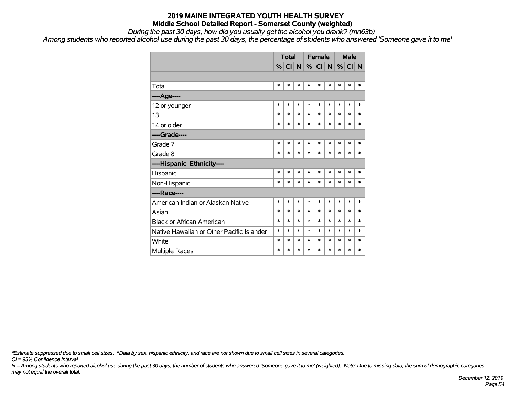*During the past 30 days, how did you usually get the alcohol you drank? (mn63b)*

*Among students who reported alcohol use during the past 30 days, the percentage of students who answered 'Someone gave it to me'*

|                                           |        | <b>Total</b> |        |        | <b>Female</b> |        | <b>Male</b> |        |        |
|-------------------------------------------|--------|--------------|--------|--------|---------------|--------|-------------|--------|--------|
|                                           |        | $\%$ CI      | N      |        | $\%$ CI       | N      | %           | CI     | N      |
|                                           |        |              |        |        |               |        |             |        |        |
| Total                                     | $\ast$ | $\ast$       | $\ast$ | $\ast$ | $\ast$        | $\ast$ | $\ast$      | *      | $\ast$ |
| ----Age----                               |        |              |        |        |               |        |             |        |        |
| 12 or younger                             | $\ast$ | $\ast$       | $\ast$ | $\ast$ | $\ast$        | $\ast$ | $\ast$      | $\ast$ | $\ast$ |
| 13                                        | $\ast$ | $\ast$       | $\ast$ | $\ast$ | $\ast$        | $\ast$ | $\ast$      | $\ast$ | $\ast$ |
| 14 or older                               | $\ast$ | $\ast$       | $\ast$ | $\ast$ | $\ast$        | $\ast$ | $\ast$      | $\ast$ | $\ast$ |
| ----Grade----                             |        |              |        |        |               |        |             |        |        |
| Grade 7                                   | $\ast$ | $\ast$       | $\ast$ | $\ast$ | $\ast$        | $\ast$ | $\ast$      | $\ast$ | $\ast$ |
| Grade 8                                   | $\ast$ | $\ast$       | $\ast$ | $\ast$ | $\ast$        | $\ast$ | $\ast$      | $\ast$ | $\ast$ |
| ----Hispanic Ethnicity----                |        |              |        |        |               |        |             |        |        |
| Hispanic                                  | $\ast$ | $\ast$       | $\ast$ | $\ast$ | $\ast$        | $\ast$ | $\ast$      | $\ast$ | $\ast$ |
| Non-Hispanic                              | $\ast$ | $\ast$       | $\ast$ | $\ast$ | $\ast$        | $\ast$ | $\ast$      | $\ast$ | $\ast$ |
| ----Race----                              |        |              |        |        |               |        |             |        |        |
| American Indian or Alaskan Native         | $\ast$ | $\ast$       | $\ast$ | $\ast$ | $\ast$        | $\ast$ | $\ast$      | $\ast$ | $\ast$ |
| Asian                                     | $\ast$ | $\ast$       | $\ast$ | $\ast$ | $\ast$        | $\ast$ | $\ast$      | $\ast$ | $\ast$ |
| <b>Black or African American</b>          | $\ast$ | $\ast$       | *      | $\ast$ | $\ast$        | $\ast$ | $\ast$      | $\ast$ | $\ast$ |
| Native Hawaiian or Other Pacific Islander | $\ast$ | $\ast$       | $\ast$ | $\ast$ | $\ast$        | $\ast$ | $\ast$      | $\ast$ | $\ast$ |
| White                                     | $\ast$ | $\ast$       | *      | $\ast$ | $\ast$        | $\ast$ | $\ast$      | $\ast$ | $\ast$ |
| <b>Multiple Races</b>                     | $\ast$ | $\ast$       | $\ast$ | $\ast$ | $\ast$        | $\ast$ | $\ast$      | $\ast$ | $\ast$ |

*\*Estimate suppressed due to small cell sizes. ^Data by sex, hispanic ethnicity, and race are not shown due to small cell sizes in several categories.*

*CI = 95% Confidence Interval*

*N = Among students who reported alcohol use during the past 30 days, the number of students who answered 'Someone gave it to me' (weighted). Note: Due to missing data, the sum of demographic categories may not equal the overall total.*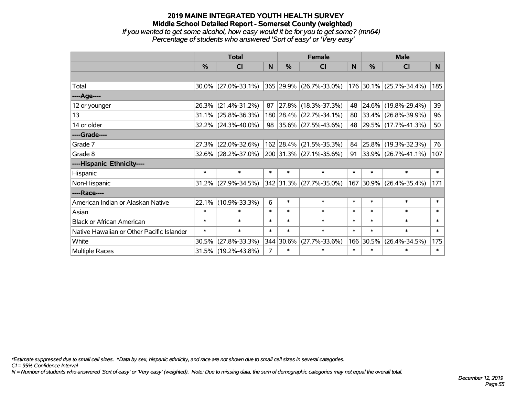# **2019 MAINE INTEGRATED YOUTH HEALTH SURVEY Middle School Detailed Report - Somerset County (weighted)** *If you wanted to get some alcohol, how easy would it be for you to get some? (mn64) Percentage of students who answered 'Sort of easy' or 'Very easy'*

|                                           | <b>Total</b>  |                        |                | <b>Female</b> | <b>Male</b>             |          |        |                          |                |
|-------------------------------------------|---------------|------------------------|----------------|---------------|-------------------------|----------|--------|--------------------------|----------------|
|                                           | $\frac{0}{0}$ | CI                     | N.             | $\frac{0}{0}$ | CI                      | <b>N</b> | %      | CI                       | N <sub>1</sub> |
|                                           |               |                        |                |               |                         |          |        |                          |                |
| Total                                     |               | $30.0\%$ (27.0%-33.1%) |                |               | 365 29.9% (26.7%-33.0%) |          |        | 176 30.1% (25.7%-34.4%)  | 185            |
| ----Age----                               |               |                        |                |               |                         |          |        |                          |                |
| 12 or younger                             | $26.3\%$      | $(21.4\% - 31.2\%)$    | 87             |               | 27.8% (18.3%-37.3%)     | 48       | 24.6%  | $(19.8\% - 29.4\%)$      | 39             |
| 13                                        |               | $31.1\%$ (25.8%-36.3%) |                |               | 180 28.4% (22.7%-34.1%) | 80       |        | $ 33.4\% $ (26.8%-39.9%) | 96             |
| 14 or older                               |               | 32.2% (24.3%-40.0%)    |                |               | 98 35.6% (27.5%-43.6%)  |          |        | 48 29.5% (17.7%-41.3%)   | 50             |
| ----Grade----                             |               |                        |                |               |                         |          |        |                          |                |
| Grade 7                                   | 27.3%         | $(22.0\% - 32.6\%)$    |                |               | 162 28.4% (21.5%-35.3%) | 84       | 25.8%  | $(19.3\% - 32.3\%)$      | 76             |
| Grade 8                                   |               | 32.6% (28.2%-37.0%)    |                |               | 200 31.3% (27.1%-35.6%) | 91       |        | $ 33.9\% $ (26.7%-41.1%) | 107            |
| ----Hispanic Ethnicity----                |               |                        |                |               |                         |          |        |                          |                |
| Hispanic                                  | $\ast$        | $\ast$                 | $\ast$         | $\ast$        | $\ast$                  | $\ast$   | $\ast$ | $\ast$                   | $\ast$         |
| Non-Hispanic                              |               | $31.2\%$ (27.9%-34.5%) |                |               | 342 31.3% (27.7%-35.0%) |          |        | 167 30.9% (26.4%-35.4%)  | 171            |
| ----Race----                              |               |                        |                |               |                         |          |        |                          |                |
| American Indian or Alaskan Native         |               | 22.1% (10.9%-33.3%)    | 6              | $\ast$        | $\ast$                  | $\ast$   | $\ast$ | $\ast$                   | $\ast$         |
| Asian                                     | $\ast$        | $\ast$                 | $\ast$         | $\ast$        | $\ast$                  | $\ast$   | $\ast$ | $\ast$                   | $\ast$         |
| <b>Black or African American</b>          | $\ast$        | $\ast$                 | $\ast$         | $\ast$        | $\ast$                  | $\ast$   | $\ast$ | $\ast$                   | $\ast$         |
| Native Hawaiian or Other Pacific Islander | $\ast$        | $\ast$                 | $\ast$         | $\ast$        | $\ast$                  | $\ast$   | $\ast$ | $\ast$                   | $\ast$         |
| White                                     | 30.5%         | $(27.8\% - 33.3\%)$    |                | 344 30.6%     | $(27.7\% - 33.6\%)$     | 166      | 30.5%  | $(26.4\% - 34.5\%)$      | 175            |
| <b>Multiple Races</b>                     |               | 31.5% (19.2%-43.8%)    | $\overline{7}$ | $\ast$        | $\ast$                  | $\ast$   | $\ast$ | $\ast$                   | $\ast$         |

*\*Estimate suppressed due to small cell sizes. ^Data by sex, hispanic ethnicity, and race are not shown due to small cell sizes in several categories.*

*CI = 95% Confidence Interval*

*N = Number of students who answered 'Sort of easy' or 'Very easy' (weighted). Note: Due to missing data, the sum of demographic categories may not equal the overall total.*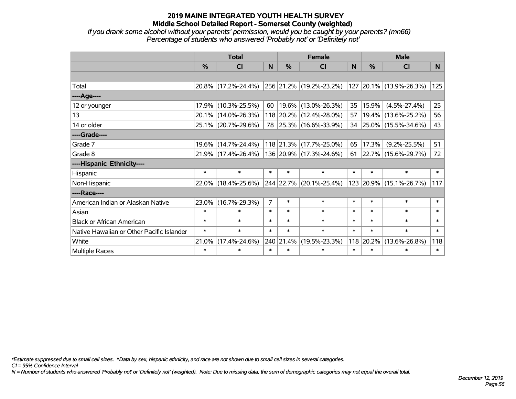*If you drank some alcohol without your parents' permission, would you be caught by your parents? (mn66) Percentage of students who answered 'Probably not' or 'Definitely not'*

|                                           | <b>Total</b>  |                     |                |               | <b>Female</b>            |        | <b>Male</b> |                            |        |  |
|-------------------------------------------|---------------|---------------------|----------------|---------------|--------------------------|--------|-------------|----------------------------|--------|--|
|                                           | $\frac{0}{0}$ | CI                  | N              | $\frac{9}{6}$ | CI                       | N      | %           | <b>CI</b>                  | N.     |  |
|                                           |               |                     |                |               |                          |        |             |                            |        |  |
| Total                                     |               | 20.8% (17.2%-24.4%) |                |               | 256 21.2% (19.2%-23.2%)  |        |             | 127 20.1% (13.9%-26.3%)    | 125    |  |
| ----Age----                               |               |                     |                |               |                          |        |             |                            |        |  |
| 12 or younger                             | 17.9%         | $(10.3\% - 25.5\%)$ | 60             |               | $ 19.6\% $ (13.0%-26.3%) | 35     | 15.9%       | $(4.5\% - 27.4\%)$         | 25     |  |
| 13                                        |               | 20.1% (14.0%-26.3%) |                |               | 118 20.2% (12.4%-28.0%)  | 57     | 19.4%       | $(13.6\% - 25.2\%)$        | 56     |  |
| 14 or older                               |               | 25.1% (20.7%-29.6%) |                |               | 78 25.3% (16.6%-33.9%)   |        |             | 34 25.0% (15.5%-34.6%)     | 43     |  |
| ----Grade----                             |               |                     |                |               |                          |        |             |                            |        |  |
| Grade 7                                   | $19.6\%$      | $(14.7\% - 24.4\%)$ |                |               | 118 21.3% (17.7%-25.0%)  | 65     | 17.3%       | $(9.2\% - 25.5\%)$         | 51     |  |
| Grade 8                                   |               | 21.9% (17.4%-26.4%) |                |               | 136 20.9% (17.3%-24.6%)  |        |             | 61   22.7%   (15.6%-29.7%) | 72     |  |
| ----Hispanic Ethnicity----                |               |                     |                |               |                          |        |             |                            |        |  |
| Hispanic                                  | $\ast$        | $\ast$              | $\ast$         | $\ast$        | $\ast$                   | $\ast$ | $\ast$      | $\ast$                     | $\ast$ |  |
| Non-Hispanic                              | 22.0%         | $(18.4\% - 25.6\%)$ |                |               | 244 22.7% (20.1%-25.4%)  |        | 123 20.9%   | $(15.1\% - 26.7\%)$        | 117    |  |
| ----Race----                              |               |                     |                |               |                          |        |             |                            |        |  |
| American Indian or Alaskan Native         | 23.0%         | $(16.7\% - 29.3\%)$ | $\overline{7}$ | $\ast$        | $\ast$                   | $\ast$ | $\ast$      | $\ast$                     | $\ast$ |  |
| Asian                                     | $\ast$        | $\ast$              | $\ast$         | $\ast$        | $\ast$                   | $\ast$ | $\ast$      | $\ast$                     | $\ast$ |  |
| <b>Black or African American</b>          | $\ast$        | $\ast$              | $\ast$         | $\ast$        | $\ast$                   | $\ast$ | $\ast$      | $\ast$                     | $\ast$ |  |
| Native Hawaiian or Other Pacific Islander | $\ast$        | $\ast$              | $\ast$         | $\ast$        | $\ast$                   | $\ast$ | $\ast$      | $\ast$                     | $\ast$ |  |
| White                                     | 21.0%         | $(17.4\% - 24.6\%)$ |                | 240 21.4%     | $(19.5\% - 23.3\%)$      | 118    | 20.2%       | $(13.6\% - 26.8\%)$        | 118    |  |
| Multiple Races                            | $\ast$        | $\ast$              | $\ast$         | $\ast$        | $\ast$                   | $\ast$ | $\ast$      | $\ast$                     | $\ast$ |  |

*\*Estimate suppressed due to small cell sizes. ^Data by sex, hispanic ethnicity, and race are not shown due to small cell sizes in several categories.*

*CI = 95% Confidence Interval*

*N = Number of students who answered 'Probably not' or 'Definitely not' (weighted). Note: Due to missing data, the sum of demographic categories may not equal the overall total.*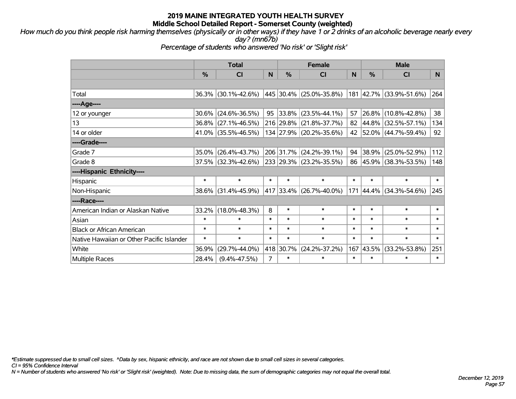*How much do you think people risk harming themselves (physically or in other ways) if they have 1 or 2 drinks of an alcoholic beverage nearly every day? (mn67b)*

*Percentage of students who answered 'No risk' or 'Slight risk'*

|                                           | <b>Total</b> |                        |                | <b>Female</b> |                         |        |               | <b>Male</b>             |        |  |  |
|-------------------------------------------|--------------|------------------------|----------------|---------------|-------------------------|--------|---------------|-------------------------|--------|--|--|
|                                           | $\%$         | C <sub>l</sub>         | N              | $\frac{9}{6}$ | <b>CI</b>               | N      | $\frac{0}{0}$ | <b>CI</b>               | N.     |  |  |
|                                           |              |                        |                |               |                         |        |               |                         |        |  |  |
| Total                                     |              | 36.3% (30.1%-42.6%)    |                |               | 445 30.4% (25.0%-35.8%) |        |               | 181 42.7% (33.9%-51.6%) | 264    |  |  |
| ----Age----                               |              |                        |                |               |                         |        |               |                         |        |  |  |
| 12 or younger                             | $30.6\%$     | $(24.6\% - 36.5\%)$    | 95             | 33.8%         | $(23.5\% - 44.1\%)$     | 57     | 26.8%         | $(10.8\% - 42.8\%)$     | 38     |  |  |
| 13                                        |              | 36.8% (27.1%-46.5%)    |                | 216 29.8%     | $(21.8\% - 37.7\%)$     | 82     | $ 44.8\% $    | $(32.5\% - 57.1\%)$     | 134    |  |  |
| 14 or older                               |              | 41.0% (35.5%-46.5%)    |                |               | 134 27.9% (20.2%-35.6%) |        |               | 42 52.0% (44.7%-59.4%)  | 92     |  |  |
| ----Grade----                             |              |                        |                |               |                         |        |               |                         |        |  |  |
| Grade 7                                   |              | 35.0% (26.4%-43.7%)    |                | 206 31.7%     | $(24.2\% - 39.1\%)$     | 94     | 38.9%         | $(25.0\% - 52.9\%)$     | 112    |  |  |
| Grade 8                                   |              | $37.5\%$ (32.3%-42.6%) |                |               | 233 29.3% (23.2%-35.5%) |        |               | 86 45.9% (38.3%-53.5%)  | 148    |  |  |
| ----Hispanic Ethnicity----                |              |                        |                |               |                         |        |               |                         |        |  |  |
| Hispanic                                  | $\ast$       | $\ast$                 | $\ast$         | $\ast$        | $\ast$                  | $\ast$ | $\ast$        | $\ast$                  | $\ast$ |  |  |
| Non-Hispanic                              |              | 38.6% (31.4%-45.9%)    |                |               | 417 33.4% (26.7%-40.0%) |        | 171 44.4%     | $(34.3\% - 54.6\%)$     | 245    |  |  |
| ----Race----                              |              |                        |                |               |                         |        |               |                         |        |  |  |
| American Indian or Alaskan Native         |              | $33.2\%$ (18.0%-48.3%) | 8              | $\ast$        | $\ast$                  | $\ast$ | $\ast$        | $\ast$                  | $\ast$ |  |  |
| Asian                                     | $\ast$       | $\ast$                 | $\ast$         | $\ast$        | $\ast$                  | $\ast$ | $\ast$        | $\ast$                  | $\ast$ |  |  |
| <b>Black or African American</b>          | $\ast$       | $\ast$                 | $\ast$         | $\ast$        | $\ast$                  | $\ast$ | $\ast$        | $\ast$                  | $\ast$ |  |  |
| Native Hawaiian or Other Pacific Islander | $\ast$       | $\ast$                 | $\ast$         | $\ast$        | $\ast$                  | $\ast$ | $\ast$        | $\ast$                  | $\ast$ |  |  |
| White                                     | 36.9%        | $(29.7\% - 44.0\%)$    |                | 418 30.7%     | $(24.2\% - 37.2\%)$     | 167    | 43.5%         | $(33.2\% - 53.8\%)$     | 251    |  |  |
| <b>Multiple Races</b>                     | 28.4%        | $(9.4\% - 47.5\%)$     | $\overline{7}$ | $\ast$        | $\ast$                  | $\ast$ | $\ast$        | $\ast$                  | $\ast$ |  |  |

*\*Estimate suppressed due to small cell sizes. ^Data by sex, hispanic ethnicity, and race are not shown due to small cell sizes in several categories.*

*CI = 95% Confidence Interval*

*N = Number of students who answered 'No risk' or 'Slight risk' (weighted). Note: Due to missing data, the sum of demographic categories may not equal the overall total.*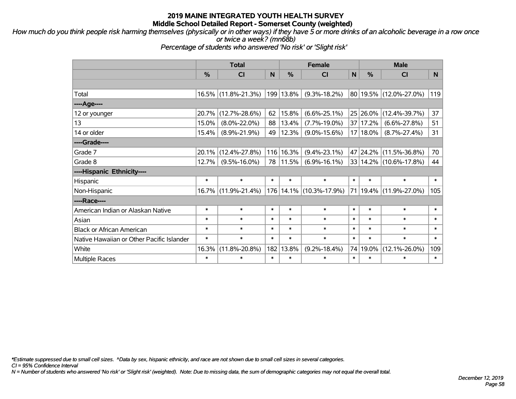*How much do you think people risk harming themselves (physically or in other ways) if they have 5 or more drinks of an alcoholic beverage in a row once or twice a week? (mn68b)*

*Percentage of students who answered 'No risk' or 'Slight risk'*

|                                           | <b>Total</b> |                     |        |               | <b>Female</b>           |        | <b>Male</b> |                            |        |  |
|-------------------------------------------|--------------|---------------------|--------|---------------|-------------------------|--------|-------------|----------------------------|--------|--|
|                                           | %            | CI                  | N      | $\frac{0}{0}$ | CI                      | N      | %           | <b>CI</b>                  | N      |  |
|                                           |              |                     |        |               |                         |        |             |                            |        |  |
| Total                                     |              | 16.5% (11.8%-21.3%) |        | 199 13.8%     | $(9.3\% - 18.2\%)$      |        |             | 80 19.5% (12.0%-27.0%)     | 119    |  |
| ----Age----                               |              |                     |        |               |                         |        |             |                            |        |  |
| 12 or younger                             | 20.7%        | $(12.7\% - 28.6\%)$ | 62     | 15.8%         | $(6.6\% - 25.1\%)$      |        | 25 26.0%    | $(12.4\% - 39.7\%)$        | 37     |  |
| 13                                        | 15.0%        | $(8.0\% - 22.0\%)$  | 88     | 13.4%         | $(7.7\% - 19.0\%)$      |        | 37 17.2%    | $(6.6\% - 27.8\%)$         | 51     |  |
| 14 or older                               | 15.4%        | $(8.9\% - 21.9\%)$  | 49     | 12.3%         | $(9.0\% - 15.6\%)$      |        | $17 18.0\%$ | $(8.7\% - 27.4\%)$         | 31     |  |
| ----Grade----                             |              |                     |        |               |                         |        |             |                            |        |  |
| Grade 7                                   | 20.1%        | $(12.4\% - 27.8\%)$ | 116    | 16.3%         | $(9.4\% - 23.1\%)$      |        | 47 24.2%    | $(11.5\% - 36.8\%)$        | 70     |  |
| Grade 8                                   | 12.7%        | $(9.5\% - 16.0\%)$  | 78     | 11.5%         | $(6.9\% - 16.1\%)$      |        |             | 33 14.2% (10.6%-17.8%)     | 44     |  |
| ----Hispanic Ethnicity----                |              |                     |        |               |                         |        |             |                            |        |  |
| Hispanic                                  | $\ast$       | $\ast$              | $\ast$ | $\ast$        | $\ast$                  | $\ast$ | $\ast$      | $\ast$                     | $\ast$ |  |
| Non-Hispanic                              | $16.7\%$     | $(11.9\% - 21.4\%)$ |        |               | 176 14.1% (10.3%-17.9%) |        |             | 71   19.4%   (11.9%-27.0%) | 105    |  |
| ----Race----                              |              |                     |        |               |                         |        |             |                            |        |  |
| American Indian or Alaskan Native         | $\ast$       | $\ast$              | $\ast$ | $\ast$        | $\ast$                  | $\ast$ | $\ast$      | $\ast$                     | $\ast$ |  |
| Asian                                     | $\ast$       | $\ast$              | $\ast$ | $\ast$        | $\ast$                  | $\ast$ | $\ast$      | $\ast$                     | $\ast$ |  |
| <b>Black or African American</b>          | $\ast$       | $\ast$              | $\ast$ | $\ast$        | $\ast$                  | $\ast$ | $\ast$      | $\ast$                     | $\ast$ |  |
| Native Hawaiian or Other Pacific Islander | $\ast$       | $\ast$              | $\ast$ | $\ast$        | $\ast$                  | $\ast$ | $\ast$      | $\ast$                     | $\ast$ |  |
| White                                     | 16.3%        | $(11.8\% - 20.8\%)$ | 182    | 13.8%         | $(9.2\% - 18.4\%)$      |        | 74 19.0%    | $(12.1\% - 26.0\%)$        | 109    |  |
| <b>Multiple Races</b>                     | $\ast$       | $\ast$              | $\ast$ | $\ast$        | $\ast$                  | $\ast$ | $\ast$      | $\ast$                     | $\ast$ |  |

*\*Estimate suppressed due to small cell sizes. ^Data by sex, hispanic ethnicity, and race are not shown due to small cell sizes in several categories.*

*CI = 95% Confidence Interval*

*N = Number of students who answered 'No risk' or 'Slight risk' (weighted). Note: Due to missing data, the sum of demographic categories may not equal the overall total.*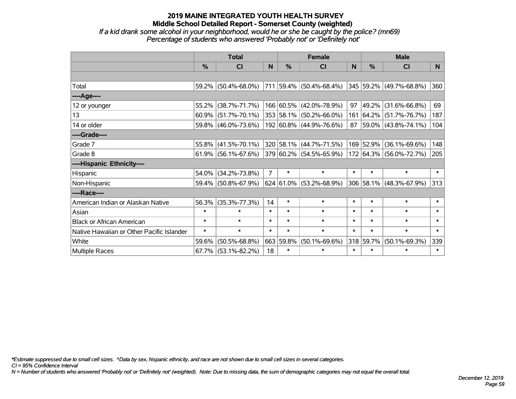# **2019 MAINE INTEGRATED YOUTH HEALTH SURVEY Middle School Detailed Report - Somerset County (weighted)** *If a kid drank some alcohol in your neighborhood, would he or she be caught by the police? (mn69)*

*Percentage of students who answered 'Probably not' or 'Definitely not'*

|                                           | <b>Total</b>  |                        |                |               | <b>Female</b>                      |        | <b>Male</b>   |                              |        |  |
|-------------------------------------------|---------------|------------------------|----------------|---------------|------------------------------------|--------|---------------|------------------------------|--------|--|
|                                           | $\frac{0}{0}$ | <b>CI</b>              | N              | $\frac{0}{0}$ | <b>CI</b>                          | N      | $\frac{0}{0}$ | <b>CI</b>                    | N.     |  |
|                                           |               |                        |                |               |                                    |        |               |                              |        |  |
| Total                                     |               | 59.2% (50.4%-68.0%)    |                |               | $ 711 59.4\% $ (50.4%-68.4%)       |        |               | $ 345 59.2\% $ (49.7%-68.8%) | 360    |  |
| ----Age----                               |               |                        |                |               |                                    |        |               |                              |        |  |
| 12 or younger                             | 55.2%         | $(38.7\% - 71.7\%)$    |                |               | 166 60.5% (42.0%-78.9%)            | 97     | 49.2%         | $(31.6\% - 66.8\%)$          | 69     |  |
| 13                                        | 60.9%         | $(51.7\% - 70.1\%)$    |                |               | 353 58.1% (50.2%-66.0%)            |        |               | 161 64.2% (51.7%-76.7%)      | 187    |  |
| 14 or older                               |               | 59.8% (46.0%-73.6%)    |                |               | 192 60.8% (44.9%-76.6%)            |        |               | 87 59.0% (43.8%-74.1%)       | 104    |  |
| ----Grade----                             |               |                        |                |               |                                    |        |               |                              |        |  |
| Grade 7                                   | $55.8\%$      | $(41.5\% - 70.1\%)$    |                |               | 320 58.1% (44.7%-71.5%)            |        | 169 52.9%     | $(36.1\% - 69.6\%)$          | 148    |  |
| Grade 8                                   |               | $61.9\%$ (56.1%-67.6%) |                |               | $ 379 60.2\% $ (54.5%-65.9%)       |        |               | 172 64.3% (56.0%-72.7%)      | 205    |  |
| ----Hispanic Ethnicity----                |               |                        |                |               |                                    |        |               |                              |        |  |
| Hispanic                                  | 54.0%         | $(34.2\% - 73.8\%)$    | $\overline{7}$ | $\ast$        | $\ast$                             | $\ast$ | $\ast$        | $\ast$                       | $\ast$ |  |
| Non-Hispanic                              |               | 59.4% (50.8%-67.9%)    |                |               | $624   61.0\%   (53.2\% - 68.9\%)$ |        |               | 306 58.1% (48.3%-67.9%)      | 313    |  |
| ----Race----                              |               |                        |                |               |                                    |        |               |                              |        |  |
| American Indian or Alaskan Native         | 56.3%         | $(35.3\% - 77.3\%)$    | 14             | $\ast$        | $\ast$                             | $\ast$ | $\ast$        | $\ast$                       | $\ast$ |  |
| Asian                                     | $\ast$        | $\ast$                 | $\ast$         | $\ast$        | $\ast$                             | $\ast$ | $\ast$        | $\ast$                       | $\ast$ |  |
| <b>Black or African American</b>          | $\ast$        | $\ast$                 | $\ast$         | $\ast$        | $\ast$                             | $\ast$ | $\ast$        | $\ast$                       | $\ast$ |  |
| Native Hawaiian or Other Pacific Islander | $\ast$        | $\ast$                 | $\ast$         | $\ast$        | $\ast$                             | $\ast$ | $\ast$        | $\ast$                       | $\ast$ |  |
| White                                     | 59.6%         | $(50.5\% - 68.8\%)$    | 663            | 59.8%         | $(50.1\% - 69.6\%)$                | 318    | 59.7%         | $(50.1\% - 69.3\%)$          | 339    |  |
| <b>Multiple Races</b>                     |               | $67.7\%$ (53.1%-82.2%) | 18             | $\ast$        | $\ast$                             | $\ast$ | $\ast$        | $\ast$                       | $\ast$ |  |

*\*Estimate suppressed due to small cell sizes. ^Data by sex, hispanic ethnicity, and race are not shown due to small cell sizes in several categories.*

*CI = 95% Confidence Interval*

*N = Number of students who answered 'Probably not' or 'Definitely not' (weighted). Note: Due to missing data, the sum of demographic categories may not equal the overall total.*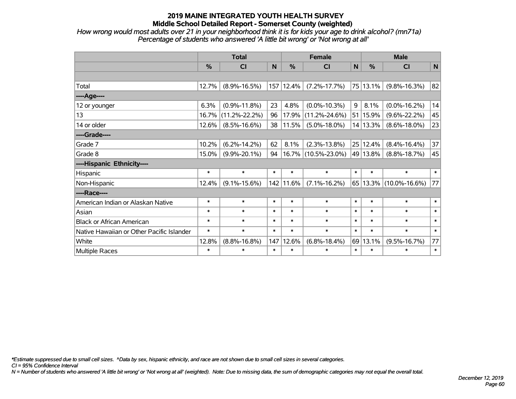*How wrong would most adults over 21 in your neighborhood think it is for kids your age to drink alcohol? (mn71a) Percentage of students who answered 'A little bit wrong' or 'Not wrong at all'*

|                                           | <b>Total</b>  |                     |        |               | <b>Female</b>       | <b>Male</b>  |               |                        |              |
|-------------------------------------------|---------------|---------------------|--------|---------------|---------------------|--------------|---------------|------------------------|--------------|
|                                           | $\frac{0}{0}$ | CI                  | N      | $\frac{0}{0}$ | <b>CI</b>           | $\mathsf{N}$ | $\frac{0}{0}$ | <b>CI</b>              | $\mathsf{N}$ |
|                                           |               |                     |        |               |                     |              |               |                        |              |
| Total                                     | 12.7%         | $(8.9\% - 16.5\%)$  | 157    | 12.4%         | $(7.2\% - 17.7\%)$  |              | 75 13.1%      | $(9.8\% - 16.3\%)$     | 82           |
| ----Age----                               |               |                     |        |               |                     |              |               |                        |              |
| 12 or younger                             | 6.3%          | $(0.9\% - 11.8\%)$  | 23     | 4.8%          | $(0.0\% - 10.3\%)$  | 9            | 8.1%          | $(0.0\% - 16.2\%)$     | 14           |
| 13                                        | 16.7%         | $(11.2\% - 22.2\%)$ | 96     | 17.9%         | $(11.2\% - 24.6\%)$ |              | 51 15.9%      | $(9.6\% - 22.2\%)$     | 45           |
| 14 or older                               | 12.6%         | $(8.5\% - 16.6\%)$  | 38     | 11.5%         | $(5.0\% - 18.0\%)$  |              | 14 13.3%      | $(8.6\% - 18.0\%)$     | 23           |
| ----Grade----                             |               |                     |        |               |                     |              |               |                        |              |
| Grade 7                                   | 10.2%         | $(6.2\% - 14.2\%)$  | 62     | 8.1%          | $(2.3\% - 13.8\%)$  |              | 25 12.4%      | $(8.4\% - 16.4\%)$     | 37           |
| Grade 8                                   | 15.0%         | $(9.9\% - 20.1\%)$  | 94     |               | 16.7% (10.5%-23.0%) |              | 49 13.8%      | $(8.8\% - 18.7\%)$     | 45           |
| ----Hispanic Ethnicity----                |               |                     |        |               |                     |              |               |                        |              |
| Hispanic                                  | $\ast$        | $\ast$              | $\ast$ | $\ast$        | $\ast$              | $\ast$       | $\ast$        | $\ast$                 | $\ast$       |
| Non-Hispanic                              | 12.4%         | $(9.1\% - 15.6\%)$  |        | 142 11.6%     | $(7.1\% - 16.2\%)$  |              |               | 65 13.3% (10.0%-16.6%) | 77           |
| ----Race----                              |               |                     |        |               |                     |              |               |                        |              |
| American Indian or Alaskan Native         | $\ast$        | $\ast$              | $\ast$ | $\ast$        | $\ast$              | $\ast$       | $\ast$        | $\ast$                 | $\ast$       |
| Asian                                     | $\ast$        | $\ast$              | $\ast$ | $\ast$        | $\ast$              | $\ast$       | $\ast$        | $\ast$                 | $\ast$       |
| <b>Black or African American</b>          | $\ast$        | $\ast$              | $\ast$ | $\ast$        | $\ast$              | $\ast$       | $\ast$        | $\ast$                 | $\ast$       |
| Native Hawaiian or Other Pacific Islander | $\ast$        | $\ast$              | $\ast$ | $\ast$        | $\ast$              | $\ast$       | $\ast$        | $\ast$                 | $\ast$       |
| White                                     | 12.8%         | $(8.8\% - 16.8\%)$  | 147    | 12.6%         | $(6.8\% - 18.4\%)$  | 69           | 13.1%         | $(9.5\% - 16.7\%)$     | 77           |
| <b>Multiple Races</b>                     | $\ast$        | $\ast$              | $\ast$ | $\ast$        | $\ast$              | $\ast$       | $\ast$        | $\ast$                 | $\ast$       |

*\*Estimate suppressed due to small cell sizes. ^Data by sex, hispanic ethnicity, and race are not shown due to small cell sizes in several categories.*

*CI = 95% Confidence Interval*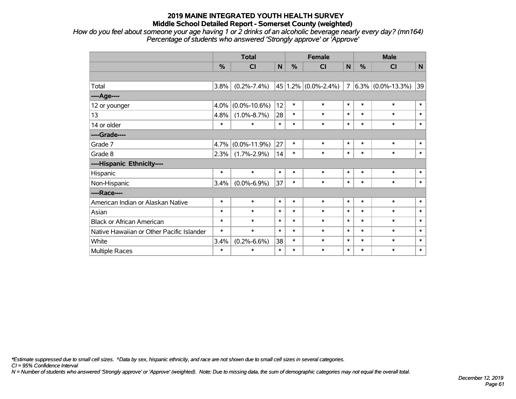*How do you feel about someone your age having 1 or 2 drinks of an alcoholic beverage nearly every day? (mn164) Percentage of students who answered 'Strongly approve' or 'Approve'*

|                                           | <b>Total</b> |                    |              |        | <b>Female</b>               |                | <b>Male</b> |                      |        |  |
|-------------------------------------------|--------------|--------------------|--------------|--------|-----------------------------|----------------|-------------|----------------------|--------|--|
|                                           | %            | <b>CI</b>          | $\mathsf{N}$ | %      | <b>CI</b>                   | N              | %           | <b>CI</b>            | N      |  |
|                                           |              |                    |              |        |                             |                |             |                      |        |  |
| Total                                     | 3.8%         | $(0.2\% - 7.4\%)$  |              |        | 45   1.2% $(0.0\% - 2.4\%)$ | $\overline{7}$ |             | $6.3\%$ (0.0%-13.3%) | 39     |  |
| ----Age----                               |              |                    |              |        |                             |                |             |                      |        |  |
| 12 or younger                             | 4.0%         | $(0.0\% - 10.6\%)$ | 12           | $\ast$ | $\ast$                      | $\ast$         | $\ast$      | $\ast$               | $\ast$ |  |
| 13                                        | 4.8%         | $(1.0\% - 8.7\%)$  | 28           | $\ast$ | $\ast$                      | $\ast$         | $\ast$      | $\ast$               | $\ast$ |  |
| 14 or older                               | $\ast$       | $\ast$             | $\ast$       | $\ast$ | $\ast$                      | $\ast$         | $\ast$      | $\ast$               | $\ast$ |  |
| ----Grade----                             |              |                    |              |        |                             |                |             |                      |        |  |
| Grade 7                                   | 4.7%         | $(0.0\% - 11.9\%)$ | 27           | $\ast$ | $\ast$                      | $\ast$         | $\ast$      | $\ast$               | $\ast$ |  |
| Grade 8                                   | 2.3%         | $(1.7\% - 2.9\%)$  | 14           | $\ast$ | $\ast$                      | $\ast$         | $\ast$      | $\ast$               | $\ast$ |  |
| ----Hispanic Ethnicity----                |              |                    |              |        |                             |                |             |                      |        |  |
| Hispanic                                  | $\ast$       | $\ast$             | $\ast$       | $\ast$ | $\ast$                      | $\ast$         | $\ast$      | $\ast$               | $\ast$ |  |
| Non-Hispanic                              | 3.4%         | $(0.0\% - 6.9\%)$  | 37           | $\ast$ | $\ast$                      | $\ast$         | $\ast$      | $\ast$               | $\ast$ |  |
| ----Race----                              |              |                    |              |        |                             |                |             |                      |        |  |
| American Indian or Alaskan Native         | $\ast$       | $\ast$             | $\ast$       | $\ast$ | $\ast$                      | $\ast$         | $\ast$      | $\ast$               | $\ast$ |  |
| Asian                                     | $\ast$       | $\ast$             | $\ast$       | $\ast$ | $\ast$                      | $\ast$         | $\ast$      | $\ast$               | $\ast$ |  |
| <b>Black or African American</b>          | $\ast$       | $\ast$             | $\ast$       | $\ast$ | $\ast$                      | $\ast$         | $\ast$      | $\ast$               | $\ast$ |  |
| Native Hawaiian or Other Pacific Islander | $\ast$       | $\ast$             | $\ast$       | $\ast$ | $\ast$                      | $\ast$         | $\ast$      | $\ast$               | $\ast$ |  |
| White                                     | 3.4%         | $(0.2\% - 6.6\%)$  | 38           | *      | $\ast$                      | $\ast$         | $\ast$      | $\ast$               | $\ast$ |  |
| Multiple Races                            | $\ast$       | $\ast$             | $\ast$       | $\ast$ | $\ast$                      | $\ast$         | $\ast$      | $\ast$               | $\ast$ |  |

*\*Estimate suppressed due to small cell sizes. ^Data by sex, hispanic ethnicity, and race are not shown due to small cell sizes in several categories.*

*CI = 95% Confidence Interval*

*N = Number of students who answered 'Strongly approve' or 'Approve' (weighted). Note: Due to missing data, the sum of demographic categories may not equal the overall total.*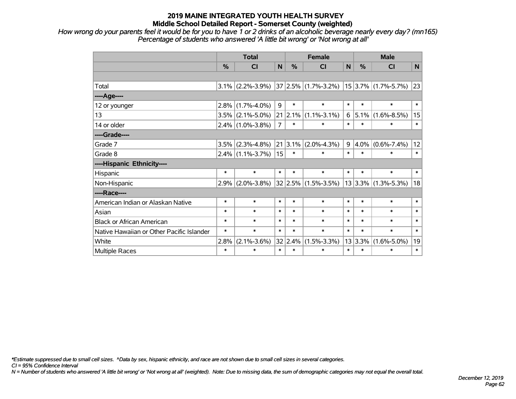*How wrong do your parents feel it would be for you to have 1 or 2 drinks of an alcoholic beverage nearly every day? (mn165) Percentage of students who answered 'A little bit wrong' or 'Not wrong at all'*

|                                           | <b>Total</b> |                     |                |             | <b>Female</b>           |                | <b>Male</b>   |                          |                |  |
|-------------------------------------------|--------------|---------------------|----------------|-------------|-------------------------|----------------|---------------|--------------------------|----------------|--|
|                                           | %            | <b>CI</b>           | N              | %           | CI                      | N              | $\frac{0}{0}$ | <b>CI</b>                | N <sub>1</sub> |  |
|                                           |              |                     |                |             |                         |                |               |                          |                |  |
| Total                                     |              | $3.1\%$ (2.2%-3.9%) |                |             | $37 2.5\% $ (1.7%-3.2%) |                |               | $15$ 3.7% (1.7%-5.7%)    | 23             |  |
| ---- Age----                              |              |                     |                |             |                         |                |               |                          |                |  |
| 12 or younger                             | 2.8%         | $(1.7\% - 4.0\%)$   | 9              | $\ast$      | $\ast$                  | $\ast$         | $\ast$        | $\ast$                   | $\ast$         |  |
| 13                                        |              | $3.5\%$ (2.1%-5.0%) | 21             | 2.1%        | $(1.1\% - 3.1\%)$       | 6              | $5.1\%$       | $(1.6\% - 8.5\%)$        | 15             |  |
| 14 or older                               |              | $2.4\%$ (1.0%-3.8%) | $\overline{7}$ | $\ast$      | $\ast$                  | $\ast$         | $\ast$        | $\ast$                   | $\ast$         |  |
| ----Grade----                             |              |                     |                |             |                         |                |               |                          |                |  |
| Grade 7                                   | 3.5%         | $(2.3\% - 4.8\%)$   |                | $21 3.1\% $ | $(2.0\% - 4.3\%)$       | 9 <sup>°</sup> | $ 4.0\% $     | $(0.6\% - 7.4\%)$        | 12             |  |
| Grade 8                                   |              | $2.4\%$ (1.1%-3.7%) | 15             | $\ast$      | $\ast$                  | $\ast$         | $\ast$        | $\ast$                   | $\ast$         |  |
| ----Hispanic Ethnicity----                |              |                     |                |             |                         |                |               |                          |                |  |
| Hispanic                                  | $\ast$       | $\ast$              | $\ast$         | $\ast$      | $\ast$                  | $\ast$         | $\ast$        | $\ast$                   | $\ast$         |  |
| Non-Hispanic                              | 2.9%         | $(2.0\% - 3.8\%)$   |                |             | $32 2.5\% $ (1.5%-3.5%) |                |               | $ 13 3.3\% $ (1.3%-5.3%) | 18             |  |
| ----Race----                              |              |                     |                |             |                         |                |               |                          |                |  |
| American Indian or Alaskan Native         | $\ast$       | $\ast$              | $\ast$         | $\ast$      | $\ast$                  | $\ast$         | $\ast$        | $\ast$                   | $\ast$         |  |
| Asian                                     | $\ast$       | $\ast$              | $\ast$         | $\ast$      | $\ast$                  | $\ast$         | $\ast$        | $\ast$                   | $\ast$         |  |
| <b>Black or African American</b>          | $\ast$       | $\ast$              | $\ast$         | $\ast$      | $\ast$                  | $\ast$         | $\ast$        | $\ast$                   | $\ast$         |  |
| Native Hawaiian or Other Pacific Islander | $\ast$       | $\ast$              | $\ast$         | $\ast$      | $\ast$                  | $\ast$         | $\ast$        | $\ast$                   | $\ast$         |  |
| White                                     | 2.8%         | $(2.1\% - 3.6\%)$   | 32             | 2.4%        | $(1.5\% - 3.3\%)$       |                | 13 3.3%       | $(1.6\% - 5.0\%)$        | 19             |  |
| Multiple Races                            | $\ast$       | $\ast$              | $\ast$         | $\ast$      | $\ast$                  | $\ast$         | $\ast$        | $\ast$                   | $\ast$         |  |

*\*Estimate suppressed due to small cell sizes. ^Data by sex, hispanic ethnicity, and race are not shown due to small cell sizes in several categories.*

*CI = 95% Confidence Interval*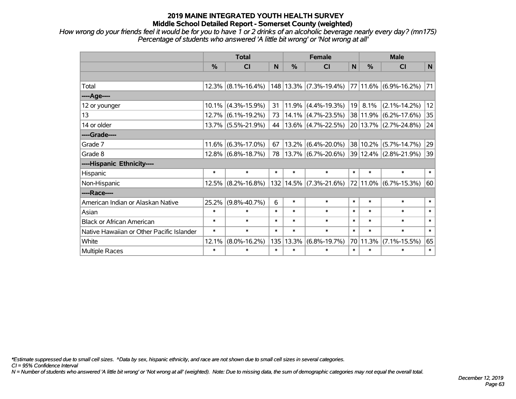*How wrong do your friends feel it would be for you to have 1 or 2 drinks of an alcoholic beverage nearly every day? (mn175) Percentage of students who answered 'A little bit wrong' or 'Not wrong at all'*

|                                           | <b>Total</b> |                       |        |               | <b>Female</b>               |        | <b>Male</b>     |                       |                 |  |
|-------------------------------------------|--------------|-----------------------|--------|---------------|-----------------------------|--------|-----------------|-----------------------|-----------------|--|
|                                           | %            | CI                    | N      | $\frac{0}{0}$ | CI                          | N      | $\frac{0}{0}$   | CI                    | $\mathsf{N}$    |  |
|                                           |              |                       |        |               |                             |        |                 |                       |                 |  |
| Total                                     |              | $12.3\%$ (8.1%-16.4%) |        |               | $ 148 13.3\% $ (7.3%-19.4%) |        |                 | 77 11.6% (6.9%-16.2%) | 71              |  |
| ----Age----                               |              |                       |        |               |                             |        |                 |                       |                 |  |
| 12 or younger                             |              | $10.1\%$ (4.3%-15.9%) | 31     | $ 11.9\% $    | $(4.4\% - 19.3\%)$          |        | $19 \mid 8.1\%$ | $(2.1\% - 14.2\%)$    | 12              |  |
| 13                                        |              | $12.7\%$ (6.1%-19.2%) | 73     | $ 14.1\% $    | $(4.7\% - 23.5\%)$          |        | 38 11.9%        | $(6.2\% - 17.6\%)$    | 35              |  |
| 14 or older                               |              | 13.7% (5.5%-21.9%)    | 44     |               | $ 13.6\% $ (4.7%-22.5%)     |        |                 | 20 13.7% (2.7%-24.8%) | $\overline{24}$ |  |
| ----Grade----                             |              |                       |        |               |                             |        |                 |                       |                 |  |
| Grade 7                                   | 11.6%        | $(6.3\% - 17.0\%)$    | 67     | 13.2%         | $(6.4\% - 20.0\%)$          |        | 38 10.2%        | $(5.7\% - 14.7\%)$    | 29              |  |
| Grade 8                                   |              | $12.8\%$ (6.8%-18.7%) | 78     |               | 13.7%  (6.7%-20.6%)         |        |                 | 39 12.4% (2.8%-21.9%) | 39              |  |
| ----Hispanic Ethnicity----                |              |                       |        |               |                             |        |                 |                       |                 |  |
| Hispanic                                  | $\ast$       | $\ast$                | $\ast$ | $\ast$        | $\ast$                      | $\ast$ | $\ast$          | $\ast$                | $\ast$          |  |
| Non-Hispanic                              |              | $12.5\%$ (8.2%-16.8%) |        |               | $132 14.5\% $ (7.3%-21.6%)  |        | 72 11.0%        | $(6.7\% - 15.3\%)$    | 60              |  |
| ----Race----                              |              |                       |        |               |                             |        |                 |                       |                 |  |
| American Indian or Alaskan Native         | 25.2%        | $(9.8\% - 40.7\%)$    | 6      | $\ast$        | $\ast$                      | $\ast$ | $\ast$          | $\ast$                | $\ast$          |  |
| Asian                                     | $\ast$       | $\ast$                | $\ast$ | $\ast$        | $\ast$                      | $\ast$ | $\ast$          | $\ast$                | $\ast$          |  |
| <b>Black or African American</b>          | $\ast$       | $\ast$                | $\ast$ | $\ast$        | $\ast$                      | $\ast$ | $\ast$          | $\ast$                | $\ast$          |  |
| Native Hawaiian or Other Pacific Islander | $\ast$       | $\ast$                | $\ast$ | $\ast$        | $\ast$                      | $\ast$ | $\ast$          | $\ast$                | $\ast$          |  |
| White                                     | 12.1%        | $(8.0\% - 16.2\%)$    | 135    | 13.3%         | $(6.8\% - 19.7\%)$          |        | 70 11.3%        | $(7.1\% - 15.5\%)$    | 65              |  |
| Multiple Races                            | $\ast$       | $\ast$                | $\ast$ | $\ast$        | $\ast$                      | $\ast$ | $\ast$          | $\ast$                | $\ast$          |  |

*\*Estimate suppressed due to small cell sizes. ^Data by sex, hispanic ethnicity, and race are not shown due to small cell sizes in several categories.*

*CI = 95% Confidence Interval*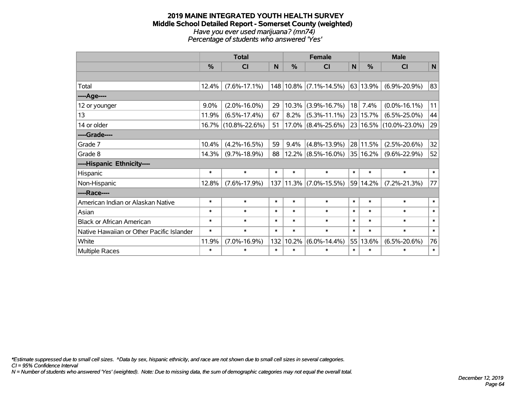#### **2019 MAINE INTEGRATED YOUTH HEALTH SURVEY Middle School Detailed Report - Somerset County (weighted)** *Have you ever used marijuana? (mn74) Percentage of students who answered 'Yes'*

|                                           | <b>Total</b> |                     |        |        | <b>Female</b>          |        | <b>Male</b>   |                        |        |  |
|-------------------------------------------|--------------|---------------------|--------|--------|------------------------|--------|---------------|------------------------|--------|--|
|                                           | %            | <b>CI</b>           | N      | %      | <b>CI</b>              | N      | $\frac{0}{0}$ | <b>CI</b>              | N      |  |
|                                           |              |                     |        |        |                        |        |               |                        |        |  |
| Total                                     | 12.4%        | $(7.6\% - 17.1\%)$  |        |        | 148 10.8% (7.1%-14.5%) |        | 63 13.9%      | $(6.9\% - 20.9\%)$     | 83     |  |
| ----Age----                               |              |                     |        |        |                        |        |               |                        |        |  |
| 12 or younger                             | 9.0%         | $(2.0\% - 16.0\%)$  | 29     | 10.3%  | $(3.9\% - 16.7\%)$     | 18     | 7.4%          | $(0.0\% - 16.1\%)$     | 11     |  |
| 13                                        | 11.9%        | $(6.5\% - 17.4\%)$  | 67     | 8.2%   | $(5.3\% - 11.1\%)$     |        | 23 15.7%      | $(6.5\% - 25.0\%)$     | 44     |  |
| 14 or older                               | $16.7\%$     | $(10.8\% - 22.6\%)$ | 51     |        | $17.0\%$ (8.4%-25.6%)  |        |               | 23 16.5% (10.0%-23.0%) | 29     |  |
| ----Grade----                             |              |                     |        |        |                        |        |               |                        |        |  |
| Grade 7                                   | 10.4%        | $(4.2\% - 16.5\%)$  | 59     | 9.4%   | $(4.8\% - 13.9\%)$     |        | 28 11.5%      | $(2.5\% - 20.6\%)$     | 32     |  |
| Grade 8                                   | 14.3%        | $(9.7\% - 18.9\%)$  | 88     |        | $12.2\%$ (8.5%-16.0%)  |        | 35 16.2%      | $(9.6\% - 22.9\%)$     | 52     |  |
| ----Hispanic Ethnicity----                |              |                     |        |        |                        |        |               |                        |        |  |
| Hispanic                                  | $\ast$       | $\ast$              | $\ast$ | $\ast$ | $\ast$                 | $\ast$ | $\ast$        | $\ast$                 | $\ast$ |  |
| Non-Hispanic                              | 12.8%        | $(7.6\% - 17.9\%)$  |        |        | 137 11.3% (7.0%-15.5%) |        | 59 14.2%      | $(7.2\% - 21.3\%)$     | 77     |  |
| ----Race----                              |              |                     |        |        |                        |        |               |                        |        |  |
| American Indian or Alaskan Native         | $\ast$       | $\ast$              | $\ast$ | $\ast$ | $\ast$                 | $\ast$ | $\ast$        | $\ast$                 | $\ast$ |  |
| Asian                                     | $\ast$       | $\ast$              | $\ast$ | $\ast$ | $\ast$                 | $\ast$ | $\ast$        | $\ast$                 | $\ast$ |  |
| <b>Black or African American</b>          | $\ast$       | $\ast$              | $\ast$ | $\ast$ | $\ast$                 | $\ast$ | $\ast$        | $\ast$                 | $\ast$ |  |
| Native Hawaiian or Other Pacific Islander | $\ast$       | $\ast$              | $\ast$ | $\ast$ | $\ast$                 | $\ast$ | $\ast$        | $\ast$                 | $\ast$ |  |
| White                                     | 11.9%        | $(7.0\% - 16.9\%)$  | 132    | 10.2%  | $(6.0\% - 14.4\%)$     | 55     | 13.6%         | $(6.5\% - 20.6\%)$     | 76     |  |
| <b>Multiple Races</b>                     | $\ast$       | $\ast$              | $\ast$ | $\ast$ | $\ast$                 | $\ast$ | $\ast$        | $\ast$                 | $\ast$ |  |

*\*Estimate suppressed due to small cell sizes. ^Data by sex, hispanic ethnicity, and race are not shown due to small cell sizes in several categories.*

*CI = 95% Confidence Interval*

*N = Number of students who answered 'Yes' (weighted). Note: Due to missing data, the sum of demographic categories may not equal the overall total.*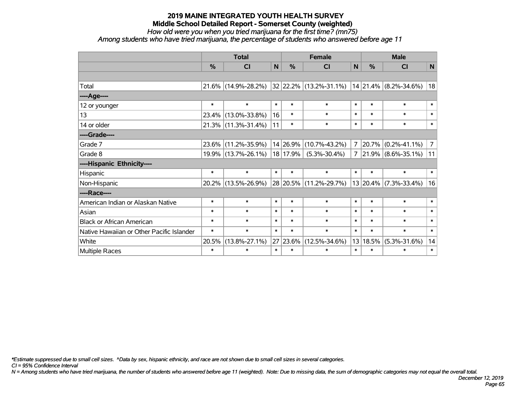*How old were you when you tried marijuana for the first time? (mn75)*

*Among students who have tried marijuana, the percentage of students who answered before age 11*

|                                           | <b>Total</b> |                     |              |          | <b>Female</b>               |              | <b>Male</b>   |                            |                |  |
|-------------------------------------------|--------------|---------------------|--------------|----------|-----------------------------|--------------|---------------|----------------------------|----------------|--|
|                                           | %            | <b>CI</b>           | $\mathsf{N}$ | %        | <b>CI</b>                   | $\mathsf{N}$ | $\frac{0}{0}$ | <b>CI</b>                  | $\mathsf{N}$   |  |
|                                           |              |                     |              |          |                             |              |               |                            |                |  |
| Total                                     |              | 21.6% (14.9%-28.2%) |              |          | $ 32 22.2\% $ (13.2%-31.1%) |              |               | $ 14 21.4\% $ (8.2%-34.6%) | 18             |  |
| ----Age----                               |              |                     |              |          |                             |              |               |                            |                |  |
| 12 or younger                             | $\ast$       | $\ast$              | $\ast$       | $\ast$   | $\ast$                      | $\ast$       | $\ast$        | $\ast$                     | $\ast$         |  |
| 13                                        | 23.4%        | $(13.0\% - 33.8\%)$ | 16           | $\ast$   | $\ast$                      | $\ast$       | $\ast$        | $\ast$                     | $\ast$         |  |
| 14 or older                               |              | 21.3% (11.3%-31.4%) | 11           | $\ast$   | $\ast$                      | $\ast$       | $\ast$        | $\ast$                     | $\ast$         |  |
| ----Grade----                             |              |                     |              |          |                             |              |               |                            |                |  |
| Grade 7                                   | 23.6%        | $(11.2\% - 35.9\%)$ |              | 14 26.9% | $(10.7\% - 43.2\%)$         | 7            | $ 20.7\% $    | $(0.2\% - 41.1\%)$         | $\overline{7}$ |  |
| Grade 8                                   |              | 19.9% (13.7%-26.1%) |              | 18 17.9% | $(5.3\% - 30.4\%)$          | 7            |               | $ 21.9\% $ (8.6%-35.1%)    | 11             |  |
| ----Hispanic Ethnicity----                |              |                     |              |          |                             |              |               |                            |                |  |
| Hispanic                                  | $\ast$       | $\ast$              | $\ast$       | $\ast$   | $\ast$                      | $\ast$       | $\ast$        | $\ast$                     | $\ast$         |  |
| Non-Hispanic                              |              | 20.2% (13.5%-26.9%) |              |          | 28 20.5% (11.2%-29.7%)      |              | 13 20.4%      | $(7.3\% - 33.4\%)$         | 16             |  |
| ----Race----                              |              |                     |              |          |                             |              |               |                            |                |  |
| American Indian or Alaskan Native         | $\ast$       | $\ast$              | $\ast$       | $\ast$   | $\ast$                      | $\ast$       | $\ast$        | $\ast$                     | $\ast$         |  |
| Asian                                     | $\ast$       | $\ast$              | $\ast$       | $\ast$   | $\ast$                      | $\ast$       | $\ast$        | $\ast$                     | $\ast$         |  |
| <b>Black or African American</b>          | $\ast$       | $\ast$              | $\ast$       | $\ast$   | $\ast$                      | $\ast$       | $\ast$        | $\ast$                     | $\ast$         |  |
| Native Hawaiian or Other Pacific Islander | $\ast$       | $\ast$              | $\ast$       | $\ast$   | $\ast$                      | $\ast$       | $\ast$        | $\ast$                     | $\ast$         |  |
| White                                     | 20.5%        | $(13.8\% - 27.1\%)$ | 27           | 23.6%    | $(12.5\% - 34.6\%)$         |              | 13 18.5%      | $(5.3\% - 31.6\%)$         | 14             |  |
| Multiple Races                            | $\ast$       | $\ast$              | $\ast$       | $\ast$   | $\ast$                      | $\ast$       | $\ast$        | $\ast$                     | $\ast$         |  |

*\*Estimate suppressed due to small cell sizes. ^Data by sex, hispanic ethnicity, and race are not shown due to small cell sizes in several categories.*

*CI = 95% Confidence Interval*

*N = Among students who have tried marijuana, the number of students who answered before age 11 (weighted). Note: Due to missing data, the sum of demographic categories may not equal the overall total.*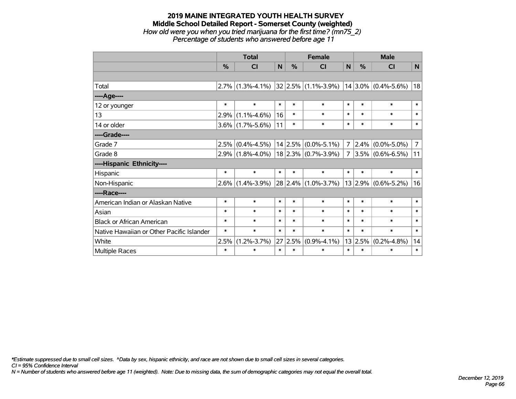#### **2019 MAINE INTEGRATED YOUTH HEALTH SURVEY Middle School Detailed Report - Somerset County (weighted)** *How old were you when you tried marijuana for the first time? (mn75\_2) Percentage of students who answered before age 11*

|                                           | <b>Total</b> |                                         |             |         | <b>Female</b>            |                | <b>Male</b> |                         |                |  |
|-------------------------------------------|--------------|-----------------------------------------|-------------|---------|--------------------------|----------------|-------------|-------------------------|----------------|--|
|                                           | %            | <b>CI</b>                               | $\mathbf N$ | %       | <b>CI</b>                | N              | %           | <b>CI</b>               | N              |  |
|                                           |              |                                         |             |         |                          |                |             |                         |                |  |
| Total                                     |              | $2.7\%$ (1.3%-4.1%) 32 2.5% (1.1%-3.9%) |             |         |                          |                |             | $14 3.0\% $ (0.4%-5.6%) | 18             |  |
| ----Age----                               |              |                                         |             |         |                          |                |             |                         |                |  |
| 12 or younger                             | $\ast$       | $\ast$                                  | $\ast$      | $\ast$  | $\ast$                   | $\ast$         | $\ast$      | $\ast$                  | $\ast$         |  |
| 13                                        | 2.9%         | $(1.1\% - 4.6\%)$                       | 16          | $\ast$  | $\ast$                   | $\ast$         | $\ast$      | $\ast$                  | $\ast$         |  |
| 14 or older                               |              | $3.6\%$ (1.7%-5.6%)                     | 11          | $\ast$  | $\ast$                   | $\ast$         | $\ast$      | $\ast$                  | $\ast$         |  |
| ----Grade----                             |              |                                         |             |         |                          |                |             |                         |                |  |
| Grade 7                                   | 2.5%         | $(0.4\% - 4.5\%)$                       |             | 14 2.5% | $(0.0\% - 5.1\%)$        | $\overline{7}$ | 2.4%        | $(0.0\% - 5.0\%)$       | $\overline{7}$ |  |
| Grade 8                                   |              | $2.9\%$ (1.8%-4.0%)                     |             |         | $ 18 2.3\% $ (0.7%-3.9%) | $\overline{7}$ |             | $3.5\%$ (0.6%-6.5%)     | 11             |  |
| ----Hispanic Ethnicity----                |              |                                         |             |         |                          |                |             |                         |                |  |
| Hispanic                                  | $\ast$       | $\ast$                                  | $\ast$      | $\ast$  | $\ast$                   | $\ast$         | $\ast$      | $\ast$                  | $\ast$         |  |
| Non-Hispanic                              | $2.6\%$      | $(1.4\% - 3.9\%)$                       |             |         | 28 2.4% (1.0%-3.7%)      |                |             | $13 2.9\% $ (0.6%-5.2%) | 16             |  |
| ----Race----                              |              |                                         |             |         |                          |                |             |                         |                |  |
| American Indian or Alaskan Native         | $\ast$       | $\ast$                                  | $\ast$      | $\ast$  | $\ast$                   | $\ast$         | $\ast$      | $\ast$                  | $\ast$         |  |
| Asian                                     | $\ast$       | $\ast$                                  | $\ast$      | $\ast$  | $\ast$                   | $\ast$         | $\ast$      | $\ast$                  | $\ast$         |  |
| <b>Black or African American</b>          | $\ast$       | $\ast$                                  | $\ast$      | $\ast$  | $\ast$                   | $\ast$         | $\ast$      | $\ast$                  | $\ast$         |  |
| Native Hawaiian or Other Pacific Islander | $\ast$       | $\ast$                                  | $\ast$      | $\ast$  | $\ast$                   | $\ast$         | $\ast$      | $\ast$                  | $\ast$         |  |
| White                                     | 2.5%         | $(1.2\% - 3.7\%)$                       | 27          | 2.5%    | $(0.9\% - 4.1\%)$        |                | 13 2.5%     | $(0.2\% - 4.8\%)$       | 14             |  |
| Multiple Races                            | $\ast$       | $\ast$                                  | $\ast$      | $\ast$  | $\ast$                   | $\ast$         | $\ast$      | $\ast$                  | $\ast$         |  |

*\*Estimate suppressed due to small cell sizes. ^Data by sex, hispanic ethnicity, and race are not shown due to small cell sizes in several categories.*

*CI = 95% Confidence Interval*

*N = Number of students who answered before age 11 (weighted). Note: Due to missing data, the sum of demographic categories may not equal the overall total.*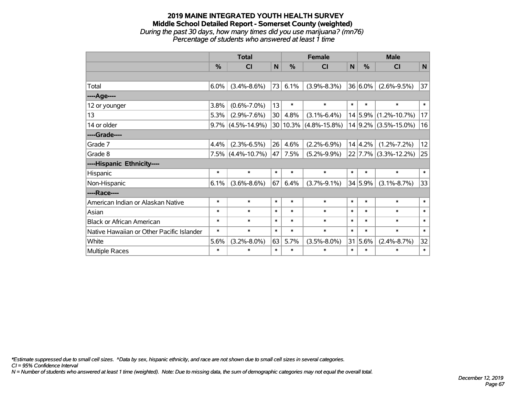#### **2019 MAINE INTEGRATED YOUTH HEALTH SURVEY Middle School Detailed Report - Somerset County (weighted)** *During the past 30 days, how many times did you use marijuana? (mn76) Percentage of students who answered at least 1 time*

|                                           | <b>Total</b> |                      |        | <b>Female</b> |                    |        | <b>Male</b> |                            |        |  |
|-------------------------------------------|--------------|----------------------|--------|---------------|--------------------|--------|-------------|----------------------------|--------|--|
|                                           | %            | <b>CI</b>            | N      | $\%$          | <b>CI</b>          | N      | $\%$        | <b>CI</b>                  | N      |  |
|                                           |              |                      |        |               |                    |        |             |                            |        |  |
| Total                                     | $6.0\%$      | $(3.4\% - 8.6\%)$    |        | 73 6.1%       | $(3.9\% - 8.3\%)$  |        | 36 6.0%     | $(2.6\% - 9.5\%)$          | 37     |  |
| ---- Age----                              |              |                      |        |               |                    |        |             |                            |        |  |
| 12 or younger                             | 3.8%         | $(0.6\% - 7.0\%)$    | 13     | $\ast$        | $\ast$             | $\ast$ | $\ast$      | $\ast$                     | $\ast$ |  |
| 13                                        | 5.3%         | $(2.9\% - 7.6\%)$    | 30     | 4.8%          | $(3.1\% - 6.4\%)$  |        |             | 14 5.9% (1.2%-10.7%)       | 17     |  |
| 14 or older                               | $9.7\%$      | $(4.5\% - 14.9\%)$   |        | 30 10.3%      | $(4.8\% - 15.8\%)$ |        |             | $14$   9.2%   (3.5%-15.0%) | 16     |  |
| ----Grade----                             |              |                      |        |               |                    |        |             |                            |        |  |
| Grade 7                                   | 4.4%         | $(2.3\% - 6.5\%)$    | 26     | 4.6%          | $(2.2\% - 6.9\%)$  |        | 14 4.2%     | $(1.2\% - 7.2\%)$          | 12     |  |
| Grade 8                                   |              | $7.5\%$ (4.4%-10.7%) | 47     | 7.5%          | $(5.2\% - 9.9\%)$  |        |             | $22$ 7.7% (3.3%-12.2%)     | 25     |  |
| ----Hispanic Ethnicity----                |              |                      |        |               |                    |        |             |                            |        |  |
| Hispanic                                  | $\ast$       | $\ast$               | $\ast$ | $\ast$        | $\ast$             | $\ast$ | $\ast$      | $\ast$                     | $\ast$ |  |
| Non-Hispanic                              | 6.1%         | $(3.6\% - 8.6\%)$    | 67     | 6.4%          | $(3.7\% - 9.1\%)$  |        | 34 5.9%     | $(3.1\% - 8.7\%)$          | 33     |  |
| ----Race----                              |              |                      |        |               |                    |        |             |                            |        |  |
| American Indian or Alaskan Native         | $\ast$       | $\ast$               | $\ast$ | $\ast$        | $\ast$             | $\ast$ | $\ast$      | $\ast$                     | $\ast$ |  |
| Asian                                     | $\ast$       | $\ast$               | $\ast$ | $\ast$        | $\ast$             | $\ast$ | $\ast$      | $\ast$                     | $\ast$ |  |
| <b>Black or African American</b>          | $\ast$       | $\ast$               | $\ast$ | $\ast$        | $\ast$             | $\ast$ | $\ast$      | $\ast$                     | $\ast$ |  |
| Native Hawaiian or Other Pacific Islander | $\ast$       | $\ast$               | $\ast$ | $\ast$        | $\ast$             | $\ast$ | $\ast$      | $\ast$                     | $\ast$ |  |
| White                                     | 5.6%         | $(3.2\% - 8.0\%)$    | 63     | 5.7%          | $(3.5\% - 8.0\%)$  |        | 31 5.6%     | $(2.4\% - 8.7\%)$          | 32     |  |
| Multiple Races                            | $\ast$       | $\ast$               | $\ast$ | $\ast$        | $\ast$             | $\ast$ | $\ast$      | $\ast$                     | $\ast$ |  |

*\*Estimate suppressed due to small cell sizes. ^Data by sex, hispanic ethnicity, and race are not shown due to small cell sizes in several categories.*

*CI = 95% Confidence Interval*

*N = Number of students who answered at least 1 time (weighted). Note: Due to missing data, the sum of demographic categories may not equal the overall total.*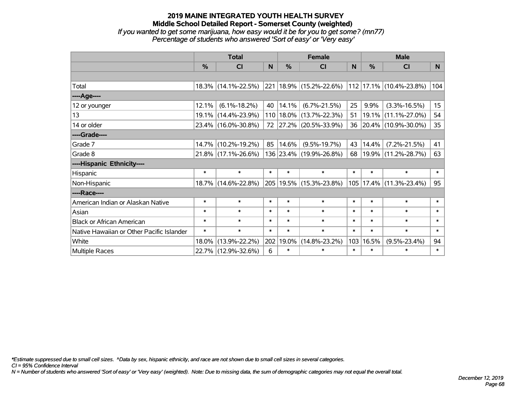# **2019 MAINE INTEGRATED YOUTH HEALTH SURVEY Middle School Detailed Report - Somerset County (weighted)** *If you wanted to get some marijuana, how easy would it be for you to get some? (mn77)*

|                                                                   |  | a matematica de la construcción de la construcción de la construcción de la construcción de la construcción de |  |  |
|-------------------------------------------------------------------|--|----------------------------------------------------------------------------------------------------------------|--|--|
| Percentage of students who answered 'Sort of easy' or 'Very easy' |  |                                                                                                                |  |  |

|                                           | <b>Total</b>  |                        |        | <b>Female</b> | <b>Male</b>                 |        |        |                         |                  |
|-------------------------------------------|---------------|------------------------|--------|---------------|-----------------------------|--------|--------|-------------------------|------------------|
|                                           | $\frac{0}{0}$ | CI                     | N      | $\frac{9}{6}$ | C <sub>l</sub>              | N      | %      | <b>CI</b>               | N.               |
|                                           |               |                        |        |               |                             |        |        |                         |                  |
| Total                                     |               | $18.3\%$ (14.1%-22.5%) |        |               | 221 18.9% (15.2%-22.6%)     |        |        | 112 17.1% (10.4%-23.8%) | 104              |
| ----Age----                               |               |                        |        |               |                             |        |        |                         |                  |
| 12 or younger                             | 12.1%         | $(6.1\% - 18.2\%)$     | 40     | 14.1%         | $(6.7\% - 21.5\%)$          | 25     | 9.9%   | $(3.3\% - 16.5\%)$      | 15 <sub>15</sub> |
| 13                                        |               | 19.1% (14.4%-23.9%)    |        |               | 110   18.0%   (13.7%-22.3%) | 51     | 19.1%  | $(11.1\% - 27.0\%)$     | 54               |
| 14 or older                               |               | 23.4% (16.0%-30.8%)    |        |               | 72 27.2% (20.5%-33.9%)      |        |        | 36 20.4% (10.9%-30.0%)  | 35 <sub>2</sub>  |
| ----Grade----                             |               |                        |        |               |                             |        |        |                         |                  |
| Grade 7                                   |               | 14.7% (10.2%-19.2%)    | 85     | 14.6%         | $(9.5\% - 19.7\%)$          | 43     | 14.4%  | $(7.2\% - 21.5\%)$      | 41               |
| Grade 8                                   |               | $21.8\%$ (17.1%-26.6%) |        |               | 136 23.4% (19.9%-26.8%)     | 68     |        | 19.9% (11.2%-28.7%)     | 63               |
| ----Hispanic Ethnicity----                |               |                        |        |               |                             |        |        |                         |                  |
| Hispanic                                  | $\ast$        | $\ast$                 | $\ast$ | $\ast$        | $\ast$                      | $\ast$ | $\ast$ | $\ast$                  | $\ast$           |
| Non-Hispanic                              |               | 18.7% (14.6%-22.8%)    |        |               | 205 19.5% (15.3%-23.8%)     |        |        | 105 17.4% (11.3%-23.4%) | 95               |
| ----Race----                              |               |                        |        |               |                             |        |        |                         |                  |
| American Indian or Alaskan Native         | $\ast$        | $\ast$                 | $\ast$ | $\ast$        | $\ast$                      | $\ast$ | $\ast$ | $\ast$                  | $\ast$           |
| Asian                                     | $\ast$        | $\ast$                 | $\ast$ | $\ast$        | $\ast$                      | $\ast$ | $\ast$ | $\ast$                  | $\ast$           |
| <b>Black or African American</b>          | $\ast$        | $\ast$                 | $\ast$ | $\ast$        | $\ast$                      | $\ast$ | $\ast$ | $\ast$                  | $\ast$           |
| Native Hawaiian or Other Pacific Islander | $\ast$        | $\ast$                 | $\ast$ | $\ast$        | $\ast$                      | $\ast$ | $\ast$ | $\ast$                  | $\ast$           |
| White                                     | 18.0%         | $(13.9\% - 22.2\%)$    |        | 202 19.0%     | $(14.8\% - 23.2\%)$         | 103    | 16.5%  | $(9.5\% - 23.4\%)$      | 94               |
| Multiple Races                            |               | 22.7% (12.9%-32.6%)    | 6      | $\ast$        | $\ast$                      | $\ast$ | $\ast$ | $\ast$                  | $\ast$           |

*\*Estimate suppressed due to small cell sizes. ^Data by sex, hispanic ethnicity, and race are not shown due to small cell sizes in several categories.*

*CI = 95% Confidence Interval*

*N = Number of students who answered 'Sort of easy' or 'Very easy' (weighted). Note: Due to missing data, the sum of demographic categories may not equal the overall total.*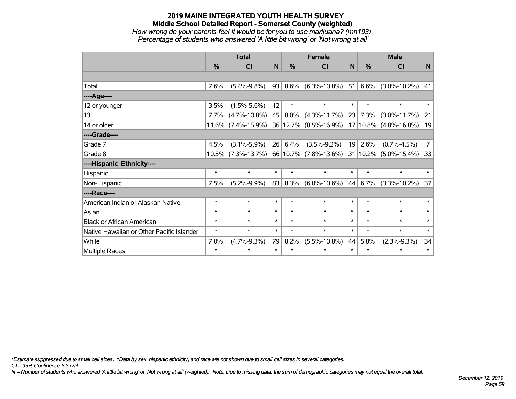# **2019 MAINE INTEGRATED YOUTH HEALTH SURVEY Middle School Detailed Report - Somerset County (weighted)** *How wrong do your parents feel it would be for you to use marijuana? (mn193) Percentage of students who answered 'A little bit wrong' or 'Not wrong at all'*

|                                           | <b>Total</b> |                       |        | <b>Female</b> |                    |        | <b>Male</b>   |                    |                |  |
|-------------------------------------------|--------------|-----------------------|--------|---------------|--------------------|--------|---------------|--------------------|----------------|--|
|                                           | %            | <b>CI</b>             | N      | %             | <b>CI</b>          | N      | $\frac{0}{0}$ | <b>CI</b>          | N              |  |
|                                           |              |                       |        |               |                    |        |               |                    |                |  |
| Total                                     | 7.6%         | $(5.4\% - 9.8\%)$     | 93     | 8.6%          | $(6.3\% - 10.8\%)$ | 51     | 6.6%          | $(3.0\% - 10.2\%)$ | 41             |  |
| ---- Age----                              |              |                       |        |               |                    |        |               |                    |                |  |
| 12 or younger                             | 3.5%         | $(1.5\% - 5.6\%)$     | 12     | $\ast$        | $\ast$             | $\ast$ | $\ast$        | $\ast$             | $\ast$         |  |
| 13                                        | 7.7%         | $(4.7\% - 10.8\%)$    | 45     | $8.0\%$       | $(4.3\% - 11.7\%)$ | 23     | 7.3%          | $(3.0\% - 11.7\%)$ | 21             |  |
| 14 or older                               |              | $11.6\%$ (7.4%-15.9%) |        | 36 12.7%      | $(8.5\% - 16.9\%)$ |        | 17 10.8%      | $(4.8\% - 16.8\%)$ | 19             |  |
| ----Grade----                             |              |                       |        |               |                    |        |               |                    |                |  |
| Grade 7                                   | 4.5%         | $(3.1\% - 5.9\%)$     | 26     | 6.4%          | $(3.5\% - 9.2\%)$  | 19     | 2.6%          | $(0.7\% - 4.5\%)$  | $\overline{7}$ |  |
| Grade 8                                   |              | $10.5\%$ (7.3%-13.7%) |        | 66 10.7%      | $(7.8\% - 13.6\%)$ |        | 31 10.2%      | $(5.0\% - 15.4\%)$ | 33             |  |
| ----Hispanic Ethnicity----                |              |                       |        |               |                    |        |               |                    |                |  |
| Hispanic                                  | $\ast$       | $\ast$                | $\ast$ | $\ast$        | $\ast$             | $\ast$ | $\ast$        | $\ast$             | $\ast$         |  |
| Non-Hispanic                              | 7.5%         | $(5.2\% - 9.9\%)$     | 83     | 8.3%          | $(6.0\% - 10.6\%)$ | 44     | 6.7%          | $(3.3\% - 10.2\%)$ | 37             |  |
| ----Race----                              |              |                       |        |               |                    |        |               |                    |                |  |
| American Indian or Alaskan Native         | $\ast$       | $\ast$                | $\ast$ | $\ast$        | $\ast$             | $\ast$ | $\ast$        | $\ast$             | $\ast$         |  |
| Asian                                     | $\ast$       | $\ast$                | $\ast$ | $\ast$        | $\ast$             | $\ast$ | $\ast$        | $\ast$             | $\ast$         |  |
| <b>Black or African American</b>          | $\ast$       | $\ast$                | $\ast$ | $\ast$        | $\ast$             | $\ast$ | $\ast$        | $\ast$             | $\ast$         |  |
| Native Hawaiian or Other Pacific Islander | $\ast$       | $\ast$                | $\ast$ | $\ast$        | $\ast$             | $\ast$ | $\ast$        | $\ast$             | $\ast$         |  |
| White                                     | 7.0%         | $(4.7\% - 9.3\%)$     | 79     | 8.2%          | $(5.5\% - 10.8\%)$ | 44     | 5.8%          | $(2.3\% - 9.3\%)$  | 34             |  |
| <b>Multiple Races</b>                     | $\ast$       | $\ast$                | $\ast$ | $\ast$        | $\ast$             | $\ast$ | $\ast$        | $\ast$             | $\ast$         |  |

*\*Estimate suppressed due to small cell sizes. ^Data by sex, hispanic ethnicity, and race are not shown due to small cell sizes in several categories.*

*CI = 95% Confidence Interval*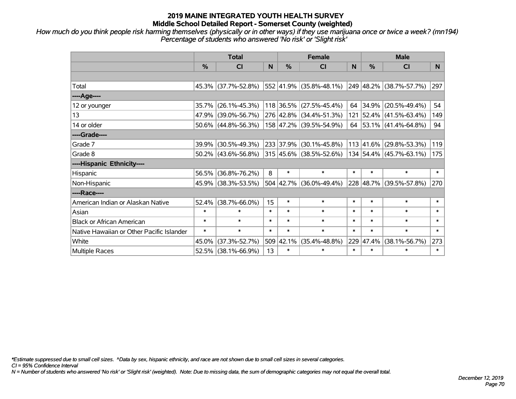*How much do you think people risk harming themselves (physically or in other ways) if they use marijuana once or twice a week? (mn194) Percentage of students who answered 'No risk' or 'Slight risk'*

|                                           | <b>Total</b>  |                                                |        | <b>Female</b> |                         | <b>Male</b> |               |                                  |        |
|-------------------------------------------|---------------|------------------------------------------------|--------|---------------|-------------------------|-------------|---------------|----------------------------------|--------|
|                                           | $\frac{0}{0}$ | <b>CI</b>                                      | N      | $\frac{9}{6}$ | <b>CI</b>               | N           | $\frac{0}{0}$ | <b>CI</b>                        | N.     |
|                                           |               |                                                |        |               |                         |             |               |                                  |        |
| Total                                     |               | 45.3% (37.7%-52.8%)                            |        |               | 552 41.9% (35.8%-48.1%) |             |               | 249 48.2% (38.7%-57.7%)          | 297    |
| ----Age----                               |               |                                                |        |               |                         |             |               |                                  |        |
| 12 or younger                             | 35.7%         | $(26.1\% - 45.3\%)$                            |        |               | 118 36.5% (27.5%-45.4%) | 64          | 34.9%         | $(20.5\% - 49.4\%)$              | 54     |
| 13                                        |               | 47.9% (39.0%-56.7%)                            |        |               | 276 42.8% (34.4%-51.3%) |             |               | 121 52.4% (41.5%-63.4%)          | 149    |
| 14 or older                               |               | $50.6\%$ (44.8%-56.3%)                         |        |               | 158 47.2% (39.5%-54.9%) |             |               | 64   53.1%   $(41.4\% - 64.8\%)$ | 94     |
| ----Grade----                             |               |                                                |        |               |                         |             |               |                                  |        |
| Grade 7                                   | 39.9%         | $(30.5\% - 49.3\%)$                            |        |               | 233 37.9% (30.1%-45.8%) |             | 113 41.6%     | $(29.8\% - 53.3\%)$              | 119    |
| Grade 8                                   |               | $50.2\%$ (43.6%-56.8%) 315 45.6% (38.5%-52.6%) |        |               |                         |             |               | 134 54.4% (45.7%-63.1%)          | 175    |
| ----Hispanic Ethnicity----                |               |                                                |        |               |                         |             |               |                                  |        |
| Hispanic                                  | 56.5%         | $(36.8\% - 76.2\%)$                            | 8      | $\ast$        | $\ast$                  | $\ast$      | $\ast$        | $\ast$                           | $\ast$ |
| Non-Hispanic                              |               | 45.9% (38.3%-53.5%)                            |        |               | 504 42.7% (36.0%-49.4%) |             | 228 48.7%     | $(39.5\% - 57.8\%)$              | 270    |
| ----Race----                              |               |                                                |        |               |                         |             |               |                                  |        |
| American Indian or Alaskan Native         | 52.4%         | $(38.7\% - 66.0\%)$                            | 15     | $\ast$        | $\ast$                  | $\ast$      | $\ast$        | $\ast$                           | $\ast$ |
| Asian                                     | $\ast$        | $\ast$                                         | $\ast$ | $\ast$        | $\ast$                  | $\ast$      | $\ast$        | $\ast$                           | $\ast$ |
| <b>Black or African American</b>          | $\ast$        | $\ast$                                         | $\ast$ | $\ast$        | $\ast$                  | $\ast$      | $\ast$        | $\ast$                           | $\ast$ |
| Native Hawaiian or Other Pacific Islander | $\ast$        | $\ast$                                         | $\ast$ | $\ast$        | $\ast$                  | $\ast$      | $\ast$        | $\ast$                           | $\ast$ |
| White                                     | 45.0%         | $(37.3\% - 52.7\%)$                            | 509    | 42.1%         | $(35.4\% - 48.8\%)$     | 229         | 47.4%         | $(38.1\% - 56.7\%)$              | 273    |
| Multiple Races                            |               | 52.5% (38.1%-66.9%)                            | 13     | $\ast$        | $\ast$                  | $\ast$      | $\ast$        | $\ast$                           | $\ast$ |

*\*Estimate suppressed due to small cell sizes. ^Data by sex, hispanic ethnicity, and race are not shown due to small cell sizes in several categories.*

*CI = 95% Confidence Interval*

*N = Number of students who answered 'No risk' or 'Slight risk' (weighted). Note: Due to missing data, the sum of demographic categories may not equal the overall total.*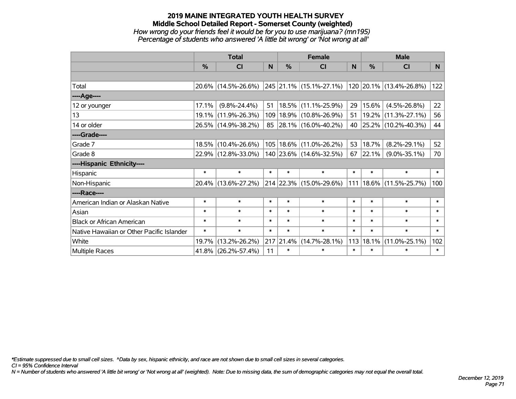# **2019 MAINE INTEGRATED YOUTH HEALTH SURVEY Middle School Detailed Report - Somerset County (weighted)** *How wrong do your friends feel it would be for you to use marijuana? (mn195) Percentage of students who answered 'A little bit wrong' or 'Not wrong at all'*

|                                           | <b>Total</b>  |                     |        |               | <b>Female</b>               |        | <b>Male</b>   |                         |                |  |
|-------------------------------------------|---------------|---------------------|--------|---------------|-----------------------------|--------|---------------|-------------------------|----------------|--|
|                                           | $\frac{0}{0}$ | CI                  | N      | $\frac{0}{0}$ | <b>CI</b>                   | N      | $\frac{0}{0}$ | <b>CI</b>               | N <sub>1</sub> |  |
|                                           |               |                     |        |               |                             |        |               |                         |                |  |
| Total                                     |               | 20.6% (14.5%-26.6%) |        |               | 245 21.1% (15.1%-27.1%)     |        |               | 120 20.1% (13.4%-26.8%) | 122            |  |
| ----Age----                               |               |                     |        |               |                             |        |               |                         |                |  |
| 12 or younger                             | 17.1%         | $(9.8\% - 24.4\%)$  | 51     |               | $18.5\%$ (11.1%-25.9%)      | 29     | 15.6%         | $(4.5\% - 26.8\%)$      | 22             |  |
| 13                                        | 19.1%         | $(11.9\% - 26.3\%)$ |        |               | 109   18.9%   (10.8%-26.9%) | 51     |               | 19.2% (11.3%-27.1%)     | 56             |  |
| 14 or older                               |               | 26.5% (14.9%-38.2%) |        |               | 85 28.1% (16.0%-40.2%)      | 40     |               | 25.2% (10.2%-40.3%)     | 44             |  |
| ----Grade----                             |               |                     |        |               |                             |        |               |                         |                |  |
| Grade 7                                   | $18.5\%$      | $(10.4\% - 26.6\%)$ |        |               | 105 18.6% (11.0%-26.2%)     | 53     | 18.7%         | $(8.2\% - 29.1\%)$      | 52             |  |
| Grade 8                                   |               | 22.9% (12.8%-33.0%) |        |               | $140$ 23.6% (14.6%-32.5%)   | 67     | 22.1%         | $(9.0\% - 35.1\%)$      | 70             |  |
| ----Hispanic Ethnicity----                |               |                     |        |               |                             |        |               |                         |                |  |
| Hispanic                                  | $\ast$        | $\ast$              | $\ast$ | $\ast$        | $\ast$                      | $\ast$ | $\ast$        | $\ast$                  | $\ast$         |  |
| Non-Hispanic                              |               | 20.4% (13.6%-27.2%) |        |               | 214 22.3% (15.0%-29.6%)     | 111    |               | 18.6% (11.5%-25.7%)     | 100            |  |
| ----Race----                              |               |                     |        |               |                             |        |               |                         |                |  |
| American Indian or Alaskan Native         | $\ast$        | $\ast$              | $\ast$ | $\ast$        | $\ast$                      | $\ast$ | $\ast$        | $\ast$                  | $\ast$         |  |
| Asian                                     | $\ast$        | $\ast$              | $\ast$ | $\ast$        | $\ast$                      | $\ast$ | $\ast$        | $\ast$                  | $\ast$         |  |
| <b>Black or African American</b>          | $\ast$        | $\ast$              | $\ast$ | $\ast$        | $\ast$                      | $\ast$ | $\ast$        | $\ast$                  | $\ast$         |  |
| Native Hawaiian or Other Pacific Islander | $\ast$        | $\ast$              | $\ast$ | $\ast$        | $\ast$                      | $\ast$ | $\ast$        | $\ast$                  | $\ast$         |  |
| White                                     | 19.7%         | $(13.2\% - 26.2\%)$ | 217    | 21.4%         | $(14.7\% - 28.1\%)$         | 113    | 18.1%         | $(11.0\% - 25.1\%)$     | 102            |  |
| <b>Multiple Races</b>                     |               | 41.8% (26.2%-57.4%) | 11     | $\ast$        | $\ast$                      | $\ast$ | $\ast$        | $\ast$                  | $\ast$         |  |

*\*Estimate suppressed due to small cell sizes. ^Data by sex, hispanic ethnicity, and race are not shown due to small cell sizes in several categories.*

*CI = 95% Confidence Interval*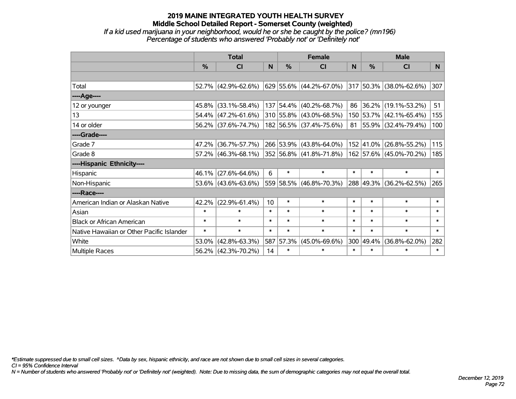# **2019 MAINE INTEGRATED YOUTH HEALTH SURVEY Middle School Detailed Report - Somerset County (weighted)** *If a kid used marijuana in your neighborhood, would he or she be caught by the police? (mn196) Percentage of students who answered 'Probably not' or 'Definitely not'*

|                                           | <b>Total</b> |                        |        | <b>Female</b> |                             |        | <b>Male</b> |                              |        |
|-------------------------------------------|--------------|------------------------|--------|---------------|-----------------------------|--------|-------------|------------------------------|--------|
|                                           | $\%$         | <b>CI</b>              | N      | $\%$          | <b>CI</b>                   | N      | $\%$        | <b>CI</b>                    | N.     |
|                                           |              |                        |        |               |                             |        |             |                              |        |
| Total                                     |              | 52.7% (42.9%-62.6%)    |        |               | 629   55.6%   (44.2%-67.0%) |        |             | $ 317 50.3\% $ (38.0%-62.6%) | 307    |
| ----Age----                               |              |                        |        |               |                             |        |             |                              |        |
| 12 or younger                             | 45.8%        | $(33.1\% - 58.4\%)$    |        |               | 137 54.4% (40.2%-68.7%)     | 86     | $36.2\%$    | $(19.1\% - 53.2\%)$          | 51     |
| 13                                        |              | 54.4% (47.2%-61.6%)    |        |               | 310 55.8% (43.0%-68.5%)     |        |             | 150 53.7% (42.1%-65.4%)      | 155    |
| 14 or older                               |              | 56.2% (37.6%-74.7%)    |        |               | 182 56.5% (37.4%-75.6%)     |        |             | 81 55.9% (32.4%-79.4%)       | 100    |
| ----Grade----                             |              |                        |        |               |                             |        |             |                              |        |
| Grade 7                                   | 47.2%        | $(36.7\% - 57.7\%)$    |        |               | 266 53.9% (43.8%-64.0%)     |        | 152 41.0%   | $(26.8\% - 55.2\%)$          | 115    |
| Grade 8                                   |              | $57.2\%$ (46.3%-68.1%) |        |               | 352 56.8% (41.8%-71.8%)     |        |             | 162 57.6% (45.0%-70.2%)      | 185    |
| ----Hispanic Ethnicity----                |              |                        |        |               |                             |        |             |                              |        |
| Hispanic                                  | $46.1\%$     | $(27.6\% - 64.6\%)$    | 6      | $\ast$        | $\ast$                      | $\ast$ | $\ast$      | $\ast$                       | $\ast$ |
| Non-Hispanic                              |              | $53.6\%$ (43.6%-63.6%) |        |               | 559 58.5% (46.8%-70.3%)     |        |             | 288 49.3% (36.2%-62.5%)      | 265    |
| ----Race----                              |              |                        |        |               |                             |        |             |                              |        |
| American Indian or Alaskan Native         | 42.2%        | $(22.9\% - 61.4\%)$    | 10     | $\ast$        | $\ast$                      | $\ast$ | $\ast$      | $\ast$                       | $\ast$ |
| Asian                                     | $\ast$       | $\ast$                 | $\ast$ | $\ast$        | $\ast$                      | $\ast$ | $\ast$      | $\ast$                       | $\ast$ |
| <b>Black or African American</b>          | $\ast$       | $\ast$                 | $\ast$ | $\ast$        | $\ast$                      | $\ast$ | $\ast$      | $\ast$                       | $\ast$ |
| Native Hawaiian or Other Pacific Islander | $\ast$       | $\ast$                 | $\ast$ | $\ast$        | $\ast$                      | $\ast$ | $\ast$      | $\ast$                       | $\ast$ |
| White                                     | 53.0%        | $(42.8\% - 63.3\%)$    | 587    | 57.3%         | $(45.0\% - 69.6\%)$         | 300    | 49.4%       | $(36.8\% - 62.0\%)$          | 282    |
| <b>Multiple Races</b>                     |              | 56.2% (42.3%-70.2%)    | 14     | $\ast$        | $\ast$                      | $\ast$ | $\ast$      | $\ast$                       | $\ast$ |

*\*Estimate suppressed due to small cell sizes. ^Data by sex, hispanic ethnicity, and race are not shown due to small cell sizes in several categories.*

*CI = 95% Confidence Interval*

*N = Number of students who answered 'Probably not' or 'Definitely not' (weighted). Note: Due to missing data, the sum of demographic categories may not equal the overall total.*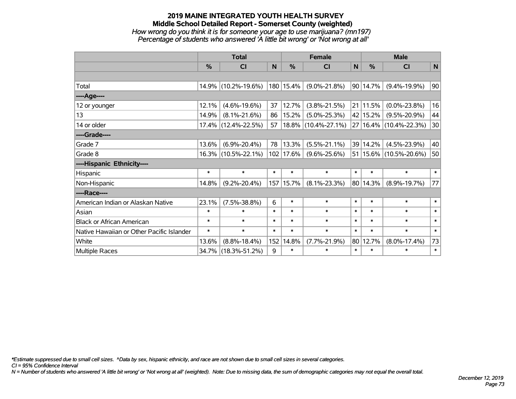### **2019 MAINE INTEGRATED YOUTH HEALTH SURVEY Middle School Detailed Report - Somerset County (weighted)** *How wrong do you think it is for someone your age to use marijuana? (mn197) Percentage of students who answered 'A little bit wrong' or 'Not wrong at all'*

|                                           | <b>Total</b>  |                     |        | <b>Female</b> | <b>Male</b>         |              |          |                            |        |
|-------------------------------------------|---------------|---------------------|--------|---------------|---------------------|--------------|----------|----------------------------|--------|
|                                           | $\frac{0}{0}$ | <b>CI</b>           | N      | $\frac{0}{0}$ | <b>CI</b>           | $\mathsf{N}$ | %        | <b>CI</b>                  | N      |
|                                           |               |                     |        |               |                     |              |          |                            |        |
| Total                                     |               | 14.9% (10.2%-19.6%) |        | 180 15.4%     | $(9.0\% - 21.8\%)$  | 90           | 14.7%    | $(9.4\% - 19.9\%)$         | 90     |
| ----Age----                               |               |                     |        |               |                     |              |          |                            |        |
| 12 or younger                             | 12.1%         | $(4.6\% - 19.6\%)$  | 37     | 12.7%         | $(3.8\% - 21.5\%)$  | 21           | 11.5%    | $(0.0\% - 23.8\%)$         | 16     |
| 13                                        | 14.9%         | $(8.1\% - 21.6\%)$  | 86     | 15.2%         | $(5.0\% - 25.3\%)$  |              | 42 15.2% | $(9.5\% - 20.9\%)$         | 44     |
| 14 or older                               |               | 17.4% (12.4%-22.5%) | 57     |               | 18.8% (10.4%-27.1%) |              |          | 27 16.4% (10.4%-22.3%)     | 30     |
| ----Grade----                             |               |                     |        |               |                     |              |          |                            |        |
| Grade 7                                   | 13.6%         | $(6.9\% - 20.4\%)$  | 78     | 13.3%         | $(5.5\% - 21.1\%)$  | 39           | 14.2%    | $(4.5\% - 23.9\%)$         | 40     |
| Grade 8                                   |               | 16.3% (10.5%-22.1%) |        | 102 17.6%     | $(9.6\% - 25.6\%)$  |              |          | 51   15.6%   (10.5%-20.6%) | 50     |
| ----Hispanic Ethnicity----                |               |                     |        |               |                     |              |          |                            |        |
| Hispanic                                  | $\ast$        | $\ast$              | $\ast$ | $\ast$        | $\ast$              | $\ast$       | $\ast$   | $\ast$                     | $\ast$ |
| Non-Hispanic                              | 14.8%         | $(9.2\% - 20.4\%)$  |        | 157 15.7%     | $(8.1\% - 23.3\%)$  | 80           | 14.3%    | $(8.9\% - 19.7\%)$         | 77     |
| ----Race----                              |               |                     |        |               |                     |              |          |                            |        |
| American Indian or Alaskan Native         | 23.1%         | $(7.5\% - 38.8\%)$  | 6      | $\ast$        | $\ast$              | $\ast$       | $\ast$   | $\ast$                     | $\ast$ |
| Asian                                     | $\ast$        | $\ast$              | $\ast$ | $\ast$        | $\ast$              | $\ast$       | $\ast$   | $\ast$                     | $\ast$ |
| <b>Black or African American</b>          | $\ast$        | $\ast$              | $\ast$ | $\ast$        | $\ast$              | $\ast$       | $\ast$   | $\ast$                     | $\ast$ |
| Native Hawaiian or Other Pacific Islander | $\ast$        | $\ast$              | $\ast$ | $\ast$        | $\ast$              | $\ast$       | $\ast$   | $\ast$                     | $\ast$ |
| White                                     | 13.6%         | $(8.8\% - 18.4\%)$  | 152    | 14.8%         | $(7.7\% - 21.9\%)$  | 80           | 12.7%    | $(8.0\% - 17.4\%)$         | 73     |
| <b>Multiple Races</b>                     |               | 34.7% (18.3%-51.2%) | 9      | $\ast$        | $\ast$              | $\ast$       | $\ast$   | $\ast$                     | $\ast$ |

*\*Estimate suppressed due to small cell sizes. ^Data by sex, hispanic ethnicity, and race are not shown due to small cell sizes in several categories.*

*CI = 95% Confidence Interval*

*N = Number of students who answered 'A little bit wrong' or 'Not wrong at all' (weighted). Note: Due to missing data, the sum of demographic categories may not equal the overall total.*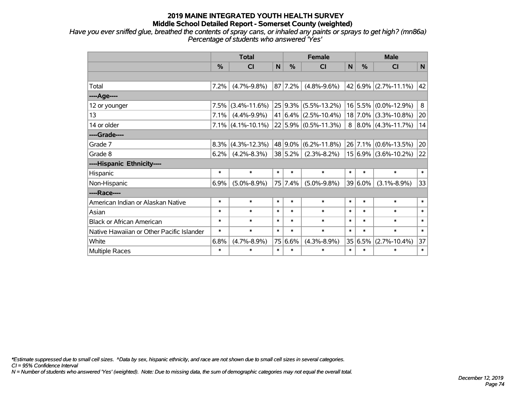*Have you ever sniffed glue, breathed the contents of spray cans, or inhaled any paints or sprays to get high? (mn86a) Percentage of students who answered 'Yes'*

|                                           | <b>Total</b> |                      |        | <b>Female</b> |                          |        | <b>Male</b>   |                          |        |  |
|-------------------------------------------|--------------|----------------------|--------|---------------|--------------------------|--------|---------------|--------------------------|--------|--|
|                                           | %            | CI                   | N      | $\frac{0}{0}$ | CI                       | N      | $\frac{0}{0}$ | <b>CI</b>                | N      |  |
|                                           |              |                      |        |               |                          |        |               |                          |        |  |
| Total                                     | 7.2%         | $(4.7\% - 9.8\%)$    |        | 87 7.2%       | $(4.8\% - 9.6\%)$        |        |               | $42 6.9\% $ (2.7%-11.1%) | 42     |  |
| ---- Age----                              |              |                      |        |               |                          |        |               |                          |        |  |
| 12 or younger                             | 7.5%         | $(3.4\% - 11.6\%)$   |        |               | $25 9.3\% $ (5.5%-13.2%) |        |               | $16 5.5\% $ (0.0%-12.9%) | 8      |  |
| 13                                        | 7.1%         | $(4.4\% - 9.9\%)$    |        |               | $41 6.4\% $ (2.5%-10.4%) |        |               | $18$ 7.0% (3.3%-10.8%)   | 20     |  |
| 14 or older                               |              | $7.1\%$ (4.1%-10.1%) |        |               | $22 5.9\% $ (0.5%-11.3%) |        |               | $8 8.0\% $ (4.3%-11.7%)  | 14     |  |
| ----Grade----                             |              |                      |        |               |                          |        |               |                          |        |  |
| Grade 7                                   | 8.3%         | $(4.3\% - 12.3\%)$   |        | 48 9.0%       | $(6.2\% - 11.8\%)$       |        |               | $26$ 7.1% (0.6%-13.5%)   | 20     |  |
| Grade 8                                   | 6.2%         | $(4.2\% - 8.3\%)$    |        | 38 5.2%       | $(2.3\% - 8.2\%)$        |        |               | $15 6.9\% $ (3.6%-10.2%) | 22     |  |
| ----Hispanic Ethnicity----                |              |                      |        |               |                          |        |               |                          |        |  |
| Hispanic                                  | $\ast$       | $\ast$               | $\ast$ | $\ast$        | $\ast$                   | $\ast$ | $\ast$        | $\ast$                   | $\ast$ |  |
| Non-Hispanic                              | 6.9%         | $(5.0\% - 8.9\%)$    |        | 75 7.4%       | $(5.0\% - 9.8\%)$        |        | $39 6.0\%$    | $(3.1\% - 8.9\%)$        | 33     |  |
| ----Race----                              |              |                      |        |               |                          |        |               |                          |        |  |
| American Indian or Alaskan Native         | $\ast$       | $\ast$               | $\ast$ | $\ast$        | $\ast$                   | $\ast$ | $\ast$        | $\ast$                   | $\ast$ |  |
| Asian                                     | $\ast$       | $\ast$               | $\ast$ | $\ast$        | $\ast$                   | $\ast$ | $\ast$        | $\ast$                   | $\ast$ |  |
| <b>Black or African American</b>          | $\ast$       | $\ast$               | $\ast$ | $\ast$        | $\ast$                   | $\ast$ | $\ast$        | $\ast$                   | $\ast$ |  |
| Native Hawaiian or Other Pacific Islander | $\ast$       | $\ast$               | $\ast$ | $\ast$        | $\ast$                   | $\ast$ | $\ast$        | $\ast$                   | $\ast$ |  |
| White                                     | 6.8%         | $(4.7\% - 8.9\%)$    |        | 75 6.6%       | $(4.3\% - 8.9\%)$        |        | 35 6.5%       | $(2.7\% - 10.4\%)$       | 37     |  |
| Multiple Races                            | $\ast$       | $\ast$               | $\ast$ | $\ast$        | $\ast$                   | $\ast$ | $\ast$        | $\ast$                   | $\ast$ |  |

*\*Estimate suppressed due to small cell sizes. ^Data by sex, hispanic ethnicity, and race are not shown due to small cell sizes in several categories.*

*CI = 95% Confidence Interval*

*N = Number of students who answered 'Yes' (weighted). Note: Due to missing data, the sum of demographic categories may not equal the overall total.*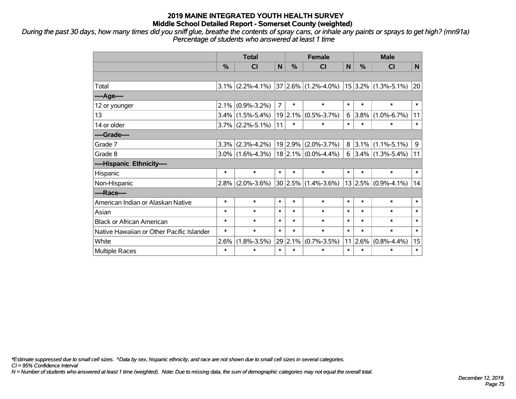*During the past 30 days, how many times did you sniff glue, breathe the contents of spray cans, or inhale any paints or sprays to get high? (mn91a) Percentage of students who answered at least 1 time*

|                                           | <b>Total</b>  |                                                                |                | <b>Female</b> |                            |          | <b>Male</b> |                          |        |
|-------------------------------------------|---------------|----------------------------------------------------------------|----------------|---------------|----------------------------|----------|-------------|--------------------------|--------|
|                                           | $\frac{9}{6}$ | <b>CI</b>                                                      | N              | $\frac{0}{0}$ | <b>CI</b>                  | N        | $\%$        | <b>CI</b>                | N      |
|                                           |               |                                                                |                |               |                            |          |             |                          |        |
| Total                                     |               | $3.1\%$ (2.2%-4.1%) 37 2.6% (1.2%-4.0%) 15 3.2% (1.3%-5.1%) 20 |                |               |                            |          |             |                          |        |
| ----Age----                               |               |                                                                |                |               |                            |          |             |                          |        |
| 12 or younger                             | 2.1%          | $(0.9\% - 3.2\%)$                                              | $\overline{7}$ | $\ast$        | $\ast$                     | $\ast$   | $\ast$      | $\ast$                   | $\ast$ |
| 13                                        |               | $3.4\%$ (1.5%-5.4%)                                            |                | 19 2.1%       | $(0.5\% - 3.7\%)$          | $6 \mid$ | $3.8\%$     | $(1.0\% - 6.7\%)$        | 11     |
| 14 or older                               |               | $3.7\%$ (2.2%-5.1%)                                            | 11             | $\ast$        | *                          | $\ast$   | $\ast$      | $\ast$                   | $\ast$ |
| ----Grade----                             |               |                                                                |                |               |                            |          |             |                          |        |
| Grade 7                                   | 3.3%          | $(2.3\% - 4.2\%)$                                              |                |               | $19$ 2.9% (2.0%-3.7%)      |          |             | $8$   3.1%   (1.1%-5.1%) | 9      |
| Grade 8                                   |               | $3.0\%$ (1.6%-4.3%)   18 2.1% (0.0%-4.4%)                      |                |               |                            |          |             | $6$   3.4%   (1.3%-5.4%) | 11     |
| ----Hispanic Ethnicity----                |               |                                                                |                |               |                            |          |             |                          |        |
| Hispanic                                  | $\ast$        | $\ast$                                                         | $\ast$         | $\ast$        | $\ast$                     | $\ast$   | $\ast$      | $\ast$                   | $\ast$ |
| Non-Hispanic                              | $2.8\%$       | $(2.0\% - 3.6\%)$                                              |                |               | $30 2.5\% (1.4\% - 3.6\%)$ |          |             | $ 13 2.5\% $ (0.9%-4.1%) | 14     |
| ----Race----                              |               |                                                                |                |               |                            |          |             |                          |        |
| American Indian or Alaskan Native         | $\ast$        | $\ast$                                                         | $\ast$         | $\ast$        | $\ast$                     | $\ast$   | $\ast$      | $\ast$                   | $\ast$ |
| Asian                                     | $\ast$        | $\ast$                                                         | $\ast$         | $\ast$        | $\ast$                     | $\ast$   | $\ast$      | $\ast$                   | $\ast$ |
| <b>Black or African American</b>          | $\ast$        | $\ast$                                                         | $\ast$         | $\ast$        | $\ast$                     | $\ast$   | $\ast$      | $\ast$                   | $\ast$ |
| Native Hawaiian or Other Pacific Islander | $\ast$        | $\ast$                                                         | $\ast$         | $\ast$        | $\ast$                     | $\ast$   | $\ast$      | $\ast$                   | $\ast$ |
| White                                     | 2.6%          | $(1.8\% - 3.5\%)$                                              | 29             | 2.1%          | $(0.7\% - 3.5\%)$          |          | 11 2.6%     | $(0.8\% - 4.4\%)$        | 15     |
| Multiple Races                            | $\ast$        | $\ast$                                                         | $\ast$         | $\ast$        | $\ast$                     | $\ast$   | $\ast$      | $\ast$                   | $\ast$ |

*\*Estimate suppressed due to small cell sizes. ^Data by sex, hispanic ethnicity, and race are not shown due to small cell sizes in several categories.*

*CI = 95% Confidence Interval*

*N = Number of students who answered at least 1 time (weighted). Note: Due to missing data, the sum of demographic categories may not equal the overall total.*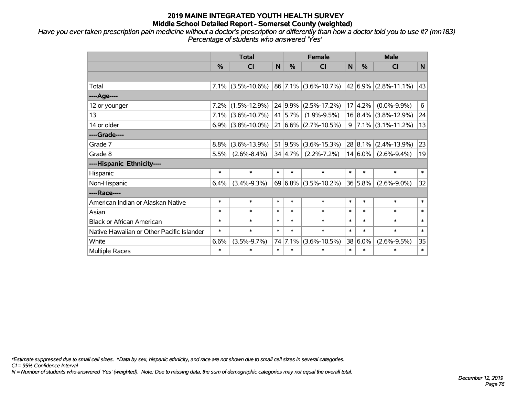*Have you ever taken prescription pain medicine without a doctor's prescription or differently than how a doctor told you to use it? (mn183) Percentage of students who answered 'Yes'*

|                                           | <b>Total</b> |                      |        |               | <b>Female</b>                   |        | <b>Male</b> |                           |        |  |
|-------------------------------------------|--------------|----------------------|--------|---------------|---------------------------------|--------|-------------|---------------------------|--------|--|
|                                           | %            | <b>CI</b>            | N      | $\frac{0}{0}$ | <b>CI</b>                       | N      | %           | <b>CI</b>                 | N      |  |
|                                           |              |                      |        |               |                                 |        |             |                           |        |  |
| Total                                     |              | $7.1\%$ (3.5%-10.6%) |        |               | 86 7.1% (3.6%-10.7%)            |        |             | $ 42 6.9\% $ (2.8%-11.1%) | 43     |  |
| ----Age----                               |              |                      |        |               |                                 |        |             |                           |        |  |
| 12 or younger                             | 7.2%         | $(1.5\% - 12.9\%)$   |        | 24 9.9%       | $(2.5\% - 17.2\%)$              | 17     | 4.2%        | $(0.0\% - 9.9\%)$         | 6      |  |
| 13                                        | 7.1%         | $(3.6\% - 10.7\%)$   |        | 41 5.7%       | $(1.9\% - 9.5\%)$               |        |             | $16 8.4\% $ (3.8%-12.9%)  | 24     |  |
| 14 or older                               |              | $6.9\%$ (3.8%-10.0%) |        |               | $21   6.6\%   (2.7\% - 10.5\%)$ | 9      |             | $ 7.1\% $ (3.1%-11.2%)    | 13     |  |
| ----Grade----                             |              |                      |        |               |                                 |        |             |                           |        |  |
| Grade 7                                   | 8.8%         | $(3.6\% - 13.9\%)$   |        |               | 51 9.5% (3.6%-15.3%)            |        | 28 8.1%     | $(2.4\% - 13.9\%)$        | 23     |  |
| Grade 8                                   | 5.5%         | $(2.6\% - 8.4\%)$    |        | 34 4.7%       | $(2.2\% - 7.2\%)$               |        | $14 6.0\% $ | $(2.6\% - 9.4\%)$         | 19     |  |
| ----Hispanic Ethnicity----                |              |                      |        |               |                                 |        |             |                           |        |  |
| Hispanic                                  | $\ast$       | $\ast$               | $\ast$ | $\ast$        | $\ast$                          | $\ast$ | $\ast$      | $\ast$                    | $\ast$ |  |
| Non-Hispanic                              | 6.4%         | $(3.4\% - 9.3\%)$    |        |               | $69 6.8\% $ (3.5%-10.2%)        |        | 36 5.8%     | $(2.6\% - 9.0\%)$         | 32     |  |
| ----Race----                              |              |                      |        |               |                                 |        |             |                           |        |  |
| American Indian or Alaskan Native         | $\ast$       | $\ast$               | $\ast$ | $\ast$        | $\ast$                          | $\ast$ | $\ast$      | $\ast$                    | $\ast$ |  |
| Asian                                     | $\ast$       | $\ast$               | $\ast$ | $\ast$        | $\ast$                          | $\ast$ | $\ast$      | $\ast$                    | $\ast$ |  |
| <b>Black or African American</b>          | $\ast$       | $\ast$               | $\ast$ | $\ast$        | $\ast$                          | $\ast$ | $\ast$      | $\ast$                    | $\ast$ |  |
| Native Hawaiian or Other Pacific Islander | $\ast$       | $\ast$               | $\ast$ | $\ast$        | $\ast$                          | $\ast$ | $\ast$      | $\ast$                    | $\ast$ |  |
| White                                     | 6.6%         | $(3.5\% - 9.7\%)$    |        | 74 7.1%       | $(3.6\% - 10.5\%)$              |        | 38 6.0%     | $(2.6\% - 9.5\%)$         | 35     |  |
| <b>Multiple Races</b>                     | $\ast$       | $\ast$               | $\ast$ | $\ast$        | $\ast$                          | $\ast$ | $\ast$      | $\ast$                    | $\ast$ |  |

*\*Estimate suppressed due to small cell sizes. ^Data by sex, hispanic ethnicity, and race are not shown due to small cell sizes in several categories.*

*CI = 95% Confidence Interval*

*N = Number of students who answered 'Yes' (weighted). Note: Due to missing data, the sum of demographic categories may not equal the overall total.*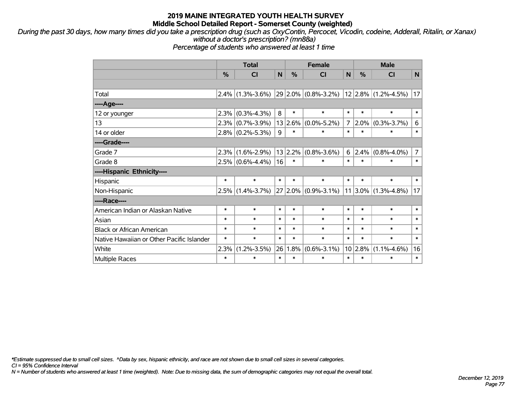*During the past 30 days, how many times did you take a prescription drug (such as OxyContin, Percocet, Vicodin, codeine, Adderall, Ritalin, or Xanax) without a doctor's prescription? (mn88a)*

*Percentage of students who answered at least 1 time*

|                                           | <b>Total</b> |                     |        | <b>Female</b> |                         |                | <b>Male</b>  |                          |                |  |
|-------------------------------------------|--------------|---------------------|--------|---------------|-------------------------|----------------|--------------|--------------------------|----------------|--|
|                                           | %            | <b>CI</b>           | N      | %             | <b>CI</b>               | N              | %            | <b>CI</b>                | N              |  |
|                                           |              |                     |        |               |                         |                |              |                          |                |  |
| Total                                     | 2.4%         | $(1.3\% - 3.6\%)$   |        |               | $29 2.0\% $ (0.8%-3.2%) |                |              | $ 12 2.8\% $ (1.2%-4.5%) | 17             |  |
| ----Age----                               |              |                     |        |               |                         |                |              |                          |                |  |
| 12 or younger                             | 2.3%         | $(0.3\% - 4.3\%)$   | 8      | $\ast$        | $\ast$                  | $\ast$         | $\ast$       | $\ast$                   | $\ast$         |  |
| 13                                        | 2.3%         | $(0.7\% - 3.9\%)$   | 13     | 2.6%          | $(0.0\% - 5.2\%)$       | $\overline{7}$ | 2.0%         | $(0.3\% - 3.7\%)$        | 6              |  |
| 14 or older                               |              | $2.8\%$ (0.2%-5.3%) | 9      | $\ast$        | $\ast$                  | $\ast$         | $\ast$       | $\ast$                   | $\ast$         |  |
| ----Grade----                             |              |                     |        |               |                         |                |              |                          |                |  |
| Grade 7                                   | 2.3%         | $(1.6\% - 2.9\%)$   |        | 13 2.2%       | $(0.8\% - 3.6\%)$       | $6 \mid$       | 2.4%         | $(0.8\% - 4.0\%)$        | $\overline{7}$ |  |
| Grade 8                                   |              | $2.5\%$ (0.6%-4.4%) | 16     | $\ast$        | $\ast$                  | $\ast$         | $\ast$       | $\ast$                   | $\ast$         |  |
| ----Hispanic Ethnicity----                |              |                     |        |               |                         |                |              |                          |                |  |
| Hispanic                                  | $\ast$       | $\ast$              | $\ast$ | $\ast$        | $\ast$                  | $\ast$         | $\ast$       | $\ast$                   | $\ast$         |  |
| Non-Hispanic                              | 2.5%         | $(1.4\% - 3.7\%)$   |        |               | 27 2.0% (0.9%-3.1%)     |                | $ 11 3.0\% $ | $(1.3\% - 4.8\%)$        | 17             |  |
| ----Race----                              |              |                     |        |               |                         |                |              |                          |                |  |
| American Indian or Alaskan Native         | $\ast$       | $\ast$              | $\ast$ | *             | $\ast$                  | $\ast$         | $\ast$       | $\ast$                   | $\ast$         |  |
| Asian                                     | $\ast$       | $\ast$              | $\ast$ | $\ast$        | $\ast$                  | $\ast$         | $\ast$       | $\ast$                   | $\ast$         |  |
| <b>Black or African American</b>          | $\ast$       | $\ast$              | $\ast$ | $\ast$        | $\ast$                  | $\ast$         | $\ast$       | $\ast$                   | $\ast$         |  |
| Native Hawaiian or Other Pacific Islander | $\ast$       | $\ast$              | $\ast$ | $\ast$        | $\ast$                  | $\ast$         | $\ast$       | $\ast$                   | $\ast$         |  |
| White                                     | 2.3%         | $(1.2\% - 3.5\%)$   | 26     | 1.8%          | $(0.6\text{-}3.1\%)$    |                | 10 2.8%      | $(1.1\% - 4.6\%)$        | 16             |  |
| <b>Multiple Races</b>                     | $\ast$       | $\ast$              | $\ast$ | $\ast$        | $\ast$                  | $\ast$         | $\ast$       | $\ast$                   | $\ast$         |  |

*\*Estimate suppressed due to small cell sizes. ^Data by sex, hispanic ethnicity, and race are not shown due to small cell sizes in several categories.*

*CI = 95% Confidence Interval*

*N = Number of students who answered at least 1 time (weighted). Note: Due to missing data, the sum of demographic categories may not equal the overall total.*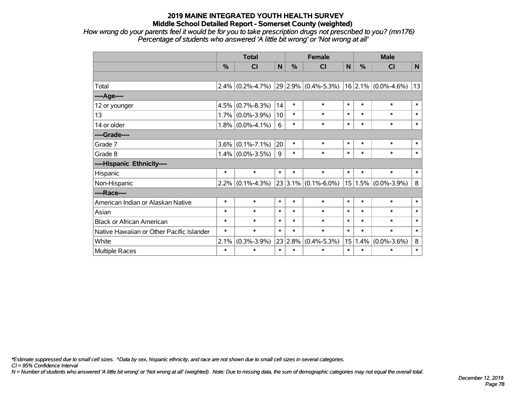*How wrong do your parents feel it would be for you to take prescription drugs not prescribed to you? (mn176) Percentage of students who answered 'A little bit wrong' or 'Not wrong at all'*

|                                           | <b>Total</b>  |                                             |        | <b>Female</b> |                         |        | <b>Male</b> |                         |              |
|-------------------------------------------|---------------|---------------------------------------------|--------|---------------|-------------------------|--------|-------------|-------------------------|--------------|
|                                           | $\frac{0}{2}$ | CI                                          | N      | %             | <b>CI</b>               | N      | $\%$        | <b>CI</b>               | $\mathsf{N}$ |
|                                           |               |                                             |        |               |                         |        |             |                         |              |
| Total                                     | $2.4\%$       | $(0.2\% - 4.7\%)$ 29 2.9% $(0.4\% - 5.3\%)$ |        |               |                         |        |             | $16$ 2.1% (0.0%-4.6%)   | 13           |
| ----Age----                               |               |                                             |        |               |                         |        |             |                         |              |
| 12 or younger                             | 4.5%          | $(0.7\% - 8.3\%)$                           | 14     | $\ast$        | $\ast$                  | $\ast$ | $\ast$      | $\ast$                  | $\ast$       |
| 13                                        | 1.7%          | $(0.0\% - 3.9\%)$                           | 10     | $\ast$        | $\ast$                  | $\ast$ | $\ast$      | $\ast$                  | $\ast$       |
| 14 or older                               |               | $1.8\%$ (0.0%-4.1%)                         | 6      | $\ast$        | $\ast$                  | $\ast$ | $\ast$      | $\ast$                  | $\ast$       |
| ----Grade----                             |               |                                             |        |               |                         |        |             |                         |              |
| Grade 7                                   | 3.6%          | $(0.1\% - 7.1\%)$                           | 20     | $\ast$        | $\ast$                  | $\ast$ | $\ast$      | $\ast$                  | $\ast$       |
| Grade 8                                   |               | $1.4\%$ (0.0%-3.5%)                         | 9      | $\ast$        | $\ast$                  | $\ast$ | $\ast$      | $\ast$                  | $\ast$       |
| ----Hispanic Ethnicity----                |               |                                             |        |               |                         |        |             |                         |              |
| Hispanic                                  | $\ast$        | $\ast$                                      | $\ast$ | $\ast$        | $\ast$                  | $\ast$ | $\ast$      | $\ast$                  | $\ast$       |
| Non-Hispanic                              | $2.2\%$       | $(0.1\% - 4.3\%)$                           |        |               | $23 3.1\% $ (0.1%-6.0%) |        |             | $15 1.5\% $ (0.0%-3.9%) | 8            |
| ----Race----                              |               |                                             |        |               |                         |        |             |                         |              |
| American Indian or Alaskan Native         | $\ast$        | $\ast$                                      | $\ast$ | $\ast$        | $\ast$                  | $\ast$ | $\ast$      | $\ast$                  | $\ast$       |
| Asian                                     | $\ast$        | $\ast$                                      | $\ast$ | $\ast$        | $\ast$                  | $\ast$ | $\ast$      | $\ast$                  | $\ast$       |
| <b>Black or African American</b>          | $\ast$        | $\ast$                                      | $\ast$ | $\ast$        | $\ast$                  | $\ast$ | $\ast$      | $\ast$                  | $\ast$       |
| Native Hawaiian or Other Pacific Islander | $\ast$        | $\ast$                                      | $\ast$ | $\ast$        | $\ast$                  | $\ast$ | $\ast$      | $\ast$                  | $\ast$       |
| White                                     | 2.1%          | $(0.3\% - 3.9\%)$                           | 23     | 2.8%          | $(0.4\% - 5.3\%)$       | 15     | 1.4%        | $(0.0\% - 3.6\%)$       | 8            |
| Multiple Races                            | $\ast$        | $\ast$                                      | $\ast$ | $\ast$        | $\ast$                  | $\ast$ | $\ast$      | $\ast$                  | $\ast$       |

*\*Estimate suppressed due to small cell sizes. ^Data by sex, hispanic ethnicity, and race are not shown due to small cell sizes in several categories.*

*CI = 95% Confidence Interval*

*N = Number of students who answered 'A little bit wrong' or 'Not wrong at all' (weighted). Note: Due to missing data, the sum of demographic categories may not equal the overall total.*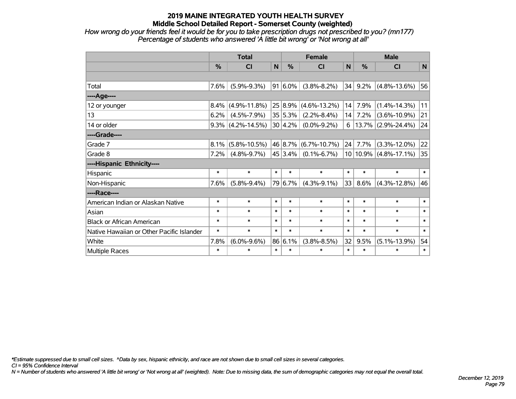*How wrong do your friends feel it would be for you to take prescription drugs not prescribed to you? (mn177) Percentage of students who answered 'A little bit wrong' or 'Not wrong at all'*

|                                           | <b>Total</b>  |                      |        |               | <b>Female</b>      |        | <b>Male</b> |                           |        |  |
|-------------------------------------------|---------------|----------------------|--------|---------------|--------------------|--------|-------------|---------------------------|--------|--|
|                                           | $\frac{9}{6}$ | CI                   | N      | $\frac{0}{0}$ | <b>CI</b>          | N      | $\%$        | <b>CI</b>                 | N      |  |
|                                           |               |                      |        |               |                    |        |             |                           |        |  |
| Total                                     | 7.6%          | $(5.9\% - 9.3\%)$    |        | $91 6.0\%$    | $(3.8\% - 8.2\%)$  | 34     | 9.2%        | $(4.8\% - 13.6\%)$        | 56     |  |
| ----Age----                               |               |                      |        |               |                    |        |             |                           |        |  |
| 12 or younger                             | $8.4\%$       | $(4.9\% - 11.8\%)$   |        | 25 8.9%       | $(4.6\% - 13.2\%)$ | 14     | 7.9%        | $(1.4\% - 14.3\%)$        | 11     |  |
| 13                                        | 6.2%          | $(4.5\% - 7.9\%)$    |        | 35 5.3%       | $(2.2\% - 8.4\%)$  | 14     | 7.2%        | $(3.6\% - 10.9\%)$        | 21     |  |
| 14 or older                               |               | $9.3\%$ (4.2%-14.5%) |        | 30 4.2%       | $(0.0\% - 9.2\%)$  | 6      |             | $13.7\%$ (2.9%-24.4%)     | 24     |  |
| ----Grade----                             |               |                      |        |               |                    |        |             |                           |        |  |
| Grade 7                                   | $8.1\%$       | $(5.8\% - 10.5\%)$   |        | 46 8.7%       | $(6.7\% - 10.7\%)$ | 24     | 7.7%        | $(3.3\% - 12.0\%)$        | 22     |  |
| Grade 8                                   | 7.2%          | $(4.8\% - 9.7\%)$    |        | 45 3.4%       | $(0.1\% - 6.7\%)$  |        |             | $10 10.9\% $ (4.8%-17.1%) | 35     |  |
| ----Hispanic Ethnicity----                |               |                      |        |               |                    |        |             |                           |        |  |
| Hispanic                                  | $\ast$        | $\ast$               | $\ast$ | $\ast$        | $\ast$             | $\ast$ | $\ast$      | $\ast$                    | $\ast$ |  |
| Non-Hispanic                              | 7.6%          | $(5.8\% - 9.4\%)$    |        | 79 6.7%       | $(4.3\% - 9.1\%)$  | 33     | 8.6%        | $(4.3\% - 12.8\%)$        | 46     |  |
| ----Race----                              |               |                      |        |               |                    |        |             |                           |        |  |
| American Indian or Alaskan Native         | $\ast$        | $\ast$               | $\ast$ | $\ast$        | $\ast$             | $\ast$ | $\ast$      | $\ast$                    | $\ast$ |  |
| Asian                                     | $\ast$        | $\ast$               | $\ast$ | $\ast$        | $\ast$             | $\ast$ | $\ast$      | $\ast$                    | $\ast$ |  |
| <b>Black or African American</b>          | $\ast$        | $\ast$               | $\ast$ | $\ast$        | $\ast$             | $\ast$ | $\ast$      | $\ast$                    | $\ast$ |  |
| Native Hawaiian or Other Pacific Islander | $\ast$        | $\ast$               | $\ast$ | $\ast$        | $\ast$             | $\ast$ | $\ast$      | $\ast$                    | $\ast$ |  |
| White                                     | 7.8%          | $(6.0\% - 9.6\%)$    |        | 86 6.1%       | $(3.8\% - 8.5\%)$  | 32     | 9.5%        | $(5.1\% - 13.9\%)$        | 54     |  |
| Multiple Races                            | $\ast$        | $\ast$               | $\ast$ | $\ast$        | $\ast$             | $\ast$ | $\ast$      | $\ast$                    | $\ast$ |  |

*\*Estimate suppressed due to small cell sizes. ^Data by sex, hispanic ethnicity, and race are not shown due to small cell sizes in several categories.*

*CI = 95% Confidence Interval*

*N = Number of students who answered 'A little bit wrong' or 'Not wrong at all' (weighted). Note: Due to missing data, the sum of demographic categories may not equal the overall total.*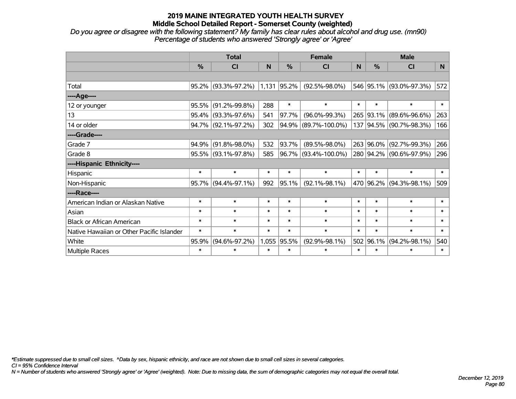*Do you agree or disagree with the following statement? My family has clear rules about alcohol and drug use. (mn90) Percentage of students who answered 'Strongly agree' or 'Agree'*

|                                           | <b>Total</b> |                     |        | <b>Female</b> | <b>Male</b>             |        |        |                         |        |
|-------------------------------------------|--------------|---------------------|--------|---------------|-------------------------|--------|--------|-------------------------|--------|
|                                           | %            | <b>CI</b>           | N      | $\%$          | <b>CI</b>               | N      | %      | <b>CI</b>               | N.     |
|                                           |              |                     |        |               |                         |        |        |                         |        |
| Total                                     | 95.2%        | $(93.3\% - 97.2\%)$ |        | 1,131 95.2%   | $(92.5\% - 98.0\%)$     |        |        | 546 95.1% (93.0%-97.3%) | 572    |
| ---- Age----                              |              |                     |        |               |                         |        |        |                         |        |
| 12 or younger                             | 95.5%        | $(91.2\% - 99.8\%)$ | 288    | $\ast$        | $\ast$                  | $\ast$ | $\ast$ | $\ast$                  | $\ast$ |
| 13                                        | 95.4%        | $(93.3\% - 97.6\%)$ | 541    | 97.7%         | $(96.0\% - 99.3\%)$     | 265    |        | 93.1% (89.6%-96.6%)     | 263    |
| 14 or older                               | 94.7%        | $(92.1\% - 97.2\%)$ | 302    |               | $94.9\%$ (89.7%-100.0%) |        |        | 137 94.5% (90.7%-98.3%) | 166    |
| ----Grade----                             |              |                     |        |               |                         |        |        |                         |        |
| Grade 7                                   | 94.9%        | $(91.8\% - 98.0\%)$ | 532    | 93.7%         | $(89.5\% - 98.0\%)$     | 263    |        | 96.0% (92.7%-99.3%)     | 266    |
| Grade 8                                   | 95.5%        | $(93.1\% - 97.8\%)$ | 585    |               | 96.7% (93.4%-100.0%)    |        |        | 280 94.2% (90.6%-97.9%) | 296    |
| ----Hispanic Ethnicity----                |              |                     |        |               |                         |        |        |                         |        |
| Hispanic                                  | $\ast$       | $\ast$              | $\ast$ | $\ast$        | $\ast$                  | $\ast$ | $\ast$ | $\ast$                  | $\ast$ |
| Non-Hispanic                              | 95.7%        | $(94.4\% - 97.1\%)$ | 992    | 95.1%         | $(92.1\% - 98.1\%)$     |        |        | 470 96.2% (94.3%-98.1%) | 509    |
| ----Race----                              |              |                     |        |               |                         |        |        |                         |        |
| American Indian or Alaskan Native         | $\ast$       | $\ast$              | $\ast$ | $\ast$        | $\ast$                  | $\ast$ | $\ast$ | $\ast$                  | $\ast$ |
| Asian                                     | $\ast$       | $\ast$              | $\ast$ | $\ast$        | $\ast$                  | $\ast$ | $\ast$ | $\ast$                  | $\ast$ |
| <b>Black or African American</b>          | $\ast$       | $\ast$              | $\ast$ | $\ast$        | $\ast$                  | $\ast$ | $\ast$ | $\ast$                  | $\ast$ |
| Native Hawaiian or Other Pacific Islander | $\ast$       | $\ast$              | $\ast$ | $\ast$        | $\ast$                  | $\ast$ | $\ast$ | $\ast$                  | $\ast$ |
| White                                     | 95.9%        | $(94.6\% - 97.2\%)$ |        | 1,055 95.5%   | $(92.9\% - 98.1\%)$     | 502    | 96.1%  | $(94.2\% - 98.1\%)$     | 540    |
| Multiple Races                            | $\ast$       | $\ast$              | $\ast$ | $\ast$        | $\ast$                  | $\ast$ | $\ast$ | $\ast$                  | $\ast$ |

*\*Estimate suppressed due to small cell sizes. ^Data by sex, hispanic ethnicity, and race are not shown due to small cell sizes in several categories.*

*CI = 95% Confidence Interval*

*N = Number of students who answered 'Strongly agree' or 'Agree' (weighted). Note: Due to missing data, the sum of demographic categories may not equal the overall total.*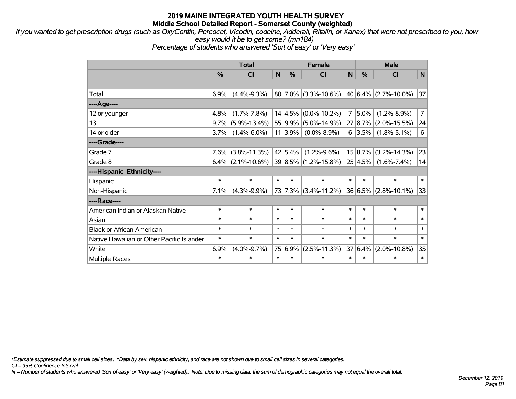*If you wanted to get prescription drugs (such as OxyContin, Percocet, Vicodin, codeine, Adderall, Ritalin, or Xanax) that were not prescribed to you, how easy would it be to get some? (mn184)*

*Percentage of students who answered 'Sort of easy' or 'Very easy'*

|                                           | <b>Total</b>  |                      |              | <b>Female</b> |                           |        | <b>Male</b> |                          |                |  |
|-------------------------------------------|---------------|----------------------|--------------|---------------|---------------------------|--------|-------------|--------------------------|----------------|--|
|                                           | $\frac{0}{0}$ | <b>CI</b>            | $\mathsf{N}$ | $\frac{0}{0}$ | <b>CI</b>                 | N      | %           | <b>CI</b>                | N              |  |
|                                           |               |                      |              |               |                           |        |             |                          |                |  |
| Total                                     | 6.9%          | $(4.4\% - 9.3\%)$    |              |               | $ 80 7.0\% $ (3.3%-10.6%) |        |             | 40 6.4% (2.7%-10.0%)     | 37             |  |
| ----Age----                               |               |                      |              |               |                           |        |             |                          |                |  |
| 12 or younger                             | 4.8%          | $(1.7\% - 7.8\%)$    |              |               | $14 4.5\% $ (0.0%-10.2%)  | 7      | 5.0%        | $(1.2\% - 8.9\%)$        | $\overline{7}$ |  |
| 13                                        | $9.7\%$       | $(5.9\% - 13.4\%)$   |              | 55 9.9%       | $(5.0\% - 14.9\%)$        |        | 27 8.7%     | $(2.0\% - 15.5\%)$       | 24             |  |
| 14 or older                               | 3.7%          | $(1.4\% - 6.0\%)$    |              | 11 3.9%       | $(0.0\% - 8.9\%)$         | 6      | 3.5%        | $(1.8\% - 5.1\%)$        | 6              |  |
| ----Grade----                             |               |                      |              |               |                           |        |             |                          |                |  |
| Grade 7                                   | 7.6%          | $(3.8\% - 11.3\%)$   |              | 42 5.4%       | $(1.2\% - 9.6\%)$         |        | 15 8.7%     | $(3.2\% - 14.3\%)$       | 23             |  |
| Grade 8                                   |               | $6.4\%$ (2.1%-10.6%) |              |               | 39 8.5% (1.2%-15.8%)      |        | $25 4.5\% $ | $(1.6\% - 7.4\%)$        | 14             |  |
| ----Hispanic Ethnicity----                |               |                      |              |               |                           |        |             |                          |                |  |
| Hispanic                                  | $\ast$        | $\ast$               | $\ast$       | $\ast$        | $\ast$                    | $\ast$ | $\ast$      | $\ast$                   | $\ast$         |  |
| Non-Hispanic                              | 7.1%          | $(4.3\% - 9.9\%)$    |              |               | 73 7.3% (3.4%-11.2%)      |        |             | $36 6.5\% $ (2.8%-10.1%) | 33             |  |
| ----Race----                              |               |                      |              |               |                           |        |             |                          |                |  |
| American Indian or Alaskan Native         | $\ast$        | $\ast$               | $\ast$       | $\ast$        | $\ast$                    | $\ast$ | $\ast$      | $\ast$                   | $\ast$         |  |
| Asian                                     | $\ast$        | $\ast$               | $\ast$       | $\ast$        | $\ast$                    | $\ast$ | $\ast$      | $\ast$                   | $\ast$         |  |
| <b>Black or African American</b>          | $\ast$        | $\ast$               | $\ast$       | $\ast$        | $\ast$                    | $\ast$ | $\ast$      | $\ast$                   | $\ast$         |  |
| Native Hawaiian or Other Pacific Islander | $\ast$        | $\ast$               | $\ast$       | $\ast$        | $\ast$                    | $\ast$ | $\ast$      | $\ast$                   | $\ast$         |  |
| White                                     | 6.9%          | $(4.0\% - 9.7\%)$    |              | 75 6.9%       | $(2.5\% - 11.3\%)$        | 37     | 6.4%        | $(2.0\% - 10.8\%)$       | 35             |  |
| Multiple Races                            | $\ast$        | $\ast$               | $\ast$       | $\ast$        | $\ast$                    | $\ast$ | $\ast$      | $\ast$                   | $\ast$         |  |

*\*Estimate suppressed due to small cell sizes. ^Data by sex, hispanic ethnicity, and race are not shown due to small cell sizes in several categories.*

*CI = 95% Confidence Interval*

*N = Number of students who answered 'Sort of easy' or 'Very easy' (weighted). Note: Due to missing data, the sum of demographic categories may not equal the overall total.*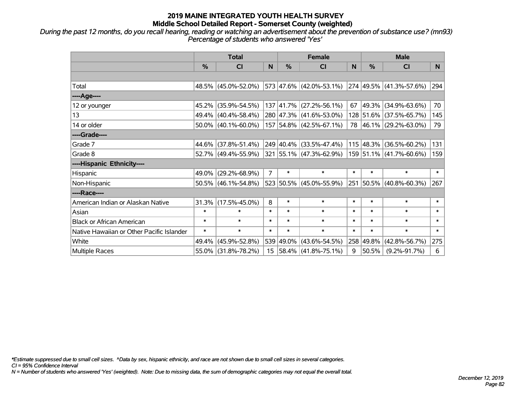*During the past 12 months, do you recall hearing, reading or watching an advertisement about the prevention of substance use? (mn93) Percentage of students who answered 'Yes'*

|                                           | <b>Total</b>  |                        |                 | <b>Female</b> | <b>Male</b>              |          |                   |                         |        |
|-------------------------------------------|---------------|------------------------|-----------------|---------------|--------------------------|----------|-------------------|-------------------------|--------|
|                                           | $\frac{0}{0}$ | CI                     | N               | $\%$          | <b>CI</b>                | <b>N</b> | %                 | <b>CI</b>               | N.     |
|                                           |               |                        |                 |               |                          |          |                   |                         |        |
| Total                                     |               | 48.5% (45.0%-52.0%)    |                 |               | 573 47.6% (42.0%-53.1%)  |          |                   | 274 49.5% (41.3%-57.6%) | 294    |
| ----Age----                               |               |                        |                 |               |                          |          |                   |                         |        |
| 12 or younger                             | 45.2%         | $(35.9\% - 54.5\%)$    |                 |               | 137 41.7% (27.2%-56.1%)  | 67       | 49.3%             | $(34.9\% - 63.6\%)$     | 70     |
| 13                                        |               | 49.4% (40.4%-58.4%)    |                 |               | 280 47.3% (41.6%-53.0%)  |          |                   | 128 51.6% (37.5%-65.7%) | 145    |
| 14 or older                               |               | $50.0\%$ (40.1%-60.0%) |                 |               | 157 54.8% (42.5%-67.1%)  |          |                   | 78 46.1% (29.2%-63.0%)  | 79     |
| ----Grade----                             |               |                        |                 |               |                          |          |                   |                         |        |
| Grade 7                                   |               | 44.6% (37.8%-51.4%)    |                 |               | 249 40.4% (33.5%-47.4%)  |          | $115 \,   48.3\%$ | $(36.5\% - 60.2\%)$     | 131    |
| Grade 8                                   |               | 52.7% (49.4%-55.9%)    |                 |               | 321 55.1% (47.3%-62.9%)  |          |                   | 159 51.1% (41.7%-60.6%) | 159    |
| ----Hispanic Ethnicity----                |               |                        |                 |               |                          |          |                   |                         |        |
| Hispanic                                  | 49.0%         | $(29.2\% - 68.9\%)$    | $\overline{7}$  | $\ast$        | $\ast$                   | $\ast$   | $\ast$            | $\ast$                  | $\ast$ |
| Non-Hispanic                              |               | $50.5\%$ (46.1%-54.8%) |                 |               | 523 50.5% (45.0%-55.9%)  |          |                   | 251 50.5% (40.8%-60.3%) | 267    |
| ----Race----                              |               |                        |                 |               |                          |          |                   |                         |        |
| American Indian or Alaskan Native         |               | $31.3\%$ (17.5%-45.0%) | 8               | $\ast$        | $\ast$                   | $\ast$   | $\ast$            | $\ast$                  | $\ast$ |
| Asian                                     | $\ast$        | $\ast$                 | $\ast$          | $\ast$        | $\ast$                   | $\ast$   | $\ast$            | $\ast$                  | $\ast$ |
| <b>Black or African American</b>          | $\ast$        | $\ast$                 | $\ast$          | $\ast$        | $\ast$                   | $\ast$   | $\ast$            | $\ast$                  | $\ast$ |
| Native Hawaiian or Other Pacific Islander | $\ast$        | $\ast$                 | $\ast$          | $\ast$        | $\ast$                   | $\ast$   | $\ast$            | $\ast$                  | $\ast$ |
| White                                     | 49.4%         | $(45.9\% - 52.8\%)$    | 539             |               | 49.0% (43.6%-54.5%)      |          | 258 49.8%         | $(42.8\% - 56.7\%)$     | 275    |
| Multiple Races                            |               | 55.0% (31.8%-78.2%)    | 15 <sub>1</sub> |               | $ 58.4\% $ (41.8%-75.1%) | 9        | 50.5%             | $(9.2\% - 91.7\%)$      | 6      |

*\*Estimate suppressed due to small cell sizes. ^Data by sex, hispanic ethnicity, and race are not shown due to small cell sizes in several categories.*

*CI = 95% Confidence Interval*

*N = Number of students who answered 'Yes' (weighted). Note: Due to missing data, the sum of demographic categories may not equal the overall total.*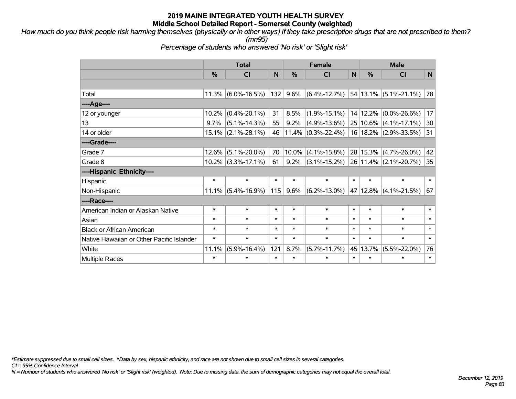*How much do you think people risk harming themselves (physically or in other ways) if they take prescription drugs that are not prescribed to them? (mn95)*

*Percentage of students who answered 'No risk' or 'Slight risk'*

|                                           | <b>Total</b> |                    |        |         | <b>Female</b>             | <b>Male</b> |          |                               |             |
|-------------------------------------------|--------------|--------------------|--------|---------|---------------------------|-------------|----------|-------------------------------|-------------|
|                                           | %            | CI                 | N      | %       | CI                        | N           | %        | CI                            | $\mathbf N$ |
|                                           |              |                    |        |         |                           |             |          |                               |             |
| Total                                     | 11.3%        | $(6.0\% - 16.5\%)$ | 132    | 9.6%    | $(6.4\% - 12.7\%)$        |             |          | $54 13.1\%  (5.1\% - 21.1\%)$ | 78          |
| ----Age----                               |              |                    |        |         |                           |             |          |                               |             |
| 12 or younger                             | 10.2%        | $(0.4\% - 20.1\%)$ | 31     | 8.5%    | $(1.9\% - 15.1\%)$        |             | 14 12.2% | $(0.0\% - 26.6\%)$            | 17          |
| 13                                        | 9.7%         | $(5.1\% - 14.3\%)$ | 55     | 9.2%    | $(4.9\% - 13.6\%)$        |             | 25 10.6% | $(4.1\% - 17.1\%)$            | 30          |
| 14 or older                               | $15.1\%$     | $(2.1\% - 28.1\%)$ | 46     | 11.4%   | $(0.3\textdegree-22.4\%)$ |             | 16 18.2% | $(2.9\% - 33.5\%)$            | 31          |
| ----Grade----                             |              |                    |        |         |                           |             |          |                               |             |
| Grade 7                                   | 12.6%        | $(5.1\% - 20.0\%)$ | 70     | 10.0%   | $(4.1\% - 15.8\%)$        |             | 28 15.3% | $(4.7\% - 26.0\%)$            | 42          |
| Grade 8                                   | $10.2\%$     | $(3.3\% - 17.1\%)$ | 61     | 9.2%    | $(3.1\% - 15.2\%)$        |             | 26 11.4% | $(2.1\% - 20.7\%)$            | 35          |
| ----Hispanic Ethnicity----                |              |                    |        |         |                           |             |          |                               |             |
| Hispanic                                  | $\ast$       | $\ast$             | $\ast$ | $\ast$  | $\ast$                    | $\ast$      | $\ast$   | $\ast$                        | $\ast$      |
| Non-Hispanic                              | $11.1\%$     | $(5.4\% - 16.9\%)$ | 115    | $9.6\%$ | $(6.2\% - 13.0\%)$        |             |          | 47 12.8% (4.1%-21.5%)         | 67          |
| ----Race----                              |              |                    |        |         |                           |             |          |                               |             |
| American Indian or Alaskan Native         | $\ast$       | $\ast$             | $\ast$ | $\ast$  | $\ast$                    | $\ast$      | $\ast$   | $\ast$                        | $\ast$      |
| Asian                                     | $\ast$       | $\ast$             | $\ast$ | $\ast$  | $\ast$                    | $\ast$      | $\ast$   | $\ast$                        | $\ast$      |
| <b>Black or African American</b>          | $\ast$       | $\ast$             | $\ast$ | $\ast$  | $\ast$                    | $\ast$      | $\ast$   | $\ast$                        | $\ast$      |
| Native Hawaiian or Other Pacific Islander | $\ast$       | $\ast$             | $\ast$ | $\ast$  | $\ast$                    | $\ast$      | $\ast$   | $\ast$                        | $\ast$      |
| White                                     | 11.1%        | $(5.9\% - 16.4\%)$ | 121    | 8.7%    | $(5.7\% - 11.7\%)$        | 45          | 13.7%    | $(5.5\% - 22.0\%)$            | 76          |
| <b>Multiple Races</b>                     | $\ast$       | $\ast$             | $\ast$ | $\ast$  | $\ast$                    | $\ast$      | $\ast$   | $\ast$                        | $\ast$      |

*\*Estimate suppressed due to small cell sizes. ^Data by sex, hispanic ethnicity, and race are not shown due to small cell sizes in several categories.*

*CI = 95% Confidence Interval*

*N = Number of students who answered 'No risk' or 'Slight risk' (weighted). Note: Due to missing data, the sum of demographic categories may not equal the overall total.*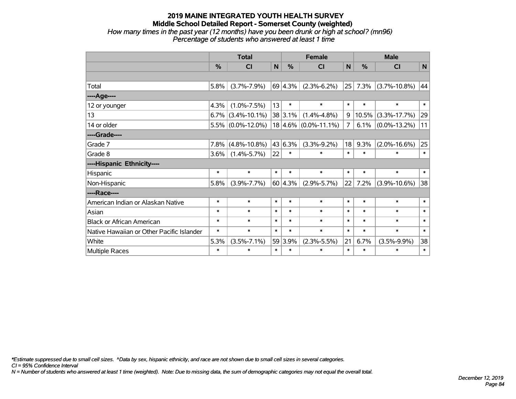#### **2019 MAINE INTEGRATED YOUTH HEALTH SURVEY Middle School Detailed Report - Somerset County (weighted)** *How many times in the past year (12 months) have you been drunk or high at school? (mn96) Percentage of students who answered at least 1 time*

|                                           | <b>Total</b> |                      |        |                 | <b>Female</b>            |        | <b>Male</b> |                    |        |  |
|-------------------------------------------|--------------|----------------------|--------|-----------------|--------------------------|--------|-------------|--------------------|--------|--|
|                                           | %            | <b>CI</b>            | N      | %               | CI                       | N      | %           | <b>CI</b>          | N      |  |
|                                           |              |                      |        |                 |                          |        |             |                    |        |  |
| Total                                     | 5.8%         | $(3.7\% - 7.9\%)$    |        | 69 4.3%         | $(2.3\% - 6.2\%)$        | 25     | 7.3%        | $(3.7\% - 10.8\%)$ | 44     |  |
| ---- Age----                              |              |                      |        |                 |                          |        |             |                    |        |  |
| 12 or younger                             | 4.3%         | $(1.0\% - 7.5\%)$    | 13     | $\ast$          | $\ast$                   | $\ast$ | $\ast$      | $\ast$             | $\ast$ |  |
| 13                                        | $6.7\%$      | $(3.4\% - 10.1\%)$   |        | 38 3.1%         | $(1.4\% - 4.8\%)$        | 9      | 10.5%       | $(3.3\% - 17.7\%)$ | 29     |  |
| 14 or older                               |              | $5.5\%$ (0.0%-12.0%) |        |                 | $18 4.6\% $ (0.0%-11.1%) | 7      | 6.1%        | $(0.0\% - 13.2\%)$ | 11     |  |
| ----Grade----                             |              |                      |        |                 |                          |        |             |                    |        |  |
| Grade 7                                   | 7.8%         | $(4.8\% - 10.8\%)$   |        | 43 6.3%         | $(3.3\% - 9.2\%)$        | 18     | 9.3%        | $(2.0\% - 16.6\%)$ | 25     |  |
| Grade 8                                   | $3.6\%$      | $(1.4\% - 5.7\%)$    | 22     | $\ast$          | $\ast$                   | $\ast$ | $\ast$      | $\ast$             | $\ast$ |  |
| ----Hispanic Ethnicity----                |              |                      |        |                 |                          |        |             |                    |        |  |
| Hispanic                                  | $\ast$       | $\ast$               | $\ast$ | $\ast$          | $\ast$                   | $\ast$ | $\ast$      | $\ast$             | $\ast$ |  |
| Non-Hispanic                              | 5.8%         | $(3.9\% - 7.7\%)$    |        | $60 \mid 4.3\%$ | $(2.9\% - 5.7\%)$        | 22     | 7.2%        | $(3.9\% - 10.6\%)$ | 38     |  |
| ----Race----                              |              |                      |        |                 |                          |        |             |                    |        |  |
| American Indian or Alaskan Native         | $\ast$       | $\ast$               | $\ast$ | $\ast$          | $\ast$                   | $\ast$ | $\ast$      | $\ast$             | $\ast$ |  |
| Asian                                     | $\ast$       | $\ast$               | $\ast$ | $\ast$          | $\ast$                   | $\ast$ | $\ast$      | $\ast$             | $\ast$ |  |
| <b>Black or African American</b>          | $\ast$       | $\ast$               | $\ast$ | $\ast$          | $\ast$                   | $\ast$ | $\ast$      | $\ast$             | $\ast$ |  |
| Native Hawaiian or Other Pacific Islander | $\ast$       | $\ast$               | $\ast$ | $\ast$          | $\ast$                   | $\ast$ | $\ast$      | $\ast$             | $\ast$ |  |
| White                                     | 5.3%         | $(3.5\% - 7.1\%)$    | 59     | 3.9%            | $(2.3\% - 5.5\%)$        | 21     | 6.7%        | $(3.5\% - 9.9\%)$  | 38     |  |
| Multiple Races                            | $\ast$       | $\ast$               | $\ast$ | $\ast$          | $\ast$                   | $\ast$ | $\ast$      | $\ast$             | $\ast$ |  |

*\*Estimate suppressed due to small cell sizes. ^Data by sex, hispanic ethnicity, and race are not shown due to small cell sizes in several categories.*

*CI = 95% Confidence Interval*

*N = Number of students who answered at least 1 time (weighted). Note: Due to missing data, the sum of demographic categories may not equal the overall total.*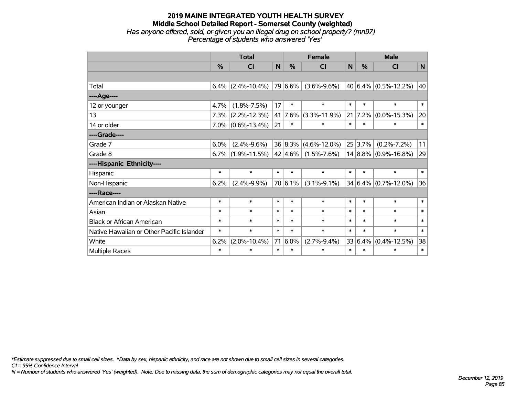#### **2019 MAINE INTEGRATED YOUTH HEALTH SURVEY Middle School Detailed Report - Somerset County (weighted)** *Has anyone offered, sold, or given you an illegal drug on school property? (mn97) Percentage of students who answered 'Yes'*

|                                           | <b>Total</b>  |                      |        |               | <b>Female</b>            |        |         | <b>Male</b>                   |        |  |  |
|-------------------------------------------|---------------|----------------------|--------|---------------|--------------------------|--------|---------|-------------------------------|--------|--|--|
|                                           | $\frac{0}{2}$ | <b>CI</b>            | N      | $\frac{0}{0}$ | CI                       | N      | $\%$    | <b>CI</b>                     | N      |  |  |
|                                           |               |                      |        |               |                          |        |         |                               |        |  |  |
| Total                                     |               | $6.4\%$ (2.4%-10.4%) |        | 79 6.6%       | $(3.6\% - 9.6\%)$        |        |         | 40 $ 6.4\%  (0.5\% - 12.2\%)$ | 40     |  |  |
| ----Age----                               |               |                      |        |               |                          |        |         |                               |        |  |  |
| 12 or younger                             | 4.7%          | $(1.8\% - 7.5\%)$    | 17     | $\ast$        | $\ast$                   | $\ast$ | $\ast$  | $\ast$                        | $\ast$ |  |  |
| 13                                        | $7.3\%$       | $(2.2\% - 12.3\%)$   |        | 41 7.6%       | $(3.3\% - 11.9\%)$       | 21     | 7.2%    | $(0.0\% - 15.3\%)$            | 20     |  |  |
| 14 or older                               |               | $7.0\%$ (0.6%-13.4%) | 21     | $\ast$        | $\ast$                   | $\ast$ | $\ast$  | $\ast$                        | $\ast$ |  |  |
| ----Grade----                             |               |                      |        |               |                          |        |         |                               |        |  |  |
| Grade 7                                   | 6.0%          | $(2.4\% - 9.6\%)$    |        |               | $36 8.3\% $ (4.6%-12.0%) |        | 25 3.7% | $(0.2\% - 7.2\%)$             | 11     |  |  |
| Grade 8                                   |               | $6.7\%$ (1.9%-11.5%) |        | $ 42 4.6\% $  | $(1.5\% - 7.6\%)$        |        |         | $14 8.8\% $ (0.9%-16.8%)      | 29     |  |  |
| ----Hispanic Ethnicity----                |               |                      |        |               |                          |        |         |                               |        |  |  |
| Hispanic                                  | $\ast$        | $\ast$               | $\ast$ | $\ast$        | $\ast$                   | $\ast$ | $\ast$  | $\ast$                        | $\ast$ |  |  |
| Non-Hispanic                              | 6.2%          | $(2.4\% - 9.9\%)$    |        | 70 6.1%       | $(3.1\% - 9.1\%)$        |        |         | $34 6.4\%  (0.7\% - 12.0\%)$  | 36     |  |  |
| ----Race----                              |               |                      |        |               |                          |        |         |                               |        |  |  |
| American Indian or Alaskan Native         | $\ast$        | $\ast$               | $\ast$ | $\ast$        | $\ast$                   | $\ast$ | $\ast$  | $\ast$                        | $\ast$ |  |  |
| Asian                                     | $\ast$        | $\ast$               | $\ast$ | $\ast$        | $\ast$                   | $\ast$ | $\ast$  | $\ast$                        | $\ast$ |  |  |
| <b>Black or African American</b>          | $\ast$        | $\ast$               | $\ast$ | $\ast$        | $\ast$                   | $\ast$ | $\ast$  | $\ast$                        | $\ast$ |  |  |
| Native Hawaiian or Other Pacific Islander | $\ast$        | $\ast$               | $\ast$ | $\ast$        | $\ast$                   | $\ast$ | $\ast$  | $\ast$                        | $\ast$ |  |  |
| White                                     | 6.2%          | $(2.0\% - 10.4\%)$   |        | 71 6.0%       | $(2.7\% - 9.4\%)$        |        | 33 6.4% | $(0.4\% - 12.5\%)$            | 38     |  |  |
| <b>Multiple Races</b>                     | $\ast$        | $\ast$               | $\ast$ | $\ast$        | $\ast$                   | $\ast$ | $\ast$  | $\ast$                        | $\ast$ |  |  |

*\*Estimate suppressed due to small cell sizes. ^Data by sex, hispanic ethnicity, and race are not shown due to small cell sizes in several categories.*

*CI = 95% Confidence Interval*

*N = Number of students who answered 'Yes' (weighted). Note: Due to missing data, the sum of demographic categories may not equal the overall total.*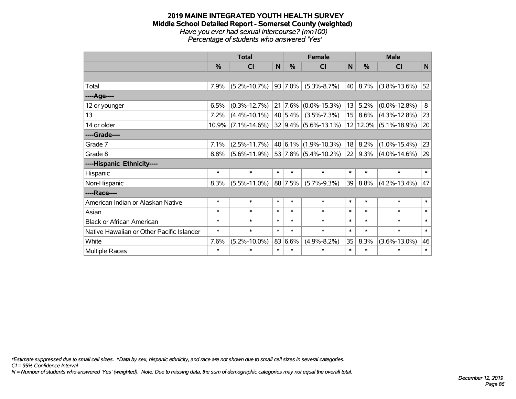#### **2019 MAINE INTEGRATED YOUTH HEALTH SURVEY Middle School Detailed Report - Somerset County (weighted)** *Have you ever had sexual intercourse? (mn100) Percentage of students who answered 'Yes'*

|                                           | <b>Total</b>  |                       |        |               | <b>Female</b>                   |                 | <b>Male</b> |                       |          |  |
|-------------------------------------------|---------------|-----------------------|--------|---------------|---------------------------------|-----------------|-------------|-----------------------|----------|--|
|                                           | $\frac{0}{0}$ | <b>CI</b>             | N      | $\frac{0}{0}$ | <b>CI</b>                       | N               | %           | <b>CI</b>             | <b>N</b> |  |
|                                           |               |                       |        |               |                                 |                 |             |                       |          |  |
| Total                                     | 7.9%          | $(5.2\% - 10.7\%)$    |        | $ 93 7.0\% $  | $(5.3\% - 8.7\%)$               | 40              | 8.7%        | $(3.8\% - 13.6\%)$    | 52       |  |
| ----Age----                               |               |                       |        |               |                                 |                 |             |                       |          |  |
| 12 or younger                             | 6.5%          | $(0.3\% - 12.7\%)$    |        |               | $21   7.6\%   (0.0\% - 15.3\%)$ | 13              | 5.2%        | $(0.0\% - 12.8\%)$    | 8        |  |
| 13                                        | 7.2%          | $(4.4\% - 10.1\%)$    |        | $ 40 5.4\% $  | $(3.5\% - 7.3\%)$               | 15 <sup>2</sup> | $8.6\%$     | $(4.3\% - 12.8\%)$    | 23       |  |
| 14 or older                               |               | $10.9\%$ (7.1%-14.6%) |        |               | 32 9.4% (5.6%-13.1%)            |                 |             | 12 12.0% (5.1%-18.9%) | 20       |  |
| ----Grade----                             |               |                       |        |               |                                 |                 |             |                       |          |  |
| Grade 7                                   | 7.1%          | $(2.5\% - 11.7\%)$    |        |               | $ 40 6.1\% (1.9\% - 10.3\%)$    | 18              | 8.2%        | $(1.0\% - 15.4\%)$    | 23       |  |
| Grade 8                                   | 8.8%          | $(5.6\% - 11.9\%)$    |        |               | 53 7.8% (5.4%-10.2%)            | 22              | $9.3\%$     | $(4.0\% - 14.6\%)$    | 29       |  |
| ----Hispanic Ethnicity----                |               |                       |        |               |                                 |                 |             |                       |          |  |
| Hispanic                                  | $\ast$        | $\ast$                | $\ast$ | $\ast$        | $\ast$                          | $\ast$          | $\ast$      | $\ast$                | $\ast$   |  |
| Non-Hispanic                              | 8.3%          | $(5.5\% - 11.0\%)$    |        | 88 7.5%       | $(5.7\% - 9.3\%)$               | 39              | 8.8%        | $(4.2\% - 13.4\%)$    | 47       |  |
| ----Race----                              |               |                       |        |               |                                 |                 |             |                       |          |  |
| American Indian or Alaskan Native         | $\ast$        | $\ast$                | $\ast$ | $\ast$        | $\ast$                          | $\ast$          | $\ast$      | $\ast$                | $\ast$   |  |
| Asian                                     | $\ast$        | $\ast$                | $\ast$ | $\ast$        | $\ast$                          | $\ast$          | $\ast$      | $\ast$                | $\ast$   |  |
| <b>Black or African American</b>          | $\ast$        | $\ast$                | $\ast$ | $\ast$        | $\ast$                          | $\ast$          | $\ast$      | $\ast$                | $\ast$   |  |
| Native Hawaiian or Other Pacific Islander | $\ast$        | $\ast$                | $\ast$ | $\ast$        | $\ast$                          | $\ast$          | $\ast$      | $\ast$                | $\ast$   |  |
| White                                     | 7.6%          | $(5.2\% - 10.0\%)$    |        | 83 6.6%       | $(4.9\% - 8.2\%)$               | 35              | 8.3%        | $(3.6\% - 13.0\%)$    | 46       |  |
| Multiple Races                            | $\ast$        | $\ast$                | $\ast$ | $\ast$        | $\ast$                          | $\ast$          | $\ast$      | $\ast$                | $\ast$   |  |

*\*Estimate suppressed due to small cell sizes. ^Data by sex, hispanic ethnicity, and race are not shown due to small cell sizes in several categories.*

*CI = 95% Confidence Interval*

*N = Number of students who answered 'Yes' (weighted). Note: Due to missing data, the sum of demographic categories may not equal the overall total.*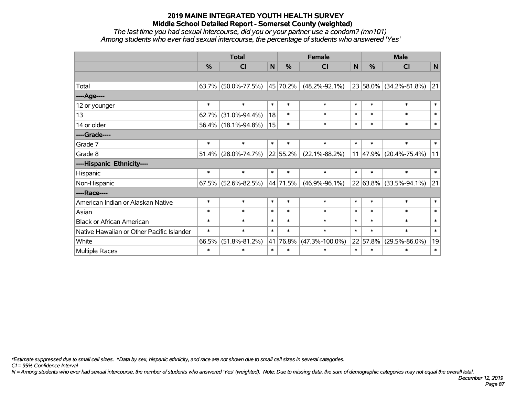*The last time you had sexual intercourse, did you or your partner use a condom? (mn101) Among students who ever had sexual intercourse, the percentage of students who answered 'Yes'*

|                                           | <b>Total</b>  |                        | <b>Female</b> |               |                      | <b>Male</b> |               |                            |              |
|-------------------------------------------|---------------|------------------------|---------------|---------------|----------------------|-------------|---------------|----------------------------|--------------|
|                                           | $\frac{0}{0}$ | C <sub>l</sub>         | $\mathsf{N}$  | $\frac{0}{0}$ | <b>CI</b>            | N           | $\frac{0}{0}$ | <b>CI</b>                  | N            |
|                                           |               |                        |               |               |                      |             |               |                            |              |
| Total                                     |               | $63.7\%$ (50.0%-77.5%) |               | 45 70.2%      | $(48.2\% - 92.1\%)$  |             |               | 23 58.0% (34.2%-81.8%)     | $ 21\rangle$ |
| ----Age----                               |               |                        |               |               |                      |             |               |                            |              |
| 12 or younger                             | $\ast$        | $\ast$                 | $\ast$        | $\ast$        | $\ast$               | $\ast$      | $\ast$        | $\ast$                     | $\ast$       |
| 13                                        | 62.7%         | $(31.0\% - 94.4\%)$    | 18            | $\ast$        | $\ast$               | $\ast$      | $\ast$        | $\ast$                     | $\ast$       |
| 14 or older                               |               | 56.4% (18.1%-94.8%)    | 15            | $\ast$        | $\ast$               | $\ast$      | $\ast$        | $\ast$                     | $\ast$       |
| ----Grade----                             |               |                        |               |               |                      |             |               |                            |              |
| Grade 7                                   | $\ast$        | $\ast$                 | $\ast$        | $\ast$        | $\ast$               | $\ast$      | $\ast$        | $\ast$                     | $\ast$       |
| Grade 8                                   |               | $51.4\%$ (28.0%-74.7%) |               | 22 55.2%      | $(22.1\% - 88.2\%)$  |             |               | $11 47.9\% $ (20.4%-75.4%) | 11           |
| ----Hispanic Ethnicity----                |               |                        |               |               |                      |             |               |                            |              |
| Hispanic                                  | $\ast$        | $\ast$                 | $\ast$        | $\ast$        | $\ast$               | $\ast$      | $\ast$        | $\ast$                     | $\ast$       |
| Non-Hispanic                              |               | $67.5\%$ (52.6%-82.5%) |               | 44 71.5%      | $(46.9\% - 96.1\%)$  |             |               | 22 63.8% (33.5%-94.1%)     | 21           |
| ----Race----                              |               |                        |               |               |                      |             |               |                            |              |
| American Indian or Alaskan Native         | $\ast$        | $\ast$                 | $\ast$        | $\ast$        | $\ast$               | $\ast$      | $\ast$        | $\ast$                     | $\ast$       |
| Asian                                     | $\ast$        | $\ast$                 | $\ast$        | $\ast$        | $\ast$               | $\ast$      | $\ast$        | $\ast$                     | $\ast$       |
| <b>Black or African American</b>          | $\ast$        | $\ast$                 | $\ast$        | $\ast$        | $\ast$               | $\ast$      | $\ast$        | $\ast$                     | $\ast$       |
| Native Hawaiian or Other Pacific Islander | $\ast$        | $\ast$                 | $\ast$        | $\ast$        | $\ast$               | $\ast$      | $\ast$        | $\ast$                     | $\ast$       |
| White                                     | 66.5%         | $(51.8\% - 81.2\%)$    | 41            | 76.8%         | $(47.3\% - 100.0\%)$ |             | 22 57.8%      | $(29.5\% - 86.0\%)$        | 19           |
| Multiple Races                            | $\ast$        | $\ast$                 | $\ast$        | $\ast$        | $\ast$               | $\ast$      | $\ast$        | $\ast$                     | $\ast$       |

*\*Estimate suppressed due to small cell sizes. ^Data by sex, hispanic ethnicity, and race are not shown due to small cell sizes in several categories.*

*CI = 95% Confidence Interval*

*N = Among students who ever had sexual intercourse, the number of students who answered 'Yes' (weighted). Note: Due to missing data, the sum of demographic categories may not equal the overall total.*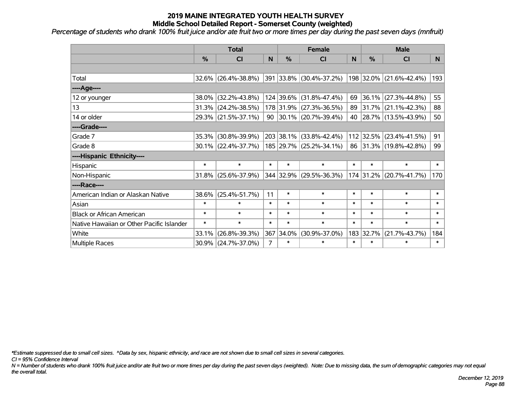*Percentage of students who drank 100% fruit juice and/or ate fruit two or more times per day during the past seven days (mnfruit)*

|                                           | <b>Total</b>  |                        | <b>Female</b>  |        |                         | <b>Male</b> |           |                         |        |
|-------------------------------------------|---------------|------------------------|----------------|--------|-------------------------|-------------|-----------|-------------------------|--------|
|                                           | $\frac{0}{0}$ | <b>CI</b>              | N              | $\%$   | <b>CI</b>               | N           | %         | <b>CI</b>               | N.     |
|                                           |               |                        |                |        |                         |             |           |                         |        |
| Total                                     |               | 32.6% (26.4%-38.8%)    |                |        | 391 33.8% (30.4%-37.2%) |             |           | 198 32.0% (21.6%-42.4%) | 193    |
| ----Age----                               |               |                        |                |        |                         |             |           |                         |        |
| 12 or younger                             | 38.0%         | $(32.2\% - 43.8\%)$    |                |        | 124 39.6% (31.8%-47.4%) | 69          | 36.1%     | $(27.3\% - 44.8\%)$     | 55     |
| 13                                        |               | 31.3% (24.2%-38.5%)    |                |        | 178 31.9% (27.3%-36.5%) |             |           | 89 31.7% (21.1%-42.3%)  | 88     |
| 14 or older                               |               | 29.3% (21.5%-37.1%)    |                |        | 90 30.1% (20.7%-39.4%)  |             |           | 40 28.7% (13.5%-43.9%)  | 50     |
| ----Grade----                             |               |                        |                |        |                         |             |           |                         |        |
| Grade 7                                   | 35.3%         | $(30.8\% - 39.9\%)$    |                |        | 203 38.1% (33.8%-42.4%) |             | 112 32.5% | $(23.4\% - 41.5\%)$     | 91     |
| Grade 8                                   |               | $30.1\%$ (22.4%-37.7%) |                |        | 185 29.7% (25.2%-34.1%) |             |           | 86 31.3% (19.8%-42.8%)  | 99     |
| ----Hispanic Ethnicity----                |               |                        |                |        |                         |             |           |                         |        |
| Hispanic                                  | $\ast$        | $\ast$                 | $\ast$         | $\ast$ | $\ast$                  | $\ast$      | $\ast$    | $\ast$                  | $\ast$ |
| Non-Hispanic                              | 31.8%         | $(25.6\% - 37.9\%)$    |                |        | 344 32.9% (29.5%-36.3%) |             | 174 31.2% | $(20.7\% - 41.7\%)$     | 170    |
| ----Race----                              |               |                        |                |        |                         |             |           |                         |        |
| American Indian or Alaskan Native         | 38.6%         | $(25.4\% - 51.7\%)$    | 11             | $\ast$ | $\ast$                  | $\ast$      | $\ast$    | $\ast$                  | $\ast$ |
| Asian                                     | $\ast$        | $\ast$                 | $\ast$         | $\ast$ | $\ast$                  | $\ast$      | $\ast$    | $\ast$                  | $\ast$ |
| <b>Black or African American</b>          | $\ast$        | $\ast$                 | $\ast$         | $\ast$ | $\ast$                  | $\ast$      | $\ast$    | $\ast$                  | $\ast$ |
| Native Hawaiian or Other Pacific Islander | $\ast$        | $\ast$                 | $\ast$         | $\ast$ | $\ast$                  | $\ast$      | $\ast$    | $\ast$                  | $\ast$ |
| White                                     | 33.1%         | $(26.8\% - 39.3\%)$    | 367            | 34.0%  | $(30.9\% - 37.0\%)$     | 183         | 32.7%     | $(21.7\% - 43.7\%)$     | 184    |
| Multiple Races                            |               | 30.9% (24.7%-37.0%)    | $\overline{7}$ | $\ast$ | $\ast$                  | $\ast$      | $\ast$    | $\ast$                  | $\ast$ |

*\*Estimate suppressed due to small cell sizes. ^Data by sex, hispanic ethnicity, and race are not shown due to small cell sizes in several categories.*

*CI = 95% Confidence Interval*

*N = Number of students who drank 100% fruit juice and/or ate fruit two or more times per day during the past seven days (weighted). Note: Due to missing data, the sum of demographic categories may not equal the overall total.*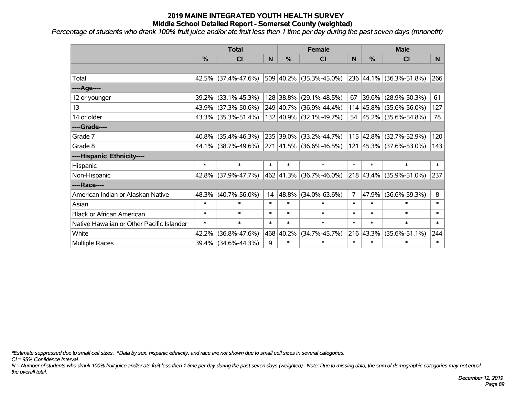*Percentage of students who drank 100% fruit juice and/or ate fruit less then 1 time per day during the past seven days (mnonefrt)*

|                                           | <b>Total</b>  |                     |        | <b>Female</b> | <b>Male</b>                  |                |           |                         |        |
|-------------------------------------------|---------------|---------------------|--------|---------------|------------------------------|----------------|-----------|-------------------------|--------|
|                                           | $\frac{0}{6}$ | <b>CI</b>           | N      | $\%$          | CI                           | N              | %         | <b>CI</b>               | N.     |
|                                           |               |                     |        |               |                              |                |           |                         |        |
| Total                                     |               | 42.5% (37.4%-47.6%) |        |               | 509 40.2% (35.3%-45.0%)      |                |           | 236 44.1% (36.3%-51.8%) | 266    |
| ----Age----                               |               |                     |        |               |                              |                |           |                         |        |
| 12 or younger                             | 39.2%         | $(33.1\% - 45.3\%)$ |        |               | 128 38.8% (29.1%-48.5%)      | 67             | 39.6%     | $(28.9\% - 50.3\%)$     | 61     |
| 13                                        | 43.9%         | $(37.3\% - 50.6\%)$ |        |               | 249 40.7% (36.9%-44.4%)      |                |           | 114 45.8% (35.6%-56.0%) | 127    |
| 14 or older                               |               | 43.3% (35.3%-51.4%) |        |               | 132 40.9% (32.1%-49.7%)      |                |           | 54 45.2% (35.6%-54.8%)  | 78     |
| ----Grade----                             |               |                     |        |               |                              |                |           |                         |        |
| Grade 7                                   | $40.8\%$      | $(35.4\% - 46.3\%)$ |        |               | 235 39.0% (33.2%-44.7%)      |                | 115 42.8% | $(32.7\% - 52.9\%)$     | 120    |
| Grade 8                                   |               | 44.1% (38.7%-49.6%) |        |               | $ 271 41.5\% $ (36.6%-46.5%) |                |           | 121 45.3% (37.6%-53.0%) | 143    |
| ----Hispanic Ethnicity----                |               |                     |        |               |                              |                |           |                         |        |
| Hispanic                                  | $\ast$        | $\ast$              | $\ast$ | $\ast$        | $\ast$                       | $\ast$         | $\ast$    | $\ast$                  | $\ast$ |
| Non-Hispanic                              | 42.8%         | $(37.9\% - 47.7\%)$ |        |               | 462 41.3% (36.7%-46.0%)      |                | 218 43.4% | $(35.9\% - 51.0\%)$     | 237    |
| ----Race----                              |               |                     |        |               |                              |                |           |                         |        |
| American Indian or Alaskan Native         | 48.3%         | $(40.7\% - 56.0\%)$ | 14     | 48.8%         | $(34.0\% - 63.6\%)$          | $\overline{7}$ | 47.9%     | $(36.6\% - 59.3\%)$     | 8      |
| Asian                                     | $\ast$        | $\ast$              | $\ast$ | $\ast$        | $\ast$                       | $\ast$         | $\ast$    | $\ast$                  | $\ast$ |
| <b>Black or African American</b>          | $\ast$        | $\ast$              | $\ast$ | $\ast$        | $\ast$                       | $\ast$         | $\ast$    | $\ast$                  | $\ast$ |
| Native Hawaiian or Other Pacific Islander | $\ast$        | $\ast$              | $\ast$ | $\ast$        | $\ast$                       | $\ast$         | $\ast$    | $\ast$                  | $\ast$ |
| White                                     | 42.2%         | $(36.8\% - 47.6\%)$ |        | 468 40.2%     | $(34.7\% - 45.7\%)$          |                | 216 43.3% | $(35.6\% - 51.1\%)$     | 244    |
| Multiple Races                            |               | 39.4% (34.6%-44.3%) | 9      | $\ast$        | $\ast$                       | $\ast$         | $\ast$    | $\ast$                  | $\ast$ |

*\*Estimate suppressed due to small cell sizes. ^Data by sex, hispanic ethnicity, and race are not shown due to small cell sizes in several categories.*

*CI = 95% Confidence Interval*

*N = Number of students who drank 100% fruit juice and/or ate fruit less then 1 time per day during the past seven days (weighted). Note: Due to missing data, the sum of demographic categories may not equal the overall total.*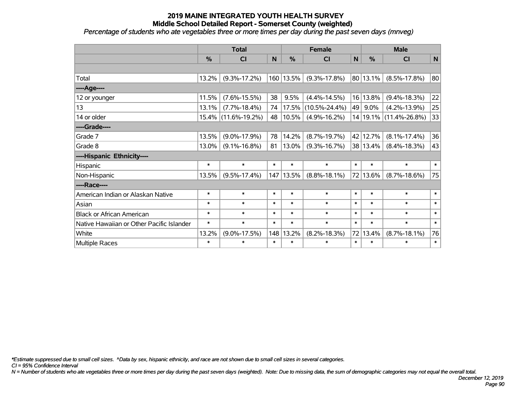*Percentage of students who ate vegetables three or more times per day during the past seven days (mnveg)*

|                                           | <b>Total</b>  |                     |        | <b>Female</b> | <b>Male</b>         |              |          |                        |             |
|-------------------------------------------|---------------|---------------------|--------|---------------|---------------------|--------------|----------|------------------------|-------------|
|                                           | $\frac{0}{0}$ | <b>CI</b>           | N      | %             | <b>CI</b>           | $\mathsf{N}$ | %        | <b>CI</b>              | $\mathbf N$ |
|                                           |               |                     |        |               |                     |              |          |                        |             |
| Total                                     | 13.2%         | $(9.3\% - 17.2\%)$  |        | 160 13.5%     | $(9.3\% - 17.8\%)$  |              | 80 13.1% | $(8.5\% - 17.8\%)$     | 80          |
| ----Age----                               |               |                     |        |               |                     |              |          |                        |             |
| 12 or younger                             | 11.5%         | $(7.6\% - 15.5\%)$  | 38     | 9.5%          | $(4.4\% - 14.5\%)$  |              | 16 13.8% | $(9.4\% - 18.3\%)$     | 22          |
| 13                                        | 13.1%         | $(7.7\% - 18.4\%)$  | 74     | 17.5%         | $(10.5\% - 24.4\%)$ | 49           | 9.0%     | $(4.2\% - 13.9\%)$     | 25          |
| 14 or older                               |               | 15.4% (11.6%-19.2%) | 48     | 10.5%         | $(4.9\% - 16.2\%)$  |              |          | 14 19.1% (11.4%-26.8%) | 33          |
| ----Grade----                             |               |                     |        |               |                     |              |          |                        |             |
| Grade 7                                   | 13.5%         | $(9.0\% - 17.9\%)$  | 78     | 14.2%         | $(8.7\% - 19.7\%)$  |              | 42 12.7% | $(8.1\% - 17.4\%)$     | 36          |
| Grade 8                                   | 13.0%         | $(9.1\% - 16.8\%)$  | 81     | 13.0%         | $(9.3\% - 16.7\%)$  |              | 38 13.4% | $(8.4\% - 18.3\%)$     | 43          |
| ----Hispanic Ethnicity----                |               |                     |        |               |                     |              |          |                        |             |
| <b>Hispanic</b>                           | $\ast$        | $\ast$              | $\ast$ | $\ast$        | $\ast$              | $\ast$       | $\ast$   | $\ast$                 | $\ast$      |
| Non-Hispanic                              | 13.5%         | $(9.5\% - 17.4\%)$  | 147    | 13.5%         | $(8.8\% - 18.1\%)$  |              | 72 13.6% | $(8.7\% - 18.6\%)$     | 75          |
| ----Race----                              |               |                     |        |               |                     |              |          |                        |             |
| American Indian or Alaskan Native         | $\ast$        | $\ast$              | $\ast$ | $\ast$        | $\ast$              | $\ast$       | $\ast$   | $\ast$                 | $\ast$      |
| Asian                                     | $\ast$        | $\ast$              | $\ast$ | $\ast$        | $\ast$              | $\ast$       | $\ast$   | $\ast$                 | $\ast$      |
| <b>Black or African American</b>          | $\ast$        | $\ast$              | $\ast$ | $\ast$        | $\ast$              | $\ast$       | $\ast$   | $\ast$                 | $\ast$      |
| Native Hawaiian or Other Pacific Islander | $\ast$        | $\ast$              | $\ast$ | $\ast$        | $\ast$              | $\ast$       | $\ast$   | $\ast$                 | $\ast$      |
| White                                     | 13.2%         | $(9.0\% - 17.5\%)$  | 148    | 13.2%         | $(8.2\% - 18.3\%)$  | 72           | 13.4%    | $(8.7\% - 18.1\%)$     | 76          |
| Multiple Races                            | $\ast$        | $\ast$              | $\ast$ | $\ast$        | $\ast$              | $\ast$       | $\ast$   | $\ast$                 | $\ast$      |

*\*Estimate suppressed due to small cell sizes. ^Data by sex, hispanic ethnicity, and race are not shown due to small cell sizes in several categories.*

*CI = 95% Confidence Interval*

*N = Number of students who ate vegetables three or more times per day during the past seven days (weighted). Note: Due to missing data, the sum of demographic categories may not equal the overall total.*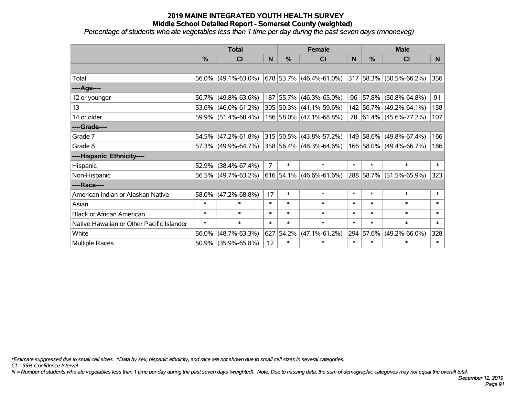*Percentage of students who ate vegetables less than 1 time per day during the past seven days (mnoneveg)*

|                                           | <b>Total</b> |                        |                | <b>Female</b> | <b>Male</b>               |        |               |                         |                |
|-------------------------------------------|--------------|------------------------|----------------|---------------|---------------------------|--------|---------------|-------------------------|----------------|
|                                           | %            | <b>CI</b>              | N              | %             | CI                        | N      | $\frac{0}{0}$ | <b>CI</b>               | N <sub>1</sub> |
|                                           |              |                        |                |               |                           |        |               |                         |                |
| Total                                     |              | $56.0\%$ (49.1%-63.0%) |                |               | 678 53.7% (46.4%-61.0%)   |        |               | 317 58.3% (50.5%-66.2%) | 356            |
| ----Age----                               |              |                        |                |               |                           |        |               |                         |                |
| 12 or younger                             | 56.7%        | $(49.8\% - 63.6\%)$    |                |               | 187 55.7% (46.3%-65.0%)   | 96     | 57.8%         | $(50.8\% - 64.8\%)$     | 91             |
| 13                                        | 53.6%        | $(46.0\% - 61.2\%)$    |                |               | 305 50.3% (41.1%-59.6%)   |        |               | 142 56.7% (49.2%-64.1%) | 158            |
| 14 or older                               |              | 59.9% (51.4%-68.4%)    |                |               | 186 58.0% (47.1%-68.8%)   |        |               | 78 61.4% (45.6%-77.2%)  | 107            |
| ----Grade----                             |              |                        |                |               |                           |        |               |                         |                |
| Grade 7                                   | 54.5%        | $(47.2\% - 61.8\%)$    |                |               | 315 50.5% (43.8%-57.2%)   |        | 149 58.6%     | $(49.8\% - 67.4\%)$     | 166            |
| Grade 8                                   |              | 57.3% (49.9%-64.7%)    |                |               | 358 56.4% (48.3%-64.6%)   |        |               | 166 58.0% (49.4%-66.7%) | 186            |
| ----Hispanic Ethnicity----                |              |                        |                |               |                           |        |               |                         |                |
| Hispanic                                  | 52.9%        | $(38.4\% - 67.4\%)$    | $\overline{7}$ | $\ast$        | $\ast$                    | $\ast$ | $\ast$        | $\ast$                  | $\ast$         |
| Non-Hispanic                              |              | 56.5% (49.7%-63.2%)    |                |               | $616$ 54.1% (46.6%-61.6%) |        | 288 58.7%     | $(51.5\% - 65.9\%)$     | 323            |
| ----Race----                              |              |                        |                |               |                           |        |               |                         |                |
| American Indian or Alaskan Native         | 58.0%        | $(47.2\% - 68.8\%)$    | 17             | $\ast$        | $\ast$                    | $\ast$ | $\ast$        | $\ast$                  | $\ast$         |
| Asian                                     | $\ast$       | $\ast$                 | $\ast$         | $\ast$        | $\ast$                    | $\ast$ | $\ast$        | $\ast$                  | $\ast$         |
| <b>Black or African American</b>          | $\ast$       | $\ast$                 | $\ast$         | $\ast$        | $\ast$                    | $\ast$ | $\ast$        | $\ast$                  | $\ast$         |
| Native Hawaiian or Other Pacific Islander | $\ast$       | $\ast$                 | $\ast$         | $\ast$        | $\ast$                    | $\ast$ | $\ast$        | $\ast$                  | $\ast$         |
| White                                     | 56.0%        | $(48.7\% - 63.3\%)$    | 627            | 54.2%         | $(47.1\% - 61.2\%)$       | 294    | 57.6%         | $(49.2\% - 66.0\%)$     | 328            |
| Multiple Races                            |              | 50.9% (35.9%-65.8%)    | 12             | $\ast$        | $\ast$                    | $\ast$ | $\ast$        | *                       | $\ast$         |

*\*Estimate suppressed due to small cell sizes. ^Data by sex, hispanic ethnicity, and race are not shown due to small cell sizes in several categories.*

*CI = 95% Confidence Interval*

*N = Number of students who ate vegetables less than 1 time per day during the past seven days (weighted). Note: Due to missing data, the sum of demographic categories may not equal the overall total.*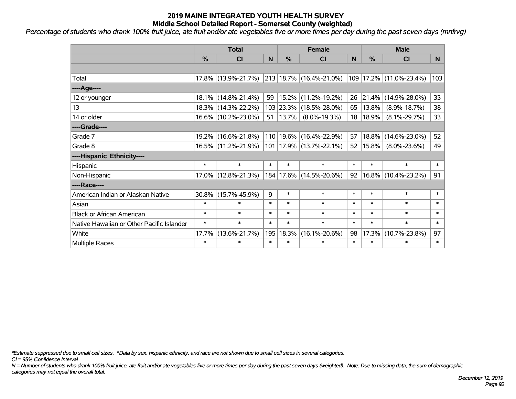*Percentage of students who drank 100% fruit juice, ate fruit and/or ate vegetables five or more times per day during the past seven days (mnfrvg)*

|                                           | <b>Total</b>  |                     |        | <b>Female</b> | <b>Male</b>                 |        |               |                        |        |
|-------------------------------------------|---------------|---------------------|--------|---------------|-----------------------------|--------|---------------|------------------------|--------|
|                                           | $\frac{0}{0}$ | <b>CI</b>           | N      | $\%$          | <b>CI</b>                   | N      | $\frac{0}{0}$ | <b>CI</b>              | N.     |
|                                           |               |                     |        |               |                             |        |               |                        |        |
| Total                                     |               | 17.8% (13.9%-21.7%) |        |               | 213 18.7% (16.4%-21.0%)     | 109    |               | $17.2\%$ (11.0%-23.4%) | 103    |
| ----Age----                               |               |                     |        |               |                             |        |               |                        |        |
| 12 or younger                             |               | 18.1% (14.8%-21.4%) | 59     | 15.2%         | $(11.2\% - 19.2\%)$         | 26     | 21.4%         | $(14.9\% - 28.0\%)$    | 33     |
| 13                                        |               | 18.3% (14.3%-22.2%) |        | 103 23.3%     | $(18.5\% - 28.0\%)$         | 65     | 13.8%         | $(8.9\% - 18.7\%)$     | 38     |
| 14 or older                               |               | 16.6% (10.2%-23.0%) | 51     | 13.7%         | $(8.0\% - 19.3\%)$          | 18     | 18.9%         | $(8.1\% - 29.7\%)$     | 33     |
| ----Grade----                             |               |                     |        |               |                             |        |               |                        |        |
| Grade 7                                   |               | 19.2% (16.6%-21.8%) |        | 110 19.6%     | $(16.4\% - 22.9\%)$         | 57     | 18.8%         | $(14.6\% - 23.0\%)$    | 52     |
| Grade 8                                   |               | 16.5% (11.2%-21.9%) |        |               | 101   17.9%   (13.7%-22.1%) | 52     | $15.8\%$      | $(8.0\% - 23.6\%)$     | 49     |
| ----Hispanic Ethnicity----                |               |                     |        |               |                             |        |               |                        |        |
| Hispanic                                  | $\ast$        | $\ast$              | $\ast$ | $\ast$        | $\ast$                      | $\ast$ | $\ast$        | $\ast$                 | $\ast$ |
| Non-Hispanic                              |               | 17.0% (12.8%-21.3%) |        |               | 184   17.6%   (14.5%-20.6%) | 92     | $16.8\%$      | $(10.4\% - 23.2\%)$    | 91     |
| ----Race----                              |               |                     |        |               |                             |        |               |                        |        |
| American Indian or Alaskan Native         |               | 30.8% (15.7%-45.9%) | 9      | $\ast$        | $\ast$                      | $\ast$ | $\ast$        | $\ast$                 | $\ast$ |
| Asian                                     | $\ast$        | $\ast$              | $\ast$ | $\ast$        | $\ast$                      | $\ast$ | $\ast$        | $\ast$                 | $\ast$ |
| <b>Black or African American</b>          | $\ast$        | $\ast$              | $\ast$ | $\ast$        | $\ast$                      | $\ast$ | $\ast$        | $\ast$                 | $\ast$ |
| Native Hawaiian or Other Pacific Islander | $\ast$        | $\ast$              | $\ast$ | $\ast$        | $\ast$                      | $\ast$ | $\ast$        | $\ast$                 | $\ast$ |
| White                                     | 17.7%         | $(13.6\% - 21.7\%)$ | 195    | 18.3%         | $(16.1\% - 20.6\%)$         | 98     | 17.3%         | $(10.7\% - 23.8\%)$    | 97     |
| <b>Multiple Races</b>                     | $\ast$        | $\ast$              | $\ast$ | $\ast$        | $\ast$                      | $\ast$ | $\ast$        | $\ast$                 | $\ast$ |

*\*Estimate suppressed due to small cell sizes. ^Data by sex, hispanic ethnicity, and race are not shown due to small cell sizes in several categories.*

*CI = 95% Confidence Interval*

*N = Number of students who drank 100% fruit juice, ate fruit and/or ate vegetables five or more times per day during the past seven days (weighted). Note: Due to missing data, the sum of demographic categories may not equal the overall total.*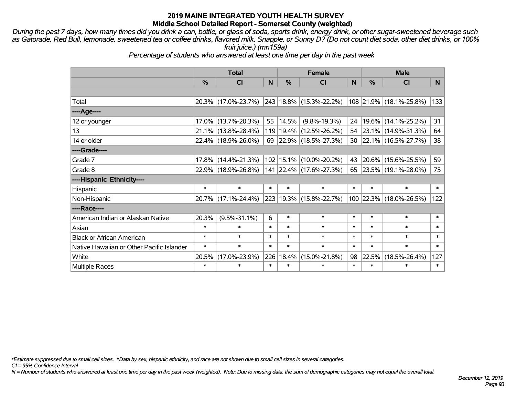*During the past 7 days, how many times did you drink a can, bottle, or glass of soda, sports drink, energy drink, or other sugar-sweetened beverage such as Gatorade, Red Bull, lemonade, sweetened tea or coffee drinks, flavored milk, Snapple, or Sunny D? (Do not count diet soda, other diet drinks, or 100% fruit juice.) (mn159a)*

*Percentage of students who answered at least one time per day in the past week*

|                                           | <b>Total</b>  |                     |        | <b>Female</b> | <b>Male</b>                 |          |        |                         |                |
|-------------------------------------------|---------------|---------------------|--------|---------------|-----------------------------|----------|--------|-------------------------|----------------|
|                                           | $\frac{0}{0}$ | CI                  | N      | $\frac{9}{6}$ | <b>CI</b>                   | <b>N</b> | %      | <b>CI</b>               | N <sub>1</sub> |
|                                           |               |                     |        |               |                             |          |        |                         |                |
| Total                                     |               | 20.3% (17.0%-23.7%) |        |               | 243 18.8% (15.3%-22.2%)     |          |        | 108 21.9% (18.1%-25.8%) | 133            |
| ----Age----                               |               |                     |        |               |                             |          |        |                         |                |
| 12 or younger                             |               | 17.0% (13.7%-20.3%) | 55     | $ 14.5\% $    | $(9.8\% - 19.3\%)$          | 24       | 19.6%  | $(14.1\% - 25.2\%)$     | 31             |
| 13                                        |               | 21.1% (13.8%-28.4%) |        |               | 119   19.4%   (12.5%-26.2%) |          |        | 54 23.1% (14.9%-31.3%)  | 64             |
| 14 or older                               |               | 22.4% (18.9%-26.0%) |        |               | 69 22.9% (18.5%-27.3%)      |          |        | 30 22.1% (16.5%-27.7%)  | 38             |
| ----Grade----                             |               |                     |        |               |                             |          |        |                         |                |
| Grade 7                                   | $17.8\%$      | $(14.4\% - 21.3\%)$ |        |               | 102 15.1% (10.0%-20.2%)     | 43       | 20.6%  | $(15.6\% - 25.5\%)$     | 59             |
| Grade 8                                   |               | 22.9% (18.9%-26.8%) |        |               | 141 22.4% (17.6%-27.3%)     |          |        | 65 23.5% (19.1%-28.0%)  | 75             |
| ----Hispanic Ethnicity----                |               |                     |        |               |                             |          |        |                         |                |
| Hispanic                                  | $\ast$        | $\ast$              | $\ast$ | $\ast$        | $\ast$                      | $\ast$   | $\ast$ | $\ast$                  | $\ast$         |
| Non-Hispanic                              |               | 20.7% (17.1%-24.4%) |        |               | 223 19.3% (15.8%-22.7%)     |          |        | 100 22.3% (18.0%-26.5%) | 122            |
| ----Race----                              |               |                     |        |               |                             |          |        |                         |                |
| American Indian or Alaskan Native         | 20.3%         | $(9.5\% - 31.1\%)$  | 6      | $\ast$        | $\ast$                      | $\ast$   | $\ast$ | $\ast$                  | $\ast$         |
| Asian                                     | $\ast$        | $\ast$              | $\ast$ | $\ast$        | $\ast$                      | $\ast$   | $\ast$ | $\ast$                  | $\ast$         |
| <b>Black or African American</b>          | $\ast$        | $\ast$              | $\ast$ | $\ast$        | $\ast$                      | $\ast$   | $\ast$ | $\ast$                  | $\ast$         |
| Native Hawaiian or Other Pacific Islander | $\ast$        | $\ast$              | $\ast$ | $\ast$        | $\ast$                      | $\ast$   | $\ast$ | $\ast$                  | $\ast$         |
| White                                     | 20.5%         | $(17.0\% - 23.9\%)$ | 226    | 18.4%         | $(15.0\% - 21.8\%)$         | 98       | 22.5%  | $(18.5\% - 26.4\%)$     | 127            |
| <b>Multiple Races</b>                     | $\ast$        | $\ast$              | $\ast$ | $\ast$        | $\ast$                      | $\ast$   | $\ast$ | $\ast$                  | $\ast$         |

*\*Estimate suppressed due to small cell sizes. ^Data by sex, hispanic ethnicity, and race are not shown due to small cell sizes in several categories.*

*CI = 95% Confidence Interval*

*N = Number of students who answered at least one time per day in the past week (weighted). Note: Due to missing data, the sum of demographic categories may not equal the overall total.*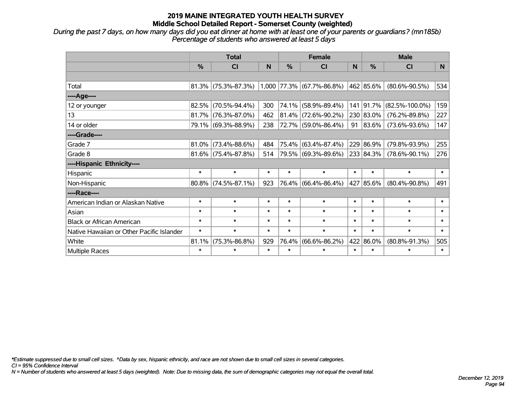*During the past 7 days, on how many days did you eat dinner at home with at least one of your parents or guardians? (mn185b) Percentage of students who answered at least 5 days*

|                                           | <b>Total</b>  |                        |        |               | <b>Female</b>               |        | <b>Male</b>   |                      |        |  |
|-------------------------------------------|---------------|------------------------|--------|---------------|-----------------------------|--------|---------------|----------------------|--------|--|
|                                           | $\frac{0}{0}$ | <b>CI</b>              | N      | $\frac{0}{0}$ | <b>CI</b>                   | N      | $\frac{0}{0}$ | <b>CI</b>            | N      |  |
|                                           |               |                        |        |               |                             |        |               |                      |        |  |
| Total                                     |               | 81.3% (75.3%-87.3%)    |        |               | $1,000$ 77.3% (67.7%-86.8%) |        | 462 85.6%     | $(80.6\% - 90.5\%)$  | 534    |  |
| ----Age----                               |               |                        |        |               |                             |        |               |                      |        |  |
| 12 or younger                             | 82.5%         | $(70.5\% - 94.4\%)$    | 300    |               | 74.1% (58.9%-89.4%)         | 141    | $ 91.7\%$     | $(82.5\% - 100.0\%)$ | 159    |  |
| 13                                        |               | $81.7\%$ (76.3%-87.0%) | 462    |               | $81.4\%$ (72.6%-90.2%)      |        | 230 83.0%     | $(76.2\% - 89.8\%)$  | 227    |  |
| 14 or older                               |               | 79.1% (69.3%-88.9%)    | 238    |               | 72.7% (59.0%-86.4%)         | 91     | 83.6%         | $(73.6\% - 93.6\%)$  | 147    |  |
| ----Grade----                             |               |                        |        |               |                             |        |               |                      |        |  |
| Grade 7                                   | 81.0%         | $(73.4\% - 88.6\%)$    | 484    |               | 75.4% (63.4%-87.4%)         |        | 229 86.9%     | $(79.8\% - 93.9\%)$  | 255    |  |
| Grade 8                                   |               | $81.6\%$ (75.4%-87.8%) | 514    |               | 79.5% (69.3%-89.6%)         |        | 233 84.3%     | $(78.6\% - 90.1\%)$  | 276    |  |
| ----Hispanic Ethnicity----                |               |                        |        |               |                             |        |               |                      |        |  |
| Hispanic                                  | $\ast$        | $\ast$                 | $\ast$ | $\ast$        | $\ast$                      | $\ast$ | $\ast$        | $\ast$               | $\ast$ |  |
| Non-Hispanic                              |               | 80.8% (74.5%-87.1%)    | 923    |               | 76.4% (66.4%-86.4%)         |        | 427 85.6%     | $(80.4\% - 90.8\%)$  | 491    |  |
| ----Race----                              |               |                        |        |               |                             |        |               |                      |        |  |
| American Indian or Alaskan Native         | $\ast$        | $\ast$                 | $\ast$ | $\ast$        | $\ast$                      | $\ast$ | $\ast$        | $\ast$               | $\ast$ |  |
| Asian                                     | $\ast$        | $\ast$                 | $\ast$ | $\ast$        | $\ast$                      | $\ast$ | $\ast$        | $\ast$               | $\ast$ |  |
| <b>Black or African American</b>          | $\ast$        | $\ast$                 | $\ast$ | $\ast$        | $\ast$                      | $\ast$ | $\ast$        | $\ast$               | $\ast$ |  |
| Native Hawaiian or Other Pacific Islander | $\ast$        | $\ast$                 | $\ast$ | $\ast$        | $\ast$                      | $\ast$ | $\ast$        | $\ast$               | $\ast$ |  |
| White                                     | 81.1%         | $(75.3\% - 86.8\%)$    | 929    | 76.4%         | $(66.6\% - 86.2\%)$         |        | 422 86.0%     | $(80.8\% - 91.3\%)$  | 505    |  |
| Multiple Races                            | $\ast$        | $\ast$                 | $\ast$ | $\ast$        | $\ast$                      | $\ast$ | $\ast$        | $\ast$               | $\ast$ |  |

*\*Estimate suppressed due to small cell sizes. ^Data by sex, hispanic ethnicity, and race are not shown due to small cell sizes in several categories.*

*CI = 95% Confidence Interval*

*N = Number of students who answered at least 5 days (weighted). Note: Due to missing data, the sum of demographic categories may not equal the overall total.*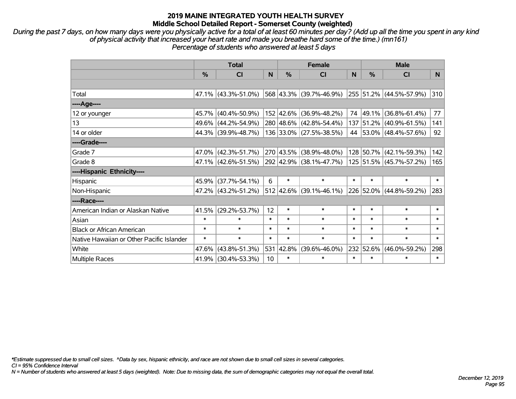*During the past 7 days, on how many days were you physically active for a total of at least 60 minutes per day? (Add up all the time you spent in any kind of physical activity that increased your heart rate and made you breathe hard some of the time.) (mn161) Percentage of students who answered at least 5 days*

|                                           | <b>Total</b>  |                        |                 | <b>Female</b> | <b>Male</b>                              |        |               |                              |              |
|-------------------------------------------|---------------|------------------------|-----------------|---------------|------------------------------------------|--------|---------------|------------------------------|--------------|
|                                           | $\frac{0}{0}$ | C <sub>l</sub>         | N               | $\frac{0}{0}$ | <b>CI</b>                                | N      | $\frac{0}{0}$ | <b>CI</b>                    | N            |
|                                           |               |                        |                 |               |                                          |        |               |                              |              |
| Total                                     |               | $47.1\%$ (43.3%-51.0%) |                 |               | 568 43.3% (39.7%-46.9%)                  |        |               | 255 51.2% (44.5%-57.9%)      | 310          |
| ----Age----                               |               |                        |                 |               |                                          |        |               |                              |              |
| 12 or younger                             |               | 45.7% (40.4%-50.9%)    |                 |               | 152 42.6% (36.9%-48.2%)                  | 74     | 49.1%         | $(36.8\% - 61.4\%)$          | 77           |
| 13                                        |               | 49.6% (44.2%-54.9%)    |                 |               | 280 48.6% (42.8%-54.4%)                  |        |               | 137 51.2% (40.9%-61.5%)      | 141          |
| 14 or older                               |               | 44.3% (39.9%-48.7%)    |                 |               | 136 33.0% (27.5%-38.5%)                  |        |               | 44 53.0% (48.4%-57.6%)       | 92           |
| ----Grade----                             |               |                        |                 |               |                                          |        |               |                              |              |
| Grade 7                                   |               | 47.0% (42.3%-51.7%)    |                 | 270 43.5%     | $(38.9\% - 48.0\%)$                      |        | 128 50.7%     | $(42.1\% - 59.3\%)$          | 142          |
| Grade 8                                   |               | 47.1% (42.6%-51.5%)    |                 |               | 292 42.9% (38.1%-47.7%)                  |        |               | 125 51.5% (45.7%-57.2%)      | 165          |
| ----Hispanic Ethnicity----                |               |                        |                 |               |                                          |        |               |                              |              |
| Hispanic                                  |               | 45.9% (37.7%-54.1%)    | 6               | $\ast$        | $\ast$                                   | $\ast$ | $\ast$        | $\ast$                       | $\ast$       |
| Non-Hispanic                              |               | 47.2% (43.2%-51.2%)    |                 |               | $512 \mid 42.6\% \mid (39.1\% - 46.1\%)$ |        |               | $ 226 52.0\% $ (44.8%-59.2%) | 283          |
| ----Race----                              |               |                        |                 |               |                                          |        |               |                              |              |
| American Indian or Alaskan Native         |               | 41.5% (29.2%-53.7%)    | 12              | $\ast$        | $\ast$                                   | $\ast$ | $\ast$        | $\ast$                       | $\ast$       |
| Asian                                     | $\ast$        | $\ast$                 | $\ast$          | $\ast$        | $\ast$                                   | $\ast$ | $\ast$        | $\ast$                       | $\ast$       |
| <b>Black or African American</b>          | $\ast$        | $\ast$                 | $\ast$          | $\ast$        | $\ast$                                   | $\ast$ | $\ast$        | $\ast$                       | $\ast$       |
| Native Hawaiian or Other Pacific Islander | $\ast$        | $\ast$                 | $\ast$          | $\ast$        | $\ast$                                   | $\ast$ | $\ast$        | $\ast$                       | $\pmb{\ast}$ |
| White                                     | 47.6%         | $(43.8\% - 51.3\%)$    | 531             | 42.8%         | $(39.6\% - 46.0\%)$                      | 232    | 52.6%         | $(46.0\% - 59.2\%)$          | 298          |
| <b>Multiple Races</b>                     |               | 41.9% (30.4%-53.3%)    | 10 <sup>1</sup> | $\ast$        | $\ast$                                   | $\ast$ | $\ast$        | $\ast$                       | $\ast$       |

*\*Estimate suppressed due to small cell sizes. ^Data by sex, hispanic ethnicity, and race are not shown due to small cell sizes in several categories.*

*CI = 95% Confidence Interval*

*N = Number of students who answered at least 5 days (weighted). Note: Due to missing data, the sum of demographic categories may not equal the overall total.*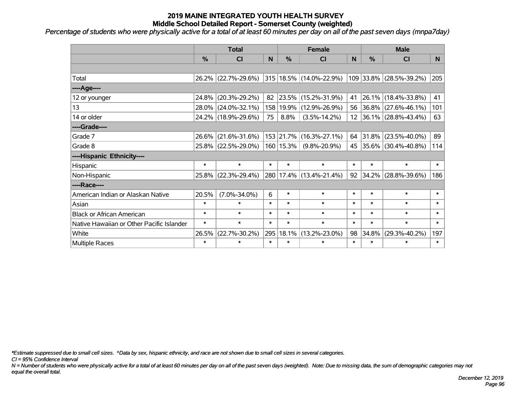*Percentage of students who were physically active for a total of at least 60 minutes per day on all of the past seven days (mnpa7day)*

|                                           | <b>Total</b>  |                     |        | <b>Female</b> | <b>Male</b>             |        |        |                                         |          |
|-------------------------------------------|---------------|---------------------|--------|---------------|-------------------------|--------|--------|-----------------------------------------|----------|
|                                           | $\frac{0}{0}$ | <b>CI</b>           | N      | $\%$          | CI                      | N      | %      | <b>CI</b>                               | <b>N</b> |
|                                           |               |                     |        |               |                         |        |        |                                         |          |
| Total                                     |               | 26.2% (22.7%-29.6%) |        |               | 315 18.5% (14.0%-22.9%) |        |        | 109 33.8% (28.5%-39.2%)                 | 205      |
| ----Age----                               |               |                     |        |               |                         |        |        |                                         |          |
| 12 or younger                             | 24.8%         | $(20.3\% - 29.2\%)$ | 82     |               | 23.5% (15.2%-31.9%)     | 41     | 26.1%  | $(18.4\% - 33.8\%)$                     | 41       |
| 13                                        | 28.0%         | $(24.0\% - 32.1\%)$ |        | 158 19.9%     | $(12.9\% - 26.9\%)$     |        |        | 56 36.8% (27.6%-46.1%)                  | 101      |
| 14 or older                               |               | 24.2% (18.9%-29.6%) | 75     | 8.8%          | $(3.5\% - 14.2\%)$      |        |        | $12 \mid 36.1\% \mid (28.8\% - 43.4\%)$ | 63       |
| ----Grade----                             |               |                     |        |               |                         |        |        |                                         |          |
| Grade 7                                   | 26.6%         | $(21.6\% - 31.6\%)$ |        | 153 21.7%     | $(16.3\% - 27.1\%)$     | 64     | 31.8%  | $(23.5\% - 40.0\%)$                     | 89       |
| Grade 8                                   |               | 25.8% (22.5%-29.0%) |        | $160$   15.3% | $(9.8\% - 20.9\%)$      |        |        | 45 35.6% (30.4%-40.8%)                  | 114      |
| ----Hispanic Ethnicity----                |               |                     |        |               |                         |        |        |                                         |          |
| Hispanic                                  | $\ast$        | $\ast$              | $\ast$ | $\ast$        | $\ast$                  | $\ast$ | $\ast$ | $\ast$                                  | $\ast$   |
| Non-Hispanic                              | 25.8%         | $(22.3\% - 29.4\%)$ |        |               | 280 17.4% (13.4%-21.4%) | 92     | 34.2%  | $(28.8\% - 39.6\%)$                     | 186      |
| ----Race----                              |               |                     |        |               |                         |        |        |                                         |          |
| American Indian or Alaskan Native         | 20.5%         | $(7.0\% - 34.0\%)$  | 6      | $\ast$        | $\ast$                  | $\ast$ | $\ast$ | $\ast$                                  | $\ast$   |
| Asian                                     | $\ast$        | $\ast$              | $\ast$ | $\ast$        | $\ast$                  | $\ast$ | $\ast$ | $\ast$                                  | $\ast$   |
| <b>Black or African American</b>          | $\ast$        | $\ast$              | $\ast$ | $\ast$        | $\ast$                  | $\ast$ | $\ast$ | $\ast$                                  | $\ast$   |
| Native Hawaiian or Other Pacific Islander | $\ast$        | $\ast$              | $\ast$ | $\ast$        | $\ast$                  | $\ast$ | $\ast$ | $\ast$                                  | $\ast$   |
| White                                     | 26.5%         | $(22.7\% - 30.2\%)$ |        | 295 18.1%     | $(13.2\% - 23.0\%)$     | 98     | 34.8%  | $(29.3\% - 40.2\%)$                     | 197      |
| Multiple Races                            | $\ast$        | $\ast$              | $\ast$ | $\ast$        | $\ast$                  | $\ast$ | $\ast$ | *                                       | $\ast$   |

*\*Estimate suppressed due to small cell sizes. ^Data by sex, hispanic ethnicity, and race are not shown due to small cell sizes in several categories.*

*CI = 95% Confidence Interval*

*N = Number of students who were physically active for a total of at least 60 minutes per day on all of the past seven days (weighted). Note: Due to missing data, the sum of demographic categories may not equal the overall total.*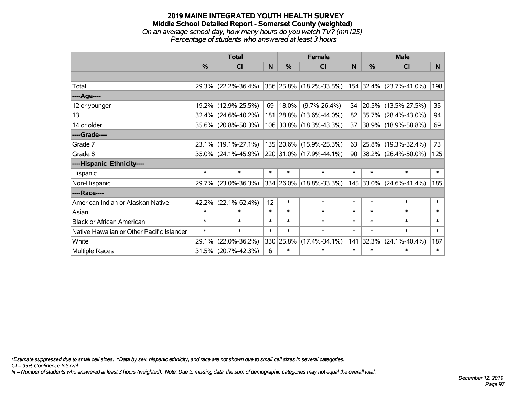#### **2019 MAINE INTEGRATED YOUTH HEALTH SURVEY Middle School Detailed Report - Somerset County (weighted)** *On an average school day, how many hours do you watch TV? (mn125) Percentage of students who answered at least 3 hours*

|                                           | <b>Total</b> |                        |        |               | <b>Female</b>           | <b>Male</b> |        |                         |        |
|-------------------------------------------|--------------|------------------------|--------|---------------|-------------------------|-------------|--------|-------------------------|--------|
|                                           | %            | CI                     | N      | $\frac{0}{0}$ | <b>CI</b>               | <b>N</b>    | %      | <b>CI</b>               | N      |
|                                           |              |                        |        |               |                         |             |        |                         |        |
| Total                                     |              | 29.3% (22.2%-36.4%)    |        |               | 356 25.8% (18.2%-33.5%) |             |        | 154 32.4% (23.7%-41.0%) | 198    |
| ----Age----                               |              |                        |        |               |                         |             |        |                         |        |
| 12 or younger                             | 19.2%        | $(12.9\% - 25.5\%)$    | 69     | 18.0%         | $(9.7\% - 26.4\%)$      | 34          |        | 20.5% (13.5%-27.5%)     | 35     |
| 13                                        | 32.4%        | $(24.6\% - 40.2\%)$    |        |               | 181 28.8% (13.6%-44.0%) | 82          |        | 35.7% (28.4%-43.0%)     | 94     |
| 14 or older                               |              | 35.6% (20.8%-50.3%)    |        |               | 106 30.8% (18.3%-43.3%) | 37          |        | 38.9% (18.9%-58.8%)     | 69     |
| ----Grade----                             |              |                        |        |               |                         |             |        |                         |        |
| Grade 7                                   | 23.1%        | $(19.1\% - 27.1\%)$    |        |               | 135 20.6% (15.9%-25.3%) | 63          |        | 25.8% (19.3%-32.4%)     | 73     |
| Grade 8                                   |              | $35.0\%$ (24.1%-45.9%) |        |               | 220 31.0% (17.9%-44.1%) | 90          |        | 38.2% (26.4%-50.0%)     | 125    |
| ----Hispanic Ethnicity----                |              |                        |        |               |                         |             |        |                         |        |
| Hispanic                                  | $\ast$       | $\ast$                 | $\ast$ | $\ast$        | $\ast$                  | $\ast$      | $\ast$ | $\ast$                  | $\ast$ |
| Non-Hispanic                              |              | 29.7% (23.0%-36.3%)    |        |               | 334 26.0% (18.8%-33.3%) |             |        | 145 33.0% (24.6%-41.4%) | 185    |
| ----Race----                              |              |                        |        |               |                         |             |        |                         |        |
| American Indian or Alaskan Native         | 42.2%        | $(22.1\% - 62.4\%)$    | 12     | $\ast$        | $\ast$                  | $\ast$      | $\ast$ | $\ast$                  | $\ast$ |
| Asian                                     | $\ast$       | $\ast$                 | $\ast$ | $\ast$        | $\ast$                  | $\ast$      | $\ast$ | $\ast$                  | $\ast$ |
| <b>Black or African American</b>          | $\ast$       | $\ast$                 | $\ast$ | $\ast$        | $\ast$                  | $\ast$      | $\ast$ | $\ast$                  | $\ast$ |
| Native Hawaiian or Other Pacific Islander | $\ast$       | $\ast$                 | $\ast$ | $\ast$        | $\ast$                  | $\ast$      | $\ast$ | $\ast$                  | $\ast$ |
| White                                     | 29.1%        | $(22.0\% - 36.2\%)$    |        | 330 25.8%     | $(17.4\% - 34.1\%)$     | 141         | 32.3%  | $(24.1\% - 40.4\%)$     | 187    |
| <b>Multiple Races</b>                     | 31.5%        | $(20.7\% - 42.3\%)$    | 6      | $\ast$        | $\ast$                  | $\ast$      | $\ast$ | $\ast$                  | $\ast$ |

*\*Estimate suppressed due to small cell sizes. ^Data by sex, hispanic ethnicity, and race are not shown due to small cell sizes in several categories.*

*CI = 95% Confidence Interval*

*N = Number of students who answered at least 3 hours (weighted). Note: Due to missing data, the sum of demographic categories may not equal the overall total.*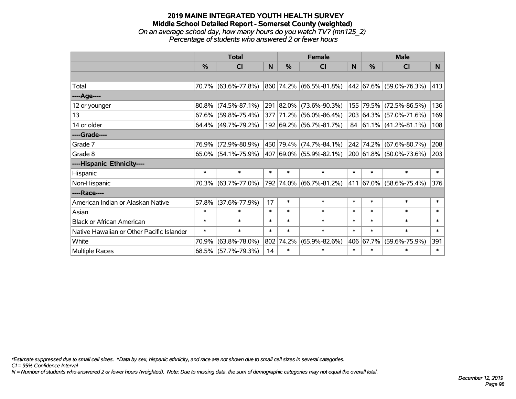### **2019 MAINE INTEGRATED YOUTH HEALTH SURVEY Middle School Detailed Report - Somerset County (weighted)** *On an average school day, how many hours do you watch TV? (mn125\_2) Percentage of students who answered 2 or fewer hours*

|                                           | <b>Total</b>  |                        |        | <b>Female</b> | <b>Male</b>             |              |           |                             |        |
|-------------------------------------------|---------------|------------------------|--------|---------------|-------------------------|--------------|-----------|-----------------------------|--------|
|                                           | $\frac{0}{0}$ | <b>CI</b>              | N      | $\%$          | <b>CI</b>               | <sub>N</sub> | $\%$      | <b>CI</b>                   | N      |
|                                           |               |                        |        |               |                         |              |           |                             |        |
| Total                                     |               | 70.7% (63.6%-77.8%)    |        |               | 860 74.2% (66.5%-81.8%) |              |           | 442 67.6% (59.0%-76.3%)     | 413    |
| ----Age----                               |               |                        |        |               |                         |              |           |                             |        |
| 12 or younger                             |               | $80.8\%$ (74.5%-87.1%) |        |               | 291 82.0% (73.6%-90.3%) | 155          | 79.5%     | $(72.5\% - 86.5\%)$         | 136    |
| 13                                        |               | $67.6\%$ (59.8%-75.4%) |        |               | 377 71.2% (56.0%-86.4%) |              |           | 203 64.3% (57.0%-71.6%)     | 169    |
| 14 or older                               |               | 64.4% (49.7%-79.2%)    |        |               | 192 69.2% (56.7%-81.7%) |              |           | 84 $ 61.1\% $ (41.2%-81.1%) | 108    |
| ----Grade----                             |               |                        |        |               |                         |              |           |                             |        |
| Grade 7                                   | 76.9%         | $(72.9\% - 80.9\%)$    |        |               | 450 79.4% (74.7%-84.1%) |              | 242 74.2% | $(67.6\% - 80.7\%)$         | 208    |
| Grade 8                                   |               | $65.0\%$ (54.1%-75.9%) |        |               | 407 69.0% (55.9%-82.1%) |              |           | 200 61.8% (50.0%-73.6%)     | 203    |
| ----Hispanic Ethnicity----                |               |                        |        |               |                         |              |           |                             |        |
| Hispanic                                  | $\ast$        | $\ast$                 | $\ast$ | $\ast$        | $\ast$                  | $\ast$       | $\ast$    | $\ast$                      | $\ast$ |
| Non-Hispanic                              |               | 70.3% (63.7%-77.0%)    |        |               | 792 74.0% (66.7%-81.2%) |              |           | 411 67.0% (58.6%-75.4%)     | 376    |
| ----Race----                              |               |                        |        |               |                         |              |           |                             |        |
| American Indian or Alaskan Native         | 57.8%         | $(37.6\% - 77.9\%)$    | 17     | $\ast$        | $\ast$                  | $\ast$       | $\ast$    | $\ast$                      | $\ast$ |
| Asian                                     | $\ast$        | $\ast$                 | $\ast$ | $\ast$        | $\ast$                  | $\ast$       | $\ast$    | $\ast$                      | $\ast$ |
| <b>Black or African American</b>          | $\ast$        | $\ast$                 | $\ast$ | $\ast$        | $\ast$                  | $\ast$       | $\ast$    | $\ast$                      | $\ast$ |
| Native Hawaiian or Other Pacific Islander | $\ast$        | $\ast$                 | $\ast$ | $\ast$        | $\ast$                  | $\ast$       | $\ast$    | $\ast$                      | $\ast$ |
| White                                     | 70.9%         | $(63.8\% - 78.0\%)$    | 802    | 74.2%         | $(65.9\% - 82.6\%)$     |              | 406 67.7% | $(59.6\% - 75.9\%)$         | 391    |
| <b>Multiple Races</b>                     |               | 68.5% (57.7%-79.3%)    | 14     | $\ast$        | $\ast$                  | $\ast$       | $\ast$    | $\ast$                      | $\ast$ |

*\*Estimate suppressed due to small cell sizes. ^Data by sex, hispanic ethnicity, and race are not shown due to small cell sizes in several categories.*

*CI = 95% Confidence Interval*

*N = Number of students who answered 2 or fewer hours (weighted). Note: Due to missing data, the sum of demographic categories may not equal the overall total.*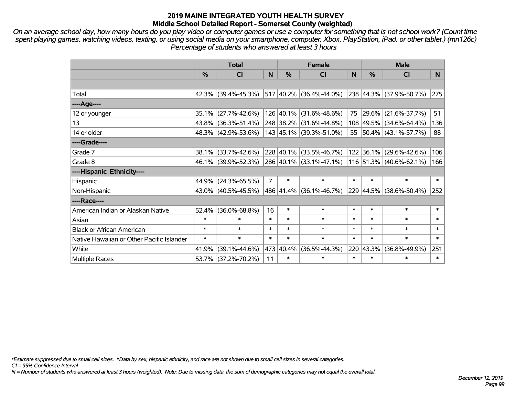*On an average school day, how many hours do you play video or computer games or use a computer for something that is not school work? (Count time spent playing games, watching videos, texting, or using social media on your smartphone, computer, Xbox, PlayStation, iPad, or other tablet.) (mn126c) Percentage of students who answered at least 3 hours*

|                                           | <b>Total</b>  |                        |                | <b>Female</b> | <b>Male</b>                 |        |           |                         |        |
|-------------------------------------------|---------------|------------------------|----------------|---------------|-----------------------------|--------|-----------|-------------------------|--------|
|                                           | $\frac{0}{0}$ | C <sub>l</sub>         | N              | $\%$          | CI                          | N      | $\%$      | <b>CI</b>               | N.     |
|                                           |               |                        |                |               |                             |        |           |                         |        |
| Total                                     |               | 42.3% (39.4%-45.3%)    |                |               | $517 40.2\% $ (36.4%-44.0%) |        |           | 238 44.3% (37.9%-50.7%) | 275    |
| ----Age----                               |               |                        |                |               |                             |        |           |                         |        |
| 12 or younger                             |               | 35.1% (27.7%-42.6%)    |                |               | 126 40.1% (31.6%-48.6%)     | 75     | 29.6%     | $(21.6\% - 37.7\%)$     | 51     |
| 13                                        |               | 43.8% (36.3%-51.4%)    |                |               | 248 38.2% (31.6%-44.8%)     |        |           | 108 49.5% (34.6%-64.4%) | 136    |
| 14 or older                               |               | 48.3% (42.9%-53.6%)    |                |               | 143 45.1% (39.3%-51.0%)     |        |           | 55 50.4% (43.1%-57.7%)  | 88     |
| ----Grade----                             |               |                        |                |               |                             |        |           |                         |        |
| Grade 7                                   |               | 38.1% (33.7%-42.6%)    |                |               | 228 40.1% (33.5%-46.7%)     |        | 122 36.1% | $(29.6\% - 42.6\%)$     | 106    |
| Grade 8                                   |               | 46.1% (39.9%-52.3%)    |                |               | 286 40.1% (33.1%-47.1%)     |        |           | 116 51.3% (40.6%-62.1%) | 166    |
| ----Hispanic Ethnicity----                |               |                        |                |               |                             |        |           |                         |        |
| Hispanic                                  |               | 44.9% (24.3%-65.5%)    | $\overline{7}$ | $\ast$        | $\ast$                      | $\ast$ | $\ast$    | $\ast$                  | $\ast$ |
| Non-Hispanic                              |               | 43.0% (40.5%-45.5%)    |                |               | 486 41.4% (36.1%-46.7%)     |        | 229 44.5% | $(38.6\% - 50.4\%)$     | 252    |
| ----Race----                              |               |                        |                |               |                             |        |           |                         |        |
| American Indian or Alaskan Native         |               | $52.4\%$ (36.0%-68.8%) | 16             | $\ast$        | $\ast$                      | $\ast$ | $\ast$    | $\ast$                  | $\ast$ |
| Asian                                     | $\ast$        | $\ast$                 | $\ast$         | $\ast$        | $\ast$                      | $\ast$ | $\ast$    | $\ast$                  | $\ast$ |
| <b>Black or African American</b>          | $\ast$        | $\ast$                 | $\ast$         | $\ast$        | $\ast$                      | $\ast$ | $\ast$    | $\ast$                  | $\ast$ |
| Native Hawaiian or Other Pacific Islander | $\ast$        | $\ast$                 | $\ast$         | $\ast$        | $\ast$                      | $\ast$ | $\ast$    | $\ast$                  | $\ast$ |
| White                                     | 41.9%         | $(39.1\% - 44.6\%)$    |                | 473 40.4%     | $(36.5\% - 44.3\%)$         |        | 220 43.3% | $(36.8\% - 49.9\%)$     | 251    |
| Multiple Races                            |               | 53.7% (37.2%-70.2%)    | 11             | $\ast$        | $\ast$                      | $\ast$ | $\ast$    | $\ast$                  | $\ast$ |

*\*Estimate suppressed due to small cell sizes. ^Data by sex, hispanic ethnicity, and race are not shown due to small cell sizes in several categories.*

*CI = 95% Confidence Interval*

*N = Number of students who answered at least 3 hours (weighted). Note: Due to missing data, the sum of demographic categories may not equal the overall total.*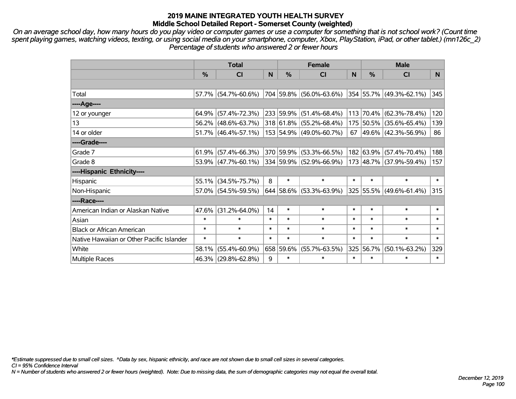*On an average school day, how many hours do you play video or computer games or use a computer for something that is not school work? (Count time spent playing games, watching videos, texting, or using social media on your smartphone, computer, Xbox, PlayStation, iPad, or other tablet.) (mn126c\_2) Percentage of students who answered 2 or fewer hours*

|                                           | <b>Total</b> |                        |        |               | <b>Female</b>           |        | <b>Male</b>   |                              |        |  |
|-------------------------------------------|--------------|------------------------|--------|---------------|-------------------------|--------|---------------|------------------------------|--------|--|
|                                           | %            | <b>CI</b>              | N      | $\frac{0}{0}$ | <b>CI</b>               | N      | $\frac{0}{0}$ | <b>CI</b>                    | N.     |  |
|                                           |              |                        |        |               |                         |        |               |                              |        |  |
| Total                                     |              | $57.7\%$ (54.7%-60.6%) |        |               | 704 59.8% (56.0%-63.6%) |        |               | $ 354 55.7\% $ (49.3%-62.1%) | 345    |  |
| ----Age----                               |              |                        |        |               |                         |        |               |                              |        |  |
| 12 or younger                             |              | $64.9\%$ (57.4%-72.3%) |        |               | 233 59.9% (51.4%-68.4%) | 113    | $70.4\%$      | $(62.3\% - 78.4\%)$          | 120    |  |
| 13                                        |              | $56.2\%$ (48.6%-63.7%) |        |               | 318 61.8% (55.2%-68.4%) |        |               | 175 50.5% (35.6%-65.4%)      | 139    |  |
| 14 or older                               |              | $51.7\%$ (46.4%-57.1%) |        |               | 153 54.9% (49.0%-60.7%) |        |               | 67   49.6%   (42.3%-56.9%)   | 86     |  |
| ----Grade----                             |              |                        |        |               |                         |        |               |                              |        |  |
| Grade 7                                   |              | $61.9\%$ (57.4%-66.3%) |        |               | 370 59.9% (53.3%-66.5%) |        | 182 63.9%     | $(57.4\% - 70.4\%)$          | 188    |  |
| Grade 8                                   |              | $53.9\%$ (47.7%-60.1%) |        |               | 334 59.9% (52.9%-66.9%) |        |               | 173 48.7% (37.9%-59.4%)      | 157    |  |
| ----Hispanic Ethnicity----                |              |                        |        |               |                         |        |               |                              |        |  |
| Hispanic                                  | 55.1%        | $(34.5\% - 75.7\%)$    | 8      | $\ast$        | $\ast$                  | $\ast$ | $\ast$        | $\ast$                       | $\ast$ |  |
| Non-Hispanic                              |              | 57.0% (54.5%-59.5%)    |        |               | 644 58.6% (53.3%-63.9%) |        | 325 55.5%     | $(49.6\% - 61.4\%)$          | 315    |  |
| ----Race----                              |              |                        |        |               |                         |        |               |                              |        |  |
| American Indian or Alaskan Native         | 47.6%        | $(31.2\% - 64.0\%)$    | 14     | $\ast$        | $\ast$                  | $\ast$ | $\ast$        | $\ast$                       | $\ast$ |  |
| Asian                                     | $\ast$       | $\ast$                 | $\ast$ | $\ast$        | $\ast$                  | $\ast$ | $\ast$        | $\ast$                       | $\ast$ |  |
| <b>Black or African American</b>          | $\ast$       | $\ast$                 | $\ast$ | $\ast$        | $\ast$                  | $\ast$ | $\ast$        | $\ast$                       | $\ast$ |  |
| Native Hawaiian or Other Pacific Islander | $\ast$       | $\ast$                 | $\ast$ | $\ast$        | $\ast$                  | $\ast$ | $\ast$        | $\ast$                       | $\ast$ |  |
| White                                     | 58.1%        | $(55.4\% - 60.9\%)$    |        | 658 59.6%     | $(55.7\% - 63.5\%)$     | 325    | 56.7%         | $(50.1\% - 63.2\%)$          | 329    |  |
| Multiple Races                            |              | 46.3% (29.8%-62.8%)    | 9      | $\ast$        | $\ast$                  | $\ast$ | $\ast$        | $\ast$                       | $\ast$ |  |

*\*Estimate suppressed due to small cell sizes. ^Data by sex, hispanic ethnicity, and race are not shown due to small cell sizes in several categories.*

*CI = 95% Confidence Interval*

*N = Number of students who answered 2 or fewer hours (weighted). Note: Due to missing data, the sum of demographic categories may not equal the overall total.*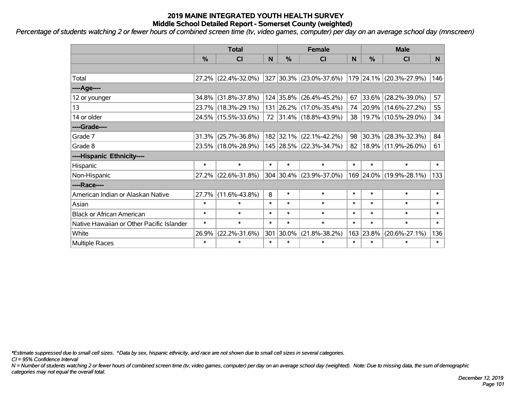*Percentage of students watching 2 or fewer hours of combined screen time (tv, video games, computer) per day on an average school day (mnscreen)*

|                                           | <b>Total</b> |                        |        |               | <b>Female</b>           | <b>Male</b> |               |                            |        |
|-------------------------------------------|--------------|------------------------|--------|---------------|-------------------------|-------------|---------------|----------------------------|--------|
|                                           | %            | <b>CI</b>              | N      | $\frac{0}{0}$ | CI                      | N           | $\frac{0}{0}$ | <b>CI</b>                  | N.     |
|                                           |              |                        |        |               |                         |             |               |                            |        |
| Total                                     |              | $27.2\%$ (22.4%-32.0%) |        |               | 327 30.3% (23.0%-37.6%) |             |               | 179 24.1% (20.3%-27.9%)    | 146    |
| ----Age----                               |              |                        |        |               |                         |             |               |                            |        |
| 12 or younger                             |              | 34.8% (31.8%-37.8%)    |        |               | 124 35.8% (26.4%-45.2%) | 67          | 33.6%         | $(28.2\% - 39.0\%)$        | 57     |
| 13                                        |              | 23.7% (18.3%-29.1%)    |        |               | 131 26.2% (17.0%-35.4%) |             |               | 74 20.9% (14.6%-27.2%)     | 55     |
| 14 or older                               |              | 24.5% (15.5%-33.6%)    |        |               | 72 31.4% (18.8%-43.9%)  |             |               | 38   19.7%   (10.5%-29.0%) | 34     |
| ----Grade----                             |              |                        |        |               |                         |             |               |                            |        |
| Grade 7                                   | 31.3%        | $(25.7\% - 36.8\%)$    |        |               | 182 32.1% (22.1%-42.2%) | 98          | 30.3%         | $(28.3\% - 32.3\%)$        | 84     |
| Grade 8                                   |              | 23.5% (18.0%-28.9%)    |        |               | 145 28.5% (22.3%-34.7%) | 82          |               | 18.9% (11.9%-26.0%)        | 61     |
| ----Hispanic Ethnicity----                |              |                        |        |               |                         |             |               |                            |        |
| Hispanic                                  | $\ast$       | $\ast$                 | $\ast$ | $\ast$        | $\ast$                  | $\ast$      | $\ast$        | $\ast$                     | $\ast$ |
| Non-Hispanic                              |              | 27.2% (22.6%-31.8%)    |        |               | 304 30.4% (23.9%-37.0%) |             | 169 24.0%     | $(19.9\% - 28.1\%)$        | 133    |
| ----Race----                              |              |                        |        |               |                         |             |               |                            |        |
| American Indian or Alaskan Native         |              | 27.7% (11.6%-43.8%)    | 8      | $\ast$        | $\ast$                  | $\ast$      | $\ast$        | $\ast$                     | $\ast$ |
| Asian                                     | $\ast$       | $\ast$                 | $\ast$ | $\ast$        | $\ast$                  | $\ast$      | $\ast$        | $\ast$                     | $\ast$ |
| <b>Black or African American</b>          | $\ast$       | $\ast$                 | $\ast$ | $\ast$        | $\ast$                  | $\ast$      | $\ast$        | $\ast$                     | $\ast$ |
| Native Hawaiian or Other Pacific Islander | $\ast$       | $\ast$                 | $\ast$ | $\ast$        | $\ast$                  | $\ast$      | $\ast$        | $\ast$                     | $\ast$ |
| White                                     | 26.9%        | $(22.2\% - 31.6\%)$    | 301    | $30.0\%$      | $(21.8\% - 38.2\%)$     | 163         | 23.8%         | $(20.6\% - 27.1\%)$        | 136    |
| <b>Multiple Races</b>                     | $\ast$       | $\ast$                 | $\ast$ | $\ast$        | $\ast$                  | $\ast$      | $\ast$        | $\ast$                     | $\ast$ |

*\*Estimate suppressed due to small cell sizes. ^Data by sex, hispanic ethnicity, and race are not shown due to small cell sizes in several categories.*

*CI = 95% Confidence Interval*

*N = Number of students watching 2 or fewer hours of combined screen time (tv, video games, computer) per day on an average school day (weighted). Note: Due to missing data, the sum of demographic categories may not equal the overall total.*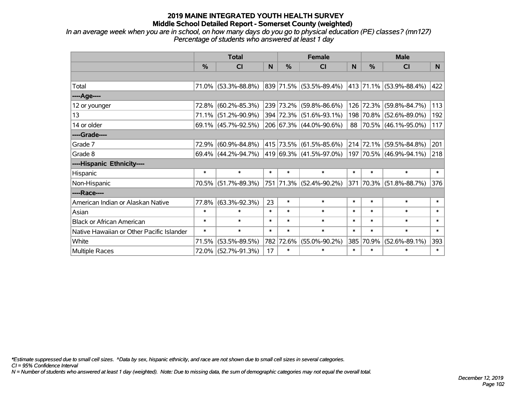*In an average week when you are in school, on how many days do you go to physical education (PE) classes? (mn127) Percentage of students who answered at least 1 day*

|                                           | <b>Total</b>  |                        |        | <b>Female</b> |                              | <b>Male</b> |               |                              |        |
|-------------------------------------------|---------------|------------------------|--------|---------------|------------------------------|-------------|---------------|------------------------------|--------|
|                                           | $\frac{0}{0}$ | CI                     | N      | $\%$          | <b>CI</b>                    | N           | $\frac{0}{0}$ | <b>CI</b>                    | N      |
|                                           |               |                        |        |               |                              |             |               |                              |        |
| Total                                     |               | 71.0% (53.3%-88.8%)    |        |               | $ 839 71.5\% $ (53.5%-89.4%) |             |               | $ 413 71.1\% $ (53.9%-88.4%) | 422    |
| ----Age----                               |               |                        |        |               |                              |             |               |                              |        |
| 12 or younger                             | 72.8%         | $(60.2\% - 85.3\%)$    |        |               | 239 73.2% (59.8%-86.6%)      | 126         | 72.3%         | $(59.8\% - 84.7\%)$          | 113    |
| 13                                        | 71.1%         | $(51.2\% - 90.9\%)$    |        |               | 394 72.3% (51.6%-93.1%)      |             |               | 198 70.8% (52.6%-89.0%)      | 192    |
| 14 or older                               |               | $69.1\%$ (45.7%-92.5%) |        |               | 206 67.3% (44.0%-90.6%)      |             |               | 88 70.5% (46.1%-95.0%)       | 117    |
| ----Grade----                             |               |                        |        |               |                              |             |               |                              |        |
| Grade 7                                   | 72.9%         | $(60.9\% - 84.8\%)$    |        |               | 415 73.5% (61.5%-85.6%)      |             | 214 72.1%     | $(59.5\% - 84.8\%)$          | 201    |
| Grade 8                                   |               | 69.4% (44.2%-94.7%)    |        |               | $ 419 69.3\% $ (41.5%-97.0%) |             |               | 197 70.5% (46.9%-94.1%)      | 218    |
| ----Hispanic Ethnicity----                |               |                        |        |               |                              |             |               |                              |        |
| Hispanic                                  | $\ast$        | $\ast$                 | $\ast$ | $\ast$        | $\ast$                       | $\ast$      | $\ast$        | $\ast$                       | $\ast$ |
| Non-Hispanic                              |               | 70.5% (51.7%-89.3%)    |        |               | 751 71.3% (52.4%-90.2%)      | 371         |               | 70.3% (51.8%-88.7%)          | 376    |
| ----Race----                              |               |                        |        |               |                              |             |               |                              |        |
| American Indian or Alaskan Native         | 77.8%         | $(63.3\% - 92.3\%)$    | 23     | $\ast$        | $\ast$                       | $\ast$      | $\ast$        | $\ast$                       | $\ast$ |
| Asian                                     | $\ast$        | $\ast$                 | $\ast$ | $\ast$        | $\ast$                       | $\ast$      | $\ast$        | $\ast$                       | $\ast$ |
| <b>Black or African American</b>          | $\ast$        | $\ast$                 | $\ast$ | $\ast$        | $\ast$                       | $\ast$      | $\ast$        | $\ast$                       | $\ast$ |
| Native Hawaiian or Other Pacific Islander | $\ast$        | $\ast$                 | $\ast$ | $\ast$        | $\ast$                       | $\ast$      | $\ast$        | $\ast$                       | $\ast$ |
| White                                     | 71.5%         | $(53.5\% - 89.5\%)$    | 782    | 72.6%         | $(55.0\% - 90.2\%)$          | 385         | 70.9%         | $(52.6\% - 89.1\%)$          | 393    |
| Multiple Races                            |               | 72.0% (52.7%-91.3%)    | 17     | $\ast$        | $\ast$                       | $\ast$      | $\ast$        | $\ast$                       | $\ast$ |

*\*Estimate suppressed due to small cell sizes. ^Data by sex, hispanic ethnicity, and race are not shown due to small cell sizes in several categories.*

*CI = 95% Confidence Interval*

*N = Number of students who answered at least 1 day (weighted). Note: Due to missing data, the sum of demographic categories may not equal the overall total.*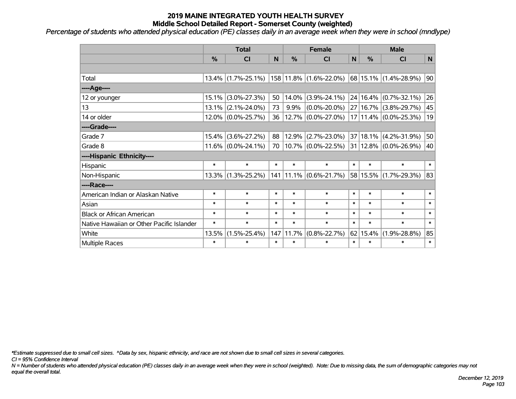*Percentage of students who attended physical education (PE) classes daily in an average week when they were in school (mndlype)*

|                                           | <b>Total</b> |                       |        | <b>Female</b> |                                                                                  |        | <b>Male</b>   |                           |        |
|-------------------------------------------|--------------|-----------------------|--------|---------------|----------------------------------------------------------------------------------|--------|---------------|---------------------------|--------|
|                                           | %            | <b>CI</b>             | N      | %             | <b>CI</b>                                                                        | N      | $\frac{0}{0}$ | <b>CI</b>                 | N      |
|                                           |              |                       |        |               |                                                                                  |        |               |                           |        |
| Total                                     |              | $13.4\%$ (1.7%-25.1%) |        |               | $ 158 11.8\% $ (1.6%-22.0%)                                                      |        |               | 68 15.1% (1.4%-28.9%)     | 90     |
| ----Age----                               |              |                       |        |               |                                                                                  |        |               |                           |        |
| 12 or younger                             | 15.1%        | $(3.0\% - 27.3\%)$    | 50     | 14.0%         | $(3.9\% - 24.1\%)$                                                               |        | 24 16.4%      | $(0.7\% - 32.1\%)$        | 26     |
| 13                                        |              | $13.1\%$ (2.1%-24.0%) | 73     | 9.9%          | $(0.0\% - 20.0\%)$                                                               |        | 27 16.7%      | $(3.8\% - 29.7\%)$        | 45     |
| 14 or older                               |              | $12.0\%$ (0.0%-25.7%) | 36     |               | $12.7\%$ (0.0%-27.0%)                                                            |        |               | $17 11.4\% $ (0.0%-25.3%) | 19     |
| ----Grade----                             |              |                       |        |               |                                                                                  |        |               |                           |        |
| Grade 7                                   | 15.4%        | $(3.6\% - 27.2\%)$    | 88     | 12.9%         | $(2.7\% - 23.0\%)$                                                               |        | 37 18.1%      | $(4.2\% - 31.9\%)$        | 50     |
| Grade 8                                   |              | $11.6\%$ (0.0%-24.1%) | 70     |               | $\vert$ 10.7% $\vert$ (0.0%-22.5%) $\vert$ 31 $\vert$ 12.8% $\vert$ (0.0%-26.9%) |        |               |                           | 40     |
| ----Hispanic Ethnicity----                |              |                       |        |               |                                                                                  |        |               |                           |        |
| Hispanic                                  | $\ast$       | $\ast$                | $\ast$ | $\ast$        | $\ast$                                                                           | $\ast$ | $\ast$        | $\ast$                    | $\ast$ |
| Non-Hispanic                              |              | $13.3\%$ (1.3%-25.2%) |        |               | 141   11.1%   (0.6%-21.7%)                                                       |        | 58 15.5%      | $(1.7\% - 29.3\%)$        | 83     |
| ----Race----                              |              |                       |        |               |                                                                                  |        |               |                           |        |
| American Indian or Alaskan Native         | $\ast$       | $\ast$                | $\ast$ | $\ast$        | $\ast$                                                                           | $\ast$ | $\ast$        | $\ast$                    | $\ast$ |
| Asian                                     | $\ast$       | $\ast$                | $\ast$ | $\ast$        | $\ast$                                                                           | $\ast$ | $\ast$        | $\ast$                    | $\ast$ |
| <b>Black or African American</b>          | $\ast$       | $\ast$                | $\ast$ | $\ast$        | $\ast$                                                                           | $\ast$ | $\ast$        | $\ast$                    | $\ast$ |
| Native Hawaiian or Other Pacific Islander | $\ast$       | $\ast$                | $\ast$ | $\ast$        | $\ast$                                                                           | $\ast$ | $\ast$        | $\ast$                    | $\ast$ |
| White                                     | 13.5%        | $(1.5\% - 25.4\%)$    | 147    | 11.7%         | $(0.8\% - 22.7\%)$                                                               | 62     | 15.4%         | $(1.9\% - 28.8\%)$        | 85     |
| Multiple Races                            | $\ast$       | $\ast$                | $\ast$ | $\ast$        | $\ast$                                                                           | $\ast$ | $\ast$        | $\ast$                    | $\ast$ |

*\*Estimate suppressed due to small cell sizes. ^Data by sex, hispanic ethnicity, and race are not shown due to small cell sizes in several categories.*

*CI = 95% Confidence Interval*

*N = Number of students who attended physical education (PE) classes daily in an average week when they were in school (weighted). Note: Due to missing data, the sum of demographic categories may not equal the overall total.*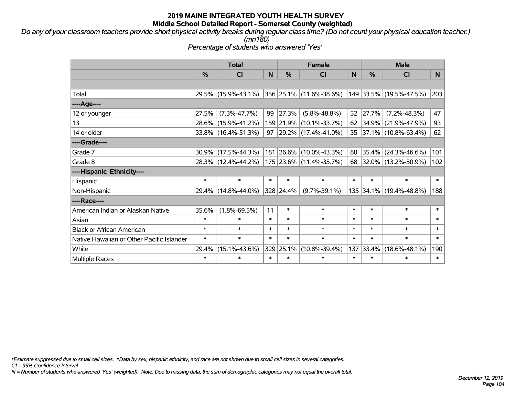*Do any of your classroom teachers provide short physical activity breaks during regular class time? (Do not count your physical education teacher.) (mn180)*

*Percentage of students who answered 'Yes'*

|                                           | <b>Total</b>  |                     | <b>Female</b> |           |                          | <b>Male</b> |        |                         |        |
|-------------------------------------------|---------------|---------------------|---------------|-----------|--------------------------|-------------|--------|-------------------------|--------|
|                                           | $\frac{0}{0}$ | <b>CI</b>           | N             | %         | <b>CI</b>                | N           | %      | <b>CI</b>               | N.     |
|                                           |               |                     |               |           |                          |             |        |                         |        |
| Total                                     |               | 29.5% (15.9%-43.1%) |               |           | 356 25.1% (11.6%-38.6%)  |             |        | 149 33.5% (19.5%-47.5%) | 203    |
| ----Age----                               |               |                     |               |           |                          |             |        |                         |        |
| 12 or younger                             | 27.5%         | $(7.3\% - 47.7\%)$  | 99            | 27.3%     | $(5.8\% - 48.8\%)$       | 52          | 27.7%  | $(7.2\% - 48.3\%)$      | 47     |
| 13                                        |               | 28.6% (15.9%-41.2%) |               |           | 159 21.9% (10.1%-33.7%)  | $62 \mid$   | 34.9%  | $(21.9\% - 47.9\%)$     | 93     |
| 14 or older                               |               | 33.8% (16.4%-51.3%) | 97            |           | $ 29.2\% $ (17.4%-41.0%) |             |        | 35 37.1% (10.8%-63.4%)  | 62     |
| ----Grade----                             |               |                     |               |           |                          |             |        |                         |        |
| Grade 7                                   | 30.9%         | $(17.5\% - 44.3\%)$ |               |           | 181 26.6% (10.0%-43.3%)  | 80          | 35.4%  | $(24.3\% - 46.6\%)$     | 101    |
| Grade 8                                   |               | 28.3% (12.4%-44.2%) |               |           | 175 23.6% (11.4%-35.7%)  |             |        | 68 32.0% (13.2%-50.9%)  | 102    |
| ----Hispanic Ethnicity----                |               |                     |               |           |                          |             |        |                         |        |
| Hispanic                                  | $\ast$        | $\ast$              | $\ast$        | $\ast$    | $\ast$                   | $\ast$      | $\ast$ | $\ast$                  | $\ast$ |
| Non-Hispanic                              | 29.4%         | $(14.8\% - 44.0\%)$ |               | 328 24.4% | $(9.7\% - 39.1\%)$       |             |        | 135 34.1% (19.4%-48.8%) | 188    |
| ----Race----                              |               |                     |               |           |                          |             |        |                         |        |
| American Indian or Alaskan Native         | 35.6%         | $(1.8\% - 69.5\%)$  | 11            | $\ast$    | $\ast$                   | $\ast$      | $\ast$ | $\ast$                  | $\ast$ |
| Asian                                     | $\ast$        | $\ast$              | $\ast$        | $\ast$    | $\ast$                   | $\ast$      | $\ast$ | $\ast$                  | $\ast$ |
| <b>Black or African American</b>          | $\ast$        | $\ast$              | $\ast$        | $\ast$    | $\ast$                   | $\ast$      | $\ast$ | $\ast$                  | $\ast$ |
| Native Hawaiian or Other Pacific Islander | $\ast$        | $\ast$              | $\ast$        | $\ast$    | $\ast$                   | $\ast$      | $\ast$ | $\ast$                  | $\ast$ |
| White                                     | 29.4%         | $(15.1\% - 43.6\%)$ | 329           | 25.1%     | $(10.8\% - 39.4\%)$      | 137         | 33.4%  | $(18.6\% - 48.1\%)$     | 190    |
| <b>Multiple Races</b>                     | $\ast$        | $\ast$              | $\ast$        | $\ast$    | $\ast$                   | $\ast$      | $\ast$ | $\ast$                  | $\ast$ |

*\*Estimate suppressed due to small cell sizes. ^Data by sex, hispanic ethnicity, and race are not shown due to small cell sizes in several categories.*

*CI = 95% Confidence Interval*

*N = Number of students who answered 'Yes' (weighted). Note: Due to missing data, the sum of demographic categories may not equal the overall total.*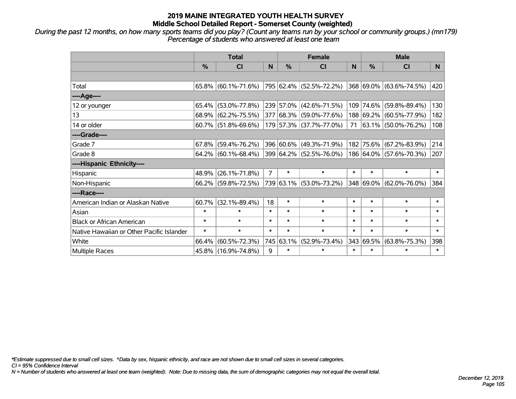*During the past 12 months, on how many sports teams did you play? (Count any teams run by your school or community groups.) (mn179) Percentage of students who answered at least one team*

|                                           | <b>Total</b>  |                        |                |        | <b>Female</b>           | <b>Male</b> |               |                          |        |
|-------------------------------------------|---------------|------------------------|----------------|--------|-------------------------|-------------|---------------|--------------------------|--------|
|                                           | $\frac{0}{0}$ | <b>CI</b>              | N              | %      | <b>CI</b>               | N           | $\frac{0}{0}$ | <b>CI</b>                | N.     |
|                                           |               |                        |                |        |                         |             |               |                          |        |
| Total                                     |               | $65.8\%$ (60.1%-71.6%) |                |        | 795 62.4% (52.5%-72.2%) |             |               | 368 69.0% (63.6%-74.5%)  | 420    |
| ----Age----                               |               |                        |                |        |                         |             |               |                          |        |
| 12 or younger                             | 65.4%         | $(53.0\% - 77.8\%)$    |                |        | 239 57.0% (42.6%-71.5%) |             | 109 74.6%     | $(59.8\% - 89.4\%)$      | 130    |
| 13                                        |               | 68.9% (62.2%-75.5%)    |                |        | 377 68.3% (59.0%-77.6%) |             |               | 188 69.2% (60.5%-77.9%)  | 182    |
| 14 or older                               |               | $60.7\%$ (51.8%-69.6%) |                |        | 179 57.3% (37.7%-77.0%) | 71          |               | $ 63.1\% $ (50.0%-76.2%) | 108    |
| ----Grade----                             |               |                        |                |        |                         |             |               |                          |        |
| Grade 7                                   | $67.8\%$      | $(59.4\% - 76.2\%)$    |                |        | 396 60.6% (49.3%-71.9%) |             | 182 75.6%     | $(67.2\% - 83.9\%)$      | 214    |
| Grade 8                                   |               | $64.2\%$ (60.1%-68.4%) |                |        | 399 64.2% (52.5%-76.0%) |             |               | 186 64.0% (57.6%-70.3%)  | 207    |
| ----Hispanic Ethnicity----                |               |                        |                |        |                         |             |               |                          |        |
| Hispanic                                  | 48.9%         | $(26.1\% - 71.8\%)$    | $\overline{7}$ | $\ast$ | $\ast$                  | $\ast$      | $\ast$        | $\ast$                   | $\ast$ |
| Non-Hispanic                              |               | 66.2% (59.8%-72.5%)    |                |        | 739 63.1% (53.0%-73.2%) |             |               | 348 69.0% (62.0%-76.0%)  | 384    |
| ----Race----                              |               |                        |                |        |                         |             |               |                          |        |
| American Indian or Alaskan Native         | 60.7%         | $(32.1\% - 89.4\%)$    | 18             | $\ast$ | $\ast$                  | $\ast$      | $\ast$        | $\ast$                   | $\ast$ |
| Asian                                     | $\ast$        | $\ast$                 | $\ast$         | $\ast$ | $\ast$                  | $\ast$      | $\ast$        | $\ast$                   | $\ast$ |
| <b>Black or African American</b>          | $\ast$        | $\ast$                 | $\ast$         | $\ast$ | $\ast$                  | $\ast$      | $\ast$        | $\ast$                   | $\ast$ |
| Native Hawaiian or Other Pacific Islander | $\ast$        | $\ast$                 | $\ast$         | $\ast$ | $\ast$                  | $\ast$      | $\ast$        | $\ast$                   | $\ast$ |
| White                                     | 66.4%         | $(60.5\% - 72.3\%)$    | 745            | 63.1%  | $(52.9\% - 73.4\%)$     | 343         | 69.5%         | $(63.8\% - 75.3\%)$      | 398    |
| Multiple Races                            |               | 45.8% (16.9%-74.8%)    | 9              | $\ast$ | $\ast$                  | $\ast$      | $\ast$        | $\ast$                   | $\ast$ |

*\*Estimate suppressed due to small cell sizes. ^Data by sex, hispanic ethnicity, and race are not shown due to small cell sizes in several categories.*

*CI = 95% Confidence Interval*

*N = Number of students who answered at least one team (weighted). Note: Due to missing data, the sum of demographic categories may not equal the overall total.*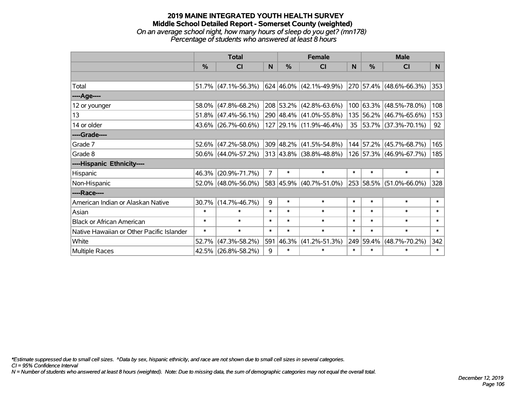### **2019 MAINE INTEGRATED YOUTH HEALTH SURVEY Middle School Detailed Report - Somerset County (weighted)** *On an average school night, how many hours of sleep do you get? (mn178) Percentage of students who answered at least 8 hours*

|                                           | <b>Total</b>  |                        |                | <b>Female</b> | <b>Male</b>                        |              |           |                         |                |
|-------------------------------------------|---------------|------------------------|----------------|---------------|------------------------------------|--------------|-----------|-------------------------|----------------|
|                                           | $\frac{0}{0}$ | <b>CI</b>              | N              | $\%$          | <b>CI</b>                          | <sub>N</sub> | $\%$      | <b>CI</b>               | N <sub>1</sub> |
|                                           |               |                        |                |               |                                    |              |           |                         |                |
| Total                                     |               | $51.7\%$ (47.1%-56.3%) |                |               | $ 624 46.0\%  (42.1\% - 49.9\%)$   |              |           | 270 57.4% (48.6%-66.3%) | 353            |
| ----Age----                               |               |                        |                |               |                                    |              |           |                         |                |
| 12 or younger                             | 58.0%         | $(47.8\% - 68.2\%)$    |                |               | 208 53.2% (42.8%-63.6%)            |              | 100 63.3% | $(48.5\% - 78.0\%)$     | 108            |
| 13                                        |               | 51.8% (47.4%-56.1%)    |                |               | 290 48.4% (41.0%-55.8%)            |              |           | 135 56.2% (46.7%-65.6%) | 153            |
| 14 or older                               |               | 43.6% (26.7%-60.6%)    |                |               | 127 29.1% (11.9%-46.4%)            |              |           | 35 53.7% (37.3%-70.1%)  | 92             |
| ----Grade----                             |               |                        |                |               |                                    |              |           |                         |                |
| Grade 7                                   |               | 52.6% (47.2%-58.0%)    |                |               | 309 48.2% (41.5%-54.8%)            |              | 144 57.2% | $(45.7\% - 68.7\%)$     | 165            |
| Grade 8                                   |               | 50.6% (44.0%-57.2%)    |                |               | $313   43.8\%   (38.8\% - 48.8\%)$ |              |           | 126 57.3% (46.9%-67.7%) | 185            |
| ----Hispanic Ethnicity----                |               |                        |                |               |                                    |              |           |                         |                |
| Hispanic                                  | 46.3%         | $(20.9\% - 71.7\%)$    | $\overline{7}$ | $\ast$        | $\ast$                             | $\ast$       | $\ast$    | $\ast$                  | $\ast$         |
| Non-Hispanic                              |               | 52.0% (48.0%-56.0%)    |                |               | 583 45.9% (40.7%-51.0%)            |              | 253 58.5% | $(51.0\% - 66.0\%)$     | 328            |
| ----Race----                              |               |                        |                |               |                                    |              |           |                         |                |
| American Indian or Alaskan Native         | $30.7\%$      | $(14.7\% - 46.7\%)$    | 9              | $\ast$        | $\ast$                             | $\ast$       | $\ast$    | $\ast$                  | $\ast$         |
| Asian                                     | $\ast$        | $\ast$                 | $\ast$         | $\ast$        | $\ast$                             | $\ast$       | $\ast$    | $\ast$                  | $\ast$         |
| <b>Black or African American</b>          | $\ast$        | $\ast$                 | $\ast$         | $\ast$        | $\ast$                             | $\ast$       | $\ast$    | $\ast$                  | $\ast$         |
| Native Hawaiian or Other Pacific Islander | $\ast$        | $\ast$                 | $\ast$         | $\ast$        | $\ast$                             | $\ast$       | $\ast$    | $\ast$                  | $\ast$         |
| White                                     | 52.7%         | $(47.3\% - 58.2\%)$    | 591            | 46.3%         | $(41.2\% - 51.3\%)$                |              | 249 59.4% | $(48.7\% - 70.2\%)$     | 342            |
| Multiple Races                            |               | 42.5% (26.8%-58.2%)    | 9              | $\ast$        | $\ast$                             | $\ast$       | $\ast$    | $\ast$                  | $\ast$         |

*\*Estimate suppressed due to small cell sizes. ^Data by sex, hispanic ethnicity, and race are not shown due to small cell sizes in several categories.*

*CI = 95% Confidence Interval*

*N = Number of students who answered at least 8 hours (weighted). Note: Due to missing data, the sum of demographic categories may not equal the overall total.*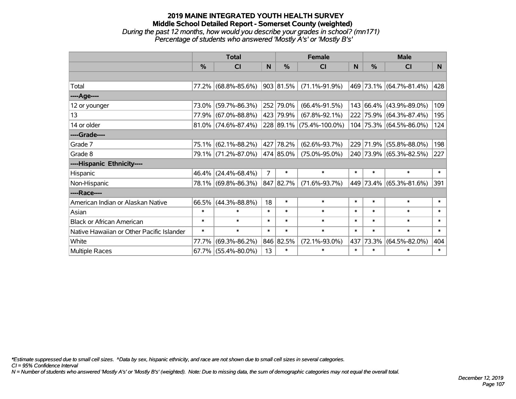### **2019 MAINE INTEGRATED YOUTH HEALTH SURVEY Middle School Detailed Report - Somerset County (weighted)** *During the past 12 months, how would you describe your grades in school? (mn171) Percentage of students who answered 'Mostly A's' or 'Mostly B's'*

|                                           | <b>Total</b>  |                        |                |               | <b>Female</b>            | <b>Male</b> |               |                         |        |
|-------------------------------------------|---------------|------------------------|----------------|---------------|--------------------------|-------------|---------------|-------------------------|--------|
|                                           | $\frac{0}{0}$ | C <sub>l</sub>         | N              | $\frac{0}{0}$ | <b>CI</b>                | N           | $\frac{0}{0}$ | <b>CI</b>               | N.     |
|                                           |               |                        |                |               |                          |             |               |                         |        |
| Total                                     |               | 77.2% (68.8%-85.6%)    |                | 903 81.5%     | $(71.1\% - 91.9\%)$      |             |               | 469 73.1% (64.7%-81.4%) | 428    |
| ----Age----                               |               |                        |                |               |                          |             |               |                         |        |
| 12 or younger                             |               | 73.0% (59.7%-86.3%)    |                | 252 79.0%     | $(66.4\% - 91.5\%)$      |             |               | 143 66.4% (43.9%-89.0%) | 109    |
| 13                                        |               | 77.9% (67.0%-88.8%)    |                | 423 79.9%     | $(67.8\% - 92.1\%)$      |             |               | 222 75.9% (64.3%-87.4%) | 195    |
| 14 or older                               |               | $81.0\%$ (74.6%-87.4%) |                |               | 228 89.1% (75.4%-100.0%) |             |               | 104 75.3% (64.5%-86.0%) | 124    |
| ----Grade----                             |               |                        |                |               |                          |             |               |                         |        |
| Grade 7                                   |               | 75.1% (62.1%-88.2%)    |                | 427 78.2%     | $(62.6\% - 93.7\%)$      |             |               | 229 71.9% (55.8%-88.0%) | 198    |
| Grade 8                                   |               | 79.1% (71.2%-87.0%)    |                | 474 85.0%     | $(75.0\% - 95.0\%)$      |             |               | 240 73.9% (65.3%-82.5%) | 227    |
| ----Hispanic Ethnicity----                |               |                        |                |               |                          |             |               |                         |        |
| Hispanic                                  |               | 46.4% (24.4%-68.4%)    | $\overline{7}$ | $\ast$        | $\ast$                   | $\ast$      | $\ast$        | $\ast$                  | $\ast$ |
| Non-Hispanic                              |               | 78.1% (69.8%-86.3%)    |                | 847 82.7%     | $(71.6\% - 93.7\%)$      |             |               | 449 73.4% (65.3%-81.6%) | 391    |
| ----Race----                              |               |                        |                |               |                          |             |               |                         |        |
| American Indian or Alaskan Native         |               | 66.5% (44.3%-88.8%)    | 18             | $\ast$        | $\ast$                   | $\ast$      | $\ast$        | $\ast$                  | $\ast$ |
| Asian                                     | $\ast$        | $\ast$                 | $\ast$         | $\ast$        | $\ast$                   | $\ast$      | $\ast$        | $\ast$                  | $\ast$ |
| <b>Black or African American</b>          | $\ast$        | $\ast$                 | $\ast$         | $\ast$        | $\ast$                   | $\ast$      | $\ast$        | $\ast$                  | $\ast$ |
| Native Hawaiian or Other Pacific Islander | $\ast$        | $\ast$                 | $\ast$         | $\ast$        | $\ast$                   | $\ast$      | $\ast$        | $\ast$                  | $\ast$ |
| White                                     | 77.7%         | $(69.3\% - 86.2\%)$    |                | 846 82.5%     | $(72.1\% - 93.0\%)$      | 437         | 73.3%         | $(64.5\% - 82.0\%)$     | 404    |
| Multiple Races                            |               | $67.7\%$ (55.4%-80.0%) | 13             | $\ast$        | $\ast$                   | $\ast$      | $\ast$        | $\ast$                  | $\ast$ |

*\*Estimate suppressed due to small cell sizes. ^Data by sex, hispanic ethnicity, and race are not shown due to small cell sizes in several categories.*

*CI = 95% Confidence Interval*

*N = Number of students who answered 'Mostly A's' or 'Mostly B's' (weighted). Note: Due to missing data, the sum of demographic categories may not equal the overall total.*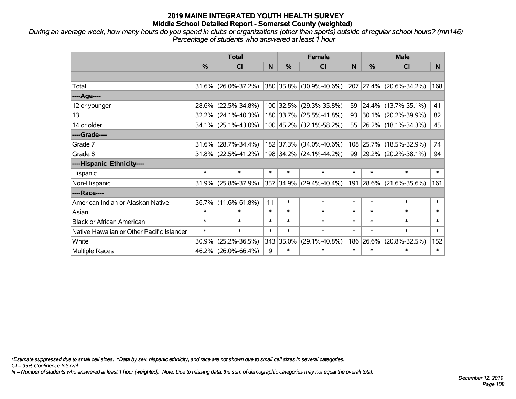*During an average week, how many hours do you spend in clubs or organizations (other than sports) outside of regular school hours? (mn146) Percentage of students who answered at least 1 hour*

|                                           | <b>Total</b>  |                        |        |               | <b>Female</b>             | <b>Male</b> |               |                         |        |
|-------------------------------------------|---------------|------------------------|--------|---------------|---------------------------|-------------|---------------|-------------------------|--------|
|                                           | $\frac{0}{0}$ | <b>CI</b>              | N      | $\frac{0}{0}$ | <b>CI</b>                 | N           | $\frac{0}{0}$ | <b>CI</b>               | N.     |
|                                           |               |                        |        |               |                           |             |               |                         |        |
| Total                                     |               | $31.6\%$ (26.0%-37.2%) |        |               | 380 35.8% (30.9%-40.6%)   |             |               | 207 27.4% (20.6%-34.2%) | 168    |
| ----Age----                               |               |                        |        |               |                           |             |               |                         |        |
| 12 or younger                             | 28.6%         | $(22.5\% - 34.8\%)$    |        | 100 32.5%     | $(29.3\% - 35.8\%)$       | 59          | 24.4%         | $(13.7\% - 35.1\%)$     | 41     |
| 13                                        | $32.2\%$      | $(24.1\% - 40.3\%)$    |        |               | 180 33.7% (25.5%-41.8%)   | $93 \mid$   |               | $30.1\%$ (20.2%-39.9%)  | 82     |
| 14 or older                               |               | 34.1% (25.1%-43.0%)    |        |               | 100 45.2% (32.1%-58.2%)   |             |               | 55 26.2% (18.1%-34.3%)  | 45     |
| ----Grade----                             |               |                        |        |               |                           |             |               |                         |        |
| Grade 7                                   | 31.6%         | $(28.7\% - 34.4\%)$    |        | 182 37.3%     | $(34.0\% - 40.6\%)$       | 108         | 25.7%         | $(18.5\% - 32.9\%)$     | 74     |
| Grade 8                                   |               | $31.8\%$ (22.5%-41.2%) |        |               | $198$ 34.2% (24.1%-44.2%) |             |               | 99 29.2% (20.2%-38.1%)  | 94     |
| ----Hispanic Ethnicity----                |               |                        |        |               |                           |             |               |                         |        |
| Hispanic                                  | $\ast$        | $\ast$                 | $\ast$ | $\ast$        | $\ast$                    | $\ast$      | $\ast$        | $\ast$                  | $\ast$ |
| Non-Hispanic                              | 31.9%         | $(25.8\% - 37.9\%)$    |        |               | 357 34.9% (29.4%-40.4%)   |             | 191 28.6%     | $(21.6\% - 35.6\%)$     | 161    |
| ----Race----                              |               |                        |        |               |                           |             |               |                         |        |
| American Indian or Alaskan Native         | 36.7%         | $(11.6\% - 61.8\%)$    | 11     | $\ast$        | $\ast$                    | $\ast$      | $\ast$        | $\ast$                  | $\ast$ |
| Asian                                     | $\ast$        | $\ast$                 | $\ast$ | $\ast$        | $\ast$                    | $\ast$      | $\ast$        | $\ast$                  | $\ast$ |
| <b>Black or African American</b>          | $\ast$        | $\ast$                 | $\ast$ | $\ast$        | $\ast$                    | $\ast$      | $\ast$        | $\ast$                  | $\ast$ |
| Native Hawaiian or Other Pacific Islander | $\ast$        | $\ast$                 | $\ast$ | $\ast$        | $\ast$                    | $\ast$      | $\ast$        | $\ast$                  | $\ast$ |
| White                                     | 30.9%         | $(25.2\% - 36.5\%)$    |        | 343 35.0%     | $(29.1\% - 40.8\%)$       | 186         | 26.6%         | $(20.8\% - 32.5\%)$     | 152    |
| <b>Multiple Races</b>                     |               | 46.2% (26.0%-66.4%)    | 9      | $\ast$        | $\ast$                    | $\ast$      | $\ast$        | $\ast$                  | $\ast$ |

*\*Estimate suppressed due to small cell sizes. ^Data by sex, hispanic ethnicity, and race are not shown due to small cell sizes in several categories.*

*CI = 95% Confidence Interval*

*N = Number of students who answered at least 1 hour (weighted). Note: Due to missing data, the sum of demographic categories may not equal the overall total.*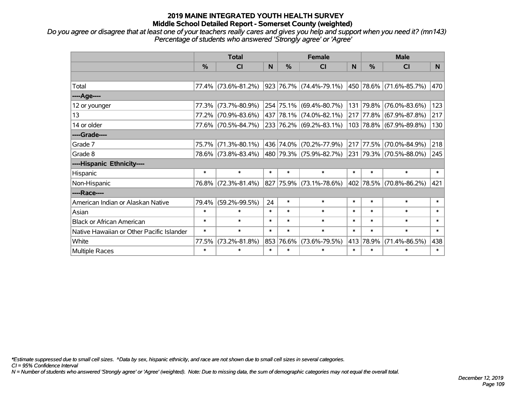# **2019 MAINE INTEGRATED YOUTH HEALTH SURVEY Middle School Detailed Report - Somerset County (weighted)**

*Do you agree or disagree that at least one of your teachers really cares and gives you help and support when you need it? (mn143) Percentage of students who answered 'Strongly agree' or 'Agree'*

|                                           | <b>Total</b>  |                     |        | <b>Female</b> |                             |        | <b>Male</b> |                         |        |
|-------------------------------------------|---------------|---------------------|--------|---------------|-----------------------------|--------|-------------|-------------------------|--------|
|                                           | $\frac{0}{0}$ | CI                  | N      | $\frac{9}{6}$ | <b>CI</b>                   | N      | %           | <b>CI</b>               | N.     |
|                                           |               |                     |        |               |                             |        |             |                         |        |
| Total                                     |               | 77.4% (73.6%-81.2%) |        |               | 923 76.7% (74.4%-79.1%)     |        |             | 450 78.6% (71.6%-85.7%) | 470    |
| ----Age----                               |               |                     |        |               |                             |        |             |                         |        |
| 12 or younger                             | 77.3%         | $(73.7\% - 80.9\%)$ |        |               | 254 75.1% (69.4%-80.7%)     | 131    | 79.8%       | $(76.0\% - 83.6\%)$     | 123    |
| 13                                        | 77.2%         | $(70.9\% - 83.6\%)$ |        |               | 437 78.1% (74.0%-82.1%)     |        |             | 217 77.8% (67.9%-87.8%) | 217    |
| 14 or older                               |               | 77.6% (70.5%-84.7%) |        |               | 233 76.2% (69.2%-83.1%)     |        |             | 103 78.8% (67.9%-89.8%) | 130    |
| ----Grade----                             |               |                     |        |               |                             |        |             |                         |        |
| Grade 7                                   | 75.7%         | $(71.3\% - 80.1\%)$ |        |               | 436   74.0%   (70.2%-77.9%) | 217    | 77.5%       | $(70.0\% - 84.9\%)$     | 218    |
| Grade 8                                   |               | 78.6% (73.8%-83.4%) |        |               | 480 79.3% (75.9%-82.7%)     |        |             | 231 79.3% (70.5%-88.0%) | 245    |
| ----Hispanic Ethnicity----                |               |                     |        |               |                             |        |             |                         |        |
| Hispanic                                  | $\ast$        | $\ast$              | $\ast$ | $\ast$        | $\ast$                      | $\ast$ | $\ast$      | $\ast$                  | $\ast$ |
| Non-Hispanic                              |               | 76.8% (72.3%-81.4%) |        |               | 827 75.9% (73.1%-78.6%)     |        | 402 78.5%   | $(70.8\% - 86.2\%)$     | 421    |
| ----Race----                              |               |                     |        |               |                             |        |             |                         |        |
| American Indian or Alaskan Native         | 79.4%         | $(59.2\% - 99.5\%)$ | 24     | $\ast$        | $\ast$                      | $\ast$ | $\ast$      | $\ast$                  | $\ast$ |
| Asian                                     | $\ast$        | $\ast$              | $\ast$ | $\ast$        | $\ast$                      | $\ast$ | $\ast$      | $\ast$                  | $\ast$ |
| <b>Black or African American</b>          | $\ast$        | $\ast$              | $\ast$ | $\ast$        | $\ast$                      | $\ast$ | $\ast$      | $\ast$                  | $\ast$ |
| Native Hawaiian or Other Pacific Islander | $\ast$        | $\ast$              | $\ast$ | $\ast$        | $\ast$                      | $\ast$ | $\ast$      | $\ast$                  | $\ast$ |
| White                                     | 77.5%         | $(73.2\% - 81.8\%)$ | 853    |               | 76.6% (73.6%-79.5%)         | 413    | 78.9%       | $(71.4\% - 86.5\%)$     | 438    |
| Multiple Races                            | $\ast$        | $\ast$              | $\ast$ | $\ast$        | $\ast$                      | $\ast$ | $\ast$      | *                       | $\ast$ |

*\*Estimate suppressed due to small cell sizes. ^Data by sex, hispanic ethnicity, and race are not shown due to small cell sizes in several categories.*

*CI = 95% Confidence Interval*

*N = Number of students who answered 'Strongly agree' or 'Agree' (weighted). Note: Due to missing data, the sum of demographic categories may not equal the overall total.*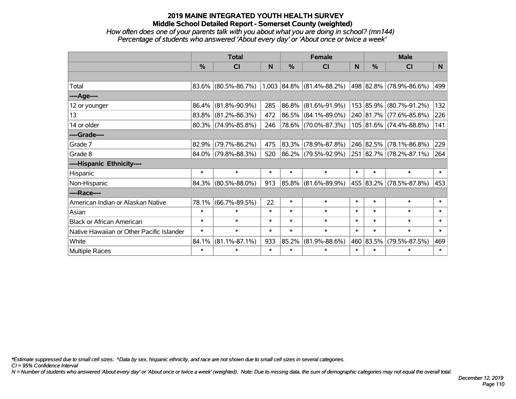# **2019 MAINE INTEGRATED YOUTH HEALTH SURVEY Middle School Detailed Report - Somerset County (weighted)**

### *How often does one of your parents talk with you about what you are doing in school? (mn144) Percentage of students who answered 'About every day' or 'About once or twice a week'*

|                                           | <b>Total</b> |                        |        | <b>Female</b> |                             |        | <b>Male</b>   |                         |                |
|-------------------------------------------|--------------|------------------------|--------|---------------|-----------------------------|--------|---------------|-------------------------|----------------|
|                                           | %            | <b>CI</b>              | N      | %             | CI                          | N      | $\frac{0}{0}$ | <b>CI</b>               | N <sub>1</sub> |
|                                           |              |                        |        |               |                             |        |               |                         |                |
| Total                                     |              | $83.6\%$ (80.5%-86.7%) |        |               | $1,003$ 84.8% (81.4%-88.2%) |        |               | 498 82.8% (78.9%-86.6%) | 499            |
| ----Age----                               |              |                        |        |               |                             |        |               |                         |                |
| 12 or younger                             | 86.4%        | $(81.8\% - 90.9\%)$    | 285    | 86.8%         | $(81.6\% - 91.9\%)$         |        |               | 153 85.9% (80.7%-91.2%) | 132            |
| 13                                        |              | 83.8% (81.2%-86.3%)    | 472    | 86.5%         | $(84.1\% - 89.0\%)$         |        |               | 240 81.7% (77.6%-85.8%) | 226            |
| 14 or older                               |              | $80.3\%$ (74.9%-85.8%) | 246    |               | 78.6% (70.0%-87.3%)         |        |               | 105 81.6% (74.4%-88.8%) | 141            |
| ----Grade----                             |              |                        |        |               |                             |        |               |                         |                |
| Grade 7                                   | 82.9%        | $(79.7\% - 86.2\%)$    | 475    | 83.3%         | $(78.9\% - 87.8\%)$         |        | 246 82.5%     | $(78.1\% - 86.8\%)$     | 229            |
| Grade 8                                   |              | 84.0% (79.8%-88.3%)    | 520    |               | 86.2% (79.5%-92.9%)         |        |               | 251 82.7% (78.2%-87.1%) | 264            |
| ----Hispanic Ethnicity----                |              |                        |        |               |                             |        |               |                         |                |
| Hispanic                                  | $\ast$       | $\ast$                 | $\ast$ | $\ast$        | $\ast$                      | $\ast$ | $\ast$        | $\ast$                  | $\ast$         |
| Non-Hispanic                              |              | 84.3% (80.5%-88.0%)    | 913    | 85.8%         | $(81.6\% - 89.9\%)$         |        |               | 455 83.2% (78.5%-87.8%) | 453            |
| ----Race----                              |              |                        |        |               |                             |        |               |                         |                |
| American Indian or Alaskan Native         | 78.1%        | $(66.7\% - 89.5\%)$    | 22     | $\ast$        | $\ast$                      | $\ast$ | $\ast$        | $\ast$                  | $\ast$         |
| Asian                                     | $\ast$       | $\ast$                 | $\ast$ | $\ast$        | $\ast$                      | $\ast$ | $\ast$        | $\ast$                  | $\ast$         |
| <b>Black or African American</b>          | $\ast$       | $\ast$                 | $\ast$ | $\ast$        | $\ast$                      | $\ast$ | $\ast$        | $\ast$                  | $\ast$         |
| Native Hawaiian or Other Pacific Islander | $\ast$       | $\ast$                 | $\ast$ | $\ast$        | $\ast$                      | $\ast$ | $\ast$        | $\ast$                  | $\ast$         |
| White                                     | 84.1%        | $(81.1\% - 87.1\%)$    | 933    | 85.2%         | $(81.9\% - 88.6\%)$         |        | 460 83.5%     | $(79.5\% - 87.5\%)$     | 469            |
| Multiple Races                            | $\ast$       | $\ast$                 | $\ast$ | $\ast$        | $\ast$                      | $\ast$ | $\ast$        | $\ast$                  | $\ast$         |

*\*Estimate suppressed due to small cell sizes. ^Data by sex, hispanic ethnicity, and race are not shown due to small cell sizes in several categories.*

*CI = 95% Confidence Interval*

*N = Number of students who answered 'About every day' or 'About once or twice a week' (weighted). Note: Due to missing data, the sum of demographic categories may not equal the overall total.*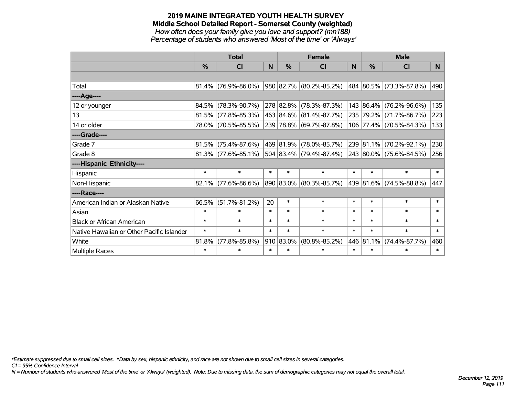#### **2019 MAINE INTEGRATED YOUTH HEALTH SURVEY Middle School Detailed Report - Somerset County (weighted)** *How often does your family give you love and support? (mn188) Percentage of students who answered 'Most of the time' or 'Always'*

|                                           | <b>Total</b>  |                        |        | <b>Female</b> |                             |          | <b>Male</b> |                             |          |
|-------------------------------------------|---------------|------------------------|--------|---------------|-----------------------------|----------|-------------|-----------------------------|----------|
|                                           | $\frac{0}{0}$ | CI                     | N      | $\frac{0}{0}$ | CI                          | <b>N</b> | %           | <b>CI</b>                   | <b>N</b> |
|                                           |               |                        |        |               |                             |          |             |                             |          |
| Total                                     |               | $81.4\%$ (76.9%-86.0%) |        |               | 980 82.7% (80.2%-85.2%)     |          |             | 484   80.5%   (73.3%-87.8%) | 490      |
| ----Age----                               |               |                        |        |               |                             |          |             |                             |          |
| 12 or younger                             |               | 84.5% (78.3%-90.7%)    |        |               | 278 82.8% (78.3%-87.3%)     |          |             | 143 86.4% (76.2%-96.6%)     | 135      |
| 13                                        |               | $81.5\%$ (77.8%-85.3%) |        |               | 463 84.6% (81.4%-87.7%)     |          |             | 235 79.2% (71.7%-86.7%)     | 223      |
| 14 or older                               |               | 78.0% (70.5%-85.5%)    |        |               | 239 78.8% (69.7%-87.8%)     |          |             | 106 77.4% (70.5%-84.3%)     | 133      |
| ----Grade----                             |               |                        |        |               |                             |          |             |                             |          |
| Grade 7                                   | 81.5%         | $(75.4\% - 87.6\%)$    |        |               | 469   81.9%   (78.0%-85.7%) |          |             | 239 81.1% (70.2%-92.1%)     | 230      |
| Grade 8                                   |               | $81.3\%$ (77.6%-85.1%) |        |               | 504   83.4%   (79.4%-87.4%) |          |             | 243 80.0% (75.6%-84.5%)     | 256      |
| ----Hispanic Ethnicity----                |               |                        |        |               |                             |          |             |                             |          |
| Hispanic                                  | $\ast$        | $\ast$                 | $\ast$ | $\ast$        | $\ast$                      | $\ast$   | $\ast$      | $\ast$                      | $\ast$   |
| Non-Hispanic                              |               | $82.1\%$ (77.6%-86.6%) |        |               | 890 83.0% (80.3%-85.7%)     |          |             | 439 81.6% (74.5%-88.8%)     | 447      |
| ----Race----                              |               |                        |        |               |                             |          |             |                             |          |
| American Indian or Alaskan Native         | 66.5%         | $(51.7\% - 81.2\%)$    | 20     | $\ast$        | $\ast$                      | $\ast$   | $\ast$      | $\ast$                      | $\ast$   |
| Asian                                     | $\ast$        | $\ast$                 | $\ast$ | $\ast$        | $\ast$                      | $\ast$   | $\ast$      | $\ast$                      | $\ast$   |
| <b>Black or African American</b>          | $\ast$        | $\ast$                 | $\ast$ | $\ast$        | $\ast$                      | $\ast$   | $\ast$      | $\ast$                      | $\ast$   |
| Native Hawaiian or Other Pacific Islander | $\ast$        | $\ast$                 | $\ast$ | $\ast$        | $\ast$                      | $\ast$   | $\ast$      | $\ast$                      | $\ast$   |
| White                                     | 81.8%         | $(77.8\% - 85.8\%)$    |        | 910 83.0%     | $(80.8\% - 85.2\%)$         |          | 446 81.1%   | $(74.4\% - 87.7\%)$         | 460      |
| Multiple Races                            | $\ast$        | $\ast$                 | $\ast$ | $\ast$        | $\ast$                      | $\ast$   | $\ast$      | $\ast$                      | $\ast$   |

*\*Estimate suppressed due to small cell sizes. ^Data by sex, hispanic ethnicity, and race are not shown due to small cell sizes in several categories.*

*CI = 95% Confidence Interval*

*N = Number of students who answered 'Most of the time' or 'Always' (weighted). Note: Due to missing data, the sum of demographic categories may not equal the overall total.*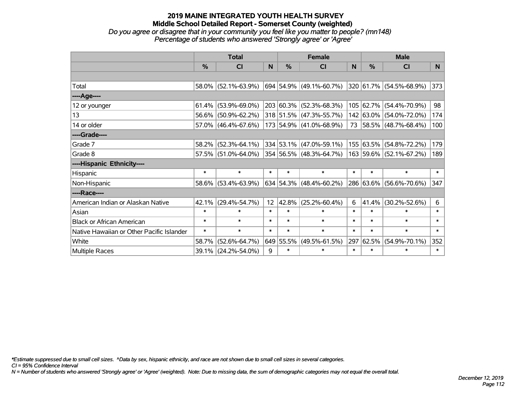#### **2019 MAINE INTEGRATED YOUTH HEALTH SURVEY Middle School Detailed Report - Somerset County (weighted)** *Do you agree or disagree that in your community you feel like you matter to people? (mn148) Percentage of students who answered 'Strongly agree' or 'Agree'*

|                                           | <b>Total</b>  |                                                |                 | <b>Female</b> |                                 |        | <b>Male</b> |                         |        |
|-------------------------------------------|---------------|------------------------------------------------|-----------------|---------------|---------------------------------|--------|-------------|-------------------------|--------|
|                                           | $\frac{0}{0}$ | <b>CI</b>                                      | N               | %             | <b>CI</b>                       | N      | %           | <b>CI</b>               | N.     |
|                                           |               |                                                |                 |               |                                 |        |             |                         |        |
| Total                                     |               | 58.0% (52.1%-63.9%)                            |                 |               | 694 54.9% (49.1%-60.7%)         |        |             | 320 61.7% (54.5%-68.9%) | 373    |
| ----Age----                               |               |                                                |                 |               |                                 |        |             |                         |        |
| 12 or younger                             | 61.4%         | $(53.9\% - 69.0\%)$                            |                 |               | $203 60.3\%  (52.3\% - 68.3\%)$ |        | 105 62.7%   | $(54.4\% - 70.9\%)$     | 98     |
| 13                                        |               | 56.6% (50.9%-62.2%)                            |                 |               | 318 51.5% (47.3%-55.7%)         |        |             | 142 63.0% (54.0%-72.0%) | 174    |
| 14 or older                               |               | 57.0% (46.4%-67.6%)                            |                 |               | 173 54.9% (41.0%-68.9%)         |        |             | 73 58.5% (48.7%-68.4%)  | 100    |
| ----Grade----                             |               |                                                |                 |               |                                 |        |             |                         |        |
| Grade 7                                   | 58.2%         | $(52.3\% - 64.1\%)$                            |                 |               | 334 53.1% (47.0%-59.1%)         |        | 155 63.5%   | $(54.8\% - 72.2\%)$     | 179    |
| Grade 8                                   |               | $57.5\%$ (51.0%-64.0%) 354 56.5% (48.3%-64.7%) |                 |               |                                 |        |             | 163 59.6% (52.1%-67.2%) | 189    |
| ----Hispanic Ethnicity----                |               |                                                |                 |               |                                 |        |             |                         |        |
| Hispanic                                  | $\ast$        | $\ast$                                         | $\ast$          | $\ast$        | $\ast$                          | $\ast$ | $\ast$      | $\ast$                  | $\ast$ |
| Non-Hispanic                              | 58.6%         | $(53.4\% - 63.9\%)$                            |                 |               | $634 54.3\% $ (48.4%-60.2%)     |        |             | 286 63.6% (56.6%-70.6%) | 347    |
| ----Race----                              |               |                                                |                 |               |                                 |        |             |                         |        |
| American Indian or Alaskan Native         | 42.1%         | $(29.4\% - 54.7\%)$                            | 12 <sub>2</sub> | 42.8%         | $(25.2\% - 60.4\%)$             | 6      | 41.4%       | $(30.2\% - 52.6\%)$     | 6      |
| Asian                                     | $\ast$        | $\ast$                                         | $\ast$          | $\ast$        | $\ast$                          | $\ast$ | $\ast$      | $\ast$                  | $\ast$ |
| <b>Black or African American</b>          | $\ast$        | $\ast$                                         | $\ast$          | $\ast$        | $\ast$                          | $\ast$ | $\ast$      | $\ast$                  | $\ast$ |
| Native Hawaiian or Other Pacific Islander | $\ast$        | $\ast$                                         | $\ast$          | $\ast$        | $\ast$                          | $\ast$ | $\ast$      | $\ast$                  | $\ast$ |
| White                                     | 58.7%         | $(52.6\% - 64.7\%)$                            |                 | 649 55.5%     | $(49.5\% - 61.5\%)$             | 297    | 62.5%       | $(54.9\% - 70.1\%)$     | 352    |
| <b>Multiple Races</b>                     | $39.1\%$      | $(24.2\% - 54.0\%)$                            | 9               | $\ast$        | $\ast$                          | $\ast$ | $\ast$      | $\ast$                  | $\ast$ |

*\*Estimate suppressed due to small cell sizes. ^Data by sex, hispanic ethnicity, and race are not shown due to small cell sizes in several categories.*

*CI = 95% Confidence Interval*

*N = Number of students who answered 'Strongly agree' or 'Agree' (weighted). Note: Due to missing data, the sum of demographic categories may not equal the overall total.*